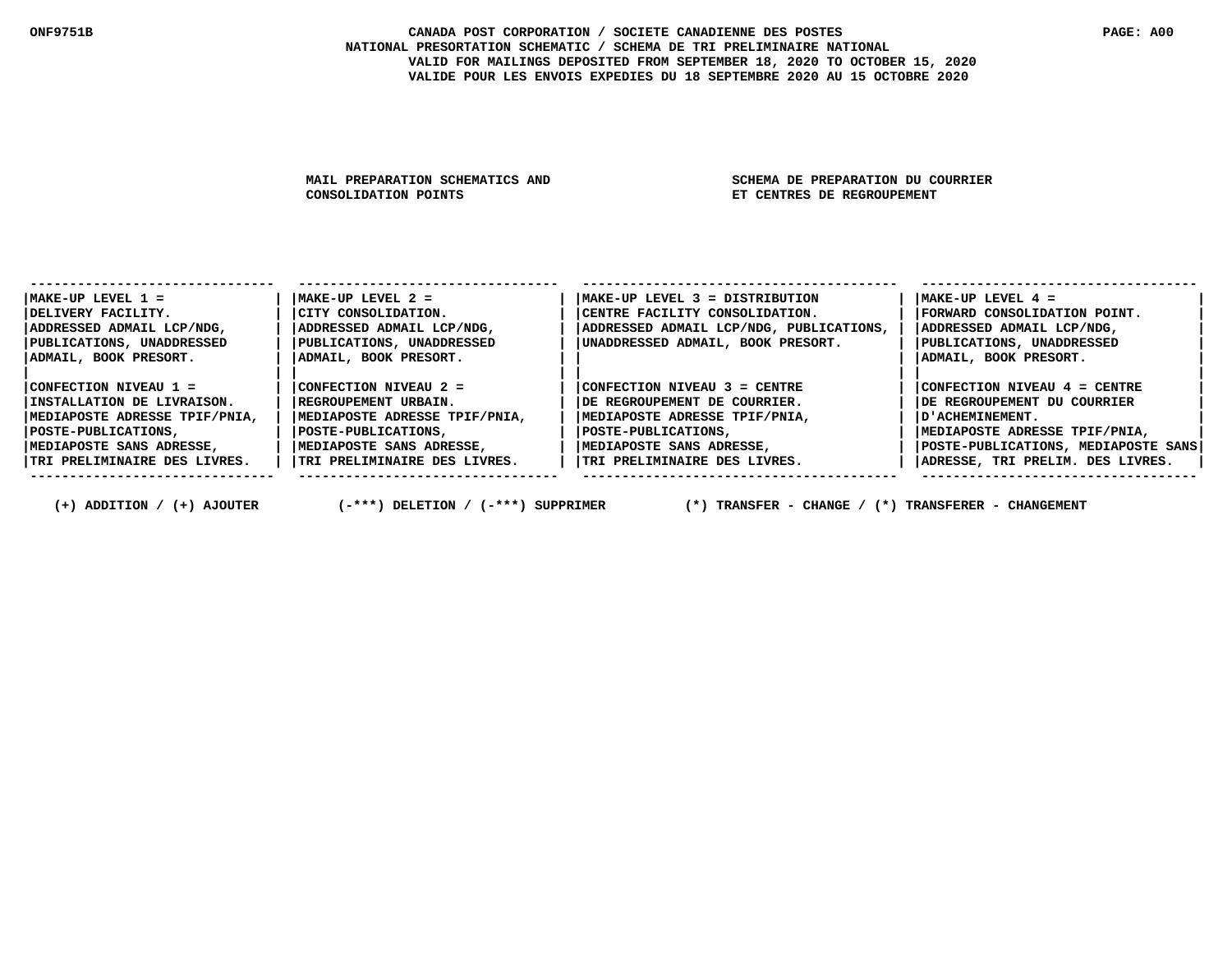#### **ONF9751B CANADA POST CORPORATION / SOCIETE CANADIENNE DES POSTES PAGE: A00 NATIONAL PRESORTATION SCHEMATIC / SCHEMA DE TRI PRELIMINAIRE NATIONAL VALID FOR MAILINGS DEPOSITED FROM SEPTEMBER 18, 2020 TO OCTOBER 15, 2020 VALIDE POUR LES ENVOIS EXPEDIES DU 18 SEPTEMBRE 2020 AU 15 OCTOBRE 2020**

MAIL PREPARATION SCHEMATICS AND SCHEMA DE PREPARATION DU COURRIER<br>CONSOLIDATION POINTS SAND SET CENTRES DE REGROUPEMENT

**ET CENTRES DE REGROUPEMENT** 

| $MAKE-UP$ LEVEL $1 =$         | $MAKE-UP$ LEVEL $2 =$         | $MAKE-UP$ LEVEL 3 = DISTRIBUTION        | $MAKE-UP$ LEVEL $4 =$               |
|-------------------------------|-------------------------------|-----------------------------------------|-------------------------------------|
| DELIVERY FACILITY.            | CITY CONSOLIDATION.           | CENTRE FACILITY CONSOLIDATION.          | FORWARD CONSOLIDATION POINT.        |
| ADDRESSED ADMAIL LCP/NDG,     | ADDRESSED ADMAIL LCP/NDG,     | ADDRESSED ADMAIL LCP/NDG, PUBLICATIONS, | ADDRESSED ADMAIL LCP/NDG,           |
| PUBLICATIONS, UNADDRESSED     | PUBLICATIONS, UNADDRESSED     | UNADDRESSED ADMAIL, BOOK PRESORT.       | PUBLICATIONS, UNADDRESSED           |
| ADMAIL, BOOK PRESORT.         | ADMAIL, BOOK PRESORT.         |                                         | ADMAIL, BOOK PRESORT.               |
|                               |                               |                                         |                                     |
| CONFECTION NIVEAU 1 =         | CONFECTION NIVEAU 2 =         | $\text{CONFECTION NIVERU}$ 3 = CENTRE   | CONFECTION NIVEAU 4 = CENTRE        |
| INSTALLATION DE LIVRAISON.    | REGROUPEMENT URBAIN.          | DE REGROUPEMENT DE COURRIER.            | DE REGROUPEMENT DU COURRIER         |
| MEDIAPOSTE ADRESSE TPIF/PNIA, | MEDIAPOSTE ADRESSE TPIF/PNIA, | MEDIAPOSTE ADRESSE TPIF/PNIA,           | D'ACHEMINEMENT.                     |
| POSTE-PUBLICATIONS,           | POSTE-PUBLICATIONS,           | POSTE-PUBLICATIONS,                     | MEDIAPOSTE ADRESSE TPIF/PNIA,       |
| MEDIAPOSTE SANS ADRESSE,      | MEDIAPOSTE SANS ADRESSE,      | MEDIAPOSTE SANS ADRESSE,                | POSTE-PUBLICATIONS, MEDIAPOSTE SANS |
| TRI PRELIMINAIRE DES LIVRES.  | TRI PRELIMINAIRE DES LIVRES.  | TRI PRELIMINAIRE DES LIVRES.            | ADRESSE, TRI PRELIM. DES LIVRES.    |
|                               |                               |                                         |                                     |

 **(+) ADDITION / (+) AJOUTER (-\*\*\*) DELETION / (-\*\*\*) SUPPRIMER (\*) TRANSFER - CHANGE / (\*) TRANSFERER - CHANGEMENT**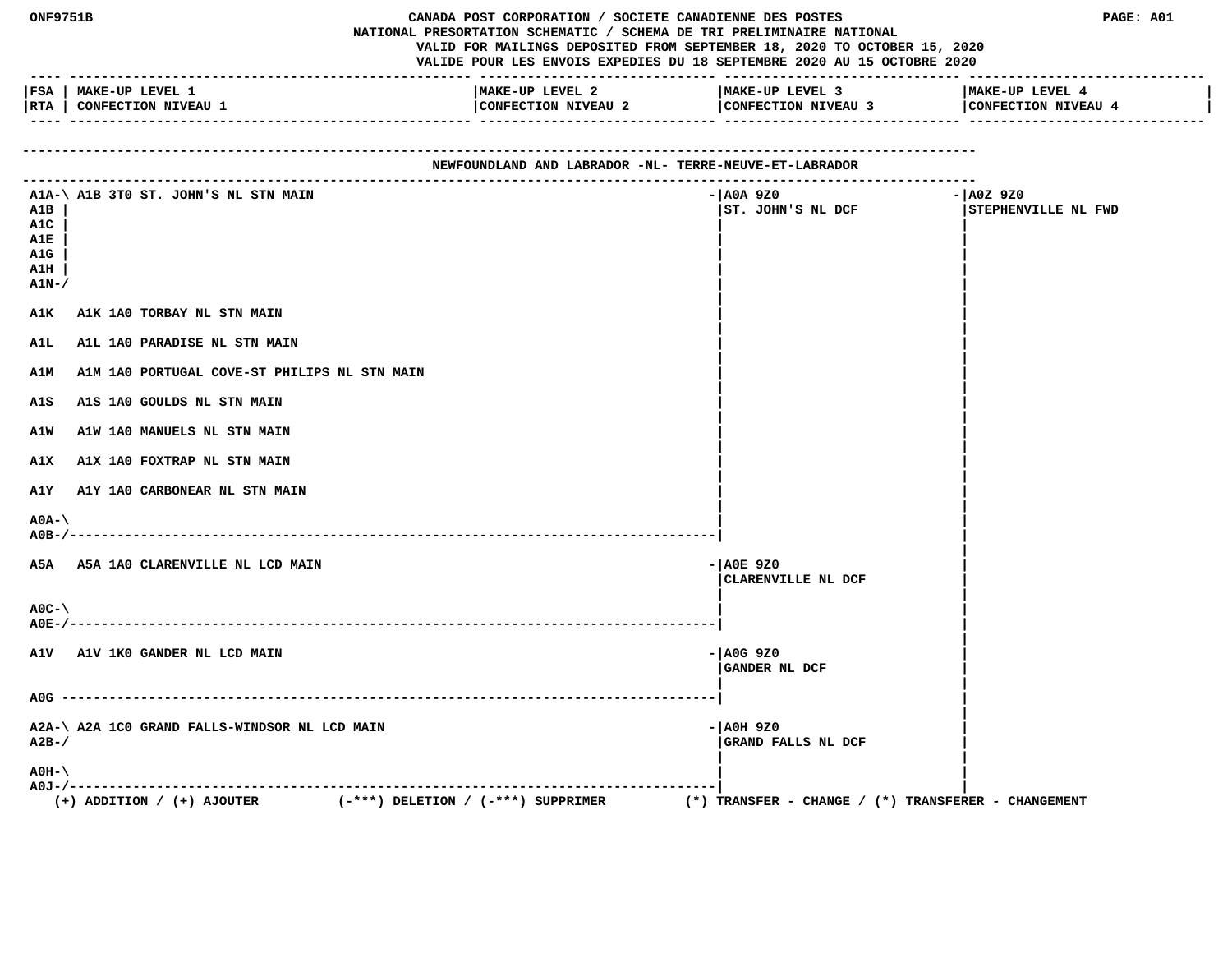|                                                 | CANADA POST CORPORATION / SOCIETE CANADIENNE DES POSTES<br><b>ONF9751B</b><br>NATIONAL PRESORTATION SCHEMATIC / SCHEMA DE TRI PRELIMINAIRE NATIONAL<br>VALID FOR MAILINGS DEPOSITED FROM SEPTEMBER 18, 2020 TO OCTOBER 15, 2020<br>VALIDE POUR LES ENVOIS EXPEDIES DU 18 SEPTEMBRE 2020 AU 15 OCTOBRE 2020 |                                        |                                                            | PAGE: A01                        |  |  |
|-------------------------------------------------|------------------------------------------------------------------------------------------------------------------------------------------------------------------------------------------------------------------------------------------------------------------------------------------------------------|----------------------------------------|------------------------------------------------------------|----------------------------------|--|--|
|                                                 | FSA   MAKE-UP LEVEL 1<br> RTA   CONFECTION NIVEAU 1                                                                                                                                                                                                                                                        | MAKE-UP LEVEL 2<br>CONFECTION NIVEAU 2 | MAKE-UP LEVEL 3<br>CONFECTION NIVEAU 3 CONFECTION NIVEAU 4 | MAKE-UP LEVEL 4                  |  |  |
|                                                 | NEWFOUNDLAND AND LABRADOR -NL- TERRE-NEUVE-ET-LABRADOR                                                                                                                                                                                                                                                     |                                        |                                                            |                                  |  |  |
| A1B<br>A1C<br>A1E<br>A1G<br>A1H<br><b>A1N-/</b> | A1A-\ A1B 3T0 ST. JOHN'S NL STN MAIN                                                                                                                                                                                                                                                                       |                                        | - AOA 9Z0<br>ST. JOHN'S NL DCF                             | - A0Z 9Z0<br>STEPHENVILLE NL FWD |  |  |
| A1K                                             | A1K 1A0 TORBAY NL STN MAIN                                                                                                                                                                                                                                                                                 |                                        |                                                            |                                  |  |  |
| A1L                                             | A1L 1A0 PARADISE NL STN MAIN                                                                                                                                                                                                                                                                               |                                        |                                                            |                                  |  |  |
| <b>A1M</b>                                      | A1M 1A0 PORTUGAL COVE-ST PHILIPS NL STN MAIN                                                                                                                                                                                                                                                               |                                        |                                                            |                                  |  |  |
| A1S<br>A1W                                      | A1S 1A0 GOULDS NL STN MAIN<br>A1W 1A0 MANUELS NL STN MAIN                                                                                                                                                                                                                                                  |                                        |                                                            |                                  |  |  |
| A1X                                             | A1X 1A0 FOXTRAP NL STN MAIN                                                                                                                                                                                                                                                                                |                                        |                                                            |                                  |  |  |
| A1Y                                             | A1Y 1A0 CARBONEAR NL STN MAIN                                                                                                                                                                                                                                                                              |                                        |                                                            |                                  |  |  |
| $A0A-\lambda$                                   |                                                                                                                                                                                                                                                                                                            |                                        |                                                            |                                  |  |  |
|                                                 | A5A A5A 1A0 CLARENVILLE NL LCD MAIN                                                                                                                                                                                                                                                                        |                                        | $ A0E$ 9Z0<br>CLARENVILLE NL DCF                           |                                  |  |  |
| $AOC - \$<br>A0E-/-                             |                                                                                                                                                                                                                                                                                                            |                                        |                                                            |                                  |  |  |
|                                                 | A1V A1V 1KO GANDER NL LCD MAIN                                                                                                                                                                                                                                                                             |                                        | $ A0G$ 920<br>GANDER NL DCF                                |                                  |  |  |
|                                                 |                                                                                                                                                                                                                                                                                                            |                                        |                                                            |                                  |  |  |
| $A2B-$                                          | A2A-\ A2A 1C0 GRAND FALLS-WINDSOR NL LCD MAIN                                                                                                                                                                                                                                                              |                                        | - AOH 9Z0<br>GRAND FALLS NL DCF                            |                                  |  |  |
| $AOH-$                                          |                                                                                                                                                                                                                                                                                                            |                                        |                                                            |                                  |  |  |
|                                                 | $(-***)$ DELETION / $(-***)$ SUPPRIMER<br>$(+)$ ADDITION / $(+)$ AJOUTER                                                                                                                                                                                                                                   |                                        | (*) TRANSFER – CHANGE / (*) TRANSFERER – CHANGEMENT        |                                  |  |  |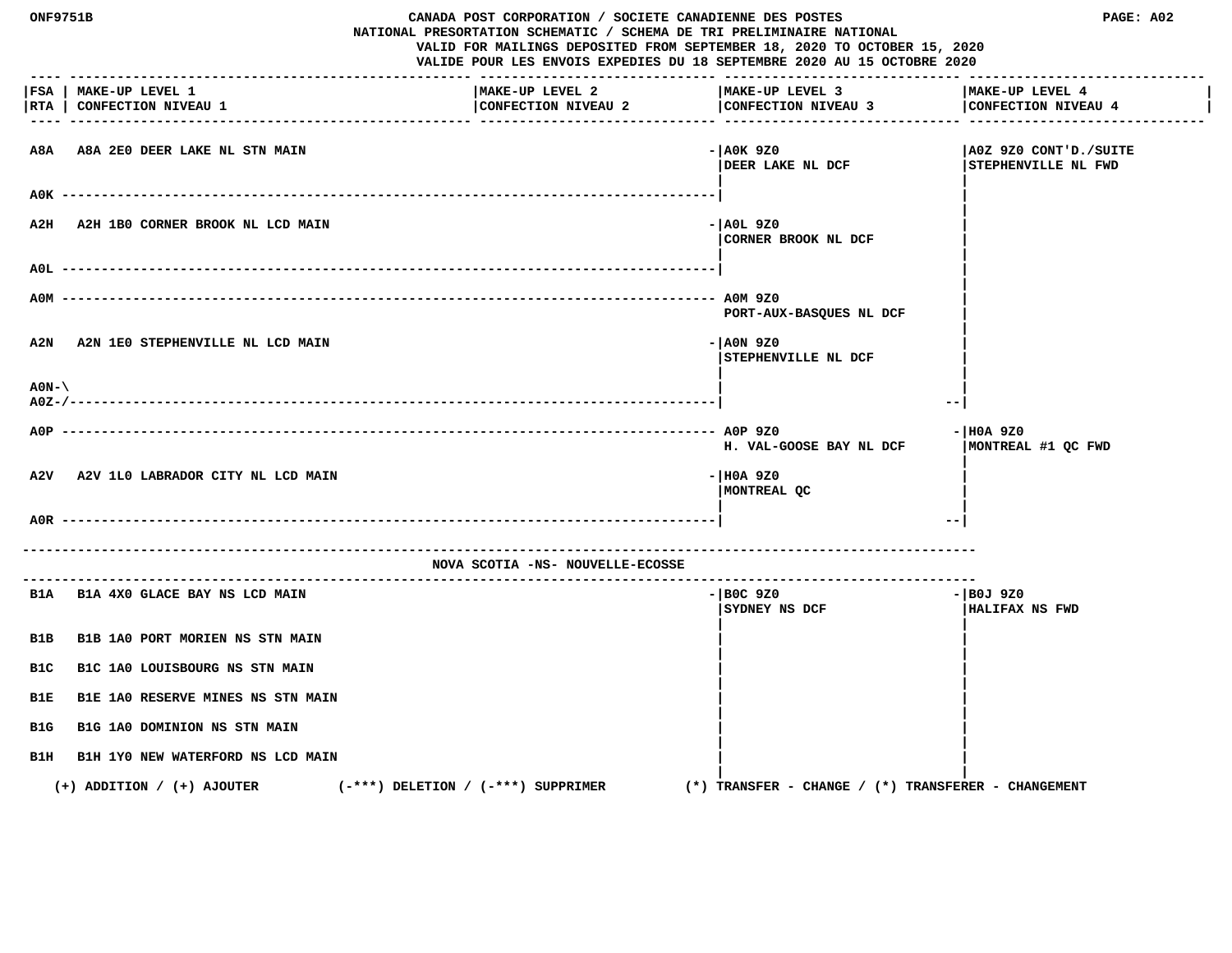| <b>ONF9751B</b>                |                                                     | CANADA POST CORPORATION / SOCIETE CANADIENNE DES POSTES<br>NATIONAL PRESORTATION SCHEMATIC / SCHEMA DE TRI PRELIMINAIRE NATIONAL<br>VALID FOR MAILINGS DEPOSITED FROM SEPTEMBER 18, 2020 TO OCTOBER 15, 2020<br>VALIDE POUR LES ENVOIS EXPEDIES DU 18 SEPTEMBRE 2020 AU 15 OCTOBRE 2020 |                                                     | PAGE: A02                                    |
|--------------------------------|-----------------------------------------------------|-----------------------------------------------------------------------------------------------------------------------------------------------------------------------------------------------------------------------------------------------------------------------------------------|-----------------------------------------------------|----------------------------------------------|
| RTA                            | FSA   MAKE-UP LEVEL 1<br><b>CONFECTION NIVEAU 1</b> | MAKE-UP LEVEL 2<br>CONFECTION NIVEAU 2                                                                                                                                                                                                                                                  | MAKE-UP LEVEL 3<br>CONFECTION NIVEAU 3              | MAKE-UP LEVEL 4<br>CONFECTION NIVEAU 4       |
| A8A                            | A8A 2E0 DEER LAKE NL STN MAIN                       |                                                                                                                                                                                                                                                                                         | $-$ AOK 9Z0<br>DEER LAKE NL DCF                     | A0Z 9Z0 CONT'D./SUITE<br>STEPHENVILLE NL FWD |
| A2H                            | $A0K$ --------<br>A2H 1B0 CORNER BROOK NL LCD MAIN  |                                                                                                                                                                                                                                                                                         | - AOL 9Z0<br>CORNER BROOK NL DCF                    |                                              |
| AOL.                           |                                                     |                                                                                                                                                                                                                                                                                         |                                                     |                                              |
| A0M                            |                                                     |                                                                                                                                                                                                                                                                                         | PORT-AUX-BASQUES NL DCF                             |                                              |
| A2N                            | A2N 1E0 STEPHENVILLE NL LCD MAIN                    |                                                                                                                                                                                                                                                                                         | - AON 9Z0<br>STEPHENVILLE NL DCF                    |                                              |
| $A0N-\lambda$<br>$A0Z - / - -$ |                                                     |                                                                                                                                                                                                                                                                                         | --                                                  |                                              |
| $ADP$ ----                     |                                                     |                                                                                                                                                                                                                                                                                         | H. VAL-GOOSE BAY NL DCF                             | $- H0A 9Z0$<br>MONTREAL #1 QC FWD            |
| A2V                            | A2V 1L0 LABRADOR CITY NL LCD MAIN                   |                                                                                                                                                                                                                                                                                         | - HOA 9Z0<br>MONTREAL QC                            |                                              |
|                                | $A0R$ --------                                      |                                                                                                                                                                                                                                                                                         | $- -$                                               |                                              |
|                                |                                                     | NOVA SCOTIA -NS- NOUVELLE-ECOSSE                                                                                                                                                                                                                                                        |                                                     |                                              |
|                                | B1A B1A 4X0 GLACE BAY NS LCD MAIN                   |                                                                                                                                                                                                                                                                                         | $-$ BOC 9Z0<br>SYDNEY NS DCF                        | - BOJ 9Z0<br>HALIFAX NS FWD                  |
| B1B                            | B1B 1A0 PORT MORIEN NS STN MAIN                     |                                                                                                                                                                                                                                                                                         |                                                     |                                              |
| B1C                            | B1C 1A0 LOUISBOURG NS STN MAIN                      |                                                                                                                                                                                                                                                                                         |                                                     |                                              |
| B1E                            | B1E 1A0 RESERVE MINES NS STN MAIN                   |                                                                                                                                                                                                                                                                                         |                                                     |                                              |
| B1G                            | B1G 1A0 DOMINION NS STN MAIN                        |                                                                                                                                                                                                                                                                                         |                                                     |                                              |
| B1H                            | B1H 1Y0 NEW WATERFORD NS LCD MAIN                   |                                                                                                                                                                                                                                                                                         |                                                     |                                              |
|                                | $(+)$ ADDITION / $(+)$ AJOUTER                      | $(-***)$ DELETION / $(-***)$ SUPPRIMER                                                                                                                                                                                                                                                  | (*) TRANSFER - CHANGE / (*) TRANSFERER - CHANGEMENT |                                              |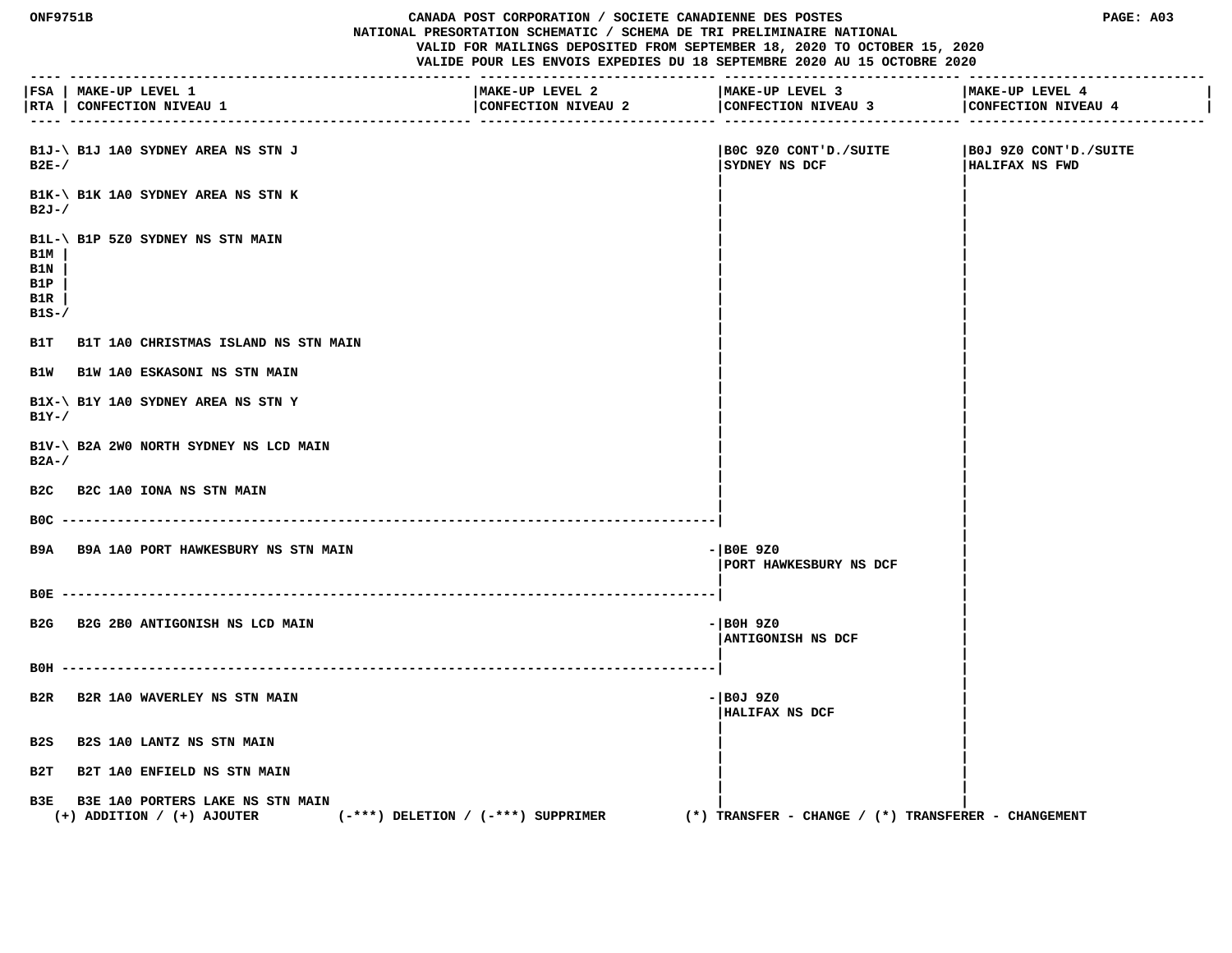#### **ONF9751B CANADA POST CORPORATION / SOCIETE CANADIENNE DES POSTES PAGE: A03 NATIONAL PRESORTATION SCHEMATIC / SCHEMA DE TRI PRELIMINAIRE NATIONAL**

 **VALID FOR MAILINGS DEPOSITED FROM SEPTEMBER 18, 2020 TO OCTOBER 15, 2020**

|                                    | FSA   MAKE-UP LEVEL 1<br> RTA   CONFECTION NIVEAU 1                                                              | MAKE-UP LEVEL 2<br>CONFECTION NIVEAU 2 | MAKE-UP LEVEL 3<br>CONFECTION NIVEAU 3<br>.---------- ----------- | MAKE-UP LEVEL 4<br>CONFECTION NIVEAU 4  |
|------------------------------------|------------------------------------------------------------------------------------------------------------------|----------------------------------------|-------------------------------------------------------------------|-----------------------------------------|
| $B2E-$                             | B1J-\ B1J 1A0 SYDNEY AREA NS STN J                                                                               |                                        | BOC 9Z0 CONT'D./SUITE<br>SYDNEY NS DCF                            | BOJ 9Z0 CONT'D./SUITE<br>HALIFAX NS FWD |
| $B2J-/$                            | B1K-\ B1K 1A0 SYDNEY AREA NS STN K                                                                               |                                        |                                                                   |                                         |
| B1M<br>B1N<br>B1P<br>B1R<br>$B1S-$ | B1L-\ B1P 5Z0 SYDNEY NS STN MAIN                                                                                 |                                        |                                                                   |                                         |
|                                    | B1T B1T 1A0 CHRISTMAS ISLAND NS STN MAIN                                                                         |                                        |                                                                   |                                         |
|                                    | B1W B1W 1A0 ESKASONI NS STN MAIN                                                                                 |                                        |                                                                   |                                         |
| $B1Y-$ /                           | B1X-\ B1Y 1A0 SYDNEY AREA NS STN Y                                                                               |                                        |                                                                   |                                         |
| $B2A-$                             | B1V-\ B2A 2W0 NORTH SYDNEY NS LCD MAIN                                                                           |                                        |                                                                   |                                         |
| B2C                                | <b>B2C 1A0 IONA NS STN MAIN</b>                                                                                  |                                        |                                                                   |                                         |
|                                    | $BOC$ ----------                                                                                                 |                                        |                                                                   |                                         |
|                                    | B9A B9A 1A0 PORT HAWKESBURY NS STN MAIN                                                                          |                                        | $-$ BOE 9Z0<br>PORT HAWKESBURY NS DCF                             |                                         |
|                                    |                                                                                                                  |                                        |                                                                   |                                         |
| B <sub>2G</sub>                    | B2G 2B0 ANTIGONISH NS LCD MAIN                                                                                   |                                        | $  $ BOH 9Z0<br>ANTIGONISH NS DCF                                 |                                         |
|                                    |                                                                                                                  |                                        |                                                                   |                                         |
|                                    | B2R B2R 1A0 WAVERLEY NS STN MAIN                                                                                 |                                        | - BOJ 9Z0<br>HALIFAX NS DCF                                       |                                         |
| B2S                                | <b>B2S 1A0 LANTZ NS STN MAIN</b>                                                                                 |                                        |                                                                   |                                         |
| B2T                                | <b>B2T 1A0 ENFIELD NS STN MAIN</b>                                                                               |                                        |                                                                   |                                         |
|                                    | B3E B3E 1A0 PORTERS LAKE NS STN MAIN<br>$(-***)$ DELETION / $(-***)$ SUPPRIMER<br>$(+)$ ADDITION / $(+)$ AJOUTER |                                        | $(*)$ TRANSFER - CHANGE / $(*)$ TRANSFERER - CHANGEMENT           |                                         |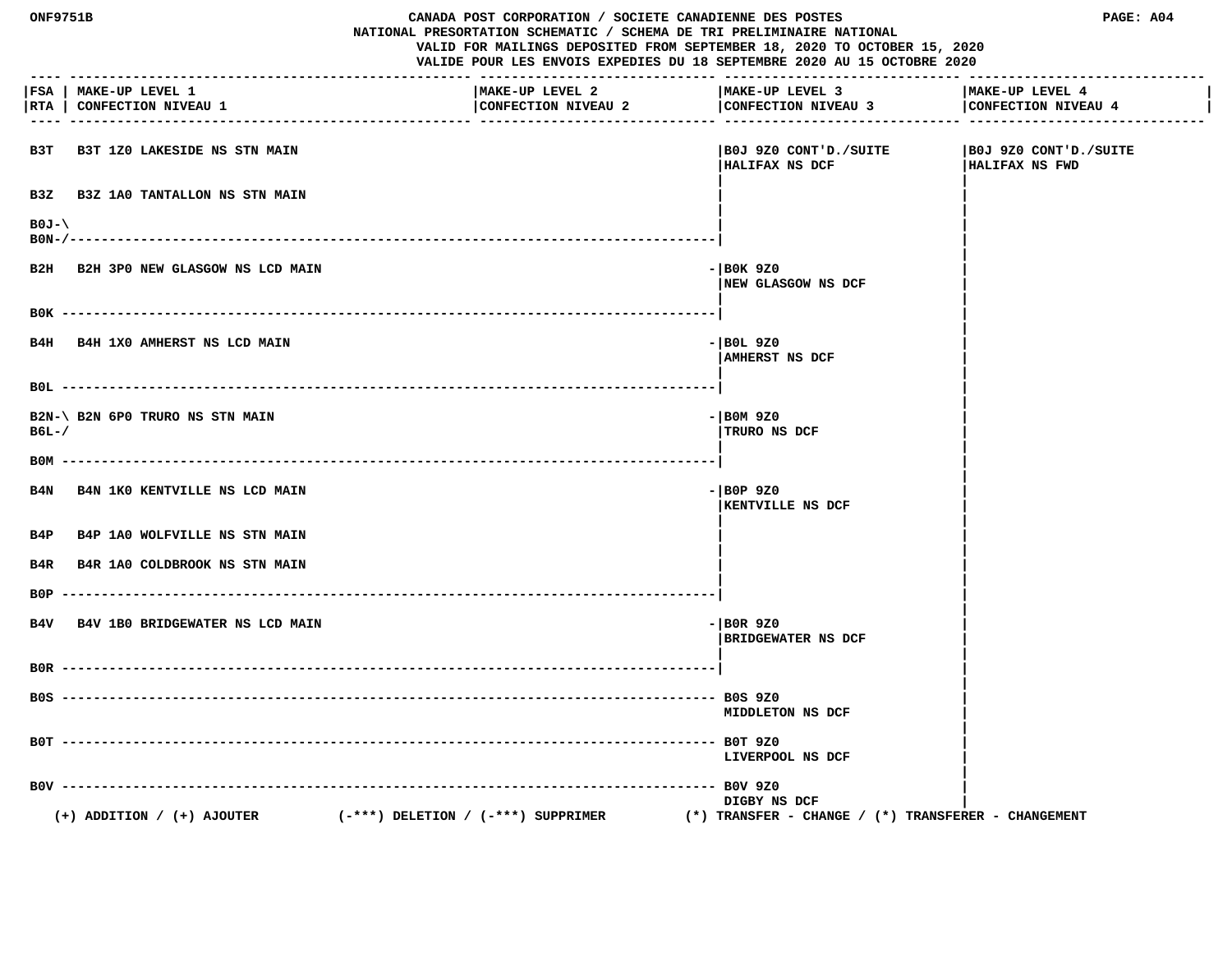| <b>ONF9751B</b><br>CANADA POST CORPORATION / SOCIETE CANADIENNE DES POSTES<br>NATIONAL PRESORTATION SCHEMATIC / SCHEMA DE TRI PRELIMINAIRE NATIONAL<br>VALID FOR MAILINGS DEPOSITED FROM SEPTEMBER 18, 2020 TO OCTOBER 15, 2020<br>VALIDE POUR LES ENVOIS EXPEDIES DU 18 SEPTEMBRE 2020 AU 15 OCTOBRE 2020 |                                                     |                                                                      |                                                         | PAGE: A04                                       |
|------------------------------------------------------------------------------------------------------------------------------------------------------------------------------------------------------------------------------------------------------------------------------------------------------------|-----------------------------------------------------|----------------------------------------------------------------------|---------------------------------------------------------|-------------------------------------------------|
|                                                                                                                                                                                                                                                                                                            | FSA   MAKE-UP LEVEL 1<br> RTA   CONFECTION NIVEAU 1 | MAKE-UP LEVEL 2<br>CONFECTION NIVEAU 2<br>-------------------------- | MAKE-UP LEVEL 3<br>CONFECTION NIVEAU 3                  | MAKE-UP LEVEL 4<br>CONFECTION NIVEAU 4          |
| взт                                                                                                                                                                                                                                                                                                        | <b>B3T 1Z0 LAKESIDE NS STN MAIN</b>                 |                                                                      | BOJ 9Z0 CONT'D./SUITE<br>HALIFAX NS DCF                 | SUITE   BOJ 9Z0 CONT'D./SUITE<br>HALIFAX NS FWD |
| B <sub>3</sub> Z                                                                                                                                                                                                                                                                                           | <b>B3Z 1A0 TANTALLON NS STN MAIN</b>                |                                                                      |                                                         |                                                 |
| $B0J-\lambda$<br>B0N-/---                                                                                                                                                                                                                                                                                  |                                                     |                                                                      |                                                         |                                                 |
| B2H                                                                                                                                                                                                                                                                                                        | B2H 3PO NEW GLASGOW NS LCD MAIN                     |                                                                      | $-$ BOK 9Z0<br><b> NEW GLASGOW NS DCF</b>               |                                                 |
|                                                                                                                                                                                                                                                                                                            |                                                     |                                                                      |                                                         |                                                 |
|                                                                                                                                                                                                                                                                                                            | B4H B4H 1X0 AMHERST NS LCD MAIN                     |                                                                      | $-$ BOL 9Z0<br>AMHERST NS DCF                           |                                                 |
|                                                                                                                                                                                                                                                                                                            |                                                     |                                                                      |                                                         |                                                 |
| $B6L-$                                                                                                                                                                                                                                                                                                     | B2N-\ B2N 6P0 TRURO NS STN MAIN                     |                                                                      | $-$ BOM 9Z0<br>TRURO NS DCF                             |                                                 |
|                                                                                                                                                                                                                                                                                                            |                                                     |                                                                      |                                                         |                                                 |
| B4N                                                                                                                                                                                                                                                                                                        | B4N 1K0 KENTVILLE NS LCD MAIN                       |                                                                      | $-$ BOP 9Z0<br><b>KENTVILLE NS DCF</b>                  |                                                 |
| B4P                                                                                                                                                                                                                                                                                                        | <b>B4P 1A0 WOLFVILLE NS STN MAIN</b>                |                                                                      |                                                         |                                                 |
| B4R                                                                                                                                                                                                                                                                                                        | B4R 1A0 COLDBROOK NS STN MAIN                       |                                                                      |                                                         |                                                 |
| B0P                                                                                                                                                                                                                                                                                                        | B4V B4V 1B0 BRIDGEWATER NS LCD MAIN                 |                                                                      | $-$ BOR 9Z0<br><b>BRIDGEWATER NS DCF</b>                |                                                 |
|                                                                                                                                                                                                                                                                                                            |                                                     |                                                                      |                                                         |                                                 |
|                                                                                                                                                                                                                                                                                                            |                                                     |                                                                      | <b>MIDDLETON NS DCF</b>                                 |                                                 |
|                                                                                                                                                                                                                                                                                                            | $B0T$ ---------                                     | ---------- BOT 9Z0                                                   | LIVERPOOL NS DCF                                        |                                                 |
|                                                                                                                                                                                                                                                                                                            | $B0V$ -------                                       |                                                                      | $--$ BOV 9Z0<br>DIGBY NS DCF                            |                                                 |
|                                                                                                                                                                                                                                                                                                            | $(+)$ ADDITION / $(+)$ AJOUTER                      | $(-***)$ DELETION / $(-***)$ SUPPRIMER                               | $(*)$ TRANSFER - CHANGE / $(*)$ TRANSFERER - CHANGEMENT |                                                 |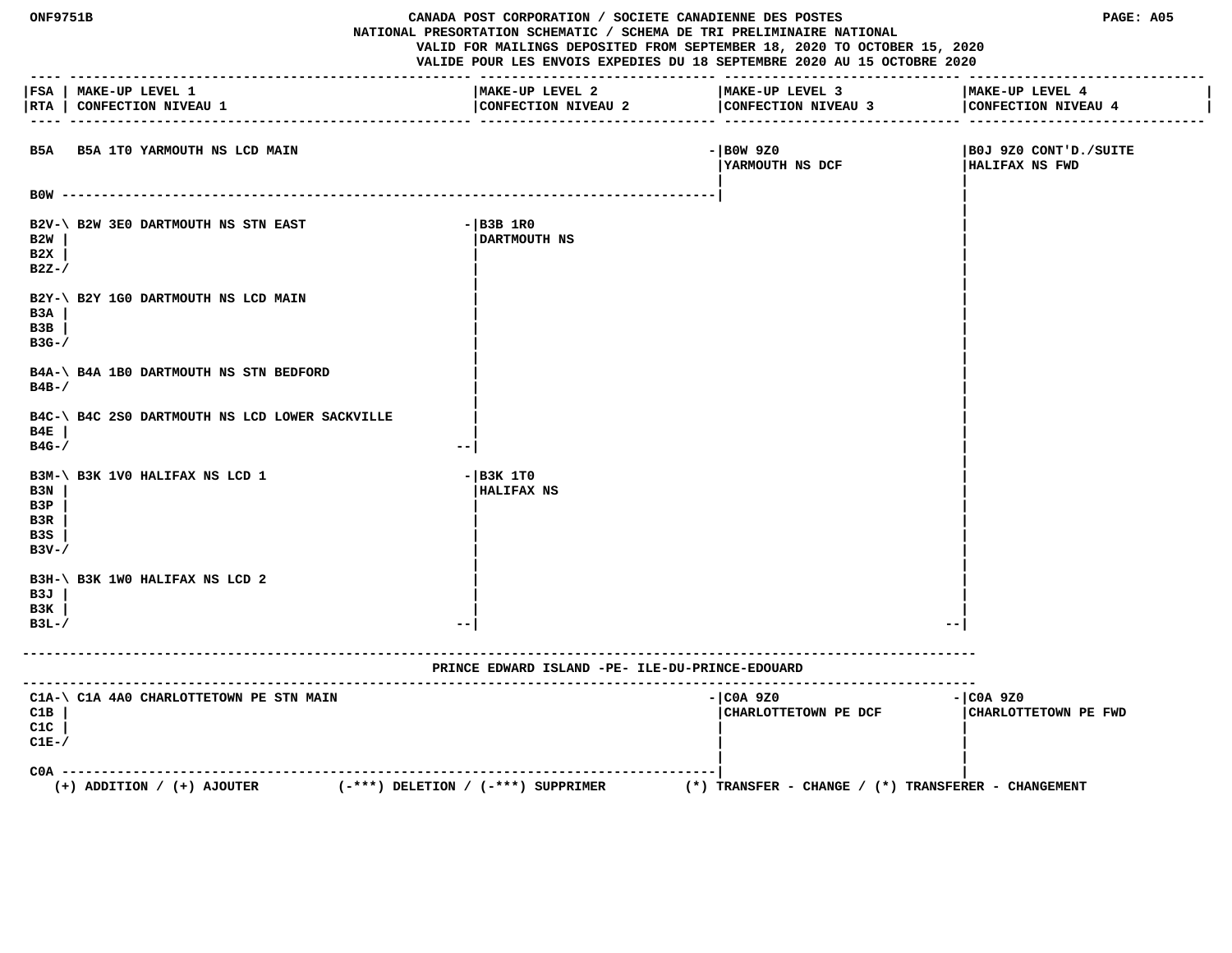| ONF9751B<br>CANADA POST CORPORATION / SOCIETE CANADIENNE DES POSTES<br>NATIONAL PRESORTATION SCHEMATIC / SCHEMA DE TRI PRELIMINAIRE NATIONAL<br>VALID FOR MAILINGS DEPOSITED FROM SEPTEMBER 18, 2020 TO OCTOBER 15, 2020<br>VALIDE POUR LES ENVOIS EXPEDIES DU 18 SEPTEMBRE 2020 AU 15 OCTOBRE 2020<br>-------------------- ---------- |                                                                          |                                                 | PAGE: A05                                           |                                         |
|----------------------------------------------------------------------------------------------------------------------------------------------------------------------------------------------------------------------------------------------------------------------------------------------------------------------------------------|--------------------------------------------------------------------------|-------------------------------------------------|-----------------------------------------------------|-----------------------------------------|
|                                                                                                                                                                                                                                                                                                                                        | FSA   MAKE-UP LEVEL 1<br> RTA   CONFECTION NIVEAU 1                      | MAKE-UP LEVEL 2<br>CONFECTION NIVEAU 2          | MAKE-UP LEVEL 3<br>CONFECTION NIVEAU 3              | MAKE-UP LEVEL 4<br>CONFECTION NIVEAU 4  |
|                                                                                                                                                                                                                                                                                                                                        | B5A B5A 1T0 YARMOUTH NS LCD MAIN                                         |                                                 | $-$ BOW 9Z0<br><b>IYARMOUTH NS DCF</b>              | B0J 9Z0 CONT'D./SUITE<br>HALIFAX NS FWD |
|                                                                                                                                                                                                                                                                                                                                        |                                                                          |                                                 |                                                     |                                         |
| B2W<br>B2X<br>$B2Z-$                                                                                                                                                                                                                                                                                                                   | B2V-\ B2W 3E0 DARTMOUTH NS STN EAST                                      | $-$ B3B 1R0<br>DARTMOUTH NS                     |                                                     |                                         |
| B3A<br>B3B<br>$B3G-$ /                                                                                                                                                                                                                                                                                                                 | B2Y-\ B2Y 1G0 DARTMOUTH NS LCD MAIN                                      |                                                 |                                                     |                                         |
| $B4B-$                                                                                                                                                                                                                                                                                                                                 | B4A-\ B4A 1B0 DARTMOUTH NS STN BEDFORD                                   |                                                 |                                                     |                                         |
| B4E<br>$B4G-$ /                                                                                                                                                                                                                                                                                                                        | B4C-\ B4C 2S0 DARTMOUTH NS LCD LOWER SACKVILLE                           |                                                 |                                                     |                                         |
| B3N<br>B3P<br>B3R<br>B3S<br>$B3V - /$                                                                                                                                                                                                                                                                                                  | B3M-\ B3K 1V0 HALIFAX NS LCD 1                                           | $ B3K$ 1TO<br><b>HALIFAX NS</b>                 |                                                     |                                         |
| B3J<br>взк<br>$B3L-$                                                                                                                                                                                                                                                                                                                   | B3H-\ B3K 1WO HALIFAX NS LCD 2                                           |                                                 |                                                     |                                         |
|                                                                                                                                                                                                                                                                                                                                        |                                                                          | PRINCE EDWARD ISLAND -PE- ILE-DU-PRINCE-EDOUARD |                                                     |                                         |
| C1B<br>C1C<br>$CLE-$                                                                                                                                                                                                                                                                                                                   | C1A-\ C1A 4A0 CHARLOTTETOWN PE STN MAIN                                  |                                                 | - COA 9Z0<br>CHARLOTTETOWN PE DCF                   | $ COA$ 9Z0<br>CHARLOTTETOWN PE FWD      |
| $COA -$                                                                                                                                                                                                                                                                                                                                | $(-***)$ DELETION / $(-***)$ SUPPRIMER<br>$(+)$ ADDITION / $(+)$ AJOUTER |                                                 | (*) TRANSFER – CHANGE / (*) TRANSFERER – CHANGEMENT |                                         |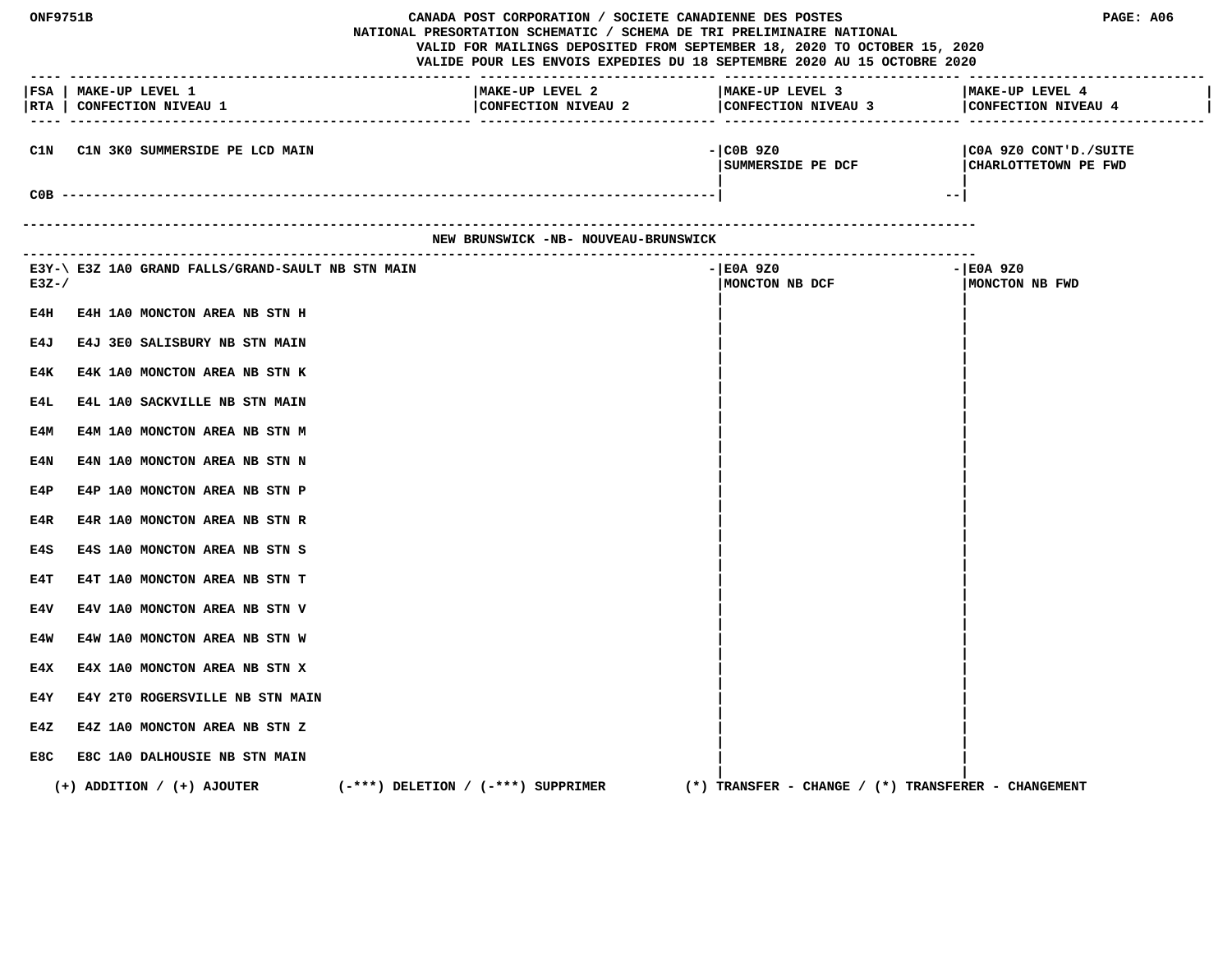| ONF9751B<br>CANADA POST CORPORATION / SOCIETE CANADIENNE DES POSTES<br>NATIONAL PRESORTATION SCHEMATIC / SCHEMA DE TRI PRELIMINAIRE NATIONAL<br>VALID FOR MAILINGS DEPOSITED FROM SEPTEMBER 18, 2020 TO OCTOBER 15, 2020<br>VALIDE POUR LES ENVOIS EXPEDIES DU 18 SEPTEMBRE 2020 AU 15 OCTOBRE 2020<br>-------------------------------------- |                                                                |                                        |                                                                                          | PAGE: A06                                             |
|-----------------------------------------------------------------------------------------------------------------------------------------------------------------------------------------------------------------------------------------------------------------------------------------------------------------------------------------------|----------------------------------------------------------------|----------------------------------------|------------------------------------------------------------------------------------------|-------------------------------------------------------|
| $\frac{1}{2}$                                                                                                                                                                                                                                                                                                                                 | FSA   MAKE-UP LEVEL 1<br> RTA   CONFECTION NIVEAU 1            | MAKE-UP LEVEL 2<br>CONFECTION NIVEAU 2 | MAKE-UP LEVEL 3<br>CONFECTION NIVEAU 3 CONFECTION NIVEAU 4<br>----------------- -------- | MAKE-UP LEVEL 4                                       |
| C1N                                                                                                                                                                                                                                                                                                                                           | C1N 3K0 SUMMERSIDE PE LCD MAIN                                 |                                        | $ COB$ 9Z0<br> SUMMERSIDE PE DCF                                                         | COA 9Z0 CONT'D./SUITE<br>CHARLOTTETOWN PE FWD<br>$--$ |
|                                                                                                                                                                                                                                                                                                                                               | ----------------------------------                             | NEW BRUNSWICK -NB- NOUVEAU-BRUNSWICK   |                                                                                          |                                                       |
|                                                                                                                                                                                                                                                                                                                                               |                                                                |                                        |                                                                                          |                                                       |
| $E3Z-$                                                                                                                                                                                                                                                                                                                                        | E3Y-\ E3Z 1A0 GRAND FALLS/GRAND-SAULT NB STN MAIN              |                                        | -IEOA 9Z0<br>MONCTON NB DCF                                                              | - E0A 9Z0<br>MONCTON NB FWD                           |
| E4H                                                                                                                                                                                                                                                                                                                                           | E4H 1A0 MONCTON AREA NB STN H                                  |                                        |                                                                                          |                                                       |
| E4J                                                                                                                                                                                                                                                                                                                                           | E4J 3E0 SALISBURY NB STN MAIN                                  |                                        |                                                                                          |                                                       |
| E4K                                                                                                                                                                                                                                                                                                                                           | E4K 1A0 MONCTON AREA NB STN K                                  |                                        |                                                                                          |                                                       |
| E4L<br>E4M                                                                                                                                                                                                                                                                                                                                    | E4L 1A0 SACKVILLE NB STN MAIN<br>E4M 1A0 MONCTON AREA NB STN M |                                        |                                                                                          |                                                       |
| E4N                                                                                                                                                                                                                                                                                                                                           | E4N 1A0 MONCTON AREA NB STN N                                  |                                        |                                                                                          |                                                       |
| E4P                                                                                                                                                                                                                                                                                                                                           | E4P 1A0 MONCTON AREA NB STN P                                  |                                        |                                                                                          |                                                       |
| E4R                                                                                                                                                                                                                                                                                                                                           | E4R 1A0 MONCTON AREA NB STN R                                  |                                        |                                                                                          |                                                       |
| E4S                                                                                                                                                                                                                                                                                                                                           | E4S 1A0 MONCTON AREA NB STN S                                  |                                        |                                                                                          |                                                       |
| E4T                                                                                                                                                                                                                                                                                                                                           | E4T 1A0 MONCTON AREA NB STN T                                  |                                        |                                                                                          |                                                       |
| E4V                                                                                                                                                                                                                                                                                                                                           | E4V 1A0 MONCTON AREA NB STN V                                  |                                        |                                                                                          |                                                       |
| E4W<br>E4X                                                                                                                                                                                                                                                                                                                                    | E4W 1A0 MONCTON AREA NB STN W<br>E4X 1A0 MONCTON AREA NB STN X |                                        |                                                                                          |                                                       |
| E4Y                                                                                                                                                                                                                                                                                                                                           | E4Y 2T0 ROGERSVILLE NB STN MAIN                                |                                        |                                                                                          |                                                       |
| E4Z                                                                                                                                                                                                                                                                                                                                           | E4Z 1A0 MONCTON AREA NB STN Z                                  |                                        |                                                                                          |                                                       |
| E8C                                                                                                                                                                                                                                                                                                                                           | E8C 1A0 DALHOUSIE NB STN MAIN                                  |                                        |                                                                                          |                                                       |
|                                                                                                                                                                                                                                                                                                                                               | $(+)$ ADDITION / $(+)$ AJOUTER                                 | $(-***)$ DELETION / $(-***)$ SUPPRIMER | $(*)$ TRANSFER - CHANGE / $(*)$ TRANSFERER - CHANGEMENT                                  |                                                       |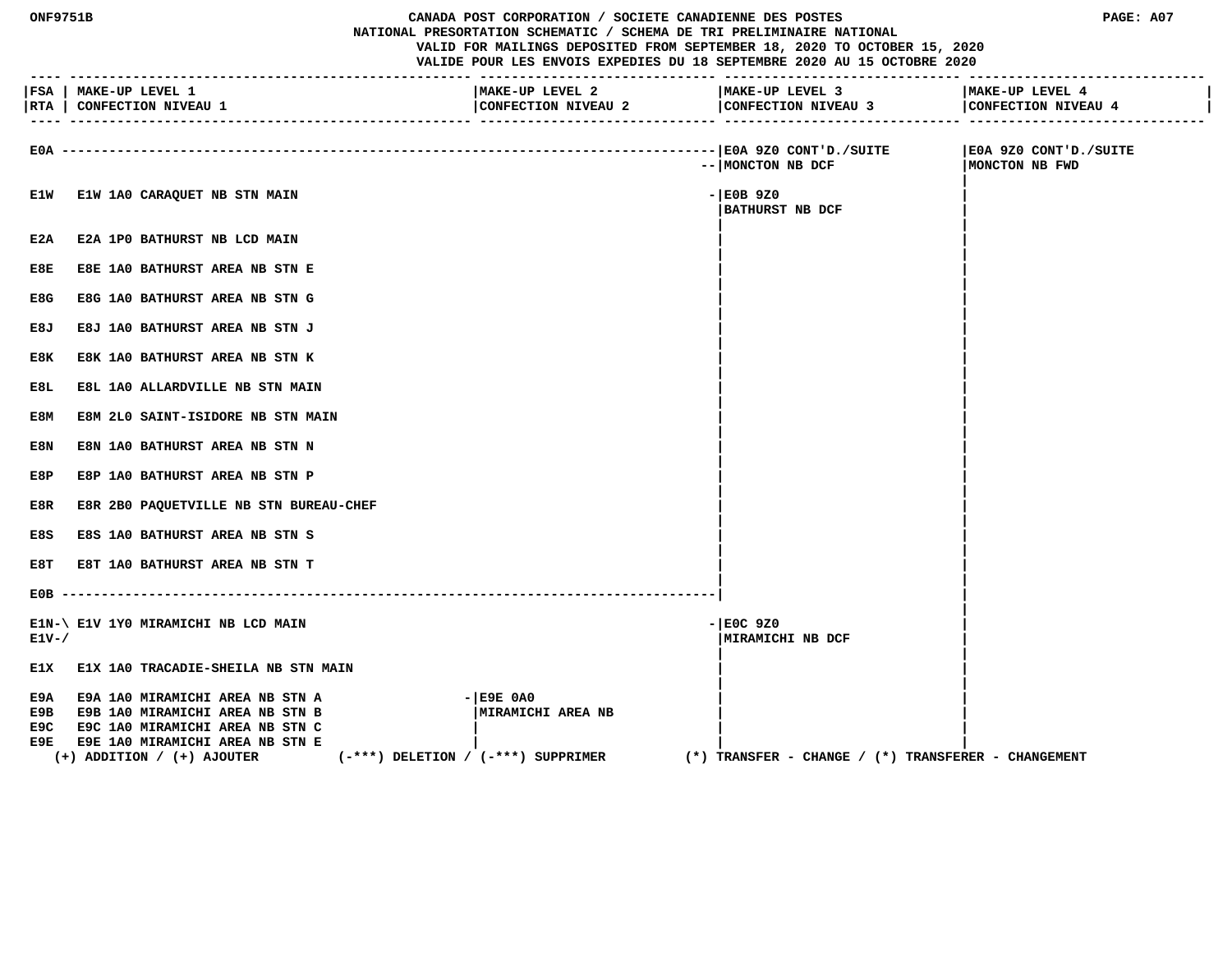| <b>ONF9751B</b>    |                                                                                                                                                                                              |                                        | CANADA POST CORPORATION / SOCIETE CANADIENNE DES POSTES                    | NATIONAL PRESORTATION SCHEMATIC / SCHEMA DE TRI PRELIMINAIRE NATIONAL<br>VALID FOR MAILINGS DEPOSITED FROM SEPTEMBER 18, 2020 TO OCTOBER 15, 2020<br>VALIDE POUR LES ENVOIS EXPEDIES DU 18 SEPTEMBRE 2020 AU 15 OCTOBRE 2020 | PAGE: A07                               |
|--------------------|----------------------------------------------------------------------------------------------------------------------------------------------------------------------------------------------|----------------------------------------|----------------------------------------------------------------------------|------------------------------------------------------------------------------------------------------------------------------------------------------------------------------------------------------------------------------|-----------------------------------------|
|                    | FSA   MAKE-UP LEVEL 1<br> RTA   CONFECTION NIVEAU 1                                                                                                                                          |                                        | MAKE-UP LEVEL 2<br>CONFECTION NIVEAU 2<br>. ______________________________ | MAKE-UP LEVEL 3<br>CONFECTION NIVEAU 3<br>-----------------------------                                                                                                                                                      | MAKE-UP LEVEL 4<br>CONFECTION NIVEAU 4  |
| E0A -----          |                                                                                                                                                                                              |                                        |                                                                            | -- MONCTON NB DCF                                                                                                                                                                                                            | E0A 9Z0 CONT'D./SUITE<br>MONCTON NB FWD |
| E1W                | E1W 1A0 CARAQUET NB STN MAIN                                                                                                                                                                 |                                        |                                                                            | $ EOB$ 920<br><b>BATHURST NB DCF</b>                                                                                                                                                                                         |                                         |
| E2A                | <b>E2A 1PO BATHURST NB LCD MAIN</b>                                                                                                                                                          |                                        |                                                                            |                                                                                                                                                                                                                              |                                         |
| E8E                | E8E 1A0 BATHURST AREA NB STN E                                                                                                                                                               |                                        |                                                                            |                                                                                                                                                                                                                              |                                         |
| E8G                | E8G 1A0 BATHURST AREA NB STN G                                                                                                                                                               |                                        |                                                                            |                                                                                                                                                                                                                              |                                         |
| E8J                | E8J 1A0 BATHURST AREA NB STN J                                                                                                                                                               |                                        |                                                                            |                                                                                                                                                                                                                              |                                         |
| E8K                | E8K 1A0 BATHURST AREA NB STN K                                                                                                                                                               |                                        |                                                                            |                                                                                                                                                                                                                              |                                         |
| E8L                | E8L 1A0 ALLARDVILLE NB STN MAIN                                                                                                                                                              |                                        |                                                                            |                                                                                                                                                                                                                              |                                         |
| E8M                | E8M 2L0 SAINT-ISIDORE NB STN MAIN                                                                                                                                                            |                                        |                                                                            |                                                                                                                                                                                                                              |                                         |
| E8N                | E8N 1A0 BATHURST AREA NB STN N                                                                                                                                                               |                                        |                                                                            |                                                                                                                                                                                                                              |                                         |
| E8P                | E8P 1A0 BATHURST AREA NB STN P                                                                                                                                                               |                                        |                                                                            |                                                                                                                                                                                                                              |                                         |
| E8R                | E8R 2B0 PAQUETVILLE NB STN BUREAU-CHEF                                                                                                                                                       |                                        |                                                                            |                                                                                                                                                                                                                              |                                         |
| E8S                | E8S 1A0 BATHURST AREA NB STN S                                                                                                                                                               |                                        |                                                                            |                                                                                                                                                                                                                              |                                         |
| E8T                | E8T 1A0 BATHURST AREA NB STN T                                                                                                                                                               |                                        |                                                                            |                                                                                                                                                                                                                              |                                         |
|                    |                                                                                                                                                                                              |                                        |                                                                            |                                                                                                                                                                                                                              |                                         |
| $E1V - /$          | E1N-\ E1V 1Y0 MIRAMICHI NB LCD MAIN                                                                                                                                                          |                                        |                                                                            | $-$ EOC 9Z0<br>MIRAMICHI NB DCF                                                                                                                                                                                              |                                         |
|                    | E1X E1X 1A0 TRACADIE-SHEILA NB STN MAIN                                                                                                                                                      |                                        |                                                                            |                                                                                                                                                                                                                              |                                         |
| E9A<br>E9C<br>E9E. | <b>E9A 1A0 MIRAMICHI AREA NB STN A</b><br>E9B E9B 1A0 MIRAMICHI AREA NB STN B<br>E9C 1A0 MIRAMICHI AREA NB STN C<br><b>E9E 1A0 MIRAMICHI AREA NB STN E</b><br>$(+)$ ADDITION / $(+)$ AJOUTER | $(-***)$ DELETION / $(-***)$ SUPPRIMER | $ E9E$ $0A0$<br>  MIRAMICHI AREA NB                                        | $(*)$ TRANSFER - CHANGE / $(*)$ TRANSFERER - CHANGEMENT                                                                                                                                                                      |                                         |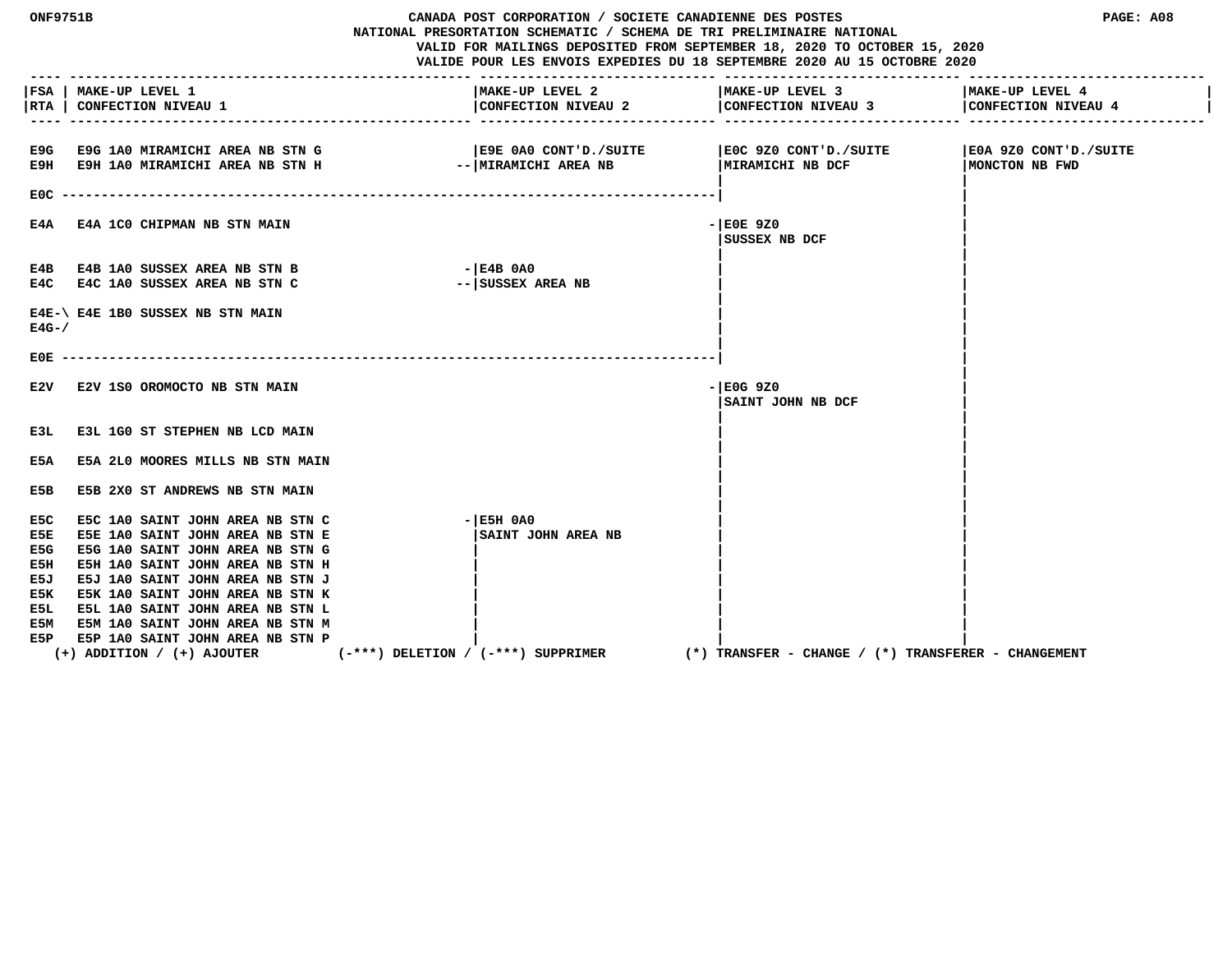| <b>ONF9751B</b>                                              |                                                                                                                                                                                                                                                                                                                                  | CANADA POST CORPORATION / SOCIETE CANADIENNE DES POSTES<br>NATIONAL PRESORTATION SCHEMATIC / SCHEMA DE TRI PRELIMINAIRE NATIONAL<br>VALID FOR MAILINGS DEPOSITED FROM SEPTEMBER 18, 2020 TO OCTOBER 15, 2020<br>VALIDE POUR LES ENVOIS EXPEDIES DU 18 SEPTEMBRE 2020 AU 15 OCTOBRE 2020 |                                                                                                | PAGE: A08                                 |
|--------------------------------------------------------------|----------------------------------------------------------------------------------------------------------------------------------------------------------------------------------------------------------------------------------------------------------------------------------------------------------------------------------|-----------------------------------------------------------------------------------------------------------------------------------------------------------------------------------------------------------------------------------------------------------------------------------------|------------------------------------------------------------------------------------------------|-------------------------------------------|
| RTA                                                          | FSA   MAKE-UP LEVEL 1<br><b>CONFECTION NIVEAU 1</b>                                                                                                                                                                                                                                                                              | MAKE-UP LEVEL 2                                                                                                                                                                                                                                                                         | MAKE-UP LEVEL 3<br>CONFECTION NIVEAU 2 $\Big $ CONFECTION NIVEAU 3 $\Big $ CONFECTION NIVEAU 4 | MAKE-UP LEVEL 4                           |
|                                                              | E9G E9G 1A0 MIRAMICHI AREA NB STN G<br>E9H E9H 1A0 MIRAMICHI AREA NB STN H                                                                                                                                                                                                                                                       | E9E 0A0 CONT'D./SUITE<br>--   MIRAMICHI AREA NB                                                                                                                                                                                                                                         | E0C 9Z0 CONT'D./SUITE<br>MIRAMICHI NB DCF                                                      | SUITE 320 CONT'D./SUITE<br>MONCTON NB FWD |
| $EOC - -$<br>E4A                                             | <b>E4A 1CO CHIPMAN NB STN MAIN</b>                                                                                                                                                                                                                                                                                               |                                                                                                                                                                                                                                                                                         | $-$ EOE 9Z0<br>SUSSEX NB DCF                                                                   |                                           |
|                                                              | E4B E4B 1A0 SUSSEX AREA NB STN B<br>E4C E4C 1A0 SUSSEX AREA NB STN C                                                                                                                                                                                                                                                             | $ E4B$ 0A0<br>-- SUSSEX AREA NB                                                                                                                                                                                                                                                         |                                                                                                |                                           |
| $E4G - /$                                                    | E4E-\ E4E 1B0 SUSSEX NB STN MAIN                                                                                                                                                                                                                                                                                                 |                                                                                                                                                                                                                                                                                         |                                                                                                |                                           |
| E0E.                                                         |                                                                                                                                                                                                                                                                                                                                  |                                                                                                                                                                                                                                                                                         |                                                                                                |                                           |
| E2V                                                          | E2V 1S0 OROMOCTO NB STN MAIN                                                                                                                                                                                                                                                                                                     |                                                                                                                                                                                                                                                                                         | $-$ EOG 9Z0<br>SAINT JOHN NB DCF                                                               |                                           |
| E3L                                                          | E3L 1G0 ST STEPHEN NB LCD MAIN                                                                                                                                                                                                                                                                                                   |                                                                                                                                                                                                                                                                                         |                                                                                                |                                           |
| E5A                                                          | E5A 2L0 MOORES MILLS NB STN MAIN                                                                                                                                                                                                                                                                                                 |                                                                                                                                                                                                                                                                                         |                                                                                                |                                           |
| E5B                                                          | E5B 2X0 ST ANDREWS NB STN MAIN                                                                                                                                                                                                                                                                                                   |                                                                                                                                                                                                                                                                                         |                                                                                                |                                           |
| E5C<br>E5E<br>E5G<br>E5H<br>E5J<br>E5K.<br>E5L<br>E5M<br>E5P | E5C 1A0 SAINT JOHN AREA NB STN C<br>E5E 1A0 SAINT JOHN AREA NB STN E<br>E5G 1A0 SAINT JOHN AREA NB STN G<br>E5H 1A0 SAINT JOHN AREA NB STN H<br>E5J 1A0 SAINT JOHN AREA NB STN J<br>E5K 1A0 SAINT JOHN AREA NB STN K<br>E5L 1A0 SAINT JOHN AREA NB STN L<br>E5M 1A0 SAINT JOHN AREA NB STN M<br>E5P 1A0 SAINT JOHN AREA NB STN P | $ E5H$ $0A0$<br>SAINT JOHN AREA NB                                                                                                                                                                                                                                                      |                                                                                                |                                           |
|                                                              | $(+)$ ADDITION / $(+)$ AJOUTER                                                                                                                                                                                                                                                                                                   | $(-***)$ DELETION / $(-***)$ SUPPRIMER                                                                                                                                                                                                                                                  | (*) TRANSFER – CHANGE / (*) TRANSFERER – CHANGEMENT                                            |                                           |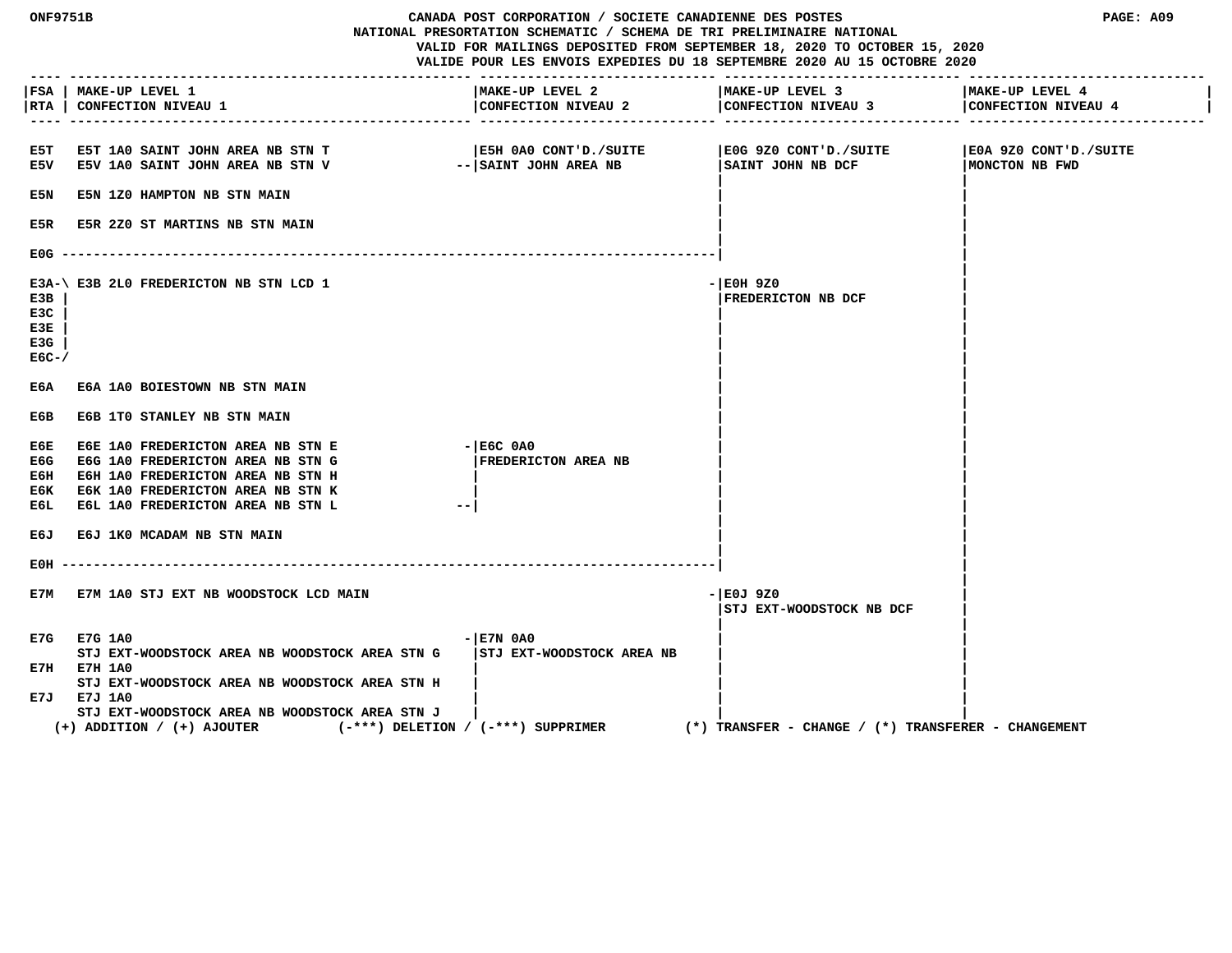| <b>ONF9751B</b><br>CANADA POST CORPORATION / SOCIETE CANADIENNE DES POSTES<br>NATIONAL PRESORTATION SCHEMATIC / SCHEMA DE TRI PRELIMINAIRE NATIONAL<br>VALID FOR MAILINGS DEPOSITED FROM SEPTEMBER 18, 2020 TO OCTOBER 15, 2020<br>VALIDE POUR LES ENVOIS EXPEDIES DU 18 SEPTEMBRE 2020 AU 15 OCTOBRE 2020<br>------------------- ------------ |                                                                                                                                                                                       |                                                  | PAGE: A09                                           |                                         |
|------------------------------------------------------------------------------------------------------------------------------------------------------------------------------------------------------------------------------------------------------------------------------------------------------------------------------------------------|---------------------------------------------------------------------------------------------------------------------------------------------------------------------------------------|--------------------------------------------------|-----------------------------------------------------|-----------------------------------------|
| $- - - -$                                                                                                                                                                                                                                                                                                                                      | FSA   MAKE-UP LEVEL 1<br> RTA   CONFECTION NIVEAU 1                                                                                                                                   | MAKE-UP LEVEL 2<br>CONFECTION NIVEAU 2           | MAKE-UP LEVEL 3<br>CONFECTION NIVEAU 3              | MAKE-UP LEVEL 4<br>CONFECTION NIVEAU 4  |
| E5T.                                                                                                                                                                                                                                                                                                                                           | <b>E5T 1A0 SAINT JOHN AREA NB STN T</b><br>E5V E5V 1A0 SAINT JOHN AREA NB STN V                                                                                                       | SUITE OAO CONT'D./SUITE<br>-- SAINT JOHN AREA NB | E0G 9Z0 CONT'D./SUITE<br>SAINT JOHN NB DCF          | E0A 9Z0 CONT'D./SUITE<br>MONCTON NB FWD |
| E5N                                                                                                                                                                                                                                                                                                                                            | E5N 1Z0 HAMPTON NB STN MAIN                                                                                                                                                           |                                                  |                                                     |                                         |
| E5R                                                                                                                                                                                                                                                                                                                                            | <b>E5R 2Z0 ST MARTINS NB STN MAIN</b>                                                                                                                                                 |                                                  |                                                     |                                         |
| E0G.                                                                                                                                                                                                                                                                                                                                           |                                                                                                                                                                                       |                                                  |                                                     |                                         |
| E3B<br>E3C<br>E3E<br>E3G<br>$EGC-$                                                                                                                                                                                                                                                                                                             | E3A-\ E3B 2L0 FREDERICTON NB STN LCD 1                                                                                                                                                |                                                  | - EOH 9Z0<br>FREDERICTON NB DCF                     |                                         |
| ЕбА                                                                                                                                                                                                                                                                                                                                            | E6A 1A0 BOIESTOWN NB STN MAIN                                                                                                                                                         |                                                  |                                                     |                                         |
| Е6В                                                                                                                                                                                                                                                                                                                                            | E6B 1TO STANLEY NB STN MAIN                                                                                                                                                           |                                                  |                                                     |                                         |
| ЕбЕ<br>E6G<br>Ебн<br>ЕбК<br>ЕбЬ                                                                                                                                                                                                                                                                                                                | E6E 1A0 FREDERICTON AREA NB STN E<br>E6G 1A0 FREDERICTON AREA NB STN G<br>E6H 1A0 FREDERICTON AREA NB STN H<br>E6K 1A0 FREDERICTON AREA NB STN K<br>E6L 1A0 FREDERICTON AREA NB STN L | $ E6C$ $0A0$<br><b>FREDERICTON AREA NB</b>       |                                                     |                                         |
| E6J                                                                                                                                                                                                                                                                                                                                            | E6J 1K0 MCADAM NB STN MAIN                                                                                                                                                            |                                                  |                                                     |                                         |
| EOH                                                                                                                                                                                                                                                                                                                                            |                                                                                                                                                                                       | ----------------------------                     |                                                     |                                         |
| E7M                                                                                                                                                                                                                                                                                                                                            | E7M 1A0 STJ EXT NB WOODSTOCK LCD MAIN                                                                                                                                                 |                                                  | - E0J 9Z0<br>STJ EXT-WOODSTOCK NB DCF               |                                         |
|                                                                                                                                                                                                                                                                                                                                                | E7G E7G 1A0                                                                                                                                                                           | $ E7N$ 0A0                                       |                                                     |                                         |
|                                                                                                                                                                                                                                                                                                                                                | STJ EXT-WOODSTOCK AREA NB WOODSTOCK AREA STN G<br>E7H E7H 1A0                                                                                                                         | <b>STJ EXT-WOODSTOCK AREA NB</b>                 |                                                     |                                         |
|                                                                                                                                                                                                                                                                                                                                                | STJ EXT-WOODSTOCK AREA NB WOODSTOCK AREA STN H<br>E7J E7J 1A0<br>STJ EXT-WOODSTOCK AREA NB WOODSTOCK AREA STN J<br>$(+)$ ADDITION / $(+)$ AJOUTER                                     | $(-***)$ DELETION / $(-***)$ SUPPRIMER           | (*) TRANSFER - CHANGE / (*) TRANSFERER - CHANGEMENT |                                         |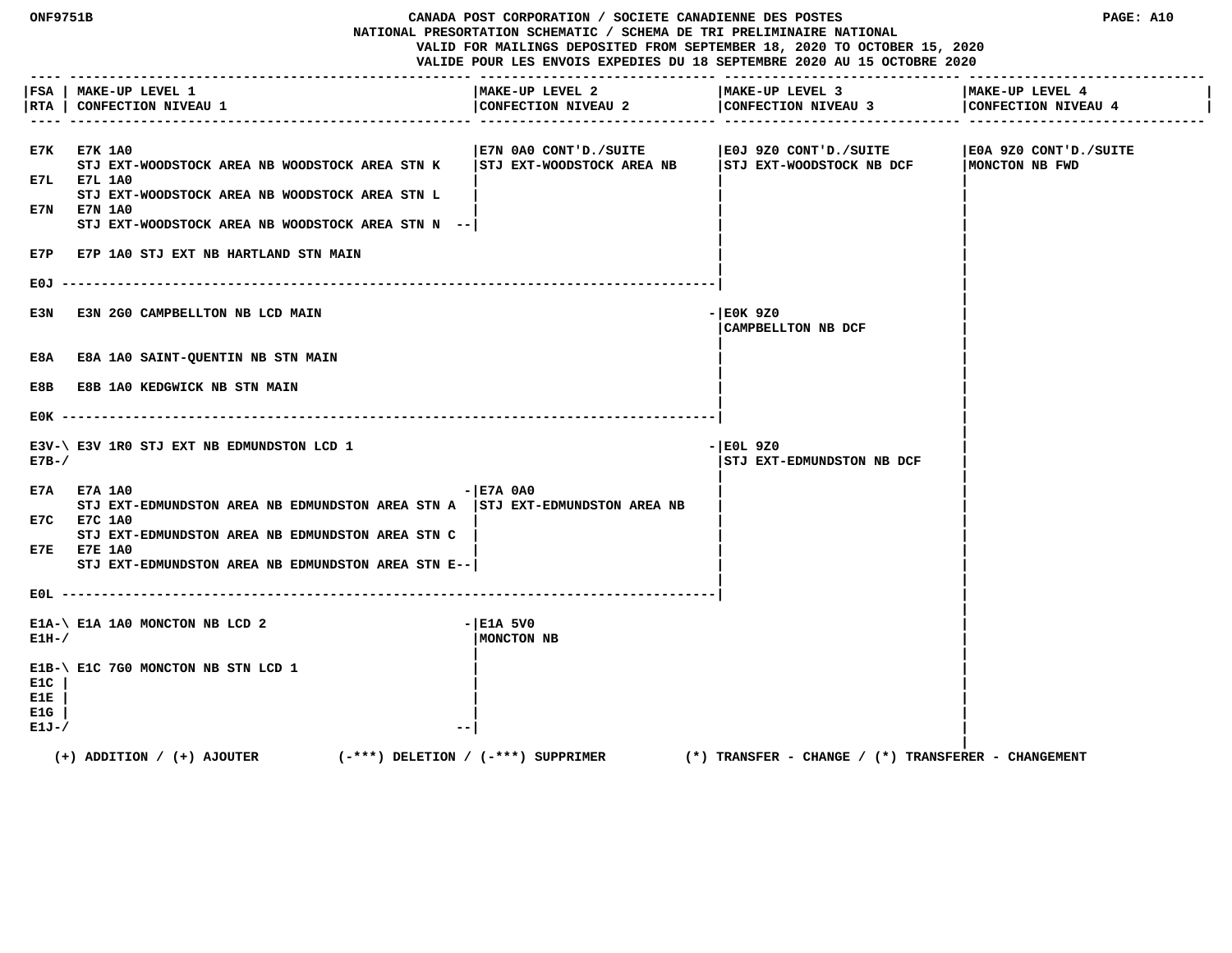**ONF9751B CANADA POST CORPORATION / SOCIETE CANADIENNE DES POSTES PAGE: A10 NATIONAL PRESORTATION SCHEMATIC / SCHEMA DE TRI PRELIMINAIRE NATIONAL VALID FOR MAILINGS DEPOSITED FROM SEPTEMBER 18, 2020 TO OCTOBER 15, 2020 VALIDE POUR LES ENVOIS EXPEDIES DU 18 SEPTEMBRE 2020 AU 15 OCTOBRE 2020 ---- --------------------------------------------------- ------------------------------ ------------------------------ ------------------------------ |FSA | MAKE-UP LEVEL 1 |MAKE-UP LEVEL 2 |MAKE-UP LEVEL 3 |MAKE-UP LEVEL 4 | |RTA | CONFECTION NIVEAU 1 |CONFECTION NIVEAU 2 |CONFECTION NIVEAU 3 |CONFECTION NIVEAU 4 | ---- --------------------------------------------------- ------------------------------ ------------------------------ ------------------------------ E7K E7K 1A0 |E7N 0A0 CONT'D./SUITE |E0J 9Z0 CONT'D./SUITE |E0A 9Z0 CONT'D./SUITE STJ EXT-WOODSTOCK AREA NB WOODSTOCK AREA STN K |STJ EXT-WOODSTOCK AREA NB |STJ EXT-WOODSTOCK NB DCF |MONCTON NB FWD E7L E7L 1A0 | | |** STJ EXT-WOODSTOCK AREA NB WOODSTOCK AREA STN L  **E7N E7N 1A0 | | | STJ EXT-WOODSTOCK AREA NB WOODSTOCK AREA STN N --| | | | | E7P E7P 1A0 STJ EXT NB HARTLAND STN MAIN | | | | E0J -----------------------------------------------------------------------------------| | | E3N E3N 2G0 CAMPBELLTON NB LCD MAIN**  $\blacksquare$  **|CAMPBELLTON NB DCF | | |** E8A E8A 1A0 SAINT-QUENTIN NB STN MAIN  **| | E8B E8B 1A0 KEDGWICK NB STN MAIN | | | | E0K -----------------------------------------------------------------------------------| | | E3V-\ E3V 1R0 STJ EXT NB EDMUNDSTON LCD 1**  $\blacksquare$  **E7B-/ |STJ EXT-EDMUNDSTON NB DCF | | | E7A E7A 1A0** - **Here** is a set of the set of the set of the set of the set of the set of the set of the set of the set of the set of the set of the set of the set of the set of the set of the set of the set of the set of STJ EXT-EDMUNDSTON AREA NB EDMUNDSTON AREA STN A | STJ EXT-EDMUNDSTON AREA NB  **E7C E7C 1A0 | | | STJ EXT-EDMUNDSTON AREA NB EDMUNDSTON AREA STN C | | | E7E E7E 1A0 | | | STJ EXT-EDMUNDSTON AREA NB EDMUNDSTON AREA STN E--| | | | | E0L -----------------------------------------------------------------------------------| | |**  $E1A-\$ E1A 1A0 MONCTON NB LCD 2  $-|E1A|$  5V0 **E1H-/**  $\vert$  **MONCTON NB**  $\vert$  **MONCTON NB | | E1B-\ E1C 7G0 MONCTON NB STN LCD 1 | | E1C | | | E1E | | | E1G | | | E1J-/**  $\qquad \qquad$  **| (+) ADDITION / (+) AJOUTER (-\*\*\*) DELETION / (-\*\*\*) SUPPRIMER (\*) TRANSFER - CHANGE / (\*) TRANSFERER - CHANGEMENT**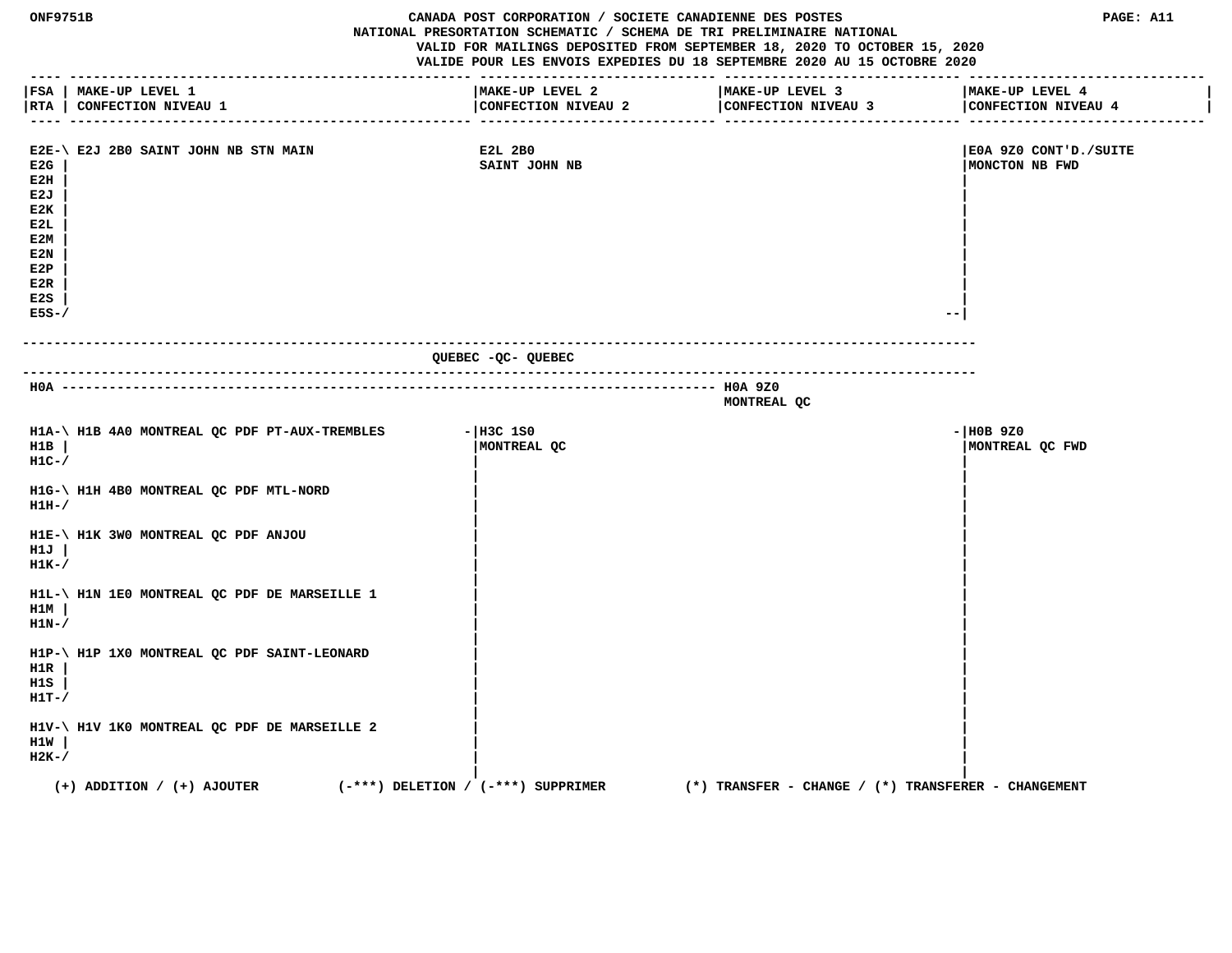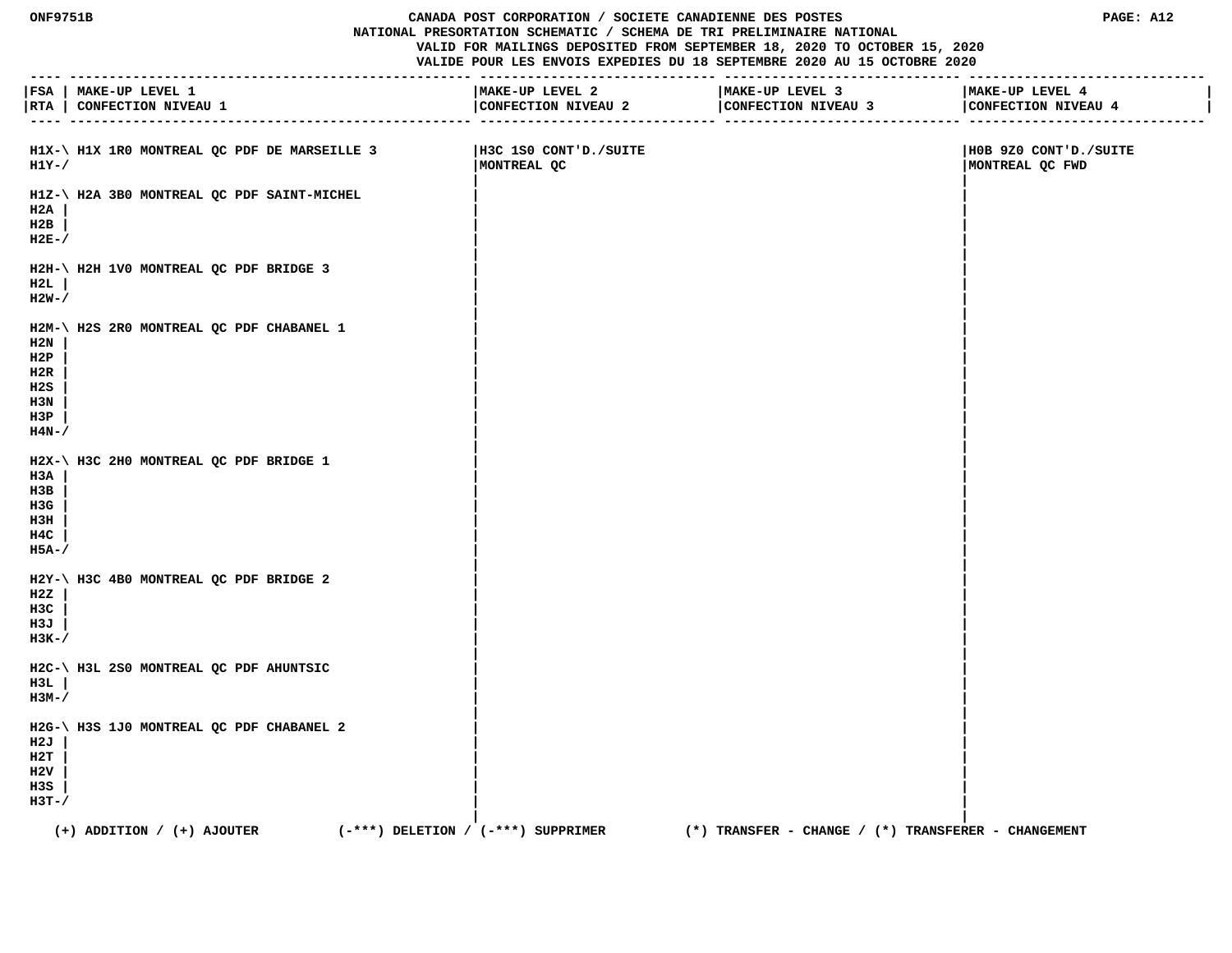## **ONF9751B CANADA POST CORPORATION / SOCIETE CANADIENNE DES POSTES PAGE: A12 NATIONAL PRESORTATION SCHEMATIC / SCHEMA DE TRI PRELIMINAIRE NATIONAL VALID FOR MAILINGS DEPOSITED FROM SEPTEMBER 18, 2020 TO OCTOBER 15, 2020**

|                                                 | FSA   MAKE-UP LEVEL 1                                                    | ---------------------<br>MAKE-UP LEVEL 2 | MAKE-UP LEVEL 3                                                   | MAKE-UP LEVEL 4                          |
|-------------------------------------------------|--------------------------------------------------------------------------|------------------------------------------|-------------------------------------------------------------------|------------------------------------------|
|                                                 | RTA   CONFECTION NIVEAU 1                                                |                                          | CONFECTION NIVEAU 2 CONFECTION NIVEAU 3<br>-------------- ------- | CONFECTION NIVEAU 4                      |
| $H1Y-$ /                                        | H1X-\ H1X 1R0 MONTREAL QC PDF DE MARSEILLE 3                             | H3C 1S0 CONT'D./SUITE<br>MONTREAL QC     |                                                                   | HOB 9Z0 CONT'D./SUITE<br>MONTREAL QC FWD |
| H2A<br>H2B<br>$H2E-$                            | H1Z-\ H2A 3B0 MONTREAL QC PDF SAINT-MICHEL                               |                                          |                                                                   |                                          |
| H2L<br>$H2W-$                                   | H2H-\ H2H 1V0 MONTREAL QC PDF BRIDGE 3                                   |                                          |                                                                   |                                          |
| H2N<br>H2P<br>H2R<br>H2S<br>H3N<br>H3P<br>H4N-/ | H2M-\ H2S 2R0 MONTREAL QC PDF CHABANEL 1                                 |                                          |                                                                   |                                          |
| H3A<br>нзв<br>H3G<br>нзн<br>H4C<br>H5A-/        | H2X-\ H3C 2H0 MONTREAL QC PDF BRIDGE 1                                   |                                          |                                                                   |                                          |
| H2Z<br>H3C<br>нзл<br>$H3K-$                     | H2Y-\ H3C 4B0 MONTREAL QC PDF BRIDGE 2                                   |                                          |                                                                   |                                          |
| H3L<br>нзм-/                                    | H2C-\ H3L 2S0 MONTREAL QC PDF AHUNTSIC                                   |                                          |                                                                   |                                          |
| H2J<br>н2т<br>H2V<br>H3S<br>$H3T-$              | H2G-\ H3S 1J0 MONTREAL QC PDF CHABANEL 2                                 |                                          |                                                                   |                                          |
|                                                 | $(-***)$ DELETION / $(-***)$ SUPPRIMER<br>$(+)$ ADDITION / $(+)$ AJOUTER |                                          | (*) TRANSFER - CHANGE / (*) TRANSFERER - CHANGEMENT               |                                          |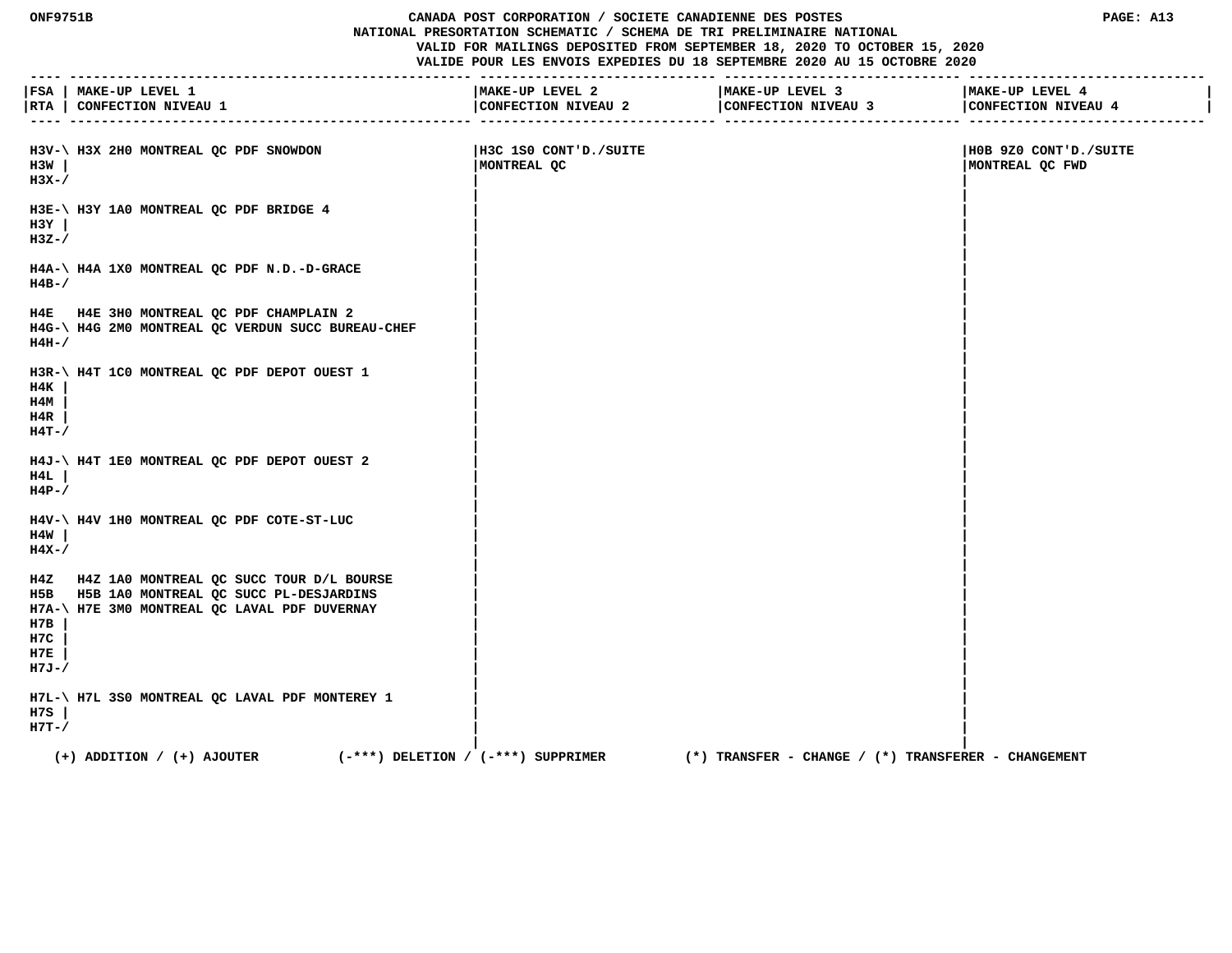## **ONF9751B CANADA POST CORPORATION / SOCIETE CANADIENNE DES POSTES PAGE: A13 NATIONAL PRESORTATION SCHEMATIC / SCHEMA DE TRI PRELIMINAIRE NATIONAL VALID FOR MAILINGS DEPOSITED FROM SEPTEMBER 18, 2020 TO OCTOBER 15, 2020**

|                                | FSA   MAKE-UP LEVEL 1<br> RTA   CONFECTION NIVEAU 1                                                                                        | -----------------------------<br>MAKE-UP LEVEL 2<br>CONFECTION NIVEAU 2<br>-------------- ------ | --------------------------<br>MAKE-UP LEVEL 3<br>CONFECTION NIVEAU 3 | MAKE-UP LEVEL 4<br>CONFECTION NIVEAU 4   |
|--------------------------------|--------------------------------------------------------------------------------------------------------------------------------------------|--------------------------------------------------------------------------------------------------|----------------------------------------------------------------------|------------------------------------------|
| H3W<br>$H3X-$                  | H3V-\ H3X 2H0 MONTREAL QC PDF SNOWDON                                                                                                      | H3C 1S0 CONT'D./SUITE<br>MONTREAL QC                                                             |                                                                      | H0B 9Z0 CONT'D./SUITE<br>MONTREAL QC FWD |
| H3Y<br>$H3Z-$                  | H3E-\ H3Y 1A0 MONTREAL OC PDF BRIDGE 4                                                                                                     |                                                                                                  |                                                                      |                                          |
| $H4B-$                         | H4A-\ H4A 1X0 MONTREAL QC PDF N.D.-D-GRACE                                                                                                 |                                                                                                  |                                                                      |                                          |
| $H4H-$                         | H4E H4E 3H0 MONTREAL QC PDF CHAMPLAIN 2<br>H4G-\ H4G 2M0 MONTREAL QC VERDUN SUCC BUREAU-CHEF                                               |                                                                                                  |                                                                      |                                          |
| H4K<br>H4M<br>H4R<br>$H4T - /$ | H3R-\ H4T 1C0 MONTREAL QC PDF DEPOT OUEST 1                                                                                                |                                                                                                  |                                                                      |                                          |
| H4L<br>$H4P-$ /                | H4J-\ H4T 1E0 MONTREAL QC PDF DEPOT OUEST 2                                                                                                |                                                                                                  |                                                                      |                                          |
| H4W<br>$H4X-$                  | H4V-\ H4V 1H0 MONTREAL QC PDF COTE-ST-LUC                                                                                                  |                                                                                                  |                                                                      |                                          |
| H7B<br>H7C<br>H7E<br>$H7J-/$   | H4Z H4Z 1A0 MONTREAL QC SUCC TOUR D/L BOURSE<br>H5B H5B 1A0 MONTREAL QC SUCC PL-DESJARDINS<br>H7A-\ H7E 3M0 MONTREAL QC LAVAL PDF DUVERNAY |                                                                                                  |                                                                      |                                          |
| H7S<br>$H7T-$                  | H7L-\ H7L 3S0 MONTREAL QC LAVAL PDF MONTEREY 1                                                                                             |                                                                                                  |                                                                      |                                          |
|                                | $(+)$ ADDITION / $(+)$ AJOUTER<br>$(-***)$ DELETION / $(-***)$ SUPPRIMER                                                                   |                                                                                                  | $(*)$ TRANSFER - CHANGE / $(*)$ TRANSFERER - CHANGEMENT              |                                          |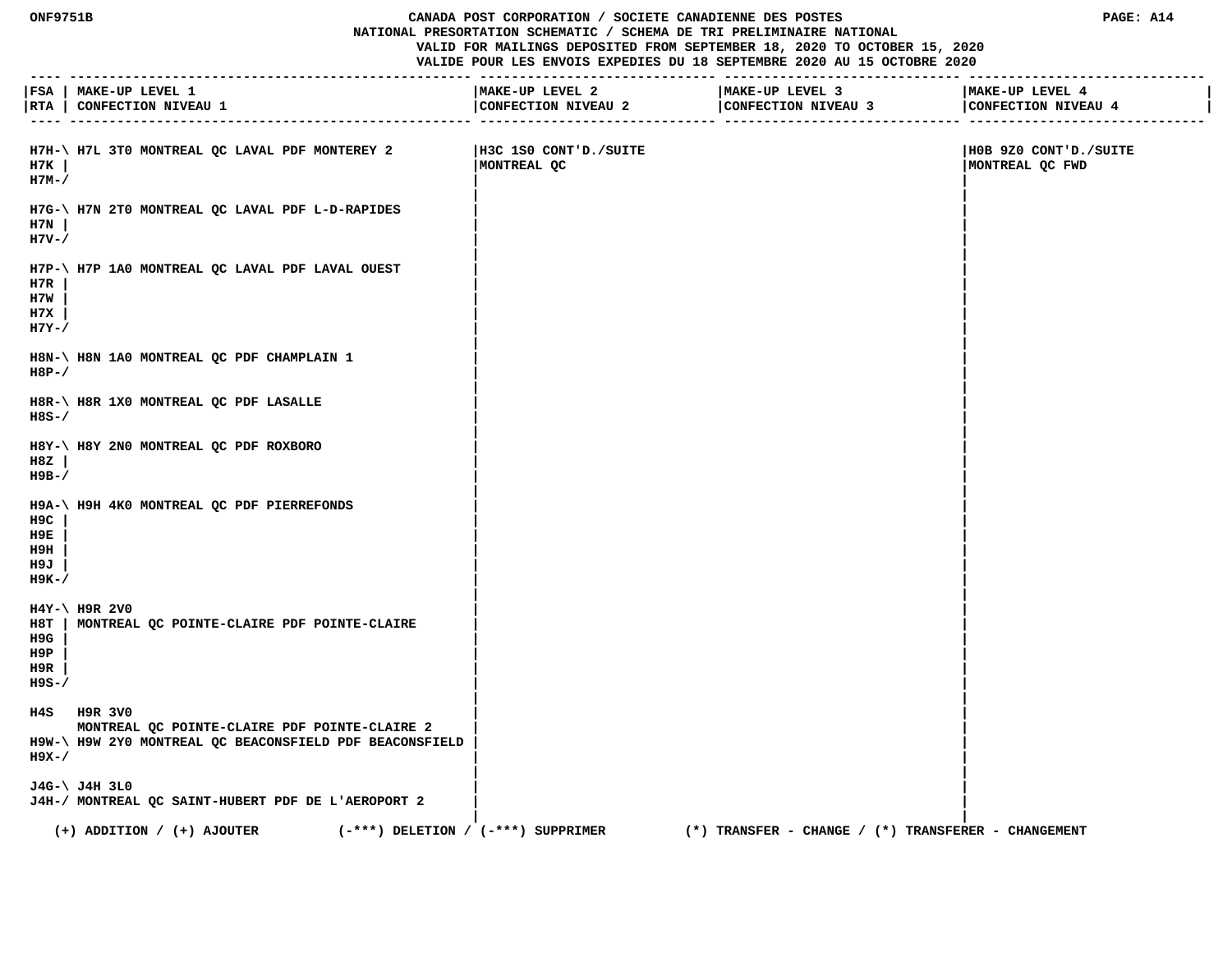#### **ONF9751B CANADA POST CORPORATION / SOCIETE CANADIENNE DES POSTES PAGE: A14 NATIONAL PRESORTATION SCHEMATIC / SCHEMA DE TRI PRELIMINAIRE NATIONAL VALID FOR MAILINGS DEPOSITED FROM SEPTEMBER 18, 2020 TO OCTOBER 15, 2020**

| $- - - -$                          | FSA   MAKE-UP LEVEL 1<br>RTA   CONFECTION NIVEAU 1                                                                      | MAKE-UP LEVEL 2<br>CONFECTION NIVEAU 2 | MAKE-UP LEVEL 3<br>CONFECTION NIVEAU 3<br>----------- -------<br>------------- -------- | MAKE-UP LEVEL 4<br>CONFECTION NIVEAU 4   |
|------------------------------------|-------------------------------------------------------------------------------------------------------------------------|----------------------------------------|-----------------------------------------------------------------------------------------|------------------------------------------|
| н7к<br>$H7M-$                      | H7H-\ H7L 3T0 MONTREAL QC LAVAL PDF MONTEREY 2                                                                          | H3C 1S0 CONT'D./SUITE<br>MONTREAL QC   |                                                                                         | H0B 9Z0 CONT'D./SUITE<br>MONTREAL QC FWD |
| H7N<br>$H7V - /$                   | H7G-\ H7N 2T0 MONTREAL QC LAVAL PDF L-D-RAPIDES                                                                         |                                        |                                                                                         |                                          |
| H7R<br>H7W<br>H7X<br>$H7Y-$        | H7P-\ H7P 1A0 MONTREAL QC LAVAL PDF LAVAL OUEST                                                                         |                                        |                                                                                         |                                          |
| $H8P-$                             | H8N-\ H8N 1A0 MONTREAL QC PDF CHAMPLAIN 1                                                                               |                                        |                                                                                         |                                          |
| H8S-/                              | H8R-\ H8R 1X0 MONTREAL QC PDF LASALLE                                                                                   |                                        |                                                                                         |                                          |
| H8Z<br>н9в-/                       | H8Y-\ H8Y 2N0 MONTREAL QC PDF ROXBORO                                                                                   |                                        |                                                                                         |                                          |
| H9C<br>н9Е<br>H9H<br>H9J<br>$H9K-$ | H9A-\ H9H 4K0 MONTREAL QC PDF PIERREFONDS                                                                               |                                        |                                                                                         |                                          |
| H9G<br>H9P<br>H9R<br>$H9S-$        | $H4Y-\$ H9R 2V0<br>H8T   MONTREAL QC POINTE-CLAIRE PDF POINTE-CLAIRE                                                    |                                        |                                                                                         |                                          |
| $H9X-$                             | H4S H9R 3V0<br>MONTREAL QC POINTE-CLAIRE PDF POINTE-CLAIRE 2<br>H9W-\ H9W 2Y0 MONTREAL QC BEACONSFIELD PDF BEACONSFIELD |                                        |                                                                                         |                                          |
|                                    | J4G-\ J4H 3L0<br>J4H-/ MONTREAL QC SAINT-HUBERT PDF DE L'AEROPORT 2                                                     |                                        |                                                                                         |                                          |
|                                    | $(-***)$ DELETION / $(-***)$ SUPPRIMER<br>$(+)$ ADDITION / $(+)$ AJOUTER                                                |                                        | $(*)$ TRANSFER - CHANGE / $(*)$ TRANSFERER - CHANGEMENT                                 |                                          |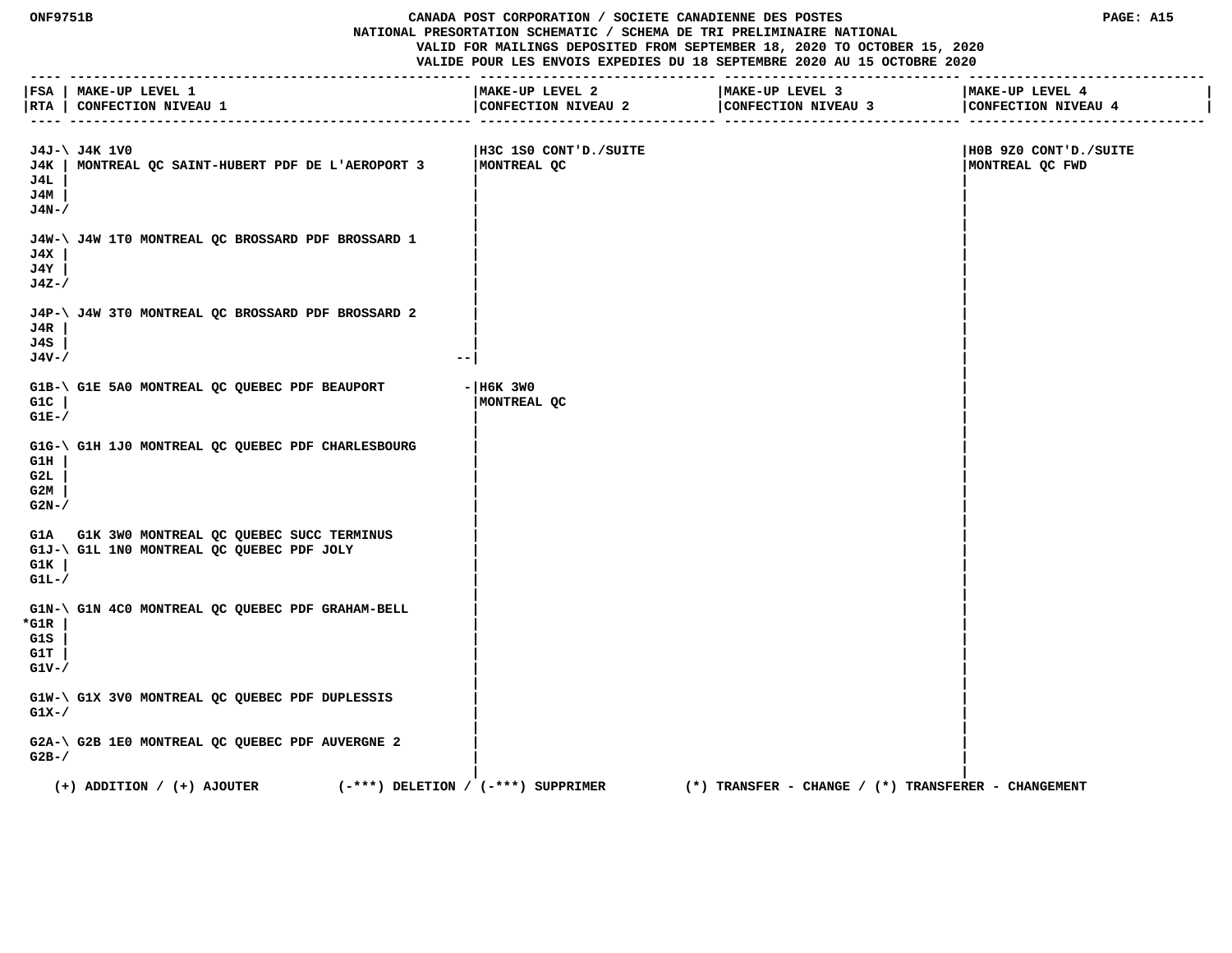#### **ONF9751B CANADA POST CORPORATION / SOCIETE CANADIENNE DES POSTES PAGE: A15 NATIONAL PRESORTATION SCHEMATIC / SCHEMA DE TRI PRELIMINAIRE NATIONAL**

 **VALID FOR MAILINGS DEPOSITED FROM SEPTEMBER 18, 2020 TO OCTOBER 15, 2020**

|                                | FSA   MAKE-UP LEVEL 1<br>RTA   CONFECTION NIVEAU 1                                        | MAKE-UP LEVEL 2<br>CONFECTION NIVEAU 2 | MAKE-UP LEVEL 3<br>CONFECTION NIVEAU 3              | MAKE-UP LEVEL 4<br>CONFECTION NIVEAU 4   |
|--------------------------------|-------------------------------------------------------------------------------------------|----------------------------------------|-----------------------------------------------------|------------------------------------------|
| J4L<br>J4M<br>J4N-/            | J4J-\ J4K 1V0<br>J4K   MONTREAL QC SAINT-HUBERT PDF DE L'AEROPORT 3                       | H3C 1S0 CONT'D./SUITE<br>MONTREAL QC   |                                                     | H0B 9Z0 CONT'D./SUITE<br>MONTREAL QC FWD |
| J4X<br>J4Y<br>J4Z-/            | J4W-\ J4W 1T0 MONTREAL QC BROSSARD PDF BROSSARD 1                                         |                                        |                                                     |                                          |
| J4R<br>J4S<br>$J4V - /$        | J4P-\ J4W 3T0 MONTREAL QC BROSSARD PDF BROSSARD 2<br>$- -$                                |                                        |                                                     |                                          |
| G1C<br>$GLE-$                  | G1B-\ G1E 5A0 MONTREAL QC QUEBEC PDF BEAUPORT                                             | $-$ H6K 3W0<br>MONTREAL QC             |                                                     |                                          |
| G1H<br>G2L<br>G2M<br>$G2N-$    | G1G-\ G1H 1J0 MONTREAL QC QUEBEC PDF CHARLESBOURG                                         |                                        |                                                     |                                          |
| G1K<br>$GLL-$                  | G1A G1K 3W0 MONTREAL QC QUEBEC SUCC TERMINUS<br>G1J-\ G1L 1N0 MONTREAL QC QUEBEC PDF JOLY |                                        |                                                     |                                          |
| *G1R<br>G1S<br>G1T<br>$G1V-$ / | G1N-\ G1N 4C0 MONTREAL QC QUEBEC PDF GRAHAM-BELL                                          |                                        |                                                     |                                          |
| $G1X-$                         | G1W-\ G1X 3V0 MONTREAL QC QUEBEC PDF DUPLESSIS                                            |                                        |                                                     |                                          |
| $G2B-$                         | G2A-\ G2B 1E0 MONTREAL QC QUEBEC PDF AUVERGNE 2                                           |                                        |                                                     |                                          |
|                                | $(-***)$ DELETION / $(-***)$ SUPPRIMER<br>$(+)$ ADDITION / $(+)$ AJOUTER                  |                                        | (*) TRANSFER – CHANGE / (*) TRANSFERER – CHANGEMENT |                                          |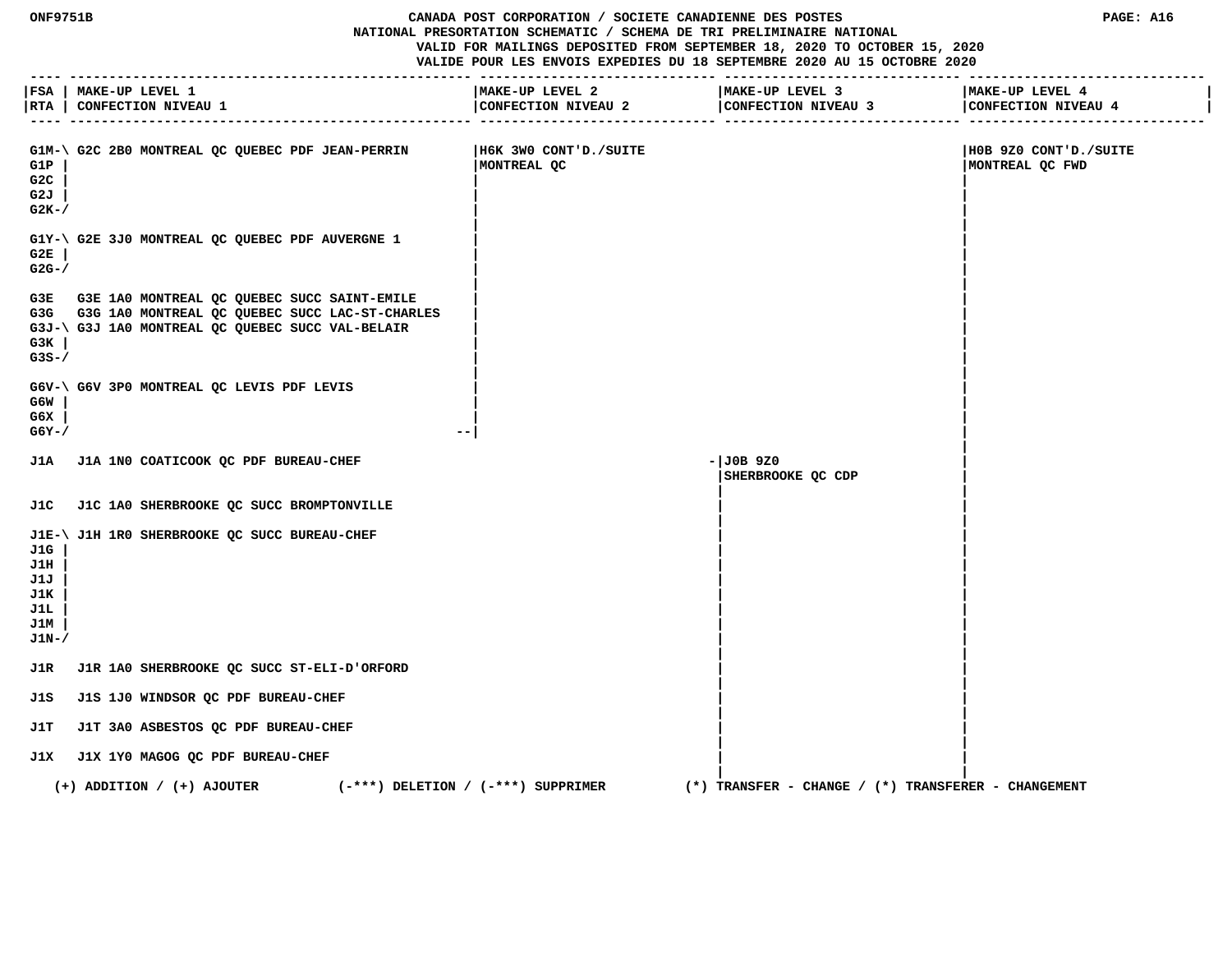## **ONF9751B CANADA POST CORPORATION / SOCIETE CANADIENNE DES POSTES PAGE: A16 NATIONAL PRESORTATION SCHEMATIC / SCHEMA DE TRI PRELIMINAIRE NATIONAL**

 **VALID FOR MAILINGS DEPOSITED FROM SEPTEMBER 18, 2020 TO OCTOBER 15, 2020**

|                                                 | ---- --------------------------------<br> FSA   MAKE-UP LEVEL 1<br>RTA   CONFECTION NIVEAU 1                                                              | MAKE-UP LEVEL 2<br>______________    | MAKE-UP LEVEL 3                                         | MAKE-UP LEVEL 4<br>CONFECTION NIVEAU 4<br>______________ ______________ |
|-------------------------------------------------|-----------------------------------------------------------------------------------------------------------------------------------------------------------|--------------------------------------|---------------------------------------------------------|-------------------------------------------------------------------------|
| G1P<br>G2C<br>G2J<br>$G2K-$                     | G1M-\ G2C 2B0 MONTREAL QC QUEBEC PDF JEAN-PERRIN                                                                                                          | H6K 3W0 CONT'D./SUITE<br>MONTREAL QC |                                                         | H0B 9Z0 CONT'D./SUITE<br>MONTREAL QC FWD                                |
| G2E<br>$G2G-$                                   | G1Y-\ G2E 3J0 MONTREAL QC QUEBEC PDF AUVERGNE 1                                                                                                           |                                      |                                                         |                                                                         |
| G3K  <br>$G3S-$                                 | G3E G3E 1A0 MONTREAL QC QUEBEC SUCC SAINT-EMILE<br>G3G G3G 1A0 MONTREAL QC QUEBEC SUCC LAC-ST-CHARLES<br>G3J-\ G3J 1A0 MONTREAL QC QUEBEC SUCC VAL-BELAIR |                                      |                                                         |                                                                         |
| G6W<br>G6X<br>$G6Y - /$                         | G6V-\ G6V 3P0 MONTREAL QC LEVIS PDF LEVIS<br>$- -$                                                                                                        |                                      |                                                         |                                                                         |
|                                                 | J1A J1A 1N0 COATICOOK OC PDF BUREAU-CHEF                                                                                                                  |                                      | $-JOB$ 920<br>SHERBROOKE QC CDP                         |                                                                         |
|                                                 | J1C J1C 1A0 SHERBROOKE QC SUCC BROMPTONVILLE                                                                                                              |                                      |                                                         |                                                                         |
| J1G<br>J1H<br>J1J<br>J1K<br>J1L<br>J1M<br>J1N-/ | J1E-\ J1H 1R0 SHERBROOKE QC SUCC BUREAU-CHEF                                                                                                              |                                      |                                                         |                                                                         |
|                                                 | J1R J1R 1A0 SHERBROOKE QC SUCC ST-ELI-D'ORFORD                                                                                                            |                                      |                                                         |                                                                         |
| J1S                                             | J1S 1J0 WINDSOR QC PDF BUREAU-CHEF                                                                                                                        |                                      |                                                         |                                                                         |
| J1T                                             | J1T 3A0 ASBESTOS QC PDF BUREAU-CHEF                                                                                                                       |                                      |                                                         |                                                                         |
|                                                 | J1X J1X 1Y0 MAGOG QC PDF BUREAU-CHEF                                                                                                                      |                                      |                                                         |                                                                         |
|                                                 | $(-***)$ DELETION / $(-***)$ SUPPRIMER<br>$(+)$ ADDITION / $(+)$ AJOUTER                                                                                  |                                      | $(*)$ TRANSFER - CHANGE / $(*)$ TRANSFERER - CHANGEMENT |                                                                         |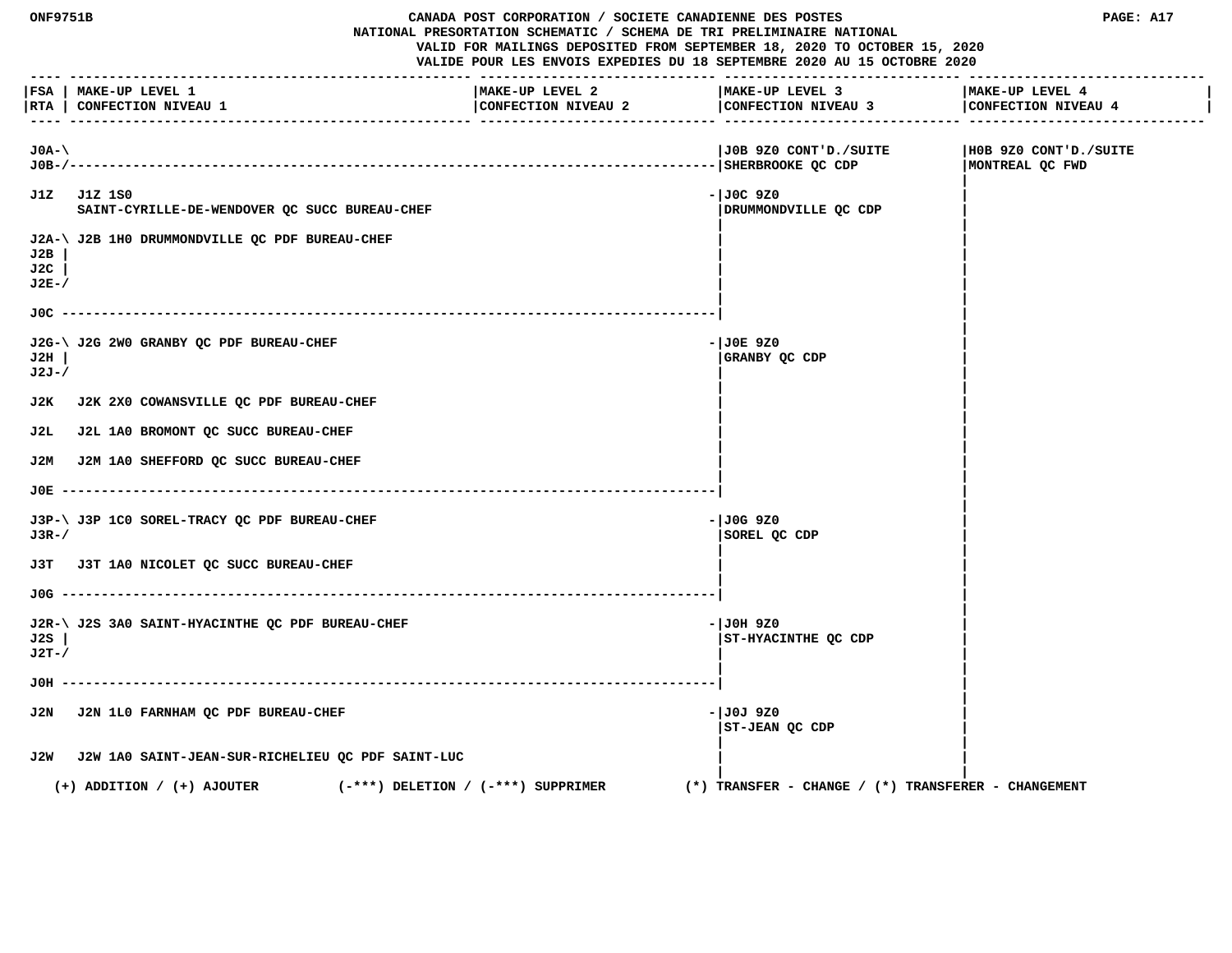**ONF9751B CANADA POST CORPORATION / SOCIETE CANADIENNE DES POSTES PAGE: A17 NATIONAL PRESORTATION SCHEMATIC / SCHEMA DE TRI PRELIMINAIRE NATIONAL VALID FOR MAILINGS DEPOSITED FROM SEPTEMBER 18, 2020 TO OCTOBER 15, 2020 VALIDE POUR LES ENVOIS EXPEDIES DU 18 SEPTEMBRE 2020 AU 15 OCTOBRE 2020 ---- --------------------------------------------------- ------------------------------ ------------------------------ ------------------------------ |FSA | MAKE-UP LEVEL 1 |MAKE-UP LEVEL 2 |MAKE-UP LEVEL 3 |MAKE-UP LEVEL 4 |** |RTA | CONFECTION NIVEAU 1 | CONFECTION NIVEAU 2 | CONFECTION NIVEAU 4 | CONFECTION NIVEAU 4 | CONFECTION NIVEAU 4 | CONFECTION NIVEAU 4 | CONFECTION NIVEAU 4  **---- --------------------------------------------------- ------------------------------ ------------------------------ ------------------------------ J0A-\ |J0B 9Z0 CONT'D./SUITE |H0B 9Z0 CONT'D./SUITE J0B-/----------------------------------------------------------------------------------|SHERBROOKE QC CDP |MONTREAL QC FWD | J1Z J1Z 1S0 -|J0C 9Z0 |** SAINT-CYRILLE-DE-WENDOVER OC SUCC BUREAU-CHEF **| DRUMMOND | DRUMMONDVILLE OC CDP | |** J2A-\ J2B 1H0 DRUMMONDVILLE QC PDF BUREAU-CHEF  **J2B | | | J2C | | | J2E-/ | | | | J0C -----------------------------------------------------------------------------------| | | J2G-\ J2G 2W0 GRANBY QC PDF BUREAU-CHEF**  $-$ **|J0E 9Z0 ||J0E 9Z0 ||J0E 9Z0 ||J0E 9Z0 ||J0E 9Z0 ||J0E 9Z0 ||J0E 9Z0 ||J0E 9Z0 ||J0E ||J0E 9Z0 ||J0E ||J0E ||J0E ||J0E ||J0E ||J0E ||J0E ||J0E ||J0E ||J0E ||J0E ||J0E ||J0E ||J0 J2H | |GRANBY QC CDP | J2J-/ | | | | J2K J2K 2X0 COWANSVILLE QC PDF BUREAU-CHEF | | | | J2L J2L 1A0 BROMONT QC SUCC BUREAU-CHEF | | | | J2M J2M 1A0 SHEFFORD QC SUCC BUREAU-CHEF | | | | J0E -----------------------------------------------------------------------------------| | | J3P-\ J3P 1C0 SOREL-TRACY OC PDF BUREAU-CHEF**  $-$  $\frac{1}{00}$  **+**  $\frac{1}{00}$  **+**  $\frac{1}{00}$  **9Z0**  $\frac{9}{20}$  **J3R-/ |SOREL QC CDP | | | J3T J3T 1A0 NICOLET QC SUCC BUREAU-CHEF | | | | J0G -----------------------------------------------------------------------------------| | | J2R-\ J2S 3A0 SAINT-HYACINTHE QC PDF BUREAU-CHEF**  $\overline{ }$  **-**  $\overline{ }$  **-**  $\overline{ }$  **-**  $\overline{ }$  **J0H 9Z0 J2S | |ST-HYACINTHE QC CDP | J2T-/ | | | | J0H -----------------------------------------------------------------------------------| | | J2N J2N 1L0 FARNHAM QC PDF BUREAU-CHEF 60 CONTRACT CONTRACT CHEF 60 CONTRACT 100J 9Z0 |ST-JEAN QC CDP | | | J2W J2W 1A0 SAINT-JEAN-SUR-RICHELIEU QC PDF SAINT-LUC | | | | (+) ADDITION / (+) AJOUTER (-\*\*\*) DELETION / (-\*\*\*) SUPPRIMER (\*) TRANSFER - CHANGE / (\*) TRANSFERER - CHANGEMENT**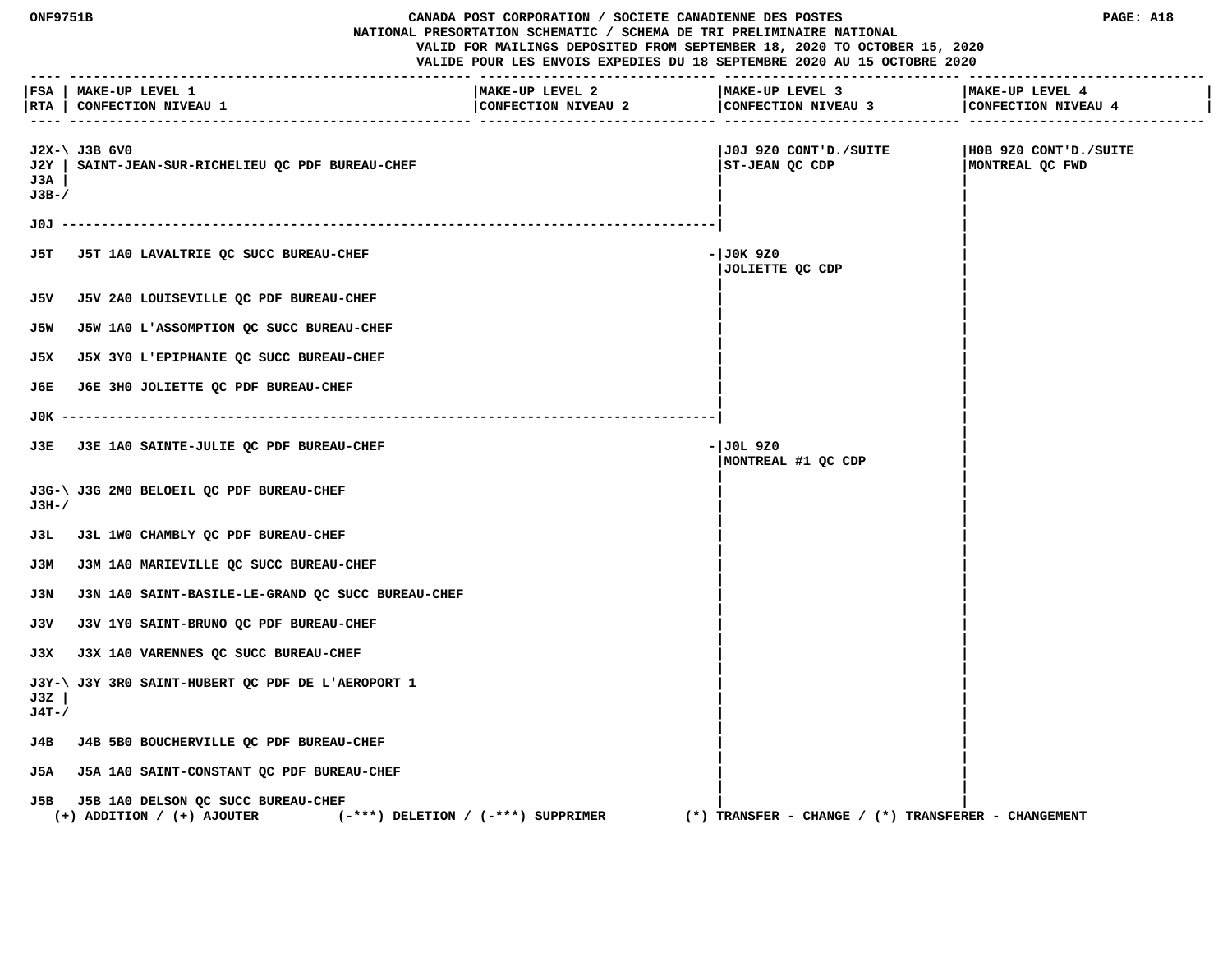|                        | CANADA POST CORPORATION / SOCIETE CANADIENNE DES POSTES<br><b>ONF9751B</b><br>NATIONAL PRESORTATION SCHEMATIC / SCHEMA DE TRI PRELIMINAIRE NATIONAL<br>VALID FOR MAILINGS DEPOSITED FROM SEPTEMBER 18, 2020 TO OCTOBER 15, 2020<br>VALIDE POUR LES ENVOIS EXPEDIES DU 18 SEPTEMBRE 2020 AU 15 OCTOBRE 2020 |                                        |                                                         | PAGE: A18                                |
|------------------------|------------------------------------------------------------------------------------------------------------------------------------------------------------------------------------------------------------------------------------------------------------------------------------------------------------|----------------------------------------|---------------------------------------------------------|------------------------------------------|
| ----                   | FSA   MAKE-UP LEVEL 1<br> RTA   CONFECTION NIVEAU 1                                                                                                                                                                                                                                                        | MAKE-UP LEVEL 2<br>CONFECTION NIVEAU 2 | MAKE-UP LEVEL 3<br>CONFECTION NIVEAU 3                  | MAKE-UP LEVEL 4<br>CONFECTION NIVEAU 4   |
| J2Y  <br>J3A<br>$J3B-$ | $J2X-\ U3B$ 6V0<br>SAINT-JEAN-SUR-RICHELIEU QC PDF BUREAU-CHEF                                                                                                                                                                                                                                             |                                        | J0J 9Z0 CONT'D./SUITE <br>ST-JEAN QC CDP                | H0B 9Z0 CONT'D./SUITE<br>MONTREAL QC FWD |
| J0J -                  |                                                                                                                                                                                                                                                                                                            |                                        |                                                         |                                          |
| J5T.                   | J5T 1A0 LAVALTRIE QC SUCC BUREAU-CHEF                                                                                                                                                                                                                                                                      |                                        | - JOK 9Z0<br>JOLIETTE QC CDP                            |                                          |
|                        | J5V J5V 2A0 LOUISEVILLE QC PDF BUREAU-CHEF                                                                                                                                                                                                                                                                 |                                        |                                                         |                                          |
| J5W                    | J5W 1A0 L'ASSOMPTION QC SUCC BUREAU-CHEF                                                                                                                                                                                                                                                                   |                                        |                                                         |                                          |
| J5X                    | J5X 3Y0 L'EPIPHANIE QC SUCC BUREAU-CHEF                                                                                                                                                                                                                                                                    |                                        |                                                         |                                          |
| J6E.                   | J6E 3H0 JOLIETTE QC PDF BUREAU-CHEF                                                                                                                                                                                                                                                                        |                                        |                                                         |                                          |
|                        |                                                                                                                                                                                                                                                                                                            |                                        |                                                         |                                          |
|                        | J3E J3E 1A0 SAINTE-JULIE QC PDF BUREAU-CHEF                                                                                                                                                                                                                                                                |                                        | - JOL 9Z0<br>MONTREAL #1 OC CDP                         |                                          |
| J3H-/                  | J3G-\ J3G 2M0 BELOEIL QC PDF BUREAU-CHEF                                                                                                                                                                                                                                                                   |                                        |                                                         |                                          |
| J3L                    | J3L 1W0 CHAMBLY QC PDF BUREAU-CHEF                                                                                                                                                                                                                                                                         |                                        |                                                         |                                          |
| ЈЗМ                    | J3M 1A0 MARIEVILLE QC SUCC BUREAU-CHEF                                                                                                                                                                                                                                                                     |                                        |                                                         |                                          |
| J3N                    | J3N 1A0 SAINT-BASILE-LE-GRAND QC SUCC BUREAU-CHEF                                                                                                                                                                                                                                                          |                                        |                                                         |                                          |
| J3V                    | J3V 1Y0 SAINT-BRUNO QC PDF BUREAU-CHEF                                                                                                                                                                                                                                                                     |                                        |                                                         |                                          |
| J3X.                   | J3X 1A0 VARENNES QC SUCC BUREAU-CHEF                                                                                                                                                                                                                                                                       |                                        |                                                         |                                          |
| J3Z<br>J4T-/           | J3Y-\ J3Y 3R0 SAINT-HUBERT OC PDF DE L'AEROPORT 1                                                                                                                                                                                                                                                          |                                        |                                                         |                                          |
| J4B                    | J4B 5B0 BOUCHERVILLE OC PDF BUREAU-CHEF                                                                                                                                                                                                                                                                    |                                        |                                                         |                                          |
| J5A                    | J5A 1A0 SAINT-CONSTANT QC PDF BUREAU-CHEF                                                                                                                                                                                                                                                                  |                                        |                                                         |                                          |
| J5B                    | J5B 1A0 DELSON QC SUCC BUREAU-CHEF<br>$(+)$ ADDITION / $(+)$ AJOUTER                                                                                                                                                                                                                                       | $(-***)$ DELETION / $(-***)$ SUPPRIMER | $(*)$ TRANSFER - CHANGE / $(*)$ TRANSFERER - CHANGEMENT |                                          |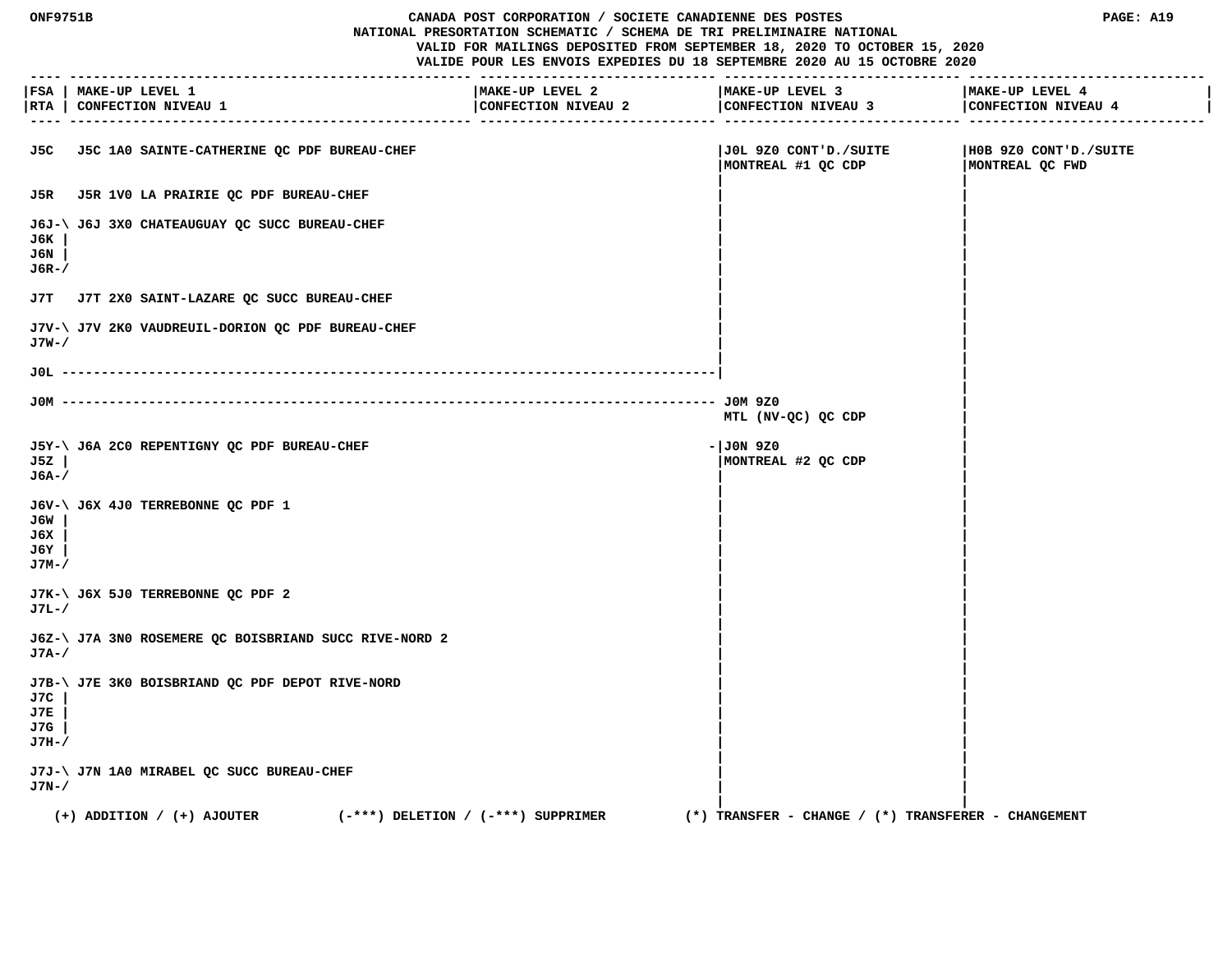# **ONF9751B CANADA POST CORPORATION / SOCIETE CANADIENNE DES POSTES PAGE: A19 NATIONAL PRESORTATION SCHEMATIC / SCHEMA DE TRI PRELIMINAIRE NATIONAL**

 **VALID FOR MAILINGS DEPOSITED FROM SEPTEMBER 18, 2020 TO OCTOBER 15, 2020**

|                            | FSA   MAKE-UP LEVEL 1<br> RTA   CONFECTION NIVEAU 1                      | MAKE-UP LEVEL 2<br>CONFECTION NIVEAU 2 | MAKE-UP LEVEL 3<br>CONFECTION NIVEAU 3 CONFECTION NIVEAU 4 | MAKE-UP LEVEL 4                          |
|----------------------------|--------------------------------------------------------------------------|----------------------------------------|------------------------------------------------------------|------------------------------------------|
|                            | J5C J5C 1A0 SAINTE-CATHERINE QC PDF BUREAU-CHEF                          |                                        | JOL 9Z0 CONT'D./SUITE<br>MONTREAL #1 QC CDP                | H0B 9Z0 CONT'D./SUITE<br>MONTREAL QC FWD |
|                            | J5R J5R 1V0 LA PRAIRIE QC PDF BUREAU-CHEF                                |                                        |                                                            |                                          |
| J6K<br>J6N<br>J6R-/        | J6J-\ J6J 3X0 CHATEAUGUAY QC SUCC BUREAU-CHEF                            |                                        |                                                            |                                          |
| J7T                        | J7T 2X0 SAINT-LAZARE QC SUCC BUREAU-CHEF                                 |                                        |                                                            |                                          |
| J7W-/                      | J7V-\ J7V 2K0 VAUDREUIL-DORION QC PDF BUREAU-CHEF                        |                                        |                                                            |                                          |
|                            |                                                                          |                                        |                                                            |                                          |
|                            | JOM ---------------                                                      |                                        | MTL (NV-QC) QC CDP                                         |                                          |
| J5Z<br>J6A-/               | J5Y-\ J6A 2C0 REPENTIGNY QC PDF BUREAU-CHEF                              |                                        | $-1J0N$ 9Z0<br>MONTREAL #2 QC CDP                          |                                          |
| J6W<br>J6X<br>J6Y<br>J7M-/ | J6V-\ J6X 4J0 TERREBONNE QC PDF 1                                        |                                        |                                                            |                                          |
| J7L-/                      | J7K-\ J6X 5J0 TERREBONNE QC PDF 2                                        |                                        |                                                            |                                          |
| $J7A-$                     | J6Z-\ J7A 3N0 ROSEMERE QC BOISBRIAND SUCC RIVE-NORD 2                    |                                        |                                                            |                                          |
| J7C<br>J7E<br>J7G<br>J7H-/ | J7B-\ J7E 3K0 BOISBRIAND QC PDF DEPOT RIVE-NORD                          |                                        |                                                            |                                          |
| J7N-/                      | J7J-\ J7N 1A0 MIRABEL QC SUCC BUREAU-CHEF                                |                                        |                                                            |                                          |
|                            | $(-***)$ DELETION / $(-***)$ SUPPRIMER<br>$(+)$ ADDITION / $(+)$ AJOUTER |                                        | $(*)$ TRANSFER - CHANGE / $(*)$ TRANSFERER - CHANGEMENT    |                                          |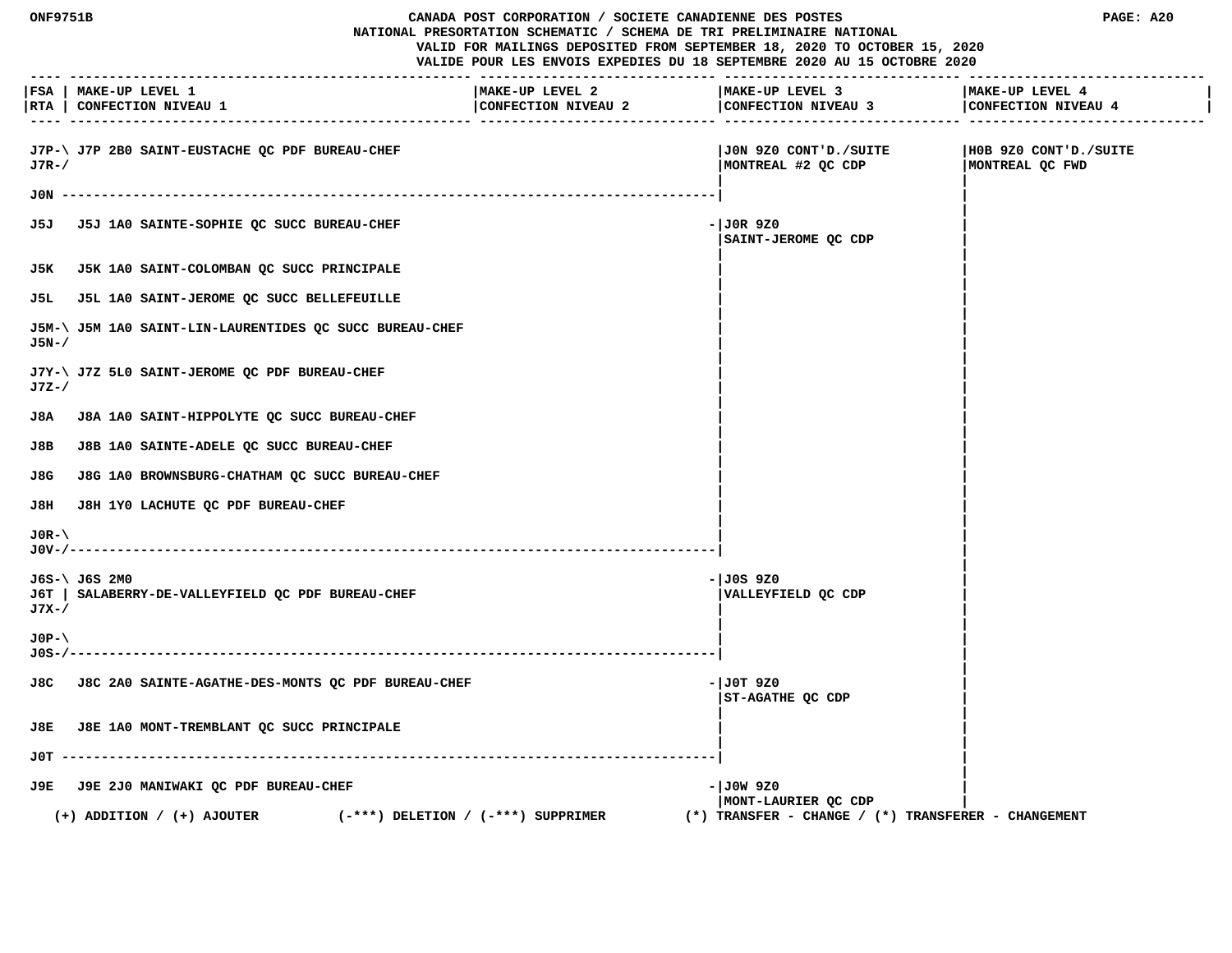| <b>ONF9751B</b> |                                                                          | CANADA POST CORPORATION / SOCIETE CANADIENNE DES POSTES<br>NATIONAL PRESORTATION SCHEMATIC / SCHEMA DE TRI PRELIMINAIRE NATIONAL |                                                                          | PAGE: A20                                |
|-----------------|--------------------------------------------------------------------------|----------------------------------------------------------------------------------------------------------------------------------|--------------------------------------------------------------------------|------------------------------------------|
|                 |                                                                          |                                                                                                                                  | VALID FOR MAILINGS DEPOSITED FROM SEPTEMBER 18, 2020 TO OCTOBER 15, 2020 |                                          |
|                 |                                                                          |                                                                                                                                  | VALIDE POUR LES ENVOIS EXPEDIES DU 18 SEPTEMBRE 2020 AU 15 OCTOBRE 2020  |                                          |
|                 | FSA   MAKE-UP LEVEL 1<br> RTA   CONFECTION NIVEAU 1                      | MAKE-UP LEVEL 2<br>CONFECTION NIVEAU 2                                                                                           | MAKE-UP LEVEL 3<br>CONFECTION NIVEAU 3                                   | MAKE-UP LEVEL 4<br>CONFECTION NIVEAU 4   |
| $J7R-$          | J7P-\ J7P 2B0 SAINT-EUSTACHE QC PDF BUREAU-CHEF                          |                                                                                                                                  | JON 9Z0 CONT'D./SUITE<br>  MONTREAL #2 QC CDP                            | H0B 9Z0 CONT'D./SUITE<br>MONTREAL QC FWD |
| JON -           |                                                                          |                                                                                                                                  |                                                                          |                                          |
|                 | J5J J5J 1A0 SAINTE-SOPHIE QC SUCC BUREAU-CHEF                            |                                                                                                                                  | $-JOR$ 9Z0<br>SAINT-JEROME QC CDP                                        |                                          |
|                 | J5K J5K 1A0 SAINT-COLOMBAN QC SUCC PRINCIPALE                            |                                                                                                                                  |                                                                          |                                          |
|                 | J5L J5L 1A0 SAINT-JEROME OC SUCC BELLEFEUILLE                            |                                                                                                                                  |                                                                          |                                          |
| $J5N-$          | J5M-\ J5M 1A0 SAINT-LIN-LAURENTIDES QC SUCC BUREAU-CHEF                  |                                                                                                                                  |                                                                          |                                          |
| $J7Z-$          | J7Y-\ J7Z 5L0 SAINT-JEROME QC PDF BUREAU-CHEF                            |                                                                                                                                  |                                                                          |                                          |
| J8A             | J8A 1A0 SAINT-HIPPOLYTE QC SUCC BUREAU-CHEF                              |                                                                                                                                  |                                                                          |                                          |
| J8B             | J8B 1A0 SAINTE-ADELE QC SUCC BUREAU-CHEF                                 |                                                                                                                                  |                                                                          |                                          |
| J8G             | J8G 1A0 BROWNSBURG-CHATHAM QC SUCC BUREAU-CHEF                           |                                                                                                                                  |                                                                          |                                          |
| J8H             | J8H 1Y0 LACHUTE QC PDF BUREAU-CHEF                                       |                                                                                                                                  |                                                                          |                                          |
| $JOR-\$         |                                                                          |                                                                                                                                  |                                                                          |                                          |
| J7X-/           | J6S-\ J6S 2M0<br>J6T   SALABERRY-DE-VALLEYFIELD QC PDF BUREAU-CHEF       |                                                                                                                                  | -IJ0S 9Z0<br>VALLEYFIELD QC CDP                                          |                                          |
| $JOP - \$       |                                                                          |                                                                                                                                  |                                                                          |                                          |
|                 | J8C J8C 2A0 SAINTE-AGATHE-DES-MONTS QC PDF BUREAU-CHEF                   |                                                                                                                                  | - JOT 9Z0<br>ST-AGATHE QC CDP                                            |                                          |
|                 | J8E J8E 1A0 MONT-TREMBLANT QC SUCC PRINCIPALE                            |                                                                                                                                  |                                                                          |                                          |
|                 |                                                                          |                                                                                                                                  |                                                                          |                                          |
|                 | J9E J9E 2J0 MANIWAKI QC PDF BUREAU-CHEF                                  |                                                                                                                                  | $-1J0W$ 920<br>MONT-LAURIER QC CDP                                       |                                          |
|                 | $(-***)$ DELETION / $(-***)$ SUPPRIMER<br>$(+)$ ADDITION / $(+)$ AJOUTER |                                                                                                                                  | $(*)$ TRANSFER - CHANGE / $(*)$ TRANSFERER - CHANGEMENT                  |                                          |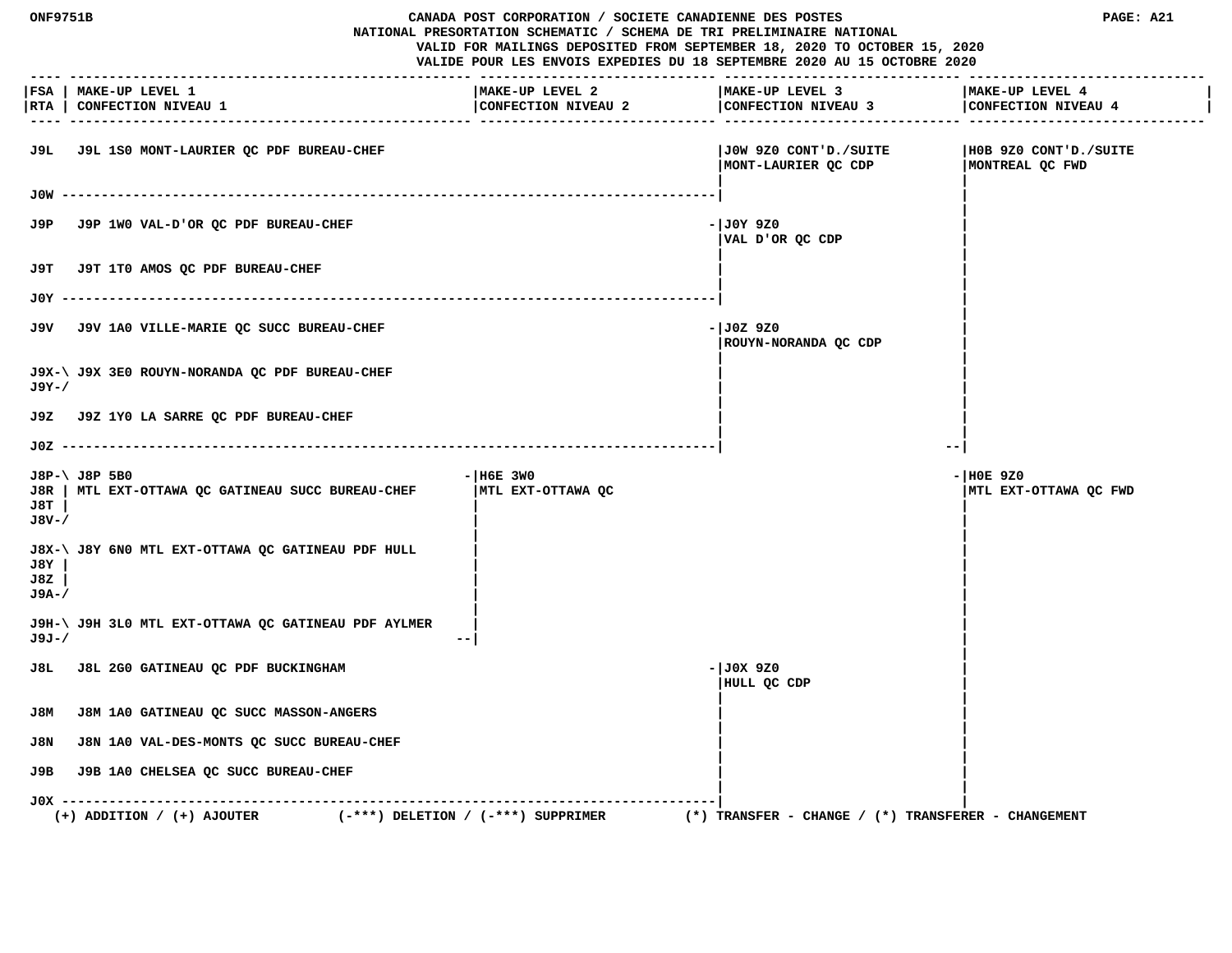| <b>ONF9751B</b><br>CANADA POST CORPORATION / SOCIETE CANADIENNE DES POSTES<br>NATIONAL PRESORTATION SCHEMATIC / SCHEMA DE TRI PRELIMINAIRE NATIONAL<br>VALID FOR MAILINGS DEPOSITED FROM SEPTEMBER 18, 2020 TO OCTOBER 15, 2020<br>VALIDE POUR LES ENVOIS EXPEDIES DU 18 SEPTEMBRE 2020 AU 15 OCTOBRE 2020<br>------------------- |                                                                          | ----------------- -------------        | PAGE: A21                                               |                                          |
|-----------------------------------------------------------------------------------------------------------------------------------------------------------------------------------------------------------------------------------------------------------------------------------------------------------------------------------|--------------------------------------------------------------------------|----------------------------------------|---------------------------------------------------------|------------------------------------------|
| RTA                                                                                                                                                                                                                                                                                                                               | FSA   MAKE-UP LEVEL 1<br>CONFECTION NIVEAU 1                             | MAKE-UP LEVEL 2<br>CONFECTION NIVEAU 2 | MAKE-UP LEVEL 3<br>CONFECTION NIVEAU 3                  | MAKE-UP LEVEL 4<br>CONFECTION NIVEAU 4   |
| J9L.                                                                                                                                                                                                                                                                                                                              | J9L 1S0 MONT-LAURIER QC PDF BUREAU-CHEF                                  |                                        | JOW 9Z0 CONT'D./SUITE<br>MONT-LAURIER OC CDP            | H0B 9Z0 CONT'D./SUITE<br>MONTREAL QC FWD |
|                                                                                                                                                                                                                                                                                                                                   |                                                                          |                                        |                                                         |                                          |
| J9P                                                                                                                                                                                                                                                                                                                               | J9P 1WO VAL-D'OR QC PDF BUREAU-CHEF                                      |                                        | - JOY 9Z0<br>VAL D'OR QC CDP                            |                                          |
| J9T.                                                                                                                                                                                                                                                                                                                              | J9T 1T0 AMOS QC PDF BUREAU-CHEF                                          |                                        |                                                         |                                          |
| J0Y -                                                                                                                                                                                                                                                                                                                             |                                                                          |                                        |                                                         |                                          |
|                                                                                                                                                                                                                                                                                                                                   | J9V J9V 1A0 VILLE-MARIE OC SUCC BUREAU-CHEF                              |                                        | - J0Z 9Z0<br>ROUYN-NORANDA QC CDP                       |                                          |
| $J9Y - /$                                                                                                                                                                                                                                                                                                                         | J9X-\ J9X 3E0 ROUYN-NORANDA QC PDF BUREAU-CHEF                           |                                        |                                                         |                                          |
|                                                                                                                                                                                                                                                                                                                                   | J9Z J9Z 1Y0 LA SARRE QC PDF BUREAU-CHEF                                  |                                        |                                                         |                                          |
|                                                                                                                                                                                                                                                                                                                                   |                                                                          |                                        | --                                                      |                                          |
| J8T<br>J8V-/                                                                                                                                                                                                                                                                                                                      | J8P-\ J8P 5B0<br>J8R   MTL EXT-OTTAWA QC GATINEAU SUCC BUREAU-CHEF       | $-$ H6E 3W0<br>MTL EXT-OTTAWA QC       |                                                         | $ H0E$ 9Z0<br> MTL EXT-OTTAWA QC FWD     |
| J8Y<br>J8Z<br>J9A-/                                                                                                                                                                                                                                                                                                               | J8X-\ J8Y 6N0 MTL EXT-OTTAWA QC GATINEAU PDF HULL                        |                                        |                                                         |                                          |
| J9J-/                                                                                                                                                                                                                                                                                                                             | J9H-\ J9H 3L0 MTL EXT-OTTAWA QC GATINEAU PDF AYLMER                      |                                        |                                                         |                                          |
|                                                                                                                                                                                                                                                                                                                                   | J8L J8L 2G0 GATINEAU OC PDF BUCKINGHAM                                   |                                        | - JOX 9Z0<br>HULL QC CDP                                |                                          |
| J8M                                                                                                                                                                                                                                                                                                                               | J8M 1A0 GATINEAU QC SUCC MASSON-ANGERS                                   |                                        |                                                         |                                          |
| J8N                                                                                                                                                                                                                                                                                                                               | J8N 1A0 VAL-DES-MONTS QC SUCC BUREAU-CHEF                                |                                        |                                                         |                                          |
| J9B                                                                                                                                                                                                                                                                                                                               | J9B 1A0 CHELSEA QC SUCC BUREAU-CHEF                                      |                                        |                                                         |                                          |
| J0X -                                                                                                                                                                                                                                                                                                                             | $(-***)$ DELETION / $(-***)$ SUPPRIMER<br>$(+)$ ADDITION / $(+)$ AJOUTER |                                        | $(*)$ TRANSFER - CHANGE / $(*)$ TRANSFERER - CHANGEMENT |                                          |
|                                                                                                                                                                                                                                                                                                                                   |                                                                          |                                        |                                                         |                                          |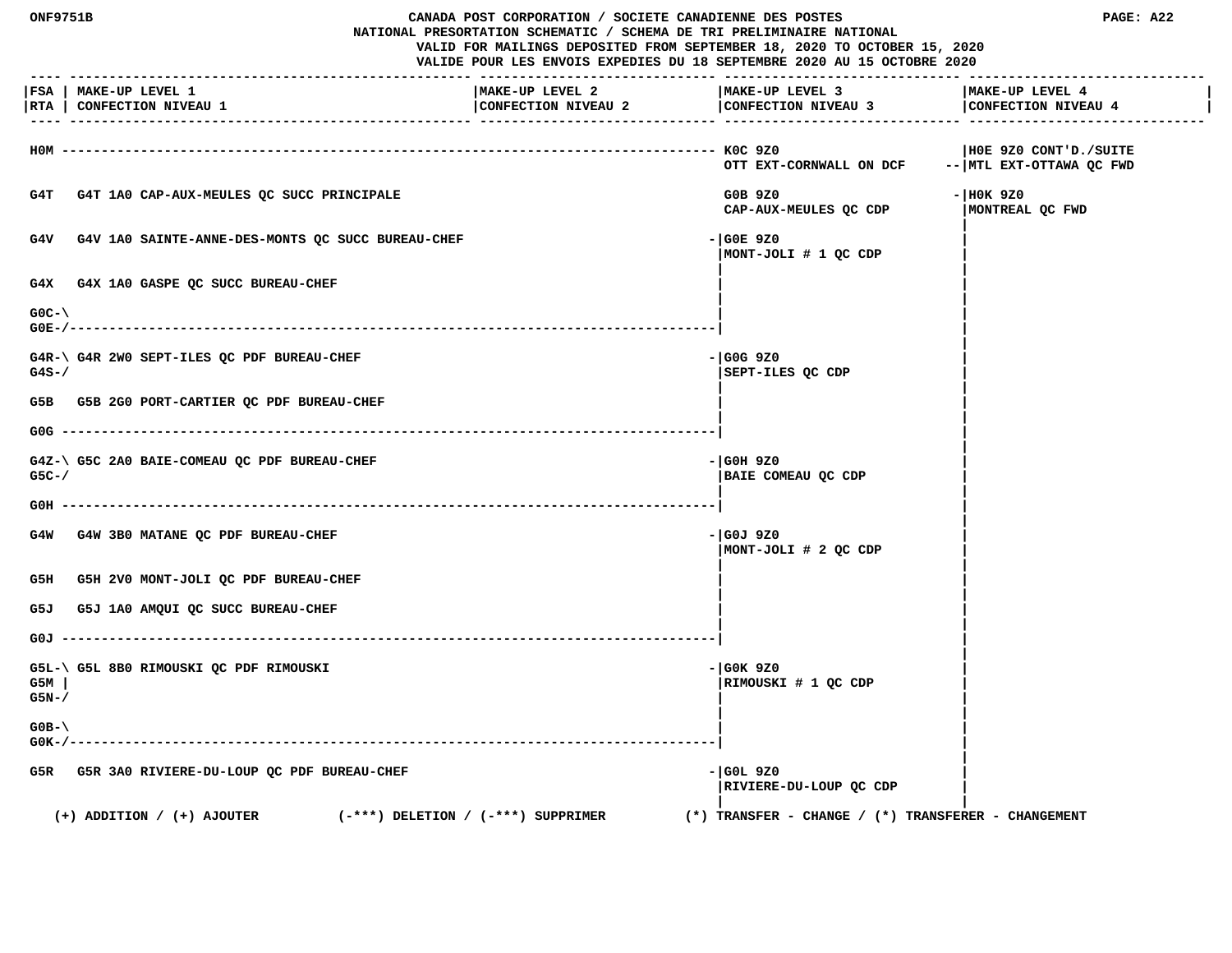| <b>NF975</b> |  |
|--------------|--|
|              |  |

# **ONF9751B CANADA POST CORPORATION / SOCIETE CANADIENNE DES POSTES PAGE: A22**

 **NATIONAL PRESORTATION SCHEMATIC / SCHEMA DE TRI PRELIMINAIRE NATIONAL VALID FOR MAILINGS DEPOSITED FROM SEPTEMBER 18, 2020 TO OCTOBER 15, 2020**

|                       | FSA   MAKE-UP LEVEL 1<br> RTA   CONFECTION NIVEAU 1                      | MAKE-UP LEVEL 2<br>CONFECTION NIVEAU 2 | MAKE-UP LEVEL 3<br>CONFECTION NIVEAU 3                  | MAKE-UP LEVEL 4<br>CONFECTION NIVEAU 4            |
|-----------------------|--------------------------------------------------------------------------|----------------------------------------|---------------------------------------------------------|---------------------------------------------------|
|                       |                                                                          |                                        | OTT EXT-CORNWALL ON DCF                                 | HOE 9Z0 CONT'D./SUITE<br>-- MTL EXT-OTTAWA QC FWD |
|                       | G4T G4T 1A0 CAP-AUX-MEULES QC SUCC PRINCIPALE                            |                                        | G0B 9Z0<br>CAP-AUX-MEULES QC CDP                        | - HOK 9Z0<br>MONTREAL QC FWD                      |
|                       | G4V G4V 1A0 SAINTE-ANNE-DES-MONTS QC SUCC BUREAU-CHEF                    |                                        | $-$ GOE 9Z0<br>MONT-JOLI # 1 QC CDP                     |                                                   |
|                       | G4X G4X 1A0 GASPE QC SUCC BUREAU-CHEF                                    |                                        |                                                         |                                                   |
| $GOC-\setminus$       |                                                                          |                                        |                                                         |                                                   |
| $G4S-$                | G4R-\ G4R 2W0 SEPT-ILES QC PDF BUREAU-CHEF                               |                                        | $-$ GOG 9Z0<br>SEPT-ILES QC CDP                         |                                                   |
|                       | G5B G5B 2G0 PORT-CARTIER QC PDF BUREAU-CHEF                              |                                        |                                                         |                                                   |
|                       |                                                                          |                                        |                                                         |                                                   |
| $G5C-$                | G4Z-\ G5C 2A0 BAIE-COMEAU QC PDF BUREAU-CHEF                             |                                        | - GOH 9Z0<br>BAIE COMEAU QC CDP                         |                                                   |
|                       |                                                                          |                                        |                                                         |                                                   |
|                       | G4W G4W 3B0 MATANE QC PDF BUREAU-CHEF                                    |                                        | - GOJ 9Z0<br> MONT-JOLI # 2 QC CDP                      |                                                   |
|                       | G5H G5H 2V0 MONT-JOLI QC PDF BUREAU-CHEF                                 |                                        |                                                         |                                                   |
| G5J                   | G5J 1A0 AMQUI QC SUCC BUREAU-CHEF                                        |                                        |                                                         |                                                   |
|                       |                                                                          |                                        |                                                         |                                                   |
| G5M<br>$G5N-$         | G5L-\ G5L 8B0 RIMOUSKI QC PDF RIMOUSKI                                   |                                        | - GOK 9Z0<br>RIMOUSKI # 1 QC CDP                        |                                                   |
| $GOB - \$<br>$GOK-/-$ |                                                                          |                                        |                                                         |                                                   |
|                       | G5R G5R 3A0 RIVIERE-DU-LOUP QC PDF BUREAU-CHEF                           |                                        | - GOL 9Z0<br>RIVIERE-DU-LOUP QC CDP                     |                                                   |
|                       | $(-***)$ DELETION / $(-***)$ SUPPRIMER<br>$(+)$ ADDITION / $(+)$ AJOUTER |                                        | $(*)$ TRANSFER - CHANGE / $(*)$ TRANSFERER - CHANGEMENT |                                                   |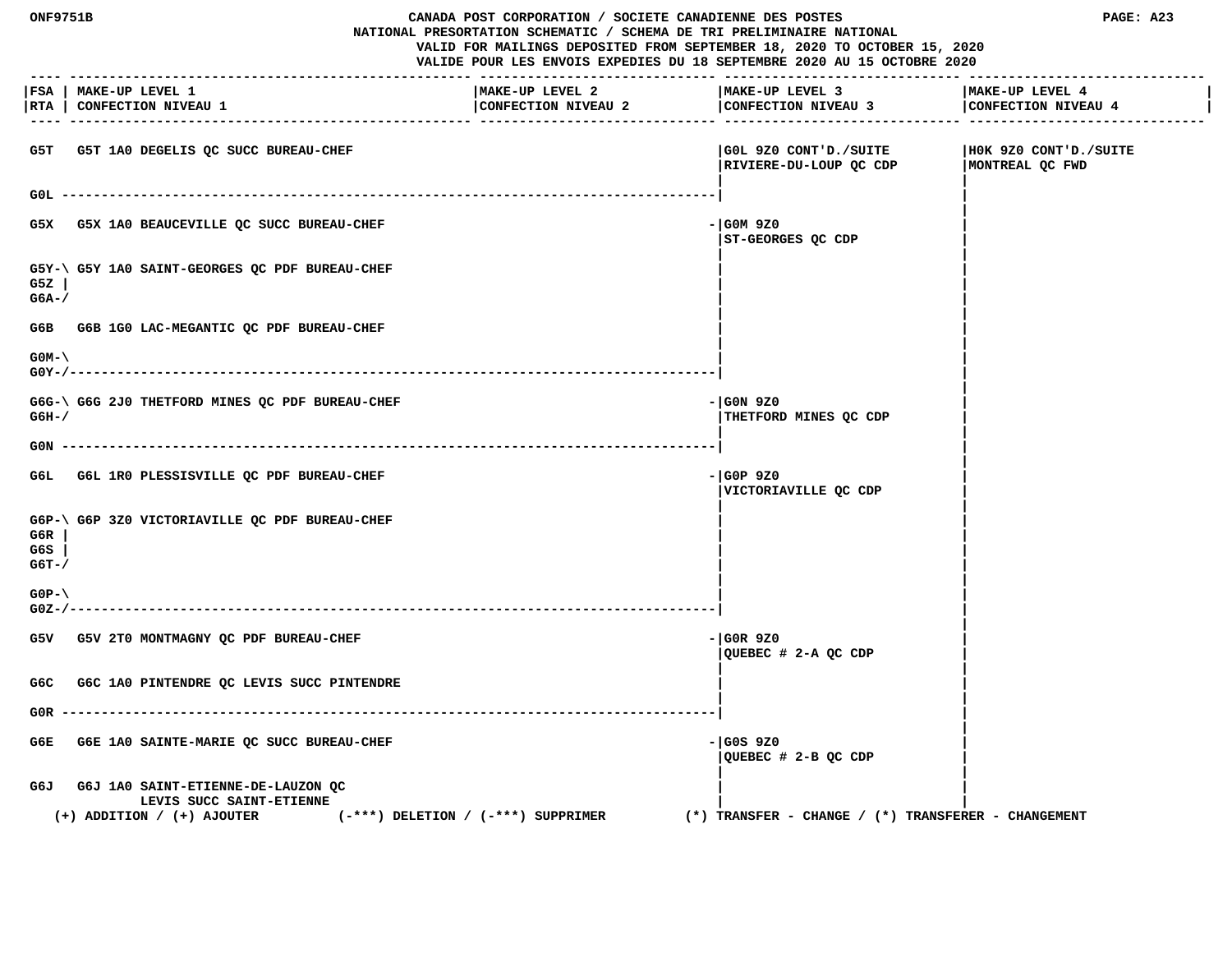| <b>ONF9751B</b> |                                                 | CANADA POST CORPORATION / SOCIETE CANADIENNE DES POSTES                                                                                             |                                                                 | PAGE: A23             |
|-----------------|-------------------------------------------------|-----------------------------------------------------------------------------------------------------------------------------------------------------|-----------------------------------------------------------------|-----------------------|
|                 |                                                 | NATIONAL PRESORTATION SCHEMATIC / SCHEMA DE TRI PRELIMINAIRE NATIONAL                                                                               |                                                                 |                       |
|                 |                                                 | VALID FOR MAILINGS DEPOSITED FROM SEPTEMBER 18, 2020 TO OCTOBER 15, 2020<br>VALIDE POUR LES ENVOIS EXPEDIES DU 18 SEPTEMBRE 2020 AU 15 OCTOBRE 2020 |                                                                 |                       |
|                 |                                                 |                                                                                                                                                     |                                                                 |                       |
|                 | FSA   MAKE-UP LEVEL 1                           | MAKE-UP LEVEL 2                                                                                                                                     | MAKE-UP LEVEL 3                                                 | MAKE-UP LEVEL 4       |
|                 | RTA   CONFECTION NIVEAU 1                       |                                                                                                                                                     | CONFECTION NIVEAU 2   CONFECTION NIVEAU 3   CONFECTION NIVEAU 4 |                       |
|                 |                                                 |                                                                                                                                                     |                                                                 |                       |
|                 | G5T G5T 1A0 DEGELIS QC SUCC BUREAU-CHEF         |                                                                                                                                                     | GOL 9Z0 CONT'D./SUITE                                           | HOK 9Z0 CONT'D./SUITE |
|                 |                                                 |                                                                                                                                                     | RIVIERE-DU-LOUP QC CDP                                          | MONTREAL OC FWD       |
|                 |                                                 |                                                                                                                                                     |                                                                 |                       |
|                 | GOL -----                                       |                                                                                                                                                     |                                                                 |                       |
|                 | G5X G5X 1A0 BEAUCEVILLE QC SUCC BUREAU-CHEF     |                                                                                                                                                     | - GOM 9Z0                                                       |                       |
|                 |                                                 |                                                                                                                                                     | ST-GEORGES QC CDP                                               |                       |
|                 |                                                 |                                                                                                                                                     |                                                                 |                       |
| G5Z             | G5Y-\ G5Y 1A0 SAINT-GEORGES QC PDF BUREAU-CHEF  |                                                                                                                                                     |                                                                 |                       |
| $G6A-$          |                                                 |                                                                                                                                                     |                                                                 |                       |
|                 |                                                 |                                                                                                                                                     |                                                                 |                       |
|                 | G6B G6B 1G0 LAC-MEGANTIC QC PDF BUREAU-CHEF     |                                                                                                                                                     |                                                                 |                       |
| $GOM-$          |                                                 |                                                                                                                                                     |                                                                 |                       |
| G0Y-/--         |                                                 |                                                                                                                                                     |                                                                 |                       |
|                 |                                                 |                                                                                                                                                     |                                                                 |                       |
| $G6H-$          | G6G-\ G6G 2J0 THETFORD MINES QC PDF BUREAU-CHEF |                                                                                                                                                     | - GON 9Z0<br>THETFORD MINES QC CDP                              |                       |
|                 |                                                 |                                                                                                                                                     |                                                                 |                       |
| G0N             |                                                 |                                                                                                                                                     |                                                                 |                       |
|                 |                                                 |                                                                                                                                                     | - GOP 9Z0                                                       |                       |
|                 | G6L G6L 1R0 PLESSISVILLE QC PDF BUREAU-CHEF     |                                                                                                                                                     | VICTORIAVILLE QC CDP                                            |                       |
|                 |                                                 |                                                                                                                                                     |                                                                 |                       |
|                 | G6P-\ G6P 3Z0 VICTORIAVILLE QC PDF BUREAU-CHEF  |                                                                                                                                                     |                                                                 |                       |
| G6R<br>G6S      |                                                 |                                                                                                                                                     |                                                                 |                       |
| $G6T - /$       |                                                 |                                                                                                                                                     |                                                                 |                       |
|                 |                                                 |                                                                                                                                                     |                                                                 |                       |
| $GOP - \langle$ |                                                 |                                                                                                                                                     |                                                                 |                       |
| $GOZ - / -$     |                                                 |                                                                                                                                                     |                                                                 |                       |
|                 | G5V G5V 2T0 MONTMAGNY QC PDF BUREAU-CHEF        |                                                                                                                                                     | - GOR 9Z0                                                       |                       |
|                 |                                                 |                                                                                                                                                     | QUEBEC # 2-A QC CDP                                             |                       |
|                 |                                                 |                                                                                                                                                     |                                                                 |                       |
|                 | G6C G6C 1A0 PINTENDRE QC LEVIS SUCC PINTENDRE   |                                                                                                                                                     |                                                                 |                       |
| G0R.            |                                                 |                                                                                                                                                     |                                                                 |                       |
|                 |                                                 |                                                                                                                                                     |                                                                 |                       |
| G6E.            | G6E 1A0 SAINTE-MARIE QC SUCC BUREAU-CHEF        |                                                                                                                                                     | - GOS 9Z0<br>QUEBEC # 2-B QC CDP                                |                       |
|                 |                                                 |                                                                                                                                                     |                                                                 |                       |
|                 | G6J G6J 1A0 SAINT-ETIENNE-DE-LAUZON QC          |                                                                                                                                                     |                                                                 |                       |
|                 | LEVIS SUCC SAINT-ETIENNE                        |                                                                                                                                                     |                                                                 |                       |
|                 | $(+)$ ADDITION / $(+)$ AJOUTER                  | (-***) DELETION / (-***) SUPPRIMER                                                                                                                  | $(*)$ TRANSFER - CHANGE / $(*)$ TRANSFERER - CHANGEMENT         |                       |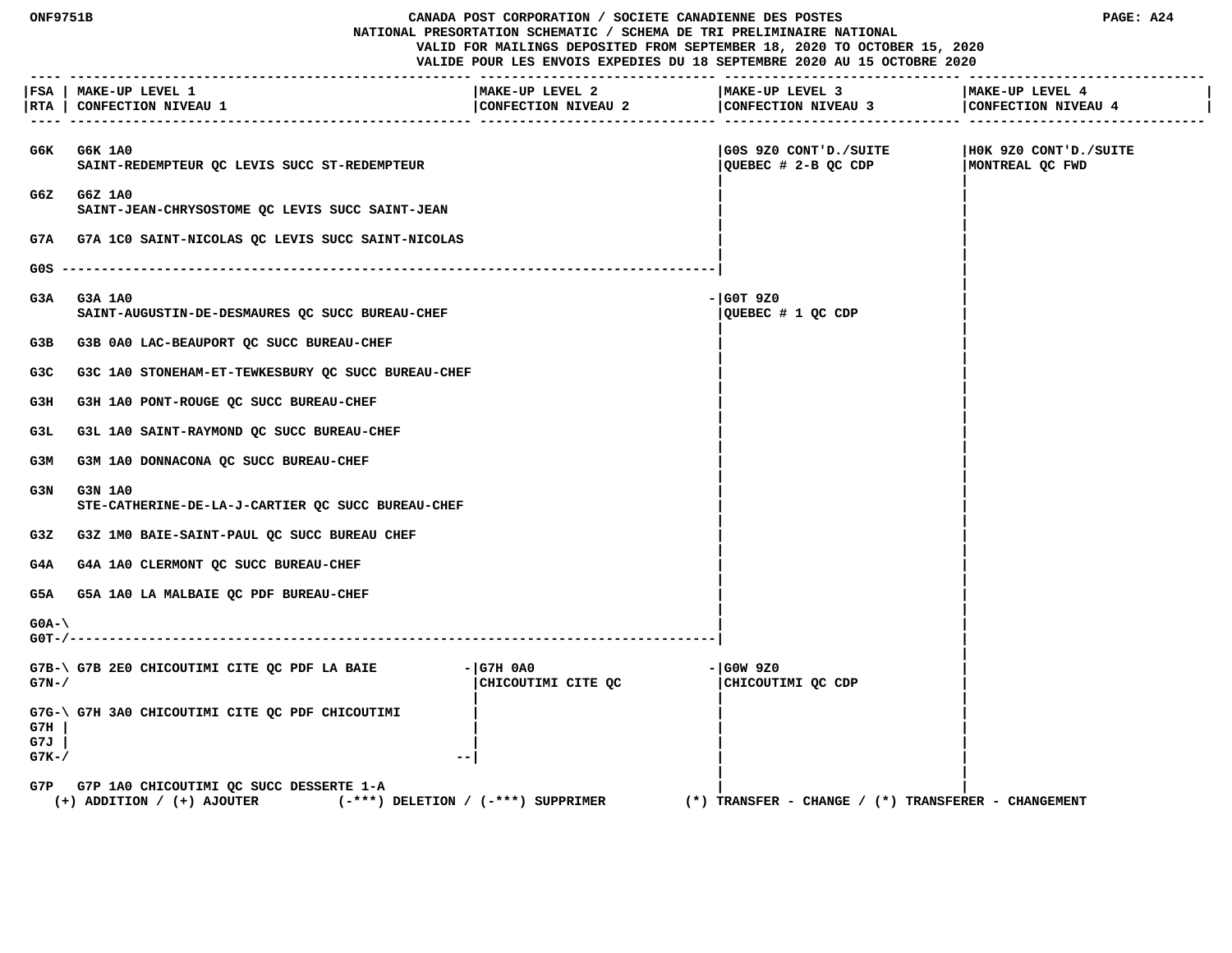| <b>ONF9751B</b><br>CANADA POST CORPORATION / SOCIETE CANADIENNE DES POSTES<br>NATIONAL PRESORTATION SCHEMATIC / SCHEMA DE TRI PRELIMINAIRE NATIONAL<br>VALID FOR MAILINGS DEPOSITED FROM SEPTEMBER 18, 2020 TO OCTOBER 15, 2020<br>VALIDE POUR LES ENVOIS EXPEDIES DU 18 SEPTEMBRE 2020 AU 15 OCTOBRE 2020 |                                                                                                                         |                                        |                                                     | PAGE: A24                                |
|------------------------------------------------------------------------------------------------------------------------------------------------------------------------------------------------------------------------------------------------------------------------------------------------------------|-------------------------------------------------------------------------------------------------------------------------|----------------------------------------|-----------------------------------------------------|------------------------------------------|
|                                                                                                                                                                                                                                                                                                            | FSA   MAKE-UP LEVEL 1<br>RTA   CONFECTION NIVEAU 1                                                                      | MAKE-UP LEVEL 2<br>CONFECTION NIVEAU 2 | MAKE-UP LEVEL 3<br>CONFECTION NIVEAU 3              | MAKE-UP LEVEL 4<br>CONFECTION NIVEAU 4   |
|                                                                                                                                                                                                                                                                                                            | G6K G6K 1A0<br>SAINT-REDEMPTEUR OC LEVIS SUCC ST-REDEMPTEUR                                                             |                                        | GOS 9Z0 CONT'D./SUITE<br>QUEBEC # 2-B QC CDP        | HOK 9Z0 CONT'D./SUITE<br>MONTREAL OC FWD |
|                                                                                                                                                                                                                                                                                                            | G6Z G6Z 1A0<br>SAINT-JEAN-CHRYSOSTOME QC LEVIS SUCC SAINT-JEAN                                                          |                                        |                                                     |                                          |
|                                                                                                                                                                                                                                                                                                            | G7A G7A 1C0 SAINT-NICOLAS QC LEVIS SUCC SAINT-NICOLAS                                                                   |                                        |                                                     |                                          |
|                                                                                                                                                                                                                                                                                                            |                                                                                                                         |                                        |                                                     |                                          |
| G3A                                                                                                                                                                                                                                                                                                        | G3A 1A0<br>SAINT-AUGUSTIN-DE-DESMAURES QC SUCC BUREAU-CHEF                                                              |                                        | $-$ GOT 9Z0<br>QUEBEC # 1 QC CDP                    |                                          |
| G3B                                                                                                                                                                                                                                                                                                        | G3B 0A0 LAC-BEAUPORT OC SUCC BUREAU-CHEF                                                                                |                                        |                                                     |                                          |
| G3C                                                                                                                                                                                                                                                                                                        | G3C 1A0 STONEHAM-ET-TEWKESBURY QC SUCC BUREAU-CHEF                                                                      |                                        |                                                     |                                          |
| G3H                                                                                                                                                                                                                                                                                                        | G3H 1A0 PONT-ROUGE QC SUCC BUREAU-CHEF                                                                                  |                                        |                                                     |                                          |
| G3L.                                                                                                                                                                                                                                                                                                       | G3L 1A0 SAINT-RAYMOND QC SUCC BUREAU-CHEF                                                                               |                                        |                                                     |                                          |
| G3M                                                                                                                                                                                                                                                                                                        | G3M 1A0 DONNACONA QC SUCC BUREAU-CHEF                                                                                   |                                        |                                                     |                                          |
| G3N                                                                                                                                                                                                                                                                                                        | <b>G3N 1A0</b><br>STE-CATHERINE-DE-LA-J-CARTIER QC SUCC BUREAU-CHEF                                                     |                                        |                                                     |                                          |
| G3Z                                                                                                                                                                                                                                                                                                        | G3Z 1M0 BAIE-SAINT-PAUL QC SUCC BUREAU CHEF                                                                             |                                        |                                                     |                                          |
| G4A                                                                                                                                                                                                                                                                                                        | G4A 1A0 CLERMONT QC SUCC BUREAU-CHEF                                                                                    |                                        |                                                     |                                          |
| G5A                                                                                                                                                                                                                                                                                                        | G5A 1A0 LA MALBAIE OC PDF BUREAU-CHEF                                                                                   |                                        |                                                     |                                          |
| $GOA-\$                                                                                                                                                                                                                                                                                                    |                                                                                                                         |                                        |                                                     |                                          |
| $G7N-$                                                                                                                                                                                                                                                                                                     | G7B-\ G7B 2E0 CHICOUTIMI CITE QC PDF LA BAIE                                                                            | $-$ G7H 0A0<br>CHICOUTIMI CITE OC      | - GOW 9Z0<br>CHICOUTIMI QC CDP                      |                                          |
| G7H<br>G7J<br>$G7K-$ /                                                                                                                                                                                                                                                                                     | G7G-\ G7H 3A0 CHICOUTIMI CITE QC PDF CHICOUTIMI                                                                         |                                        |                                                     |                                          |
|                                                                                                                                                                                                                                                                                                            | G7P G7P 1A0 CHICOUTIMI QC SUCC DESSERTE 1-A<br>$(-***)$ DELETION / $(-***)$ SUPPRIMER<br>$(+)$ ADDITION / $(+)$ AJOUTER |                                        | (*) TRANSFER – CHANGE / (*) TRANSFERER – CHANGEMENT |                                          |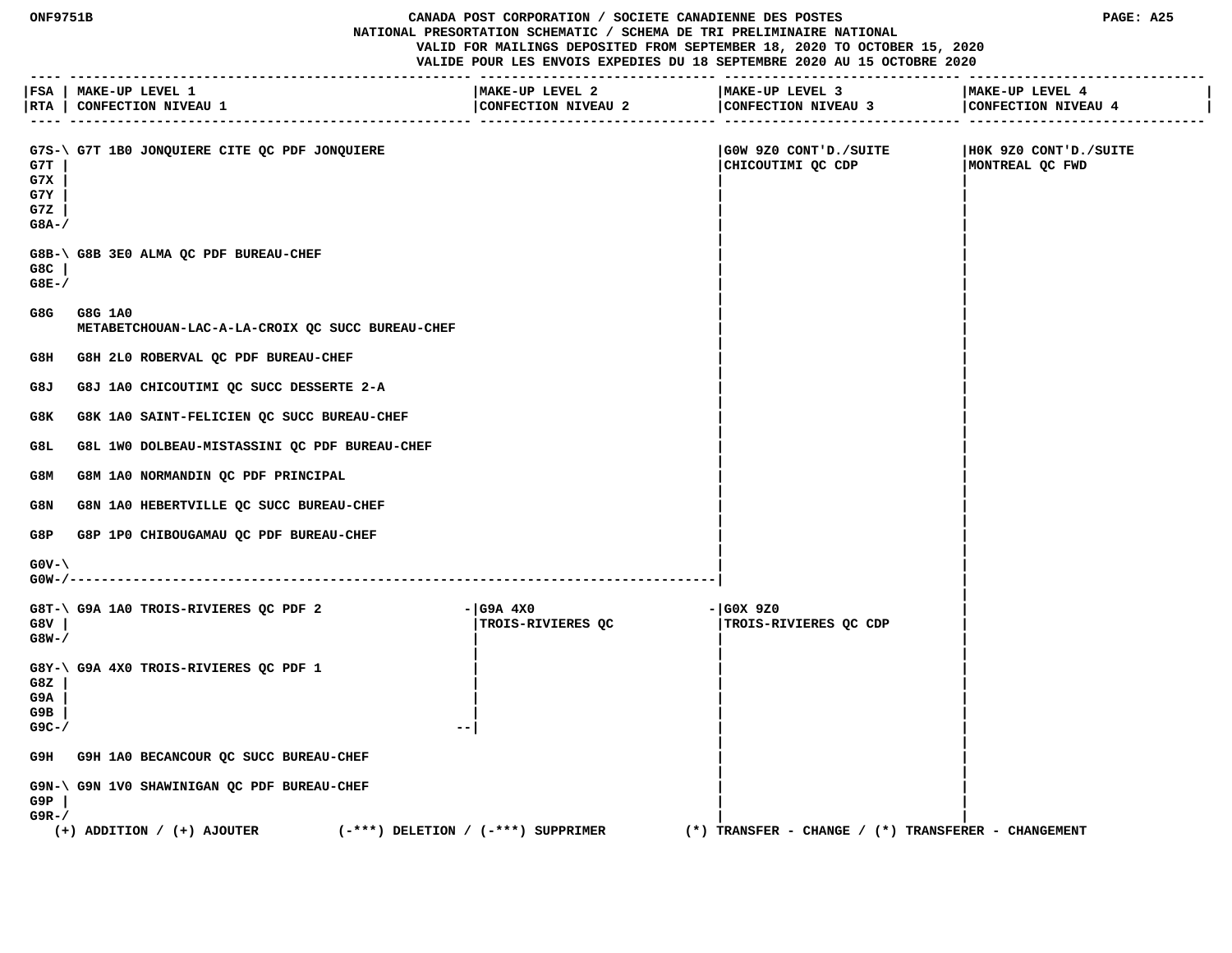#### **ONF9751B CANADA POST CORPORATION / SOCIETE CANADIENNE DES POSTES PAGE: A25 NATIONAL PRESORTATION SCHEMATIC / SCHEMA DE TRI PRELIMINAIRE NATIONAL VALID FOR MAILINGS DEPOSITED FROM SEPTEMBER 18, 2020 TO OCTOBER 15, 2020**

|                                    | FSA   MAKE-UP LEVEL 1<br> RTA   CONFECTION NIVEAU 1                  | MAKE-UP LEVEL 2<br>CONFECTION NIVEAU 2<br>.------------- -------- | MAKE-UP LEVEL 3<br>CONFECTION NIVEAU 3 CONFECTION NIVEAU 4<br>------------- --------- | MAKE-UP LEVEL 4                          |
|------------------------------------|----------------------------------------------------------------------|-------------------------------------------------------------------|---------------------------------------------------------------------------------------|------------------------------------------|
| G7T<br>G7X<br>G7Y<br>G7Z<br>$G8A-$ | G7S-\ G7T 1B0 JONQUIERE CITE QC PDF JONQUIERE                        |                                                                   | GOW 9Z0 CONT'D./SUITE<br>CHICOUTIMI QC CDP                                            | HOK 9Z0 CONT'D./SUITE<br>MONTREAL QC FWD |
| $G8C$  <br>$G8E-$ /                | G8B-\ G8B 3E0 ALMA QC PDF BUREAU-CHEF                                |                                                                   |                                                                                       |                                          |
| G8G                                | G8G 1A0<br>METABETCHOUAN-LAC-A-LA-CROIX QC SUCC BUREAU-CHEF          |                                                                   |                                                                                       |                                          |
| G8H                                | G8H 2L0 ROBERVAL QC PDF BUREAU-CHEF                                  |                                                                   |                                                                                       |                                          |
| G8J                                | G8J 1A0 CHICOUTIMI QC SUCC DESSERTE 2-A                              |                                                                   |                                                                                       |                                          |
| G8K                                | G8K 1A0 SAINT-FELICIEN QC SUCC BUREAU-CHEF                           |                                                                   |                                                                                       |                                          |
| G8L                                | G8L 1W0 DOLBEAU-MISTASSINI QC PDF BUREAU-CHEF                        |                                                                   |                                                                                       |                                          |
| G8M                                | G8M 1A0 NORMANDIN QC PDF PRINCIPAL                                   |                                                                   |                                                                                       |                                          |
| G8N                                | G8N 1A0 HEBERTVILLE QC SUCC BUREAU-CHEF                              |                                                                   |                                                                                       |                                          |
| G8P                                | G8P 1P0 CHIBOUGAMAU QC PDF BUREAU-CHEF                               |                                                                   |                                                                                       |                                          |
| $G0V - \$                          |                                                                      |                                                                   |                                                                                       |                                          |
| G8V<br>$G8W - /$                   | G8T-\ G9A 1A0 TROIS-RIVIERES QC PDF 2                                | - G9A 4X0<br>TROIS-RIVIERES QC                                    | - GOX 9Z0<br>TROIS-RIVIERES QC CDP                                                    |                                          |
| G8Z<br>G9A<br>G9B<br>$G9C - /$     | G8Y-\ G9A 4X0 TROIS-RIVIERES QC PDF 1<br>$- -$                       |                                                                   |                                                                                       |                                          |
|                                    | G9H G9H 1A0 BECANCOUR QC SUCC BUREAU-CHEF                            |                                                                   |                                                                                       |                                          |
| G9P<br>$G9R - /$                   | G9N-\ G9N 1V0 SHAWINIGAN QC PDF BUREAU-CHEF                          |                                                                   |                                                                                       |                                          |
|                                    | $(+)$ ADDITION / $(+)$ AJOUTER<br>(-***) DELETION / (-***) SUPPRIMER |                                                                   | $(*)$ TRANSFER - CHANGE / $(*)$ TRANSFERER - CHANGEMENT                               |                                          |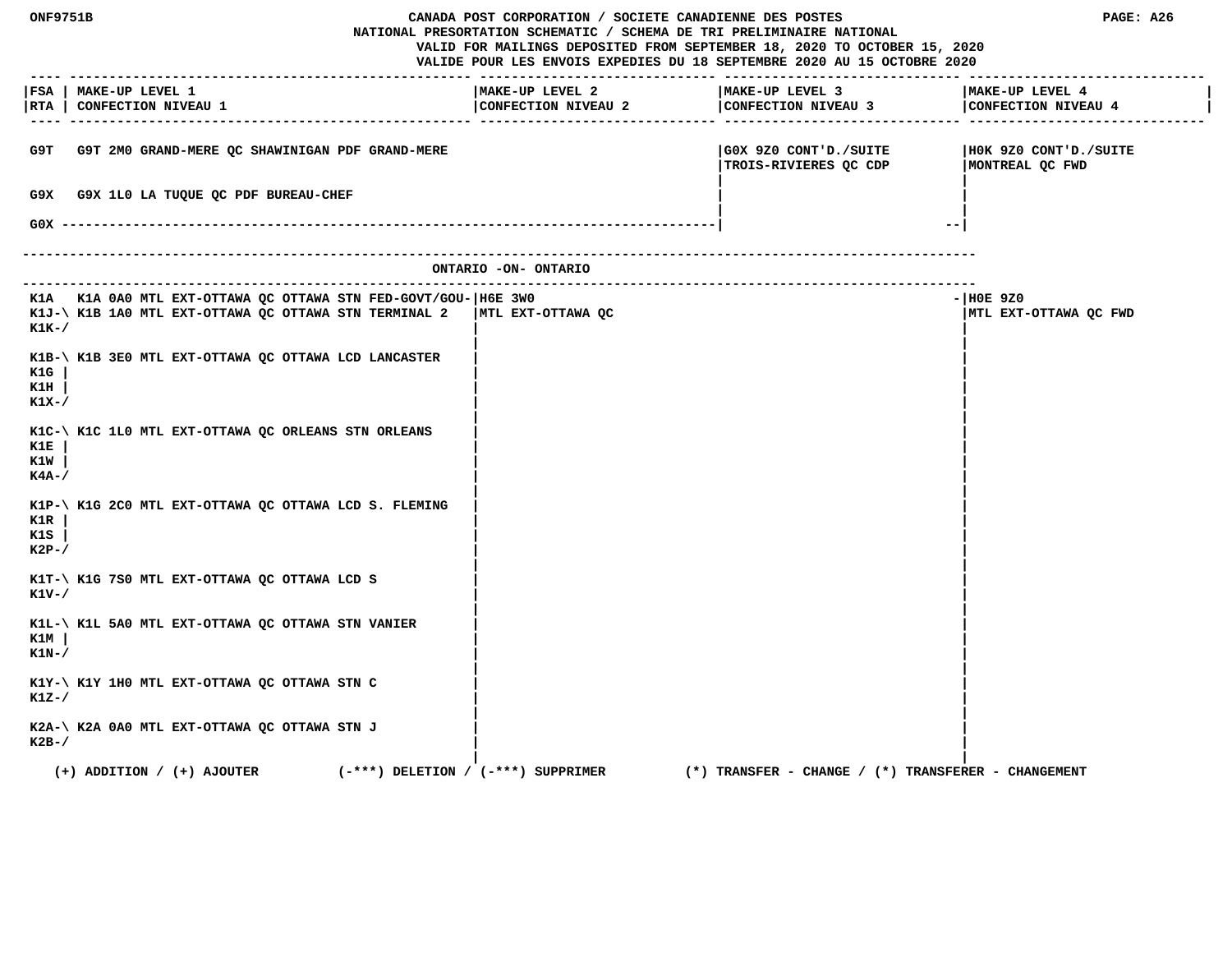| ONF9751B<br>CANADA POST CORPORATION / SOCIETE CANADIENNE DES POSTES<br>NATIONAL PRESORTATION SCHEMATIC / SCHEMA DE TRI PRELIMINAIRE NATIONAL<br>VALID FOR MAILINGS DEPOSITED FROM SEPTEMBER 18, 2020 TO OCTOBER 15, 2020<br>VALIDE POUR LES ENVOIS EXPEDIES DU 18 SEPTEMBRE 2020 AU 15 OCTOBRE 2020 |                                                                                                                           |                                        | PAGE: A26                              |                                                         |                                          |
|-----------------------------------------------------------------------------------------------------------------------------------------------------------------------------------------------------------------------------------------------------------------------------------------------------|---------------------------------------------------------------------------------------------------------------------------|----------------------------------------|----------------------------------------|---------------------------------------------------------|------------------------------------------|
|                                                                                                                                                                                                                                                                                                     | FSA   MAKE-UP LEVEL 1<br> RTA   CONFECTION NIVEAU 1                                                                       |                                        | MAKE-UP LEVEL 2<br>CONFECTION NIVEAU 2 | MAKE-UP LEVEL 3<br>CONFECTION NIVEAU 3                  | MAKE-UP LEVEL 4<br>CONFECTION NIVEAU 4   |
| G9T.                                                                                                                                                                                                                                                                                                | G9T 2M0 GRAND-MERE QC SHAWINIGAN PDF GRAND-MERE                                                                           |                                        |                                        | GOX 9Z0 CONT'D./SUITE<br>TROIS-RIVIERES QC CDP          | HOK 9Z0 CONT'D./SUITE<br>MONTREAL QC FWD |
| G9X.                                                                                                                                                                                                                                                                                                | G9X 1L0 LA TUQUE QC PDF BUREAU-CHEF                                                                                       |                                        |                                        |                                                         |                                          |
| $GOX -$                                                                                                                                                                                                                                                                                             |                                                                                                                           |                                        |                                        | $- -$                                                   |                                          |
|                                                                                                                                                                                                                                                                                                     |                                                                                                                           |                                        | ONTARIO -ON- ONTARIO                   |                                                         |                                          |
| K1K-/                                                                                                                                                                                                                                                                                               | K1A K1A 0A0 MTL EXT-OTTAWA QC OTTAWA STN FED-GOVT/GOU-   H6E 3W0<br>K1J-\ K1B 1A0 MTL EXT-OTTAWA QC OTTAWA STN TERMINAL 2 |                                        | MTL EXT-OTTAWA QC                      |                                                         | $ H0E$ 9Z0<br>MTL EXT-OTTAWA QC FWD      |
| K1G<br>K1H<br>K1X-/                                                                                                                                                                                                                                                                                 | K1B-\ K1B 3E0 MTL EXT-OTTAWA QC OTTAWA LCD LANCASTER                                                                      |                                        |                                        |                                                         |                                          |
| K1E<br>K1W<br>$K4A-$                                                                                                                                                                                                                                                                                | K1C-\ K1C 1L0 MTL EXT-OTTAWA QC ORLEANS STN ORLEANS                                                                       |                                        |                                        |                                                         |                                          |
| K1R<br>K1S<br>$K2P-$                                                                                                                                                                                                                                                                                | K1P-\ K1G 2C0 MTL EXT-OTTAWA QC OTTAWA LCD S. FLEMING                                                                     |                                        |                                        |                                                         |                                          |
| K1V-/                                                                                                                                                                                                                                                                                               | K1T-\ K1G 7S0 MTL EXT-OTTAWA QC OTTAWA LCD S                                                                              |                                        |                                        |                                                         |                                          |
| <u>K1M</u><br>$K1N-$ /                                                                                                                                                                                                                                                                              | K1L-\ K1L 5A0 MTL EXT-OTTAWA QC OTTAWA STN VANIER                                                                         |                                        |                                        |                                                         |                                          |
| K1Z-/                                                                                                                                                                                                                                                                                               | K1Y-\ K1Y 1H0 MTL EXT-OTTAWA QC OTTAWA STN C                                                                              |                                        |                                        |                                                         |                                          |
| $K2B-$                                                                                                                                                                                                                                                                                              | K2A-\ K2A 0A0 MTL EXT-OTTAWA QC OTTAWA STN J                                                                              |                                        |                                        |                                                         |                                          |
|                                                                                                                                                                                                                                                                                                     | $(+)$ ADDITION / $(+)$ AJOUTER                                                                                            | $(-***)$ DELETION / $(-***)$ SUPPRIMER |                                        | $(*)$ TRANSFER - CHANGE / $(*)$ TRANSFERER - CHANGEMENT |                                          |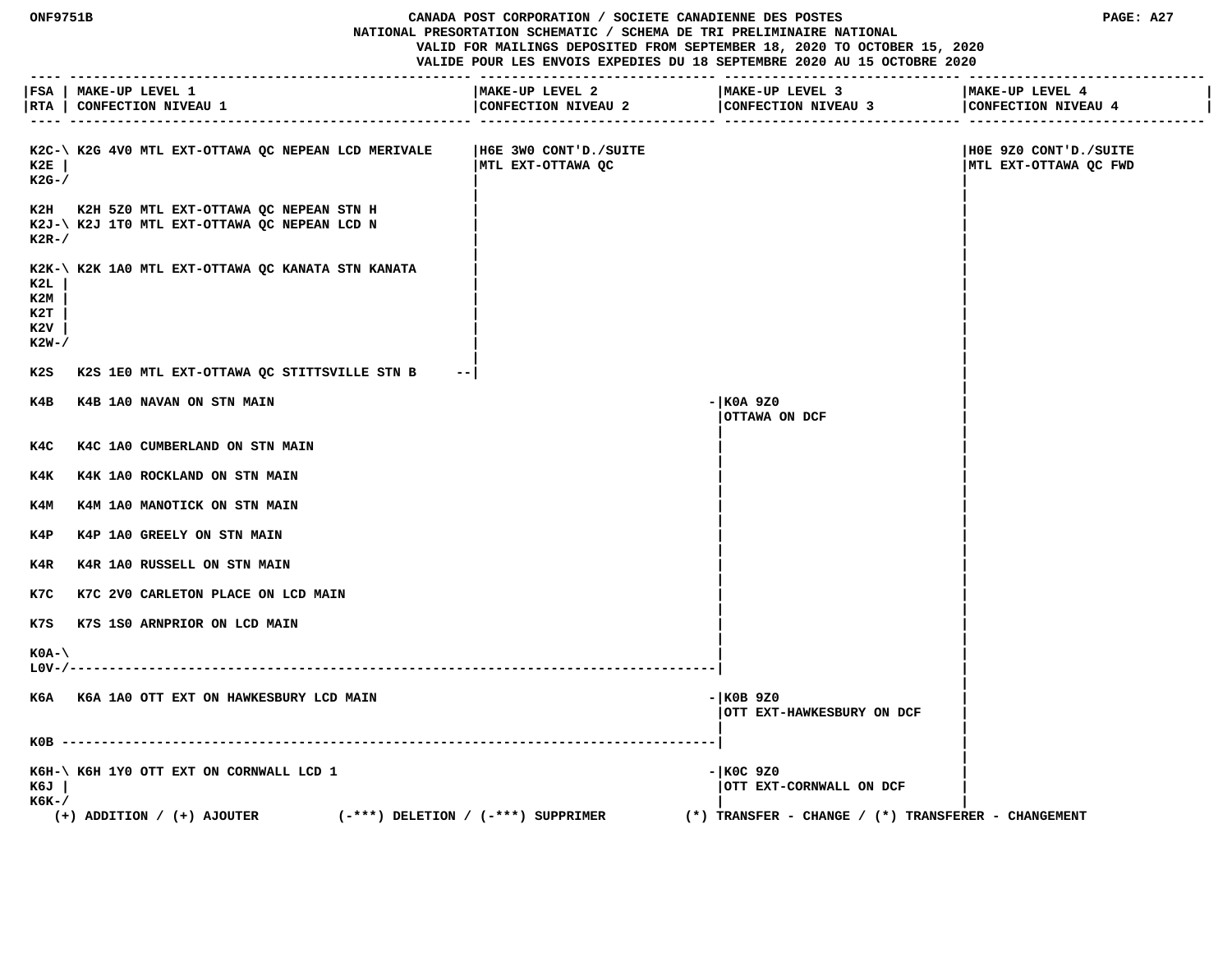**ONF9751B CANADA POST CORPORATION / SOCIETE CANADIENNE DES POSTES PAGE: A27 NATIONAL PRESORTATION SCHEMATIC / SCHEMA DE TRI PRELIMINAIRE NATIONAL VALID FOR MAILINGS DEPOSITED FROM SEPTEMBER 18, 2020 TO OCTOBER 15, 2020 VALIDE POUR LES ENVOIS EXPEDIES DU 18 SEPTEMBRE 2020 AU 15 OCTOBRE 2020**

 **---- --------------------------------------------------- ------------------------------ ------------------------------ ------------------------------ |FSA | MAKE-UP LEVEL 1 |MAKE-UP LEVEL 2 |MAKE-UP LEVEL 3 |MAKE-UP LEVEL 4 | |RTA | CONFECTION NIVEAU 1 |CONFECTION NIVEAU 2 |CONFECTION NIVEAU 3 |CONFECTION NIVEAU 4 | ---- --------------------------------------------------- ------------------------------ ------------------------------ ------------------------------ K2C-\ K2G 4V0 MTL EXT-OTTAWA QC NEPEAN LCD MERIVALE |H6E 3W0 CONT'D./SUITE |H0E 9Z0 CONT'D./SUITE EXT-OTTAWA QC MTL EXT-OTTAWA QC MTL EXT-OTTAWA QC MTL EXT-OTTAWA QC MD K2G-/ | | | |** K2H K2H 5Z0 MTL EXT-OTTAWA QC NEPEAN STN H  **K2J-\ K2J 1T0 MTL EXT-OTTAWA QC NEPEAN LCD N | | K2R-/ | | | |** K2K-\ K2K 1A0 MTL EXT-OTTAWA QC KANATA STN KANATA  **K2L | | | K2M | | | K2T | | | K2V | | | K2W-/ | | | | K2S K2S 1E0 MTL EXT-OTTAWA QC STITTSVILLE STN B --| | | K4B K4B 1A0 NAVAN ON STN MAIN -|K0A 9Z0 | |OTTAWA ON DCF | | |** K4C K4C 1A0 CUMBERLAND ON STN MAIN  **| |** K4K K4K 1A0 ROCKLAND ON STN MAIN  **| |** K4M K4M 1A0 MANOTICK ON STN MAIN  **| |** K4P K4P 1A0 GREELY ON STN MAIN  **| |** K4R K4R 1A0 RUSSELL ON STN MAIN  **| |** K7C K7C 2V0 CARLETON PLACE ON LCD MAIN  **| | K7S K7S 1S0 ARNPRIOR ON LCD MAIN | | | | K0A-\ | | L0V-/----------------------------------------------------------------------------------| | |** K6A K6A 1A0 OTT EXT ON HAWKESBURY LCD MAIN **ALL ASSESS ASSESSED ASSESSED AT A LOST OF A LOST OF A LOST OF A LOST OF A LOST OF A LOST OF A LOST OF A LOST OF A LOST OF A LOST OF A LOST OF A LOST OF A LOST OF A LOST OF A LOST |OTT EXT-HAWKESBURY ON DCF | | | K0B -----------------------------------------------------------------------------------| | |** K6H-\ K6H 1Y0 OTT EXT ON CORNWALL LCD 1 **1** and the state of the state of the state of the state of the state of the state of the state of the state of the state of the state of the state of the state of the state of the s  **K6J | |OTT EXT-CORNWALL ON DCF | K6K-/ | | (+) ADDITION / (+) AJOUTER (-\*\*\*) DELETION / (-\*\*\*) SUPPRIMER (\*) TRANSFER - CHANGE / (\*) TRANSFERER - CHANGEMENT**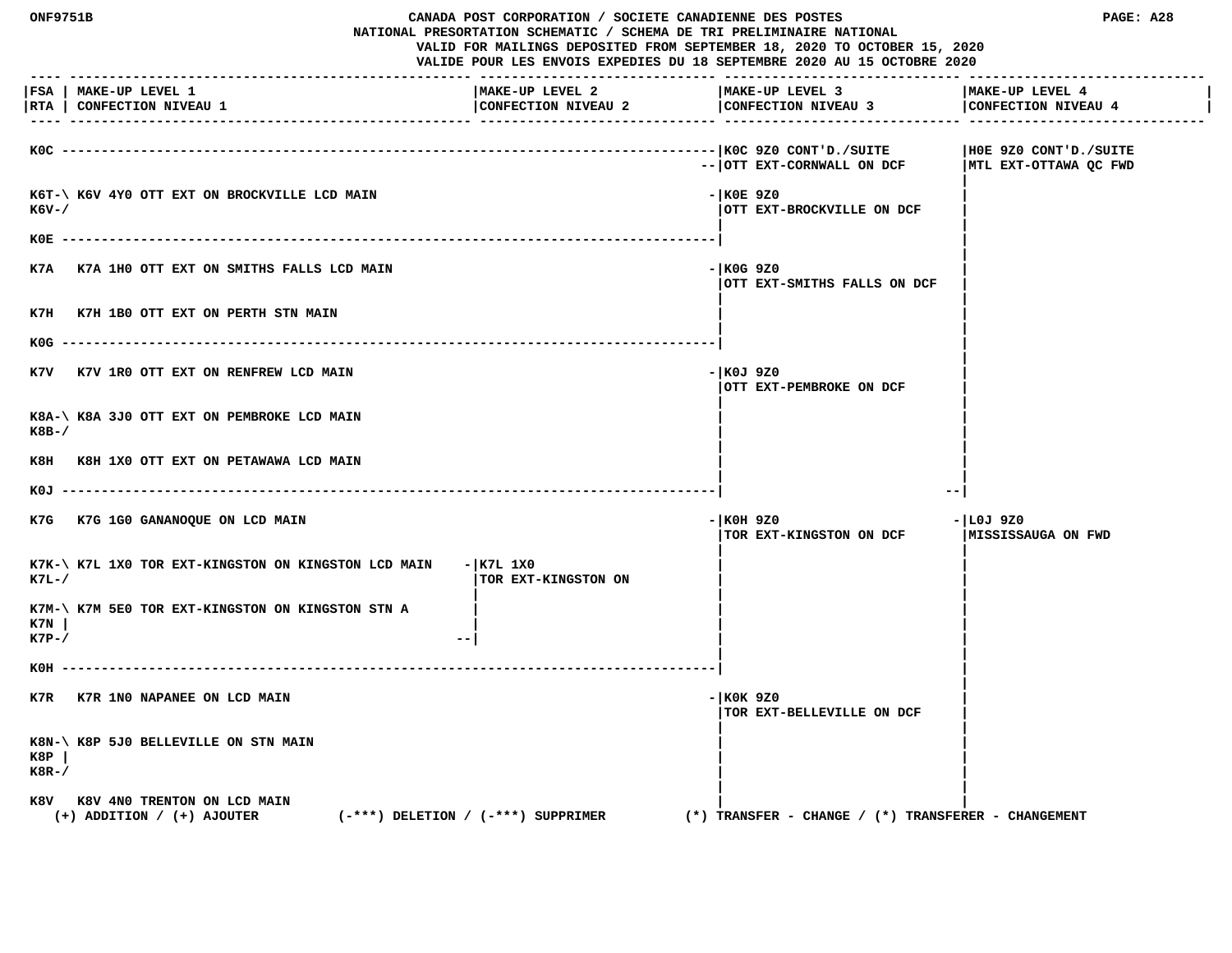**ONF9751B CANADA POST CORPORATION / SOCIETE CANADIENNE DES POSTES PAGE: A28 NATIONAL PRESORTATION SCHEMATIC / SCHEMA DE TRI PRELIMINAIRE NATIONAL VALID FOR MAILINGS DEPOSITED FROM SEPTEMBER 18, 2020 TO OCTOBER 15, 2020 VALIDE POUR LES ENVOIS EXPEDIES DU 18 SEPTEMBRE 2020 AU 15 OCTOBRE 2020 ---- --------------------------------------------------- ------------------------------ ------------------------------ ------------------------------ |FSA | MAKE-UP LEVEL 1 |MAKE-UP LEVEL 2 |MAKE-UP LEVEL 3 |MAKE-UP LEVEL 4 |** |RTA | CONFECTION NIVEAU 1 | CONFECTION NIVEAU 2 | CONFECTION NIVEAU 4 | CONFECTION NIVEAU 4 | CONFECTION NIVEAU 4 | CONFECTION NIVEAU 4 | CONFECTION NIVEAU 4  **---- --------------------------------------------------- ------------------------------ ------------------------------ ------------------------------ K0C -----------------------------------------------------------------------------------|K0C 9Z0 CONT'D./SUITE |H0E 9Z0 CONT'D./SUITE** -- | OTT EXT-CORNWALL ON DCF | MTL EXT-OTTAWA QC FWD  **|** K6T-\ K6V 4Y0 OTT EXT ON BROCKVILLE LCD MAIN **FIND ACCOMMENDATION** - |K0E 9Z0 **EXT-BROCKVILLE ON DCF**  $|\text{OTT}|\text{EXT}-\text{BROCKVILLE}$  ON DCF  **| | K0E -----------------------------------------------------------------------------------| | | K7A K7A 1H0 OTT EXT ON SMITHS FALLS LCD MAIN -|K0G 9Z0 | |OTT EXT-SMITHS FALLS ON DCF | | |** K7H K7H 1B0 OTT EXT ON PERTH STN MAIN  **| | K0G -----------------------------------------------------------------------------------| | |** K7V K7V 1R0 OTT EXT ON RENFREW LCD MAIN **FILL CONDUCTS CONDUCTS EXECUTE ASSESSMENT ASSAULT ASSAULT ASSAULT FILL CONDUCTS |OTT EXT-PEMBROKE ON DCF | | |** K8A-\ K8A 3J0 OTT EXT ON PEMBROKE LCD MAIN  **K8B-/ | | | |** K8H K8H 1X0 OTT EXT ON PETAWAWA LCD MAIN  **| | K0J -----------------------------------------------------------------------------------| --| K7G K7G 1G0 GANANOQUE ON LCD MAIN -|K0H 9Z0 -|L0J 9Z0 TOR EXT-KINGSTON ON DCF | |** K7K-\ K7L 1X0 TOR EXT-KINGSTON ON KINGSTON LCD MAIN - | K7L 1X0 **EXT-FINGSTON ON EXT-KINGSTON ON EXT- | | |** K7M-\ K7M 5E0 TOR EXT-KINGSTON ON KINGSTON STN A  **K7N | | | | K7P-/ 1 | | K0H -----------------------------------------------------------------------------------| | | K7R K7R 1N0 NAPANEE ON LCD MAIN** - **K0K 9Z0 |TOR EXT-BELLEVILLE ON DCF | | | K8N-\ K8P 5J0 BELLEVILLE ON STN MAIN | | K8P | | | K8R-/ | | | |** K8V K8V 4N0 TRENTON ON LCD MAIN  **(+) ADDITION / (+) AJOUTER (-\*\*\*) DELETION / (-\*\*\*) SUPPRIMER (\*) TRANSFER - CHANGE / (\*) TRANSFERER - CHANGEMENT**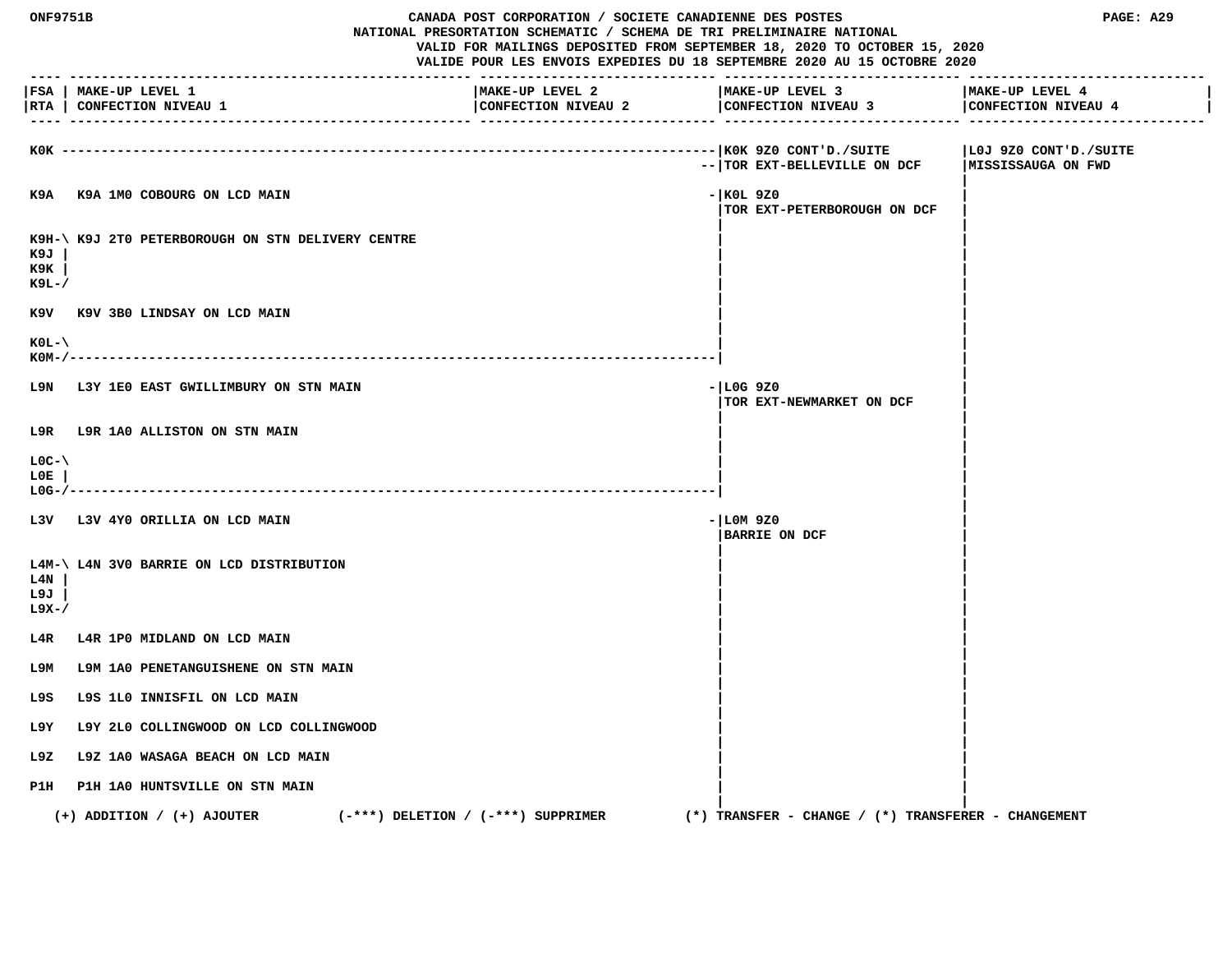| <b>ONF9751B</b><br>CANADA POST CORPORATION / SOCIETE CANADIENNE DES POSTES<br>NATIONAL PRESORTATION SCHEMATIC / SCHEMA DE TRI PRELIMINAIRE NATIONAL<br>VALID FOR MAILINGS DEPOSITED FROM SEPTEMBER 18, 2020 TO OCTOBER 15, 2020<br>VALIDE POUR LES ENVOIS EXPEDIES DU 18 SEPTEMBRE 2020 AU 15 OCTOBRE 2020 |                                                                          |                                        | PAGE: A29 |                                                         |                                        |
|------------------------------------------------------------------------------------------------------------------------------------------------------------------------------------------------------------------------------------------------------------------------------------------------------------|--------------------------------------------------------------------------|----------------------------------------|-----------|---------------------------------------------------------|----------------------------------------|
|                                                                                                                                                                                                                                                                                                            | FSA   MAKE-UP LEVEL 1<br> RTA   CONFECTION NIVEAU 1                      | MAKE-UP LEVEL 2<br>CONFECTION NIVEAU 2 |           | MAKE-UP LEVEL 3<br>CONFECTION NIVEAU 3                  | MAKE-UP LEVEL 4<br>CONFECTION NIVEAU 4 |
|                                                                                                                                                                                                                                                                                                            | KOK -----------------------                                              |                                        |           | --   TOR EXT-BELLEVILLE ON DCF   MISSISSAUGA ON FWD     | LOJ 9Z0 CONT'D./SUITE                  |
|                                                                                                                                                                                                                                                                                                            | K9A K9A 1M0 COBOURG ON LCD MAIN                                          |                                        |           | - KOL 9Z0<br>TOR EXT-PETERBOROUGH ON DCF                |                                        |
| к9л<br>к9к<br>к9ь-/                                                                                                                                                                                                                                                                                        | K9H-\ K9J 2T0 PETERBOROUGH ON STN DELIVERY CENTRE                        |                                        |           |                                                         |                                        |
|                                                                                                                                                                                                                                                                                                            | K9V K9V 3B0 LINDSAY ON LCD MAIN                                          |                                        |           |                                                         |                                        |
| $KOL - \langle$<br>$KOM-/--$                                                                                                                                                                                                                                                                               |                                                                          |                                        |           |                                                         |                                        |
|                                                                                                                                                                                                                                                                                                            | L9N L3Y 1E0 EAST GWILLIMBURY ON STN MAIN                                 |                                        |           | $-$ LOG 9Z0<br>TOR EXT-NEWMARKET ON DCF                 |                                        |
|                                                                                                                                                                                                                                                                                                            | L9R L9R 1A0 ALLISTON ON STN MAIN                                         |                                        |           |                                                         |                                        |
| $LOC-V$<br>L0E.<br>L0G-/-                                                                                                                                                                                                                                                                                  |                                                                          |                                        |           |                                                         |                                        |
|                                                                                                                                                                                                                                                                                                            | L3V L3V 4Y0 ORILLIA ON LCD MAIN                                          |                                        |           | $- LM 9Z0$<br><b>BARRIE ON DCF</b>                      |                                        |
| L4N<br>L9J<br>L9X-/                                                                                                                                                                                                                                                                                        | L4M-\ L4N 3V0 BARRIE ON LCD DISTRIBUTION                                 |                                        |           |                                                         |                                        |
| L4R                                                                                                                                                                                                                                                                                                        | L4R 1PO MIDLAND ON LCD MAIN                                              |                                        |           |                                                         |                                        |
| т эм                                                                                                                                                                                                                                                                                                       | L9M 1A0 PENETANGUISHENE ON STN MAIN                                      |                                        |           |                                                         |                                        |
|                                                                                                                                                                                                                                                                                                            | L9S L9S 1L0 INNISFIL ON LCD MAIN                                         |                                        |           |                                                         |                                        |
| L9Y.                                                                                                                                                                                                                                                                                                       | L9Y 2L0 COLLINGWOOD ON LCD COLLINGWOOD                                   |                                        |           |                                                         |                                        |
| L9Z                                                                                                                                                                                                                                                                                                        | L9Z 1A0 WASAGA BEACH ON LCD MAIN                                         |                                        |           |                                                         |                                        |
|                                                                                                                                                                                                                                                                                                            | P1H P1H 1A0 HUNTSVILLE ON STN MAIN                                       |                                        |           |                                                         |                                        |
|                                                                                                                                                                                                                                                                                                            | $(+)$ ADDITION / $(+)$ AJOUTER<br>$(-***)$ DELETION / $(-***)$ SUPPRIMER |                                        |           | $(*)$ TRANSFER - CHANGE / $(*)$ TRANSFERER - CHANGEMENT |                                        |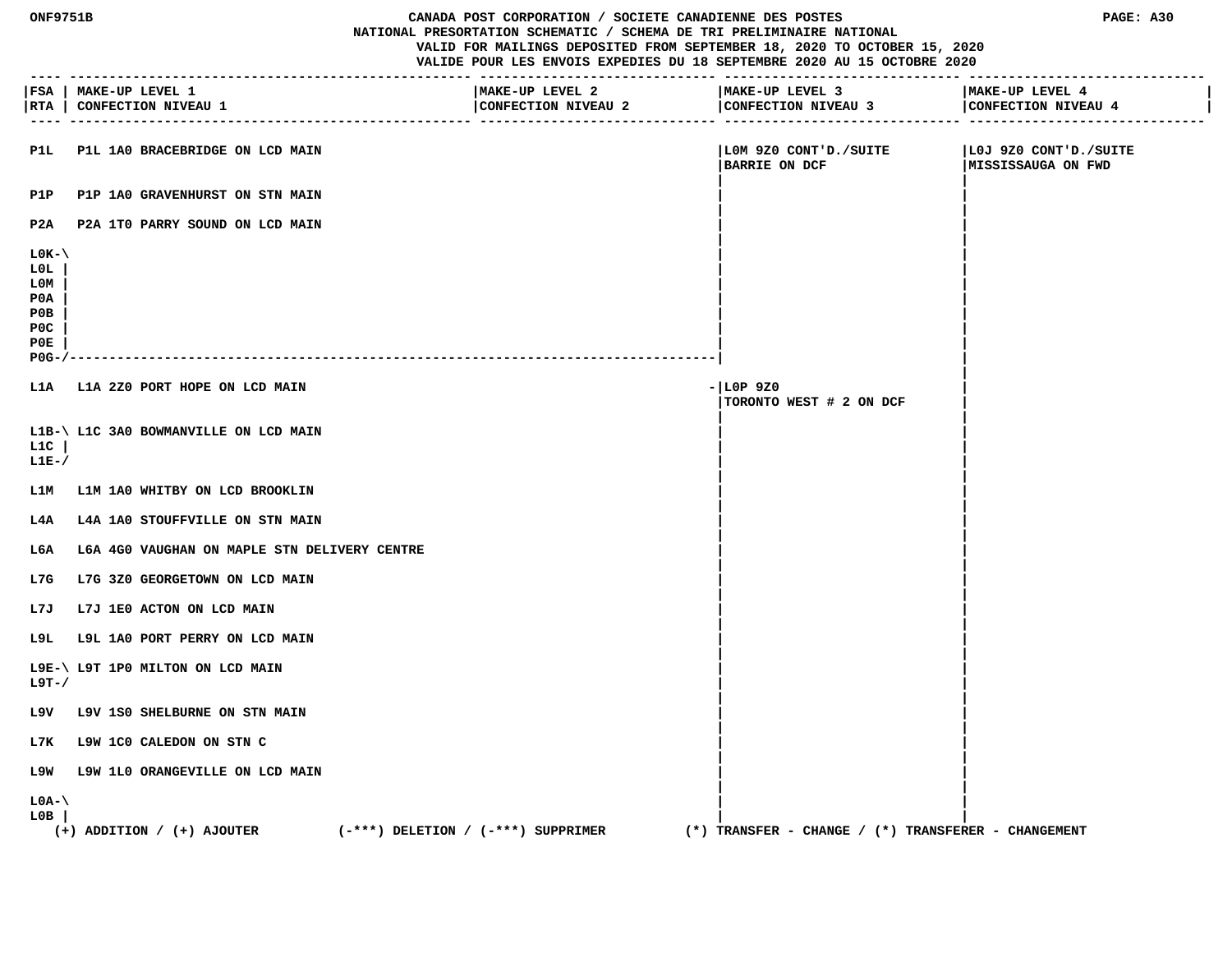| <b>ONF9751B</b>                                                 |                                                     | CANADA POST CORPORATION / SOCIETE CANADIENNE DES POSTES<br>PAGE: A30<br>NATIONAL PRESORTATION SCHEMATIC / SCHEMA DE TRI PRELIMINAIRE NATIONAL<br>VALID FOR MAILINGS DEPOSITED FROM SEPTEMBER 18, 2020 TO OCTOBER 15, 2020<br>VALIDE POUR LES ENVOIS EXPEDIES DU 18 SEPTEMBRE 2020 AU 15 OCTOBRE 2020 |                                                            |                                              |  |
|-----------------------------------------------------------------|-----------------------------------------------------|------------------------------------------------------------------------------------------------------------------------------------------------------------------------------------------------------------------------------------------------------------------------------------------------------|------------------------------------------------------------|----------------------------------------------|--|
|                                                                 | FSA   MAKE-UP LEVEL 1<br> RTA   CONFECTION NIVEAU 1 | MAKE-UP LEVEL 2                                                                                                                                                                                                                                                                                      | MAKE-UP LEVEL 3<br>CONFECTION NIVEAU 2 CONFECTION NIVEAU 3 | MAKE-UP LEVEL 4<br>CONFECTION NIVEAU 4       |  |
| P1L                                                             | P1L 1A0 BRACEBRIDGE ON LCD MAIN                     |                                                                                                                                                                                                                                                                                                      | LOM 9Z0 CONT'D./SUITE <br><b>BARRIE ON DCF</b>             | LOJ 9Z0 CONT'D./SUITE<br> MISSISSAUGA ON FWD |  |
| P1P                                                             | P1P 1A0 GRAVENHURST ON STN MAIN                     |                                                                                                                                                                                                                                                                                                      |                                                            |                                              |  |
|                                                                 | P2A P2A 1T0 PARRY SOUND ON LCD MAIN                 |                                                                                                                                                                                                                                                                                                      |                                                            |                                              |  |
| $LOK - \$<br>LOL.<br>L0M<br>P0A<br>POB<br>POC<br>P0E<br>$POG-J$ |                                                     |                                                                                                                                                                                                                                                                                                      |                                                            |                                              |  |
|                                                                 | L1A L1A 2Z0 PORT HOPE ON LCD MAIN                   |                                                                                                                                                                                                                                                                                                      | $-$ LOP 9Z0<br>TORONTO WEST # 2 ON DCF                     |                                              |  |
| L1C<br>$LLE-$                                                   | L1B-\ L1C 3A0 BOWMANVILLE ON LCD MAIN               |                                                                                                                                                                                                                                                                                                      |                                                            |                                              |  |
|                                                                 | L1M L1M 1A0 WHITBY ON LCD BROOKLIN                  |                                                                                                                                                                                                                                                                                                      |                                                            |                                              |  |
| L4A                                                             | L4A 1A0 STOUFFVILLE ON STN MAIN                     |                                                                                                                                                                                                                                                                                                      |                                                            |                                              |  |
| L6A                                                             | L6A 4G0 VAUGHAN ON MAPLE STN DELIVERY CENTRE        |                                                                                                                                                                                                                                                                                                      |                                                            |                                              |  |
| L7G                                                             | L7G 3Z0 GEORGETOWN ON LCD MAIN                      |                                                                                                                                                                                                                                                                                                      |                                                            |                                              |  |
| L7J                                                             | L7J 1E0 ACTON ON LCD MAIN                           |                                                                                                                                                                                                                                                                                                      |                                                            |                                              |  |
| L9L                                                             | L9L 1A0 PORT PERRY ON LCD MAIN                      |                                                                                                                                                                                                                                                                                                      |                                                            |                                              |  |
| L9T-/                                                           | L9E-\ L9T 1P0 MILTON ON LCD MAIN                    |                                                                                                                                                                                                                                                                                                      |                                                            |                                              |  |
|                                                                 | L9V L9V 1S0 SHELBURNE ON STN MAIN                   |                                                                                                                                                                                                                                                                                                      |                                                            |                                              |  |
|                                                                 | L7K L9W 1CO CALEDON ON STN C                        |                                                                                                                                                                                                                                                                                                      |                                                            |                                              |  |
|                                                                 | L9W L9W 1L0 ORANGEVILLE ON LCD MAIN                 |                                                                                                                                                                                                                                                                                                      |                                                            |                                              |  |
| $LOA-\langle$<br>L0B                                            | $(+)$ ADDITION / $(+)$ AJOUTER                      | $(-***)$ DELETION / $(-***)$ SUPPRIMER                                                                                                                                                                                                                                                               | (*) TRANSFER - CHANGE / (*) TRANSFERER - CHANGEMENT        |                                              |  |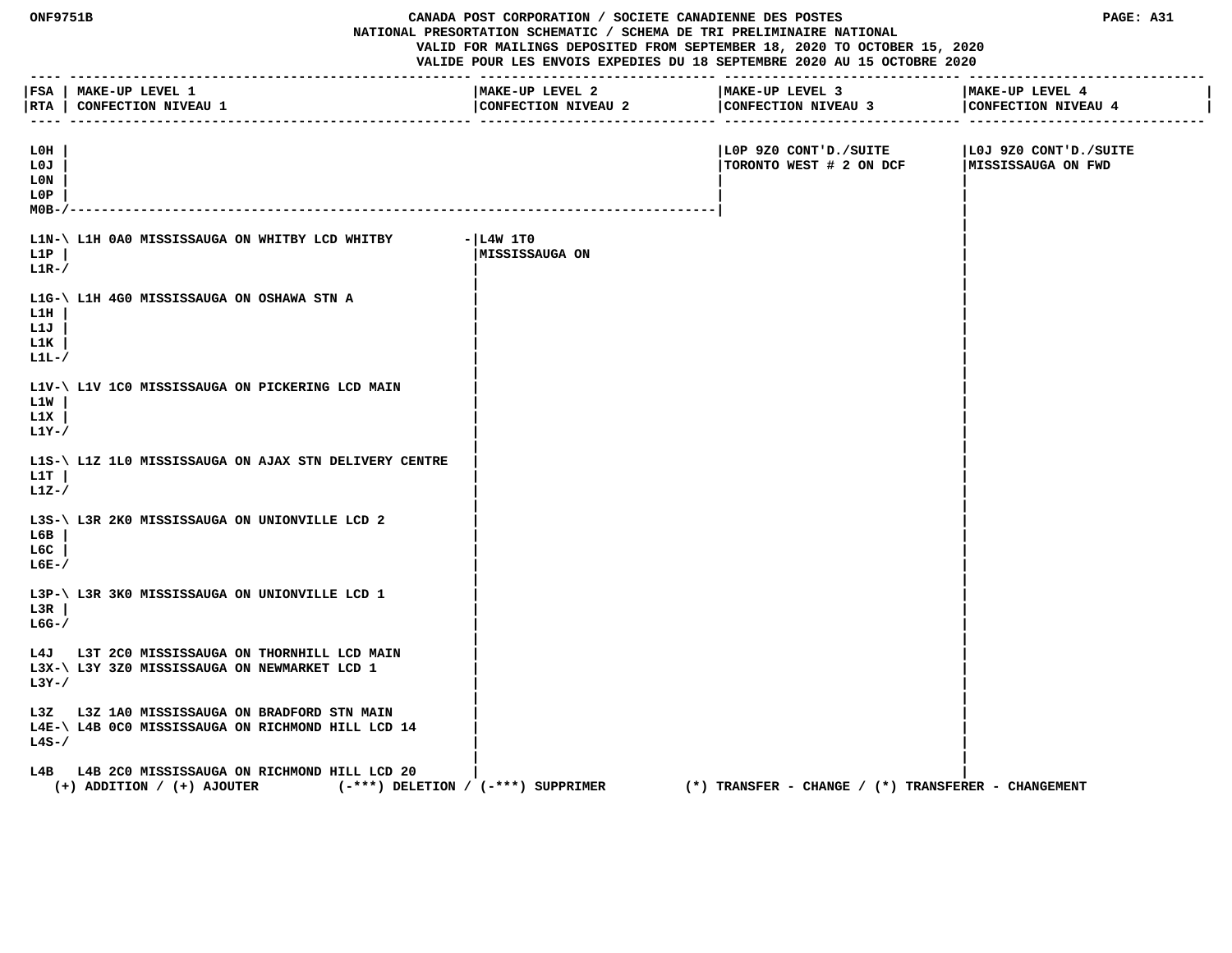| ONF9751B                            |                                                                                                                     | CANADA POST CORPORATION / SOCIETE CANADIENNE DES POSTES<br>PAGE: A31<br>NATIONAL PRESORTATION SCHEMATIC / SCHEMA DE TRI PRELIMINAIRE NATIONAL<br>VALID FOR MAILINGS DEPOSITED FROM SEPTEMBER 18, 2020 TO OCTOBER 15, 2020<br>VALIDE POUR LES ENVOIS EXPEDIES DU 18 SEPTEMBRE 2020 AU 15 OCTOBRE 2020 |                                                         |                                             |
|-------------------------------------|---------------------------------------------------------------------------------------------------------------------|------------------------------------------------------------------------------------------------------------------------------------------------------------------------------------------------------------------------------------------------------------------------------------------------------|---------------------------------------------------------|---------------------------------------------|
| $- - - -$                           | FSA   MAKE-UP LEVEL 1<br> RTA   CONFECTION NIVEAU 1                                                                 | MAKE-UP LEVEL 2<br>CONFECTION NIVEAU 2                                                                                                                                                                                                                                                               | MAKE-UP LEVEL 3<br>CONFECTION NIVEAU 3                  | MAKE-UP LEVEL 4<br>CONFECTION NIVEAU 4      |
| L0H<br>L0J<br>L0N<br>L0P<br>$MOB -$ |                                                                                                                     |                                                                                                                                                                                                                                                                                                      | LOP 9Z0 CONT'D./SUITE<br>TORONTO WEST # 2 ON DCF        | L0J 9Z0 CONT'D./SUITE<br>MISSISSAUGA ON FWD |
| L1P<br>$L1R-$                       | L1N-\ L1H 0A0 MISSISSAUGA ON WHITBY LCD WHITBY                                                                      | $- L4W 1T0$<br>MISSISSAUGA ON                                                                                                                                                                                                                                                                        |                                                         |                                             |
| L1H<br>L1J<br>L1K<br>$L1L-$         | L1G-\ L1H 4G0 MISSISSAUGA ON OSHAWA STN A                                                                           |                                                                                                                                                                                                                                                                                                      |                                                         |                                             |
| L1W<br>L1X<br>$L1Y-$ /              | L1V-\ L1V 1C0 MISSISSAUGA ON PICKERING LCD MAIN                                                                     |                                                                                                                                                                                                                                                                                                      |                                                         |                                             |
| L1T<br>$L1Z-$                       | L1S-\ L1Z 1L0 MISSISSAUGA ON AJAX STN DELIVERY CENTRE                                                               |                                                                                                                                                                                                                                                                                                      |                                                         |                                             |
| L6B<br>L6C<br>$L6E-$                | L3S-\ L3R 2K0 MISSISSAUGA ON UNIONVILLE LCD 2                                                                       |                                                                                                                                                                                                                                                                                                      |                                                         |                                             |
| L3R<br>$LG-$ /                      | L3P-\ L3R 3K0 MISSISSAUGA ON UNIONVILLE LCD 1                                                                       |                                                                                                                                                                                                                                                                                                      |                                                         |                                             |
| $L3Y-$ /                            | L4J L3T 2C0 MISSISSAUGA ON THORNHILL LCD MAIN<br>L3X-\ L3Y 3Z0 MISSISSAUGA ON NEWMARKET LCD 1                       |                                                                                                                                                                                                                                                                                                      |                                                         |                                             |
| $L4S-$                              | L3Z L3Z 1A0 MISSISSAUGA ON BRADFORD STN MAIN<br>L4E-\ L4B 0C0 MISSISSAUGA ON RICHMOND HILL LCD 14                   |                                                                                                                                                                                                                                                                                                      |                                                         |                                             |
| L4B                                 | L4B 2C0 MISSISSAUGA ON RICHMOND HILL LCD 20<br>(-***) DELETION / (-***) SUPPRIMER<br>$(+)$ ADDITION / $(+)$ AJOUTER |                                                                                                                                                                                                                                                                                                      | $(*)$ TRANSFER - CHANGE / $(*)$ TRANSFERER - CHANGEMENT |                                             |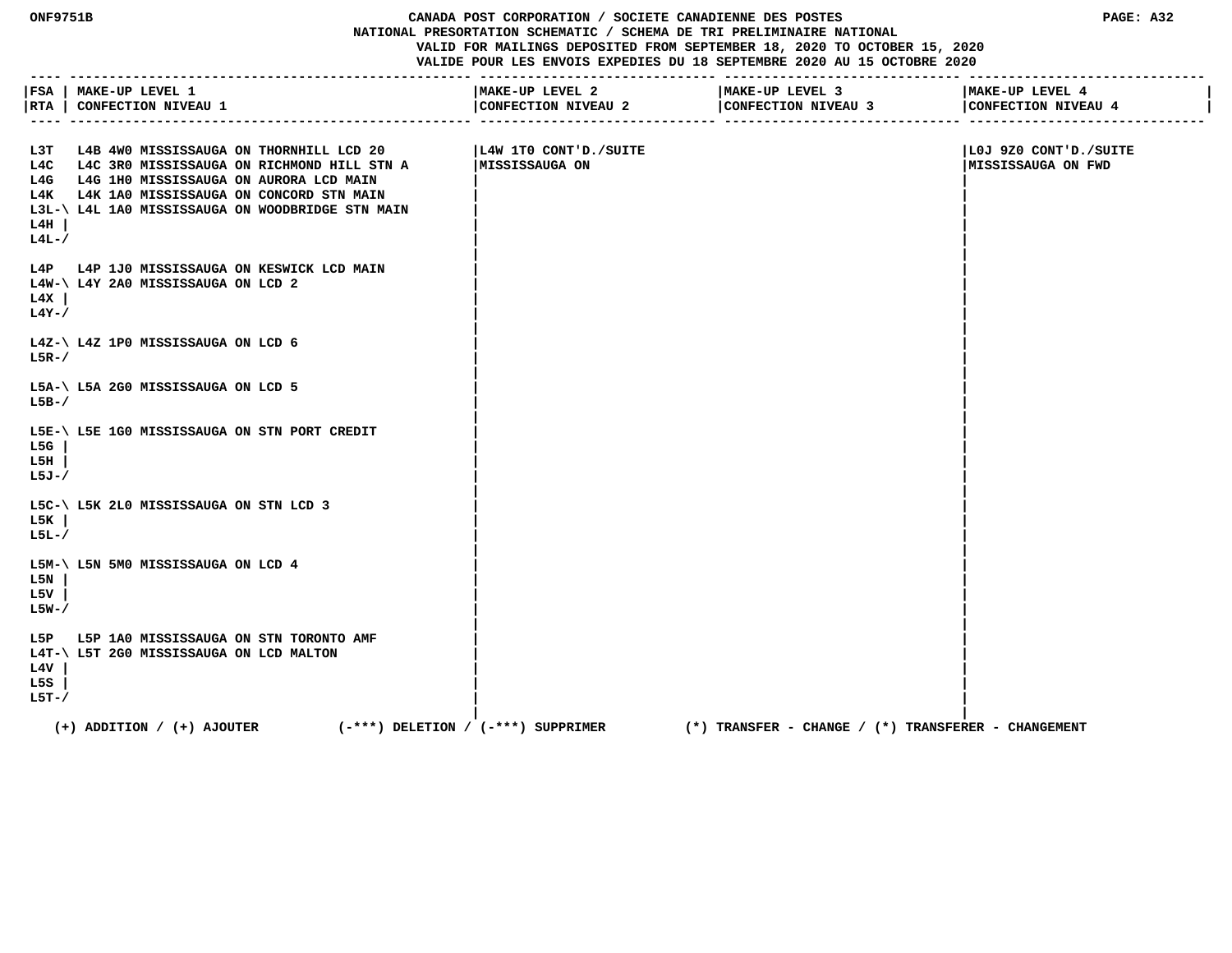**ONF9751B CANADA POST CORPORATION / SOCIETE CANADIENNE DES POSTES PAGE: A32 NATIONAL PRESORTATION SCHEMATIC / SCHEMA DE TRI PRELIMINAIRE NATIONAL VALID FOR MAILINGS DEPOSITED FROM SEPTEMBER 18, 2020 TO OCTOBER 15, 2020 VALIDE POUR LES ENVOIS EXPEDIES DU 18 SEPTEMBRE 2020 AU 15 OCTOBRE 2020 ---- --------------------------------------------------- ------------------------------ ------------------------------ ------------------------------**

|                     | FSA   MAKE-UP LEVEL 1<br> RTA   CONFECTION NIVEAU 1<br>---- ------                                                                                                                                                                             | MAKE-UP LEVEL 2<br>CONFECTION NIVEAU 2  | MAKE-UP LEVEL 3<br>CONFECTION NIVEAU 3<br>________________________ | MAKE-UP LEVEL 4<br>CONFECTION NIVEAU 4             |
|---------------------|------------------------------------------------------------------------------------------------------------------------------------------------------------------------------------------------------------------------------------------------|-----------------------------------------|--------------------------------------------------------------------|----------------------------------------------------|
| L4H  <br>$L4L-$     | L3T L4B 4W0 MISSISSAUGA ON THORNHILL LCD 20<br>L4C L4C 3R0 MISSISSAUGA ON RICHMOND HILL STN A<br>L4G L4G 1H0 MISSISSAUGA ON AURORA LCD MAIN<br>L4K L4K 1A0 MISSISSAUGA ON CONCORD STN MAIN<br>L3L-\ L4L 1A0 MISSISSAUGA ON WOODBRIDGE STN MAIN | L4W 1TO CONT'D./SUITE<br>MISSISSAUGA ON |                                                                    | LOJ 9Z0 CONT'D./SUITE<br><b>MISSISSAUGA ON FWD</b> |
| L4X<br>$L4Y-$ /     | L4P L4P 1J0 MISSISSAUGA ON KESWICK LCD MAIN<br>L4W-\ L4Y 2A0 MISSISSAUGA ON LCD 2                                                                                                                                                              |                                         |                                                                    |                                                    |
| $L5R-$              | $L4Z-\$ L4Z 1P0 MISSISSAUGA ON LCD 6                                                                                                                                                                                                           |                                         |                                                                    |                                                    |
| $L5B-$              | L5A-\ L5A 2G0 MISSISSAUGA ON LCD 5                                                                                                                                                                                                             |                                         |                                                                    |                                                    |
| L5G<br>L5H<br>L5J-/ | L5E-\ L5E 1G0 MISSISSAUGA ON STN PORT CREDIT                                                                                                                                                                                                   |                                         |                                                                    |                                                    |
| L5K<br>$L5L-7$      | L5C-\ L5K 2L0 MISSISSAUGA ON STN LCD 3                                                                                                                                                                                                         |                                         |                                                                    |                                                    |
| L5N<br>L5V<br>L5W-/ | L5M-\ L5N 5M0 MISSISSAUGA ON LCD 4                                                                                                                                                                                                             |                                         |                                                                    |                                                    |
| L4V<br>L5S<br>L5T-/ | L5P L5P 1A0 MISSISSAUGA ON STN TORONTO AMF<br>L4T-\ L5T 2G0 MISSISSAUGA ON LCD MALTON                                                                                                                                                          |                                         |                                                                    |                                                    |
|                     | $(+)$ ADDITION / $(+)$ AJOUTER<br>$(-***)$ DELETION / $(-***)$ SUPPRIMER                                                                                                                                                                       |                                         | $(*)$ TRANSFER - CHANGE / $(*)$ TRANSFERER - CHANGEMENT            |                                                    |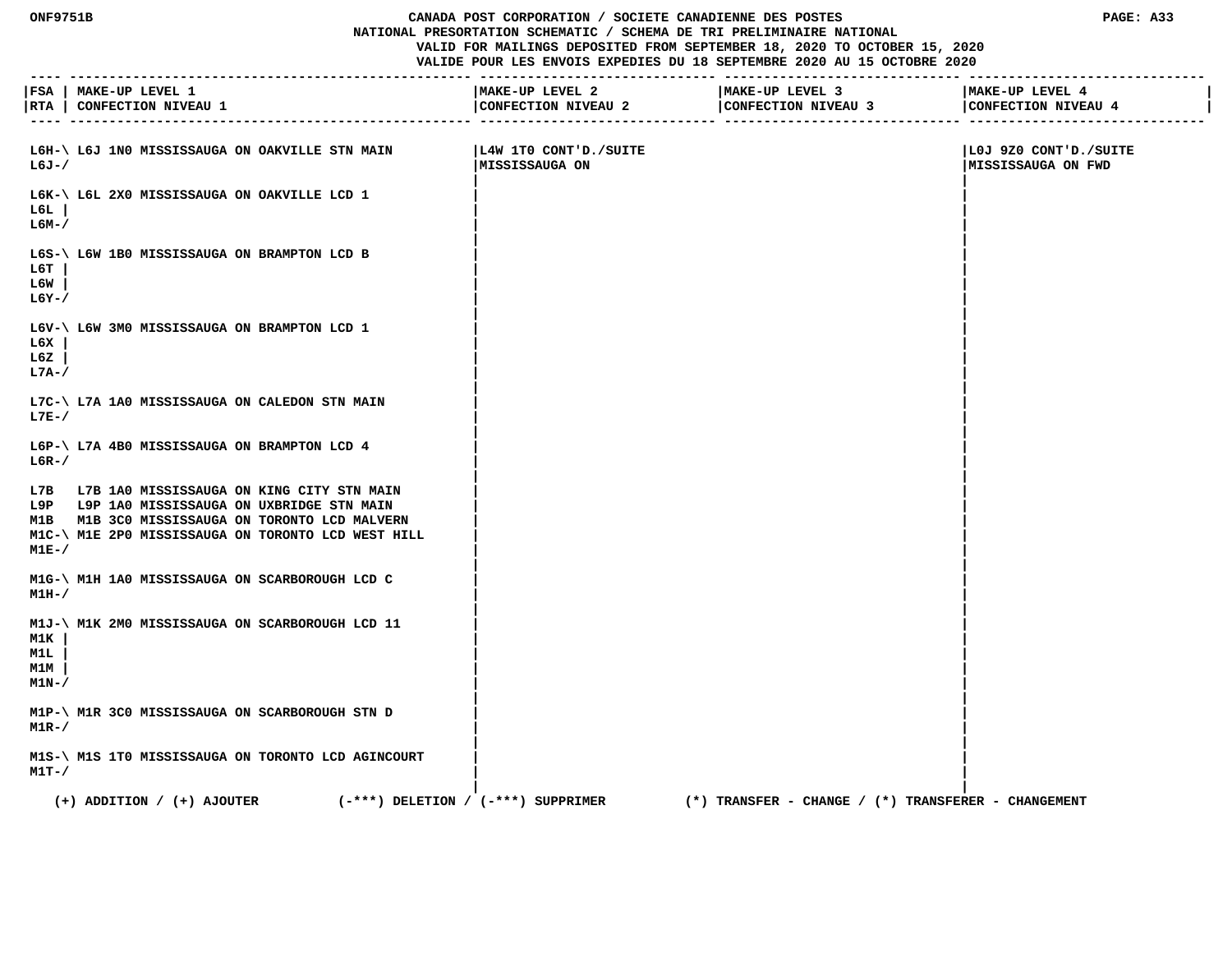## **ONF9751B CANADA POST CORPORATION / SOCIETE CANADIENNE DES POSTES PAGE: A33 NATIONAL PRESORTATION SCHEMATIC / SCHEMA DE TRI PRELIMINAIRE NATIONAL VALID FOR MAILINGS DEPOSITED FROM SEPTEMBER 18, 2020 TO OCTOBER 15, 2020**

|                                           | FSA   MAKE-UP LEVEL 1<br> RTA   CONFECTION NIVEAU 1                                                                                                                                                   | MAKE-UP LEVEL 2<br>CONFECTION NIVEAU 2   | MAKE-UP LEVEL 3<br>CONFECTION NIVEAU 3                  | MAKE-UP LEVEL 4<br>CONFECTION NIVEAU 4       |
|-------------------------------------------|-------------------------------------------------------------------------------------------------------------------------------------------------------------------------------------------------------|------------------------------------------|---------------------------------------------------------|----------------------------------------------|
| L6J-/                                     | L6H-\ L6J 1N0 MISSISSAUGA ON OAKVILLE STN MAIN                                                                                                                                                        | L4W 1TO CONT'D./SUITE <br>MISSISSAUGA ON |                                                         | LOJ 9Z0 CONT'D./SUITE<br> MISSISSAUGA ON FWD |
| L6L<br>L6M-/                              | L6K-\ L6L 2X0 MISSISSAUGA ON OAKVILLE LCD 1                                                                                                                                                           |                                          |                                                         |                                              |
| ьбт<br>L6W<br>$L6Y - /$                   | L6S-\ L6W 1B0 MISSISSAUGA ON BRAMPTON LCD B                                                                                                                                                           |                                          |                                                         |                                              |
| L6X<br>L6Z<br>$L7A-$                      | L6V-\ L6W 3M0 MISSISSAUGA ON BRAMPTON LCD 1                                                                                                                                                           |                                          |                                                         |                                              |
| $L7E-$                                    | L7C-\ L7A 1A0 MISSISSAUGA ON CALEDON STN MAIN                                                                                                                                                         |                                          |                                                         |                                              |
| $L6R-$                                    | L6P-\ L7A 4B0 MISSISSAUGA ON BRAMPTON LCD 4                                                                                                                                                           |                                          |                                                         |                                              |
| M1E-/                                     | L7B L7B 1A0 MISSISSAUGA ON KING CITY STN MAIN<br>L9P L9P 1A0 MISSISSAUGA ON UXBRIDGE STN MAIN<br>M1B M1B 3C0 MISSISSAUGA ON TORONTO LCD MALVERN<br>M1C-\ M1E 2P0 MISSISSAUGA ON TORONTO LCD WEST HILL |                                          |                                                         |                                              |
| M1H-/                                     | M1G-\ M1H 1A0 MISSISSAUGA ON SCARBOROUGH LCD C                                                                                                                                                        |                                          |                                                         |                                              |
| M1K<br><u>M1L.</u><br><u>M1M</u><br>M1N-/ | M1J-\ M1K 2M0 MISSISSAUGA ON SCARBOROUGH LCD 11                                                                                                                                                       |                                          |                                                         |                                              |
| $M1R-$                                    | M1P-\ M1R 3C0 MISSISSAUGA ON SCARBOROUGH STN D                                                                                                                                                        |                                          |                                                         |                                              |
| $M1T-$ /                                  | M1S-\ M1S 1T0 MISSISSAUGA ON TORONTO LCD AGINCOURT                                                                                                                                                    |                                          |                                                         |                                              |
|                                           | $(+)$ ADDITION / $(+)$ AJOUTER<br>$(-***)$ DELETION / $(-***)$ SUPPRIMER                                                                                                                              |                                          | $(*)$ TRANSFER - CHANGE / $(*)$ TRANSFERER - CHANGEMENT |                                              |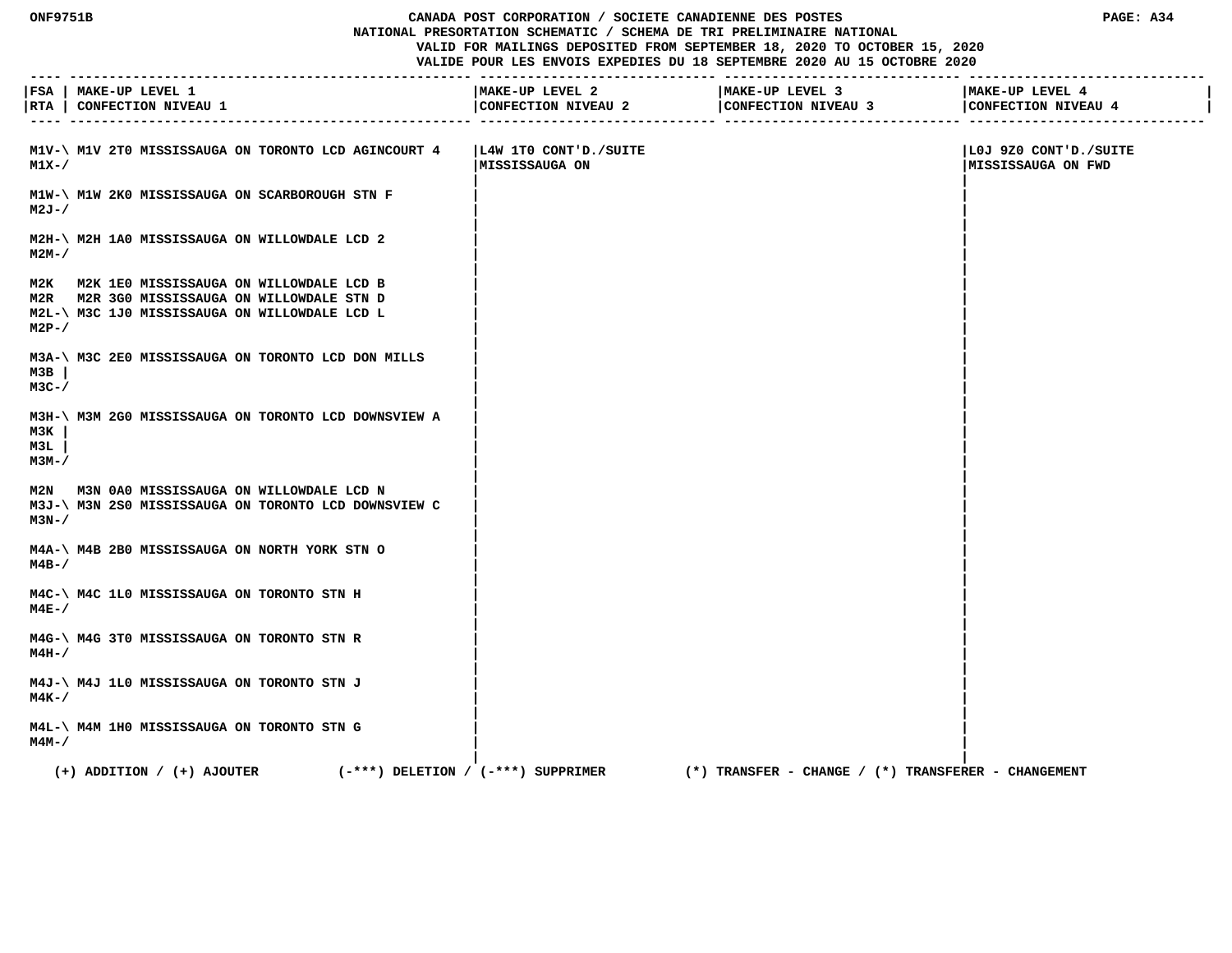## **ONF9751B CANADA POST CORPORATION / SOCIETE CANADIENNE DES POSTES PAGE: A34 NATIONAL PRESORTATION SCHEMATIC / SCHEMA DE TRI PRELIMINAIRE NATIONAL**

 **VALID FOR MAILINGS DEPOSITED FROM SEPTEMBER 18, 2020 TO OCTOBER 15, 2020**

| $- - - - -$         | FSA   MAKE-UP LEVEL 1<br> RTA   CONFECTION NIVEAU 1                                                                                         | MAKE-UP LEVEL 2<br>CONFECTION NIVEAU 2    | MAKE-UP LEVEL 3<br>CONFECTION NIVEAU 3              | MAKE-UP LEVEL 4<br>CONFECTION NIVEAU 4       |
|---------------------|---------------------------------------------------------------------------------------------------------------------------------------------|-------------------------------------------|-----------------------------------------------------|----------------------------------------------|
| M1X-/               | M1V-\ M1V 2T0 MISSISSAUGA ON TORONTO LCD AGINCOURT 4                                                                                        | L4W 1TO CONT'D./SUITE <br> MISSISSAUGA ON |                                                     | LOJ 9Z0 CONT'D./SUITE<br> MISSISSAUGA ON FWD |
| $M2J - /$           | M1W-\ M1W 2K0 MISSISSAUGA ON SCARBOROUGH STN F                                                                                              |                                           |                                                     |                                              |
| м2м- /              | M2H-\ M2H 1A0 MISSISSAUGA ON WILLOWDALE LCD 2                                                                                               |                                           |                                                     |                                              |
| $M2P-$              | M2K M2K 1E0 MISSISSAUGA ON WILLOWDALE LCD B<br>M2R M2R 3G0 MISSISSAUGA ON WILLOWDALE STN D<br>M2L-\ M3C 1J0 MISSISSAUGA ON WILLOWDALE LCD L |                                           |                                                     |                                              |
| мзв<br>$M3C-$       | M3A-\ M3C 2E0 MISSISSAUGA ON TORONTO LCD DON MILLS                                                                                          |                                           |                                                     |                                              |
| мзк<br>M3L<br>мзм-/ | M3H-\ M3M 2G0 MISSISSAUGA ON TORONTO LCD DOWNSVIEW A                                                                                        |                                           |                                                     |                                              |
| M3N-/               | M2N M3N 0A0 MISSISSAUGA ON WILLOWDALE LCD N<br>M3J-\ M3N 2S0 MISSISSAUGA ON TORONTO LCD DOWNSVIEW C                                         |                                           |                                                     |                                              |
| $M4B-$ /            | M4A-\ M4B 2B0 MISSISSAUGA ON NORTH YORK STN O                                                                                               |                                           |                                                     |                                              |
| $M4E-$              | M4C-\ M4C 1L0 MISSISSAUGA ON TORONTO STN H                                                                                                  |                                           |                                                     |                                              |
| M4H-/               | M4G-\ M4G 3T0 MISSISSAUGA ON TORONTO STN R                                                                                                  |                                           |                                                     |                                              |
| м4к-/               | M4J-\ M4J 1L0 MISSISSAUGA ON TORONTO STN J                                                                                                  |                                           |                                                     |                                              |
| м4м-7               | M4L-\ M4M 1H0 MISSISSAUGA ON TORONTO STN G                                                                                                  |                                           |                                                     |                                              |
|                     | $(+)$ ADDITION / $(+)$ AJOUTER<br>$(-***)$ DELETION / $(-***)$ SUPPRIMER                                                                    |                                           | (*) TRANSFER - CHANGE / (*) TRANSFERER - CHANGEMENT |                                              |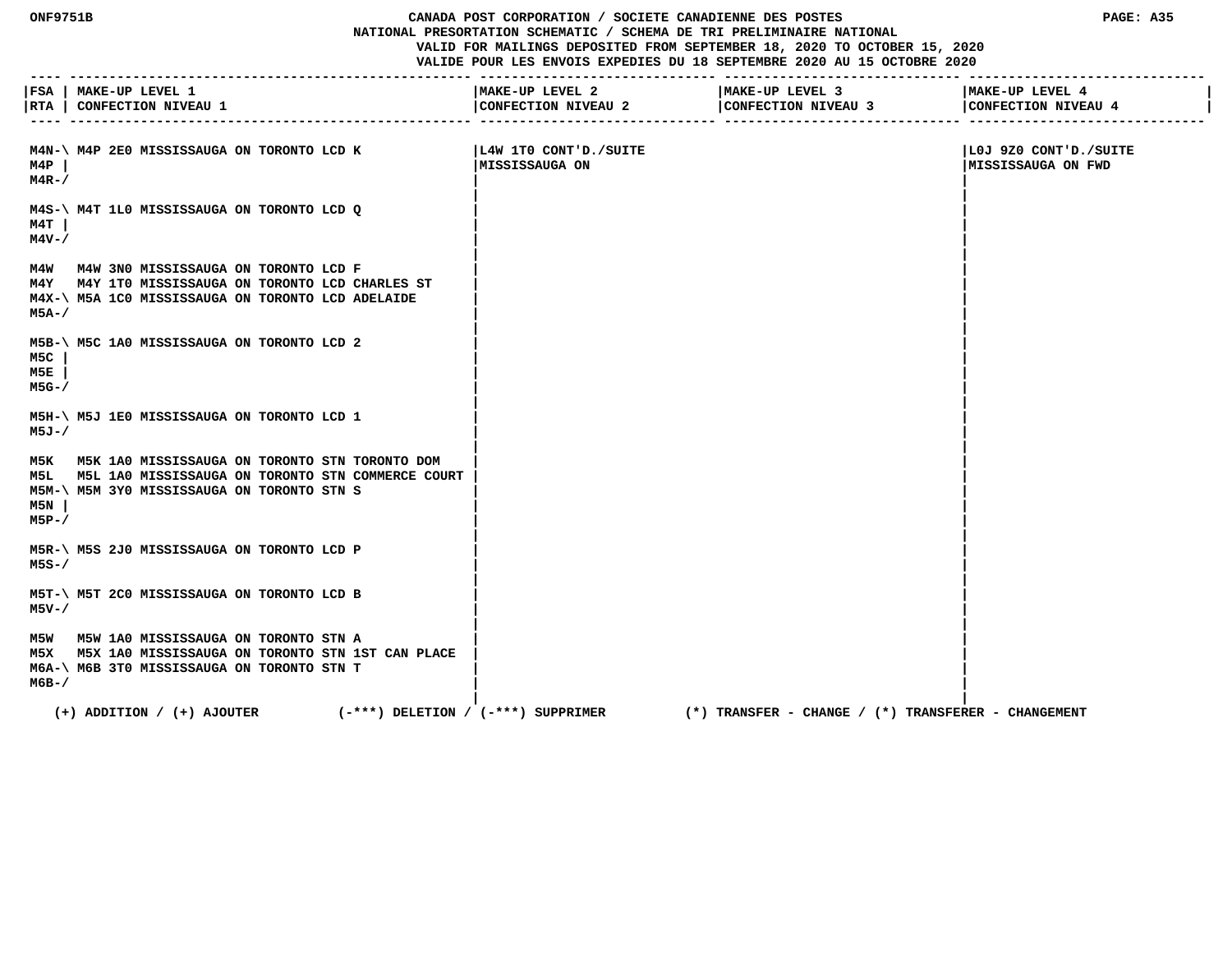## **ONF9751B CANADA POST CORPORATION / SOCIETE CANADIENNE DES POSTES PAGE: A35 NATIONAL PRESORTATION SCHEMATIC / SCHEMA DE TRI PRELIMINAIRE NATIONAL VALID FOR MAILINGS DEPOSITED FROM SEPTEMBER 18, 2020 TO OCTOBER 15, 2020**

|                     | FSA   MAKE-UP LEVEL 1<br> RTA   CONFECTION NIVEAU 1                                                                                                       | MAKE-UP LEVEL 2<br>CONFECTION NIVEAU 2   | MAKE-UP LEVEL 3<br>CONFECTION NIVEAU 3              | MAKE-UP LEVEL 4<br>CONFECTION NIVEAU 4      |
|---------------------|-----------------------------------------------------------------------------------------------------------------------------------------------------------|------------------------------------------|-----------------------------------------------------|---------------------------------------------|
| M4P<br>$M4R-$ /     | M4N-\ M4P 2E0 MISSISSAUGA ON TORONTO LCD K                                                                                                                | L4W 1TO CONT'D./SUITE <br>MISSISSAUGA ON |                                                     | LOJ 9Z0 CONT'D./SUITE<br>MISSISSAUGA ON FWD |
| м4т<br>M4V-/        | M4S-\ M4T 1L0 MISSISSAUGA ON TORONTO LCD Q                                                                                                                |                                          |                                                     |                                             |
| M5A-/               | M4W M4W 3N0 MISSISSAUGA ON TORONTO LCD F<br>M4Y M4Y 1TO MISSISSAUGA ON TORONTO LCD CHARLES ST<br>M4X-\ M5A 1C0 MISSISSAUGA ON TORONTO LCD ADELAIDE        |                                          |                                                     |                                             |
| M5C<br>M5E<br>M5G-/ | M5B-\ M5C 1A0 MISSISSAUGA ON TORONTO LCD 2                                                                                                                |                                          |                                                     |                                             |
| M5J-/               | M5H-\ M5J 1E0 MISSISSAUGA ON TORONTO LCD 1                                                                                                                |                                          |                                                     |                                             |
| M5N<br>M5P-/        | M5K M5K 1A0 MISSISSAUGA ON TORONTO STN TORONTO DOM<br>M5L M5L 1A0 MISSISSAUGA ON TORONTO STN COMMERCE COURT<br>M5M-\ M5M 3Y0 MISSISSAUGA ON TORONTO STN S |                                          |                                                     |                                             |
| $M5S - /$           | M5R-\ M5S 2J0 MISSISSAUGA ON TORONTO LCD P                                                                                                                |                                          |                                                     |                                             |
| M5V-/               | M5T-\ M5T 2C0 MISSISSAUGA ON TORONTO LCD B                                                                                                                |                                          |                                                     |                                             |
| МбВ-/               | M5W M5W 1A0 MISSISSAUGA ON TORONTO STN A<br>M5X M5X 1A0 MISSISSAUGA ON TORONTO STN 1ST CAN PLACE<br>M6A-\ M6B 3T0 MISSISSAUGA ON TORONTO STN T            |                                          |                                                     |                                             |
|                     | $(+)$ ADDITION / $(+)$ AJOUTER<br>$(-***)$ DELETION / $(-***)$ SUPPRIMER                                                                                  |                                          | (*) TRANSFER - CHANGE / (*) TRANSFERER - CHANGEMENT |                                             |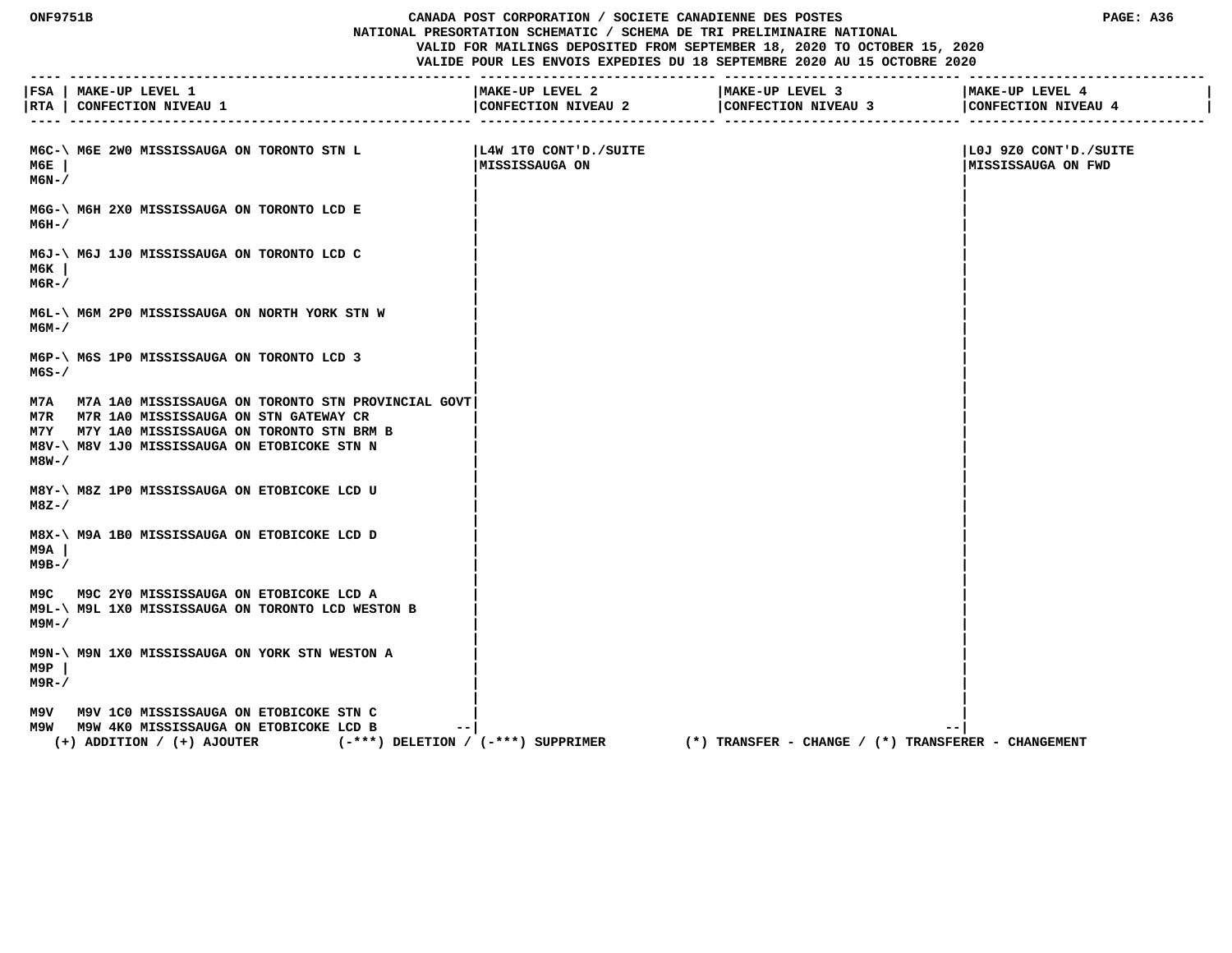## **ONF9751B CANADA POST CORPORATION / SOCIETE CANADIENNE DES POSTES PAGE: A36 NATIONAL PRESORTATION SCHEMATIC / SCHEMA DE TRI PRELIMINAIRE NATIONAL VALID FOR MAILINGS DEPOSITED FROM SEPTEMBER 18, 2020 TO OCTOBER 15, 2020**

|              | FSA   MAKE-UP LEVEL 1<br> RTA   CONFECTION NIVEAU 1                                                                                                                                                 | MAKE-UP LEVEL 2<br>CONFECTION NIVEAU 2   | MAKE-UP LEVEL 3<br>CONFECTION NIVEAU 3              | MAKE-UP LEVEL 4<br>CONFECTION NIVEAU 4            |
|--------------|-----------------------------------------------------------------------------------------------------------------------------------------------------------------------------------------------------|------------------------------------------|-----------------------------------------------------|---------------------------------------------------|
|              |                                                                                                                                                                                                     |                                          |                                                     |                                                   |
| м6Е<br>M6N-/ | M6C-\ M6E 2W0 MISSISSAUGA ON TORONTO STN L                                                                                                                                                          | L4W 1TO CONT'D./SUITE <br>MISSISSAUGA ON |                                                     | SUITE OUT 920 CONT'D./SUITE<br>MISSISSAUGA ON FWD |
| м6н-/        | M6G-\ M6H 2X0 MISSISSAUGA ON TORONTO LCD E                                                                                                                                                          |                                          |                                                     |                                                   |
| м6к<br>M6R-/ | M6J-\ M6J 1J0 MISSISSAUGA ON TORONTO LCD C                                                                                                                                                          |                                          |                                                     |                                                   |
| м6м–/        | M6L-\ M6M 2P0 MISSISSAUGA ON NORTH YORK STN W                                                                                                                                                       |                                          |                                                     |                                                   |
| M6S-/        | M6P-\ M6S 1P0 MISSISSAUGA ON TORONTO LCD 3                                                                                                                                                          |                                          |                                                     |                                                   |
| M8W-/        | M7A M7A 1A0 MISSISSAUGA ON TORONTO STN PROVINCIAL GOVT<br>M7R M7R 1A0 MISSISSAUGA ON STN GATEWAY CR<br>M7Y M7Y 1A0 MISSISSAUGA ON TORONTO STN BRM B<br>M8V-\ M8V 1J0 MISSISSAUGA ON ETOBICOKE STN N |                                          |                                                     |                                                   |
| M8Z-/        | M8Y-\ M8Z 1P0 MISSISSAUGA ON ETOBICOKE LCD U                                                                                                                                                        |                                          |                                                     |                                                   |
| м9а<br>м9в-/ | M8X-\ M9A 1B0 MISSISSAUGA ON ETOBICOKE LCD D                                                                                                                                                        |                                          |                                                     |                                                   |
| м9м– /       | M9C M9C 2Y0 MISSISSAUGA ON ETOBICOKE LCD A<br>M9L-\ M9L 1X0 MISSISSAUGA ON TORONTO LCD WESTON B                                                                                                     |                                          |                                                     |                                                   |
| M9P<br>M9R-/ | M9N-\ M9N 1X0 MISSISSAUGA ON YORK STN WESTON A                                                                                                                                                      |                                          |                                                     |                                                   |
|              | M9V M9V 1C0 MISSISSAUGA ON ETOBICOKE STN C<br>M9W M9W 4K0 MISSISSAUGA ON ETOBICOKE LCD B<br>$- -$<br>$(+)$ ADDITION / $(+)$ AJOUTER                                                                 | $(-***)$ DELETION / $(-***)$ SUPPRIMER   | (*) TRANSFER - CHANGE / (*) TRANSFERER - CHANGEMENT | $ -$                                              |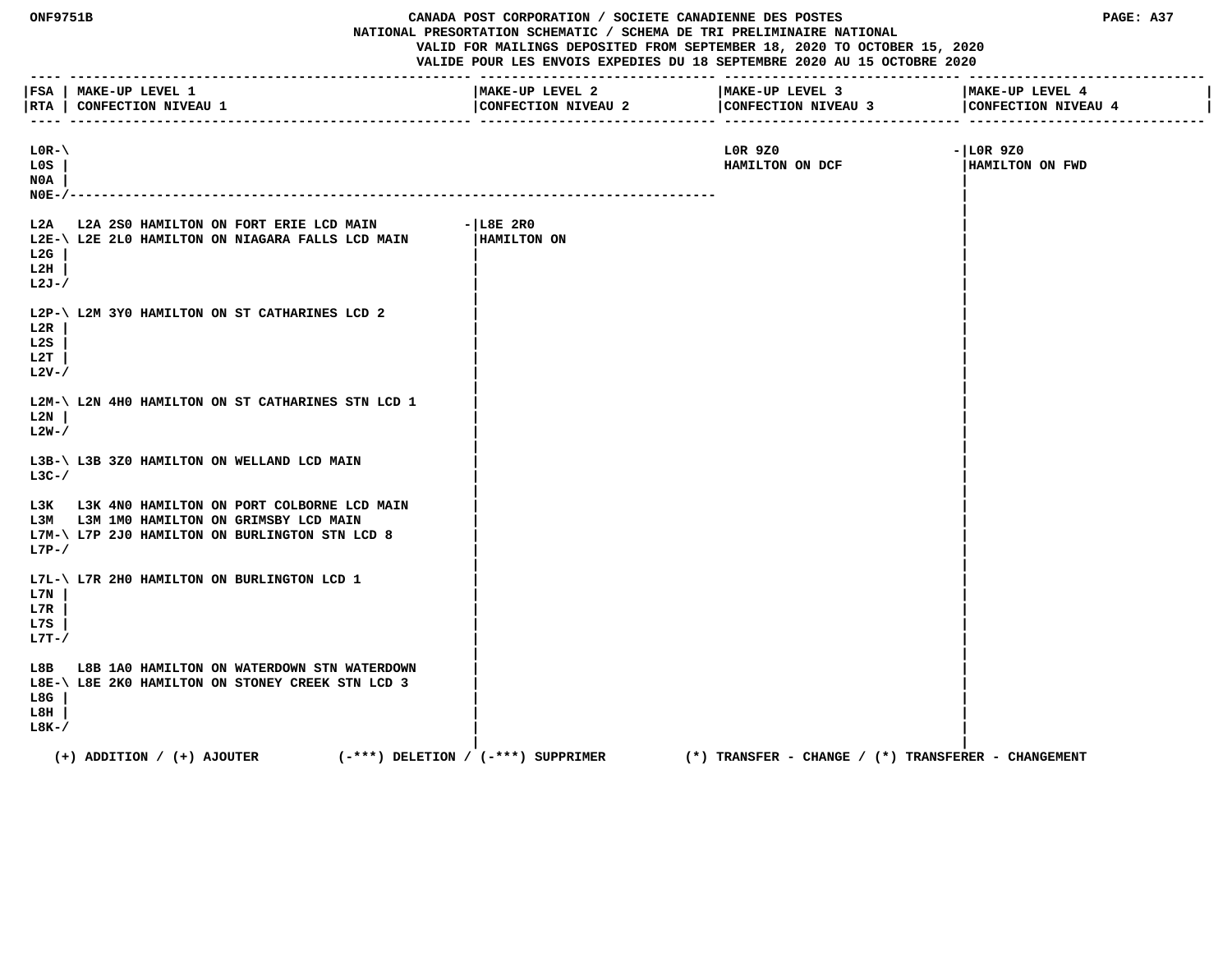| <b>ONF9751B</b>                         |                                                                                                                                              | CANADA POST CORPORATION / SOCIETE CANADIENNE DES POSTES<br>PAGE: A37<br>NATIONAL PRESORTATION SCHEMATIC / SCHEMA DE TRI PRELIMINAIRE NATIONAL<br>VALID FOR MAILINGS DEPOSITED FROM SEPTEMBER 18, 2020 TO OCTOBER 15, 2020<br>VALIDE POUR LES ENVOIS EXPEDIES DU 18 SEPTEMBRE 2020 AU 15 OCTOBRE 2020 |                                                         |                                        |
|-----------------------------------------|----------------------------------------------------------------------------------------------------------------------------------------------|------------------------------------------------------------------------------------------------------------------------------------------------------------------------------------------------------------------------------------------------------------------------------------------------------|---------------------------------------------------------|----------------------------------------|
| $- - - - -$                             | FSA   MAKE-UP LEVEL 1<br> RTA   CONFECTION NIVEAU 1                                                                                          | MAKE-UP LEVEL 2<br>CONFECTION NIVEAU 2                                                                                                                                                                                                                                                               | MAKE-UP LEVEL 3<br>CONFECTION NIVEAU 3                  | MAKE-UP LEVEL 4<br>CONFECTION NIVEAU 4 |
| $LOR-\langle$<br>L0S<br>N0A<br>$NOE-/-$ |                                                                                                                                              |                                                                                                                                                                                                                                                                                                      | LOR 9Z0<br>HAMILTON ON DCF                              | $-$ LOR 9Z0<br>HAMILTON ON FWD         |
| L2G<br>L2H<br>L2J-/                     | L2A L2A 2S0 HAMILTON ON FORT ERIE LCD MAIN<br>L2E-\ L2E 2L0 HAMILTON ON NIAGARA FALLS LCD MAIN                                               | $-$ L8E 2R0<br>HAMILTON ON                                                                                                                                                                                                                                                                           |                                                         |                                        |
| L2R<br>L2S<br>L2T<br>$L2V - /$          | L2P-\ L2M 3YO HAMILTON ON ST CATHARINES LCD 2                                                                                                |                                                                                                                                                                                                                                                                                                      |                                                         |                                        |
| L2N<br>$L2W-$                           | L2M-\ L2N 4H0 HAMILTON ON ST CATHARINES STN LCD 1                                                                                            |                                                                                                                                                                                                                                                                                                      |                                                         |                                        |
| $L3C-$                                  | L3B-\ L3B 3Z0 HAMILTON ON WELLAND LCD MAIN                                                                                                   |                                                                                                                                                                                                                                                                                                      |                                                         |                                        |
| $L7P-/$                                 | L3K L3K 4N0 HAMILTON ON PORT COLBORNE LCD MAIN<br>L3M L3M 1M0 HAMILTON ON GRIMSBY LCD MAIN<br>L7M-\ L7P 2J0 HAMILTON ON BURLINGTON STN LCD 8 |                                                                                                                                                                                                                                                                                                      |                                                         |                                        |
| L7N<br>L7R<br>L7S<br>$L7T - /$          | L7L-\ L7R 2H0 HAMILTON ON BURLINGTON LCD 1                                                                                                   |                                                                                                                                                                                                                                                                                                      |                                                         |                                        |
| L8G<br>L8H<br>$L8K-$                    | L8B L8B 1A0 HAMILTON ON WATERDOWN STN WATERDOWN<br>L8E-\ L8E 2K0 HAMILTON ON STONEY CREEK STN LCD 3                                          |                                                                                                                                                                                                                                                                                                      |                                                         |                                        |
|                                         | $(+)$ ADDITION / $(+)$ AJOUTER                                                                                                               | $(-***)$ DELETION / $(-***)$ SUPPRIMER                                                                                                                                                                                                                                                               | $(*)$ TRANSFER - CHANGE / $(*)$ TRANSFERER - CHANGEMENT |                                        |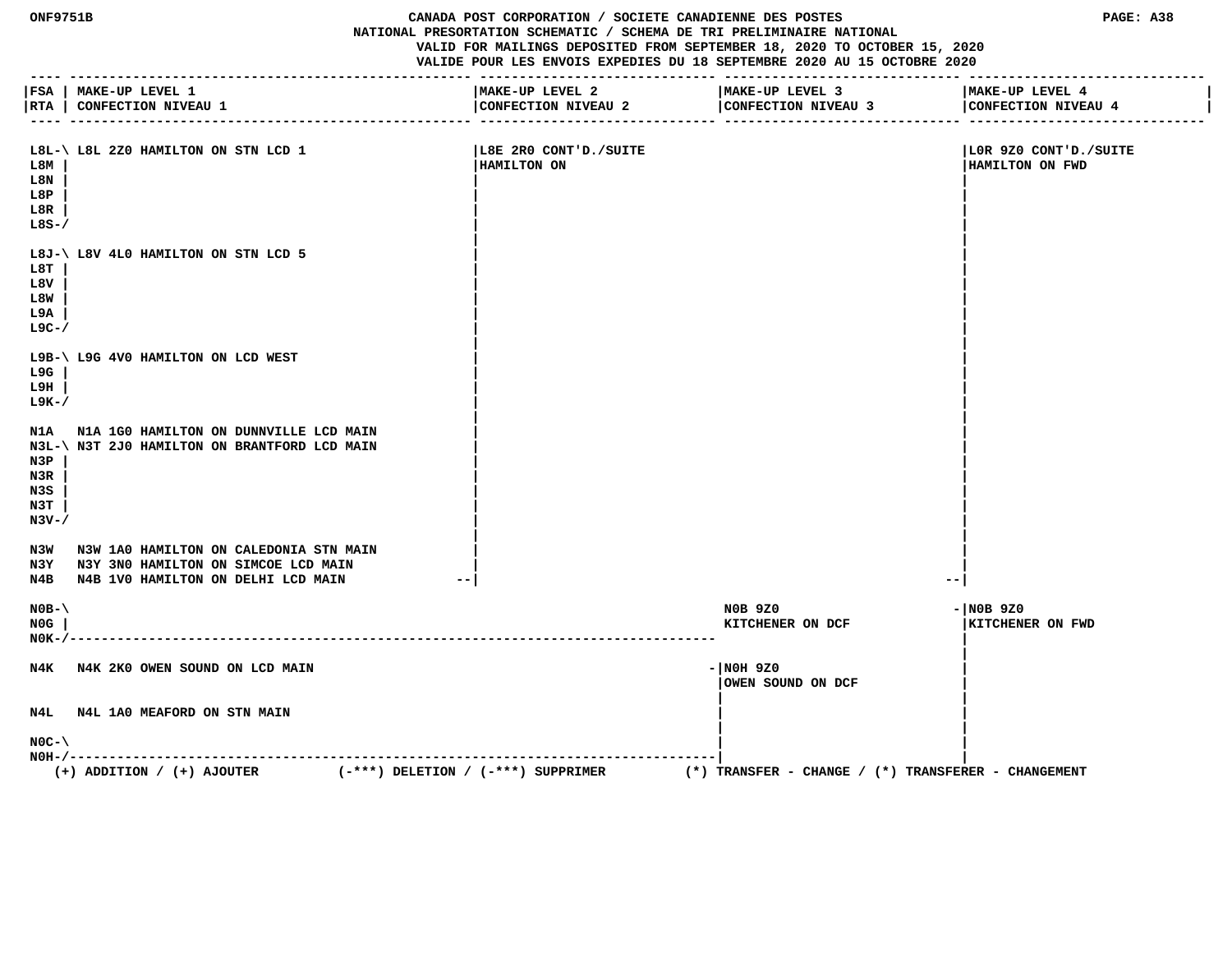#### **ONF9751B CANADA POST CORPORATION / SOCIETE CANADIENNE DES POSTES PAGE: A38 NATIONAL PRESORTATION SCHEMATIC / SCHEMA DE TRI PRELIMINAIRE NATIONAL VALID FOR MAILINGS DEPOSITED FROM SEPTEMBER 18, 2020 TO OCTOBER 15, 2020 VALIDE POUR LES ENVOIS EXPEDIES DU 18 SEPTEMBRE 2020 AU 15 OCTOBRE 2020**

|                                        | FSA   MAKE-UP LEVEL 1<br> RTA   CONFECTION NIVEAU 1                                        | MAKE-UP LEVEL 2<br>CONFECTION NIVEAU 2 | MAKE-UP LEVEL 3<br>CONFECTION NIVEAU 3                  | MAKE-UP LEVEL 4<br>CONFECTION NIVEAU 4   |
|----------------------------------------|--------------------------------------------------------------------------------------------|----------------------------------------|---------------------------------------------------------|------------------------------------------|
| L8M<br>L8N<br>L8P<br>L8R<br>$L8S-$     | L8L-\ L8L 2Z0 HAMILTON ON STN LCD 1                                                        | L8E 2R0 CONT'D./SUITE<br>HAMILTON ON   |                                                         | LOR 9Z0 CONT'D./SUITE<br>HAMILTON ON FWD |
| L8T<br>L8V<br>L8W<br>L9A<br>$L9C-$ /   | L8J-\ L8V 4L0 HAMILTON ON STN LCD 5                                                        |                                        |                                                         |                                          |
| L9G<br>L9H<br>$L9K-$ /                 | L9B-\ L9G 4V0 HAMILTON ON LCD WEST                                                         |                                        |                                                         |                                          |
| N3P<br>N3R<br>N3S<br>N3T<br>$N3V - /$  | N1A N1A 1G0 HAMILTON ON DUNNVILLE LCD MAIN<br>N3L-\ N3T 2J0 HAMILTON ON BRANTFORD LCD MAIN |                                        |                                                         |                                          |
|                                        | N3W N3W 1A0 HAMILTON ON CALEDONIA STN MAIN<br>N3Y N3Y 3N0 HAMILTON ON SIMCOE LCD MAIN      |                                        |                                                         |                                          |
|                                        | N4B N4B 1V0 HAMILTON ON DELHI LCD MAIN                                                     |                                        | $- -$                                                   |                                          |
| $NOB - \setminus$<br>NOG<br>$N0K-/---$ |                                                                                            |                                        | <b>NOB 9Z0</b><br>KITCHENER ON DCF                      | $-$ NOB 9Z0<br>KITCHENER ON FWD          |
|                                        | N4K N4K 2K0 OWEN SOUND ON LCD MAIN                                                         |                                        | - NOH 9Z0<br>OWEN SOUND ON DCF                          |                                          |
|                                        | N4L N4L 1A0 MEAFORD ON STN MAIN                                                            |                                        |                                                         |                                          |
| $NOC - \setminus$                      |                                                                                            |                                        |                                                         |                                          |
|                                        | $(-***)$ DELETION / $(-***)$ SUPPRIMER<br>$(+)$ ADDITION / $(+)$ AJOUTER                   |                                        | $(*)$ TRANSFER - CHANGE / $(*)$ TRANSFERER - CHANGEMENT |                                          |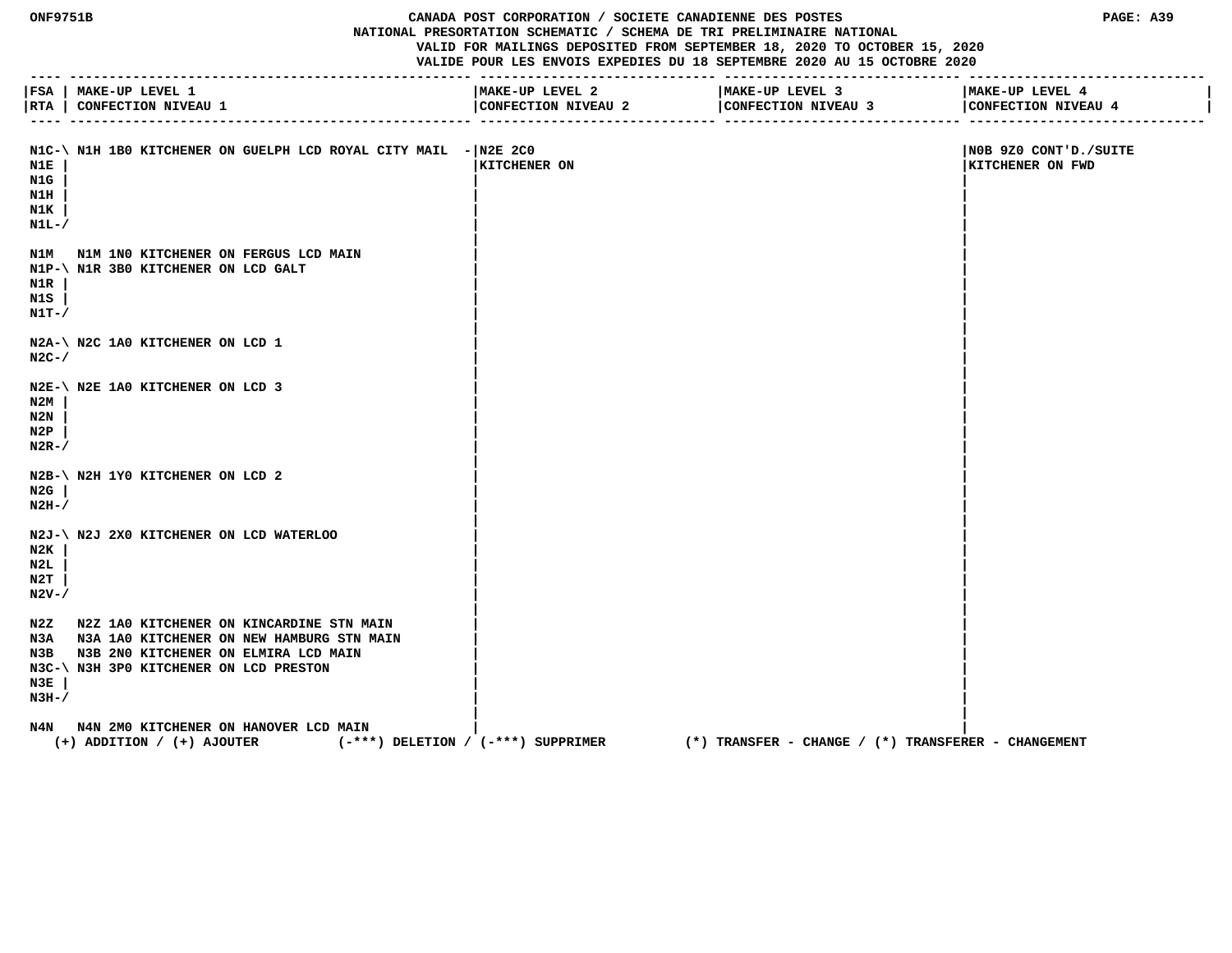## **ONF9751B CANADA POST CORPORATION / SOCIETE CANADIENNE DES POSTES PAGE: A39 NATIONAL PRESORTATION SCHEMATIC / SCHEMA DE TRI PRELIMINAIRE NATIONAL VALID FOR MAILINGS DEPOSITED FROM SEPTEMBER 18, 2020 TO OCTOBER 15, 2020**

| $- - - -$                          | FSA   MAKE-UP LEVEL 1<br> RTA   CONFECTION NIVEAU 1                                                                                                                                 | MAKE-UP LEVEL 2<br>CONFECTION NIVEAU 2 | MAKE-UP LEVEL 3<br>CONFECTION NIVEAU 3              | MAKE-UP LEVEL 4<br>CONFECTION NIVEAU 4    |
|------------------------------------|-------------------------------------------------------------------------------------------------------------------------------------------------------------------------------------|----------------------------------------|-----------------------------------------------------|-------------------------------------------|
| N1E<br>N1G<br>N1H<br>N1K<br>$N1L-$ | $N1C-\$ N1H 1B0 KITCHENER ON GUELPH LCD ROYAL CITY MAIL $- N2E 2C0$                                                                                                                 | <b>KITCHENER ON</b>                    |                                                     | NOB 9Z0 CONT'D./SUITE<br>KITCHENER ON FWD |
| N1R<br>N1S<br>$N1T-$ /             | N1M N1M 1N0 KITCHENER ON FERGUS LCD MAIN<br>N1P-\ N1R 3B0 KITCHENER ON LCD GALT                                                                                                     |                                        |                                                     |                                           |
| $N2C-$                             | N2A-\ N2C 1A0 KITCHENER ON LCD 1                                                                                                                                                    |                                        |                                                     |                                           |
| N2M<br>N2N<br>N2P<br>$N2R-$        | N2E-\ N2E 1A0 KITCHENER ON LCD 3                                                                                                                                                    |                                        |                                                     |                                           |
| N2G<br>$N2H-$                      | N2B-\ N2H 1Y0 KITCHENER ON LCD 2                                                                                                                                                    |                                        |                                                     |                                           |
| N2K<br>N2L<br>N2T<br>N2V-/         | N2J-\ N2J 2X0 KITCHENER ON LCD WATERLOO                                                                                                                                             |                                        |                                                     |                                           |
| N3E<br>$N3H-$                      | N2Z N2Z 1A0 KITCHENER ON KINCARDINE STN MAIN<br>N3A N3A 1A0 KITCHENER ON NEW HAMBURG STN MAIN<br>N3B N3B 2N0 KITCHENER ON ELMIRA LCD MAIN<br>N3C-\ N3H 3P0 KITCHENER ON LCD PRESTON |                                        |                                                     |                                           |
|                                    | N4N N4N 2M0 KITCHENER ON HANOVER LCD MAIN<br>$(+)$ ADDITION / $(+)$ AJOUTER                                                                                                         | $(-***)$ DELETION / $(-***)$ SUPPRIMER | (*) TRANSFER - CHANGE / (*) TRANSFERER - CHANGEMENT |                                           |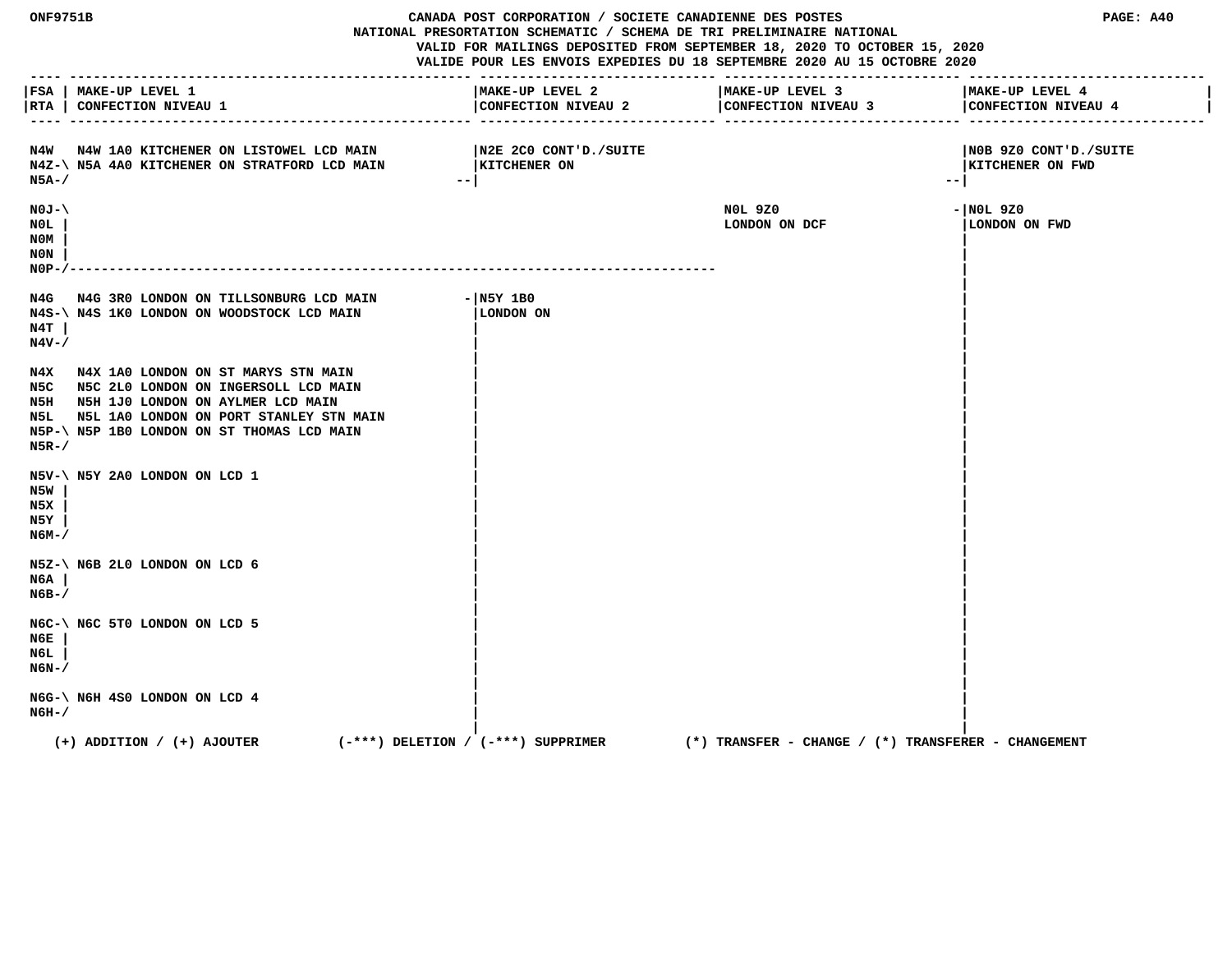**ONF9751B CANADA POST CORPORATION / SOCIETE CANADIENNE DES POSTES PAGE: A40 NATIONAL PRESORTATION SCHEMATIC / SCHEMA DE TRI PRELIMINAIRE NATIONAL VALID FOR MAILINGS DEPOSITED FROM SEPTEMBER 18, 2020 TO OCTOBER 15, 2020 VALIDE POUR LES ENVOIS EXPEDIES DU 18 SEPTEMBRE 2020 AU 15 OCTOBRE 2020 ---- --------------------------------------------------- ------------------------------ ------------------------------ ------------------------------ |FSA | MAKE-UP LEVEL 1 |MAKE-UP LEVEL 2 |MAKE-UP LEVEL 3 |MAKE-UP LEVEL 4 |** |RTA | CONFECTION NIVEAU 1 | CONFECTION NIVEAU 2 | CONFECTION NIVEAU 4 | CONFECTION NIVEAU 4 | CONFECTION NIVEAU 4 | CONFECTION NIVEAU 4 | CONFECTION NIVEAU 4  **---- --------------------------------------------------- ------------------------------ ------------------------------ ------------------------------ N4W N4W 1A0 KITCHENER ON LISTOWEL LCD MAIN |N2E 2C0 CONT'D./SUITE |N0B 9Z0 CONT'D./SUITE** N4Z-\ N5A 4A0 KITCHENER ON STRATFORD LCD MAIN |KITCHENER ON **|KITCHENER ON | |KITCHENER ON FWD N5A-/ --| --| N0J-\ N0L 9Z0 -|N0L 9Z0 N0L | LONDON ON DCF |LONDON ON FWD N0M | | N0N | | N0P-/---------------------------------------------------------------------------------- | |** N4G N4G 3R0 LONDON ON TILLSONBURG LCD MAIN - N5Y 1B0<br>N4S-\N4S 1K0 LONDON ON WOODSTOCK LCD MAIN | LONDON ON  **N4S-\ N4S 1K0 LONDON ON WOODSTOCK LCD MAIN |LONDON ON | N4T | | | N4V-/ | | | |** N4X N4X 1A0 LONDON ON ST MARYS STN MAIN  **N5C N5C 2L0 LONDON ON INGERSOLL LCD MAIN | | N5H N5H 1J0 LONDON ON AYLMER LCD MAIN | |** N5L N5L 1A0 LONDON ON PORT STANLEY STN MAIN  **N5P-\ N5P 1B0 LONDON ON ST THOMAS LCD MAIN | | N5R-/ | | | | N5V-\ N5Y 2A0 LONDON ON LCD 1 | | N5W | | | N5X | | | N5Y | | | N6M-/ | | | | N5Z-\ N6B 2L0 LONDON ON LCD 6 | | N6A | | | N6B-/ | | | | N6C-\ N6C 5T0 LONDON ON LCD 5 | | N6E | | | N6L | | | N6N-/ | | | | N6G-\ N6H 4S0 LONDON ON LCD 4**<br>N6H-/  **N6H-/ | | | | (+) ADDITION / (+) AJOUTER (-\*\*\*) DELETION / (-\*\*\*) SUPPRIMER (\*) TRANSFER - CHANGE / (\*) TRANSFERER - CHANGEMENT**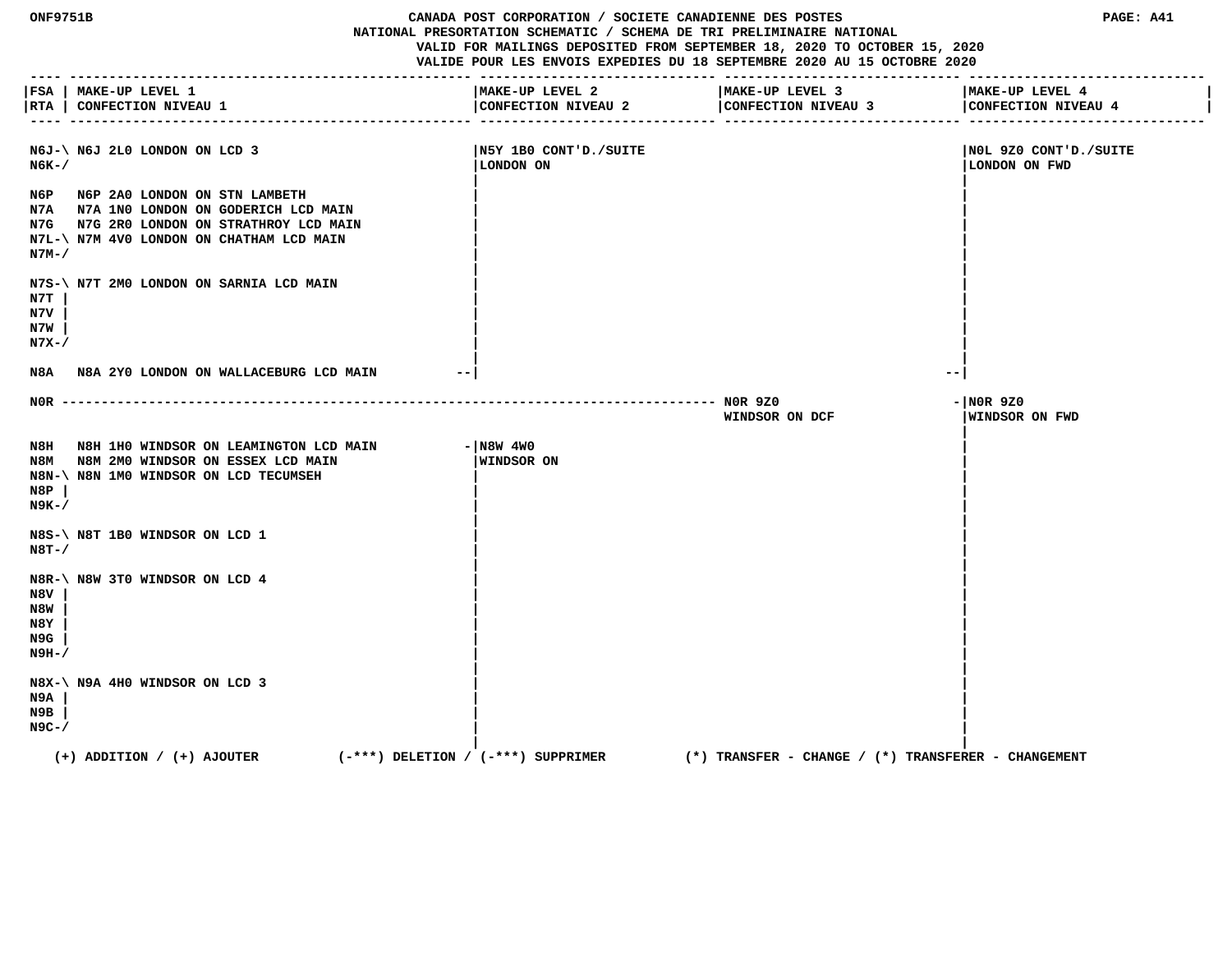**ONF9751B CANADA POST CORPORATION / SOCIETE CANADIENNE DES POSTES PAGE: A41 NATIONAL PRESORTATION SCHEMATIC / SCHEMA DE TRI PRELIMINAIRE NATIONAL VALID FOR MAILINGS DEPOSITED FROM SEPTEMBER 18, 2020 TO OCTOBER 15, 2020 VALIDE POUR LES ENVOIS EXPEDIES DU 18 SEPTEMBRE 2020 AU 15 OCTOBRE 2020 ---- --------------------------------------------------- ------------------------------ ------------------------------ ------------------------------ |FSA | MAKE-UP LEVEL 1 |MAKE-UP LEVEL 2 |MAKE-UP LEVEL 3 |MAKE-UP LEVEL 4 |** |RTA | CONFECTION NIVEAU 1 | CONFECTION NIVEAU 2 | CONFECTION NIVEAU 4 | CONFECTION NIVEAU 4 | CONFECTION NIVEAU 4 | CONFECTION NIVEAU 4 | CONFECTION NIVEAU 4  **---- --------------------------------------------------- ------------------------------ ------------------------------ ------------------------------ N6J-\ N6J 2L0 LONDON ON LCD 3 |N5Y 1B0 CONT'D./SUITE |N0L 9Z0 CONT'D./SUITE N6K-/ |LONDON ON |LONDON ON FWD | | N6P N6P 2A0 LONDON ON STN LAMBETH | | N7A N7A 1N0 LONDON ON GODERICH LCD MAIN | | N7G N7G 2R0 LONDON ON STRATHROY LCD MAIN | | N7L-\ N7M 4V0 LONDON ON CHATHAM LCD MAIN | | N7M-/ | | | | N7S-\ N7T 2M0 LONDON ON SARNIA LCD MAIN | | N7T | | | N7V | | | N7W | | | N7X-/ | | | | N8A N8A 2Y0 LONDON ON WALLACEBURG LCD MAIN --| --| N0R ----------------------------------------------------------------------------------- N0R 9Z0 -|N0R 9Z0 WINDSOR ON DCF |WINDSOR ON FWD | N8H N8H 1H0 WINDSOR ON LEAMINGTON LCD MAIN - N8W 4W0 N8M N8M 2M0 WINDSOR ON ESSEX LCD MAIN |WINDSOR ON | N8N-\ N8N 1M0 WINDSOR ON LCD TECUMSEH | | N8P | | | N9K-/ | | | | N8S-\ N8T 1B0 WINDSOR ON LCD 1 | | N8T-/ | | | | N8R-\ N8W 3T0 WINDSOR ON LCD 4 | | N8V | | | N8W | | | N8Y | | | N9G | | | N9H-/ | | | | N8X-\ N9A 4H0 WINDSOR ON LCD 3 | | N9A | | | N9B | | | N9C-/ | | | | (+) ADDITION / (+) AJOUTER (-\*\*\*) DELETION / (-\*\*\*) SUPPRIMER (\*) TRANSFER - CHANGE / (\*) TRANSFERER - CHANGEMENT**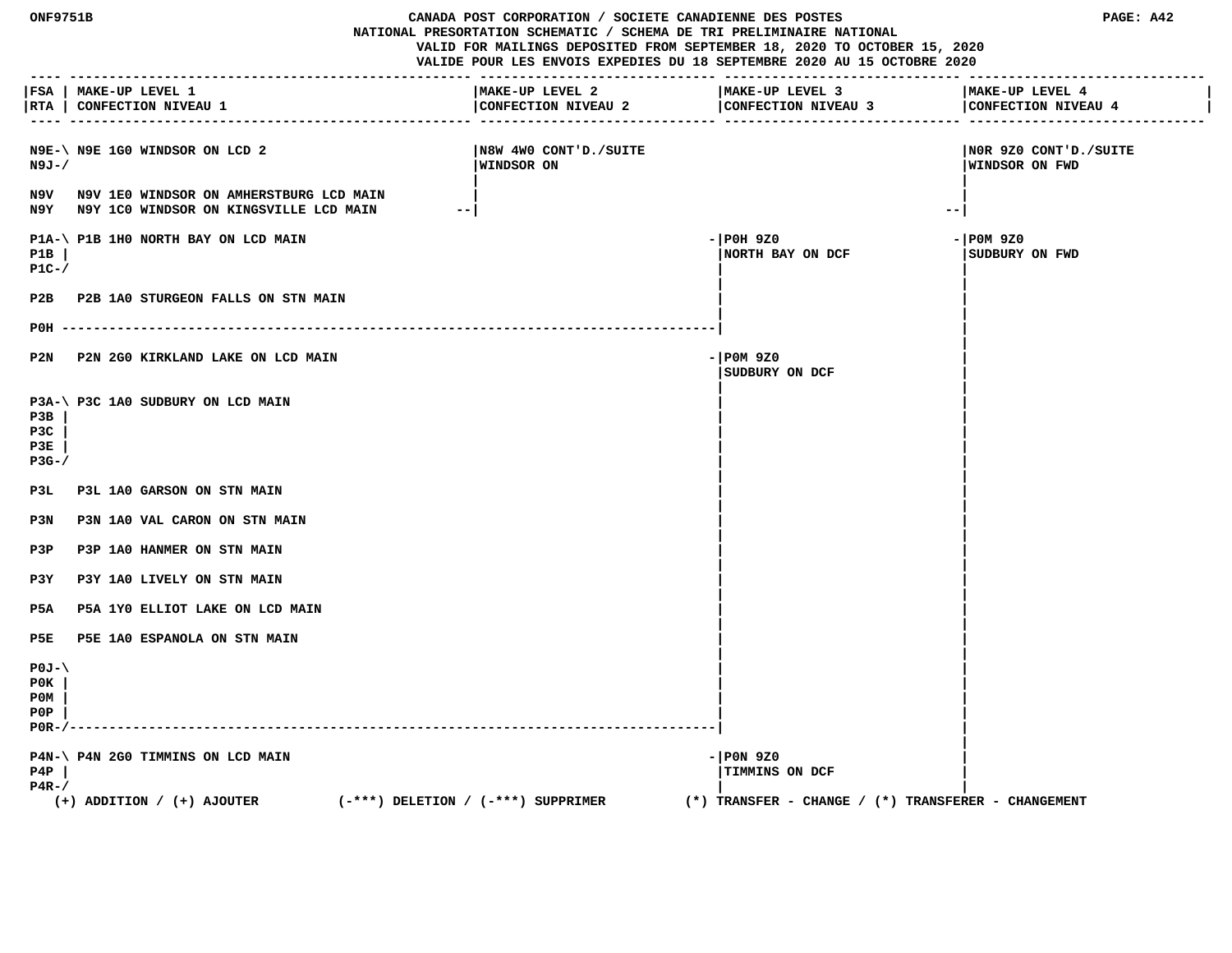**ONF9751B CANADA POST CORPORATION / SOCIETE CANADIENNE DES POSTES PAGE: A42 NATIONAL PRESORTATION SCHEMATIC / SCHEMA DE TRI PRELIMINAIRE NATIONAL VALID FOR MAILINGS DEPOSITED FROM SEPTEMBER 18, 2020 TO OCTOBER 15, 2020 VALIDE POUR LES ENVOIS EXPEDIES DU 18 SEPTEMBRE 2020 AU 15 OCTOBRE 2020 ---- --------------------------------------------------- ------------------------------ ------------------------------ ------------------------------ |FSA | MAKE-UP LEVEL 1 |MAKE-UP LEVEL 2 |MAKE-UP LEVEL 3 |MAKE-UP LEVEL 4 |** | RTA | CONFECTION NIVEAU 1 | CONFECTION NIVEAU 2 | CONFECTION NIVEAU 4  **---- --------------------------------------------------- ------------------------------ ------------------------------ ------------------------------ N9E-\ N9E 1G0 WINDSOR ON LCD 2 |N8W 4W0 CONT'D./SUITE |N0R 9Z0 CONT'D./SUITE N9J-/ |WINDSOR ON |WINDSOR ON FWD | | N9V N9V 1E0 WINDSOR ON AMHERSTBURG LCD MAIN | | N9Y N9Y 1C0 WINDSOR ON KINGSVILLE LCD MAIN --| --| P1A-\ P1B 1H0 NORTH BAY ON LCD MAIN**  $-$  | P0H 9Z0  $-$  | P0H 9Z0  $-$  | P0M 9Z0  **P1B | |NORTH BAY ON DCF |SUDBURY ON FWD P1C-/ | | | |** P2B P2B 1A0 STURGEON FALLS ON STN MAIN  **| | P0H -----------------------------------------------------------------------------------| | | P2N P2N 2G0 KIRKLAND LAKE ON LCD MAIN -|P0M 9Z0 | |SUDBURY ON DCF | | | P3A-\ P3C 1A0 SUDBURY ON LCD MAIN | | P3B | | | P3C | | | P3E | | | P3G-/ | | | | P3L P3L 1A0 GARSON ON STN MAIN | |** P3N P3N 1A0 VAL CARON ON STN MAIN  **| | P3P P3P 1A0 HANMER ON STN MAIN | | P3Y P3Y 1A0 LIVELY ON STN MAIN | | P5A P5A 1Y0 ELLIOT LAKE ON LCD MAIN | | | |** P5E P5E 1A0 ESPANOLA ON STN MAIN  **| | P0J-\ | | P0K | | | P0M | | | P0P | | | P0R-/----------------------------------------------------------------------------------| | | P4N-\ P4N 2G0 TIMMINS ON LCD MAIN**  $-$  |P0N 9Z0  **P4P | |TIMMINS ON DCF | P4R-/ | | (+) ADDITION / (+) AJOUTER (-\*\*\*) DELETION / (-\*\*\*) SUPPRIMER (\*) TRANSFER - CHANGE / (\*) TRANSFERER - CHANGEMENT**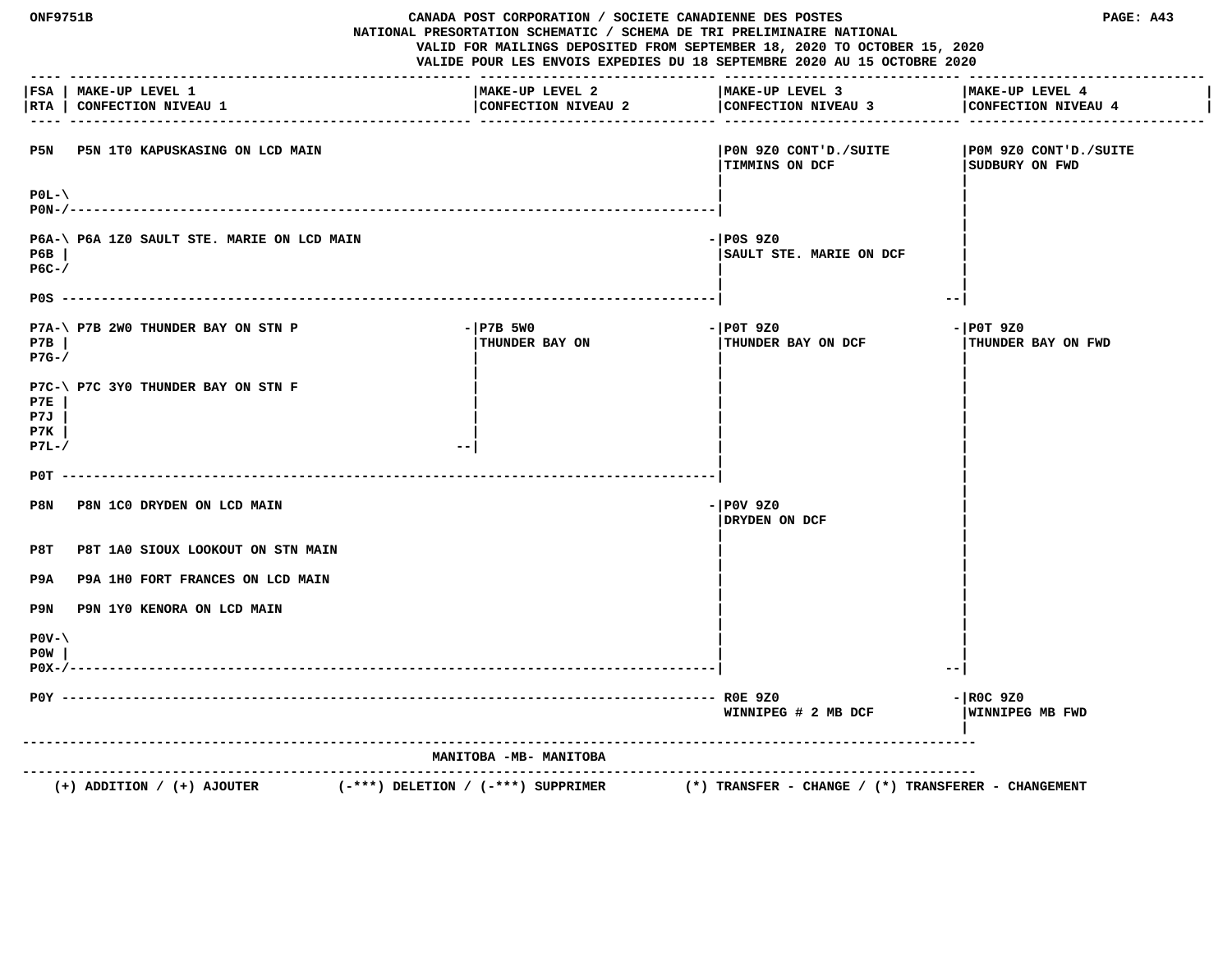| <b>ONF9751B</b>                                                    | CANADA POST CORPORATION / SOCIETE CANADIENNE DES POSTES<br>NATIONAL PRESORTATION SCHEMATIC / SCHEMA DE TRI PRELIMINAIRE NATIONAL<br>VALID FOR MAILINGS DEPOSITED FROM SEPTEMBER 18, 2020 TO OCTOBER 15, 2020<br>VALIDE POUR LES ENVOIS EXPEDIES DU 18 SEPTEMBRE 2020 AU 15 OCTOBRE 2020 |                                                                        | PAGE: A43                                |
|--------------------------------------------------------------------|-----------------------------------------------------------------------------------------------------------------------------------------------------------------------------------------------------------------------------------------------------------------------------------------|------------------------------------------------------------------------|------------------------------------------|
| FSA   MAKE-UP LEVEL 1<br>RTA  <br>CONFECTION NIVEAU 1              | MAKE-UP LEVEL 2<br>CONFECTION NIVEAU 2                                                                                                                                                                                                                                                  | MAKE-UP LEVEL 3<br>CONFECTION NIVEAU 3                                 | MAKE-UP LEVEL 4<br>CONFECTION NIVEAU 4   |
| P5N P5N 1T0 KAPUSKASING ON LCD MAIN                                |                                                                                                                                                                                                                                                                                         | PON 9Z0 CONT'D./SUITE<br><b>TIMMINS ON DCF</b>                         | POM 9Z0 CONT'D./SUITE<br>SUDBURY ON FWD  |
| $P0L-\Upsilon$                                                     |                                                                                                                                                                                                                                                                                         |                                                                        |                                          |
| P6A-\ P6A 1Z0 SAULT STE. MARIE ON LCD MAIN<br>P6B<br>$PG-$         |                                                                                                                                                                                                                                                                                         | $-$ POS 9Z0<br>SAULT STE. MARIE ON DCF                                 |                                          |
|                                                                    |                                                                                                                                                                                                                                                                                         |                                                                        | $- -$                                    |
| P7A-\ P7B 2W0 THUNDER BAY ON STN P<br>P7B<br>$P7G-$                | $-$ P7B 5W0<br>THUNDER BAY ON                                                                                                                                                                                                                                                           | - POT 9Z0<br>THUNDER BAY ON DCF                                        | $-$ POT 9Z0<br><b>THUNDER BAY ON FWD</b> |
| P7C-\ P7C 3Y0 THUNDER BAY ON STN F<br>P7E<br>P7J<br>P7K<br>$P7L-/$ | $ -$                                                                                                                                                                                                                                                                                    |                                                                        |                                          |
| POT                                                                |                                                                                                                                                                                                                                                                                         |                                                                        |                                          |
| P8N<br>P8N 1C0 DRYDEN ON LCD MAIN                                  |                                                                                                                                                                                                                                                                                         | $-$ POV 9Z0<br>DRYDEN ON DCF                                           |                                          |
| P8T<br>P8T 1A0 SIOUX LOOKOUT ON STN MAIN                           |                                                                                                                                                                                                                                                                                         |                                                                        |                                          |
| P9A 1H0 FORT FRANCES ON LCD MAIN<br>P9A                            |                                                                                                                                                                                                                                                                                         |                                                                        |                                          |
| P9N 1Y0 KENORA ON LCD MAIN<br>P9N                                  |                                                                                                                                                                                                                                                                                         |                                                                        |                                          |
| $POV - \$<br>POW<br>$P0X-/-$                                       |                                                                                                                                                                                                                                                                                         |                                                                        | $ -$                                     |
|                                                                    |                                                                                                                                                                                                                                                                                         | WINNIPEG # 2 MB DCF                                                    | $-$ ROC 9Z0<br>WINNIPEG MB FWD           |
|                                                                    | MANITOBA -MB- MANITOBA                                                                                                                                                                                                                                                                  |                                                                        |                                          |
| $(+)$ ADDITION / $(+)$ AJOUTER                                     | $(-***)$ DELETION / $(-***)$ SUPPRIMER                                                                                                                                                                                                                                                  | -----------<br>$(*)$ TRANSFER - CHANGE / $(*)$ TRANSFERER - CHANGEMENT |                                          |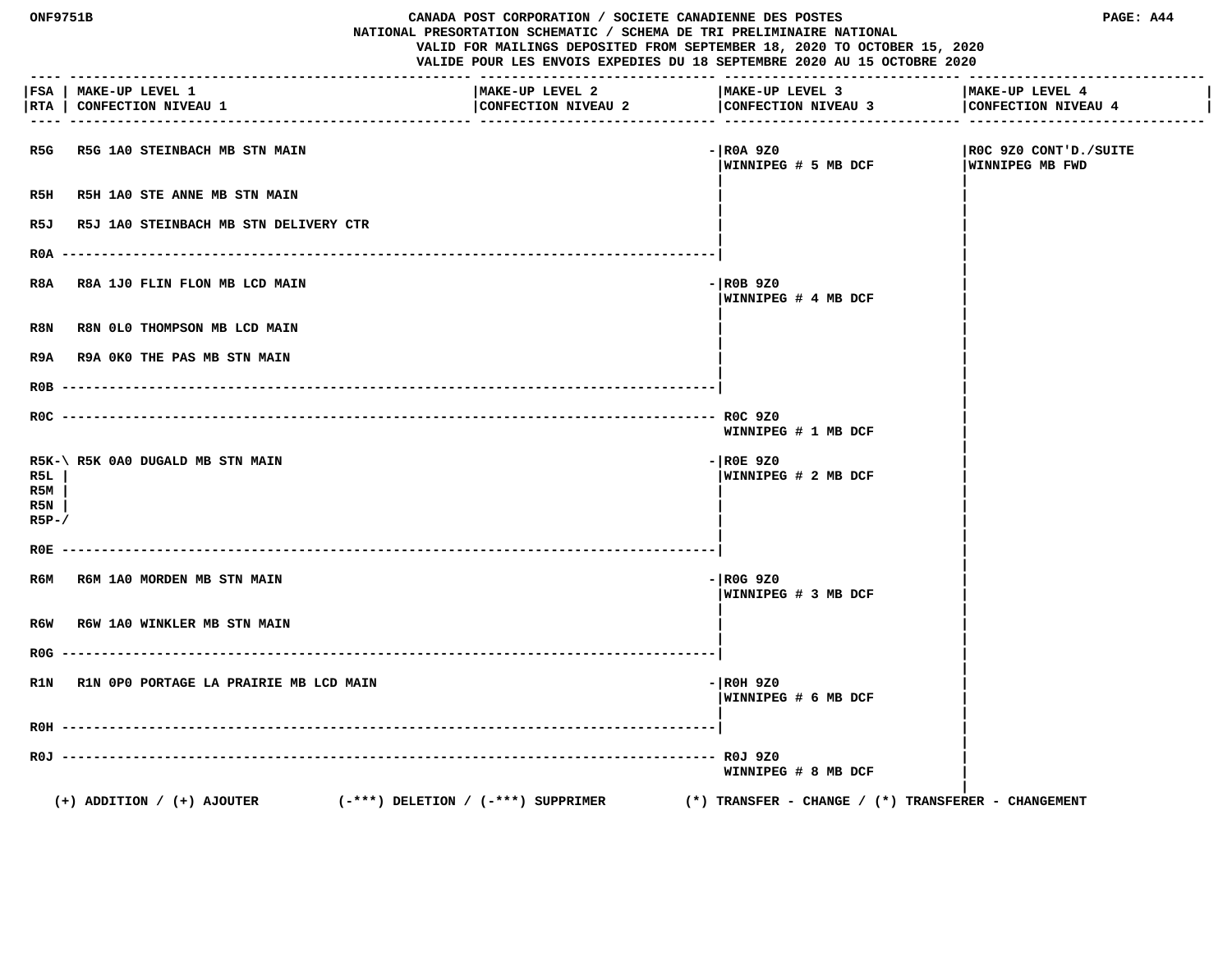| ONF9751B<br>CANADA POST CORPORATION / SOCIETE CANADIENNE DES POSTES<br>NATIONAL PRESORTATION SCHEMATIC / SCHEMA DE TRI PRELIMINAIRE NATIONAL<br>VALID FOR MAILINGS DEPOSITED FROM SEPTEMBER 18, 2020 TO OCTOBER 15, 2020<br>VALIDE POUR LES ENVOIS EXPEDIES DU 18 SEPTEMBRE 2020 AU 15 OCTOBRE 2020 |                                                                          |                                        |                                                         | PAGE: A44                                |
|-----------------------------------------------------------------------------------------------------------------------------------------------------------------------------------------------------------------------------------------------------------------------------------------------------|--------------------------------------------------------------------------|----------------------------------------|---------------------------------------------------------|------------------------------------------|
| FSA  <br> RTA                                                                                                                                                                                                                                                                                       | MAKE-UP LEVEL 1<br>CONFECTION NIVEAU 1                                   | MAKE-UP LEVEL 2<br>CONFECTION NIVEAU 2 | MAKE-UP LEVEL 3<br>CONFECTION NIVEAU 3                  | MAKE-UP LEVEL 4<br>CONFECTION NIVEAU 4   |
| R5G                                                                                                                                                                                                                                                                                                 | R5G 1A0 STEINBACH MB STN MAIN                                            |                                        | - ROA 9Z0<br> WINNIPEG # 5 MB DCF                       | ROC 9Z0 CONT'D./SUITE<br>WINNIPEG MB FWD |
| R5H                                                                                                                                                                                                                                                                                                 | R5H 1A0 STE ANNE MB STN MAIN                                             |                                        |                                                         |                                          |
| R5J                                                                                                                                                                                                                                                                                                 | R5J 1A0 STEINBACH MB STN DELIVERY CTR                                    |                                        |                                                         |                                          |
| R0A                                                                                                                                                                                                                                                                                                 |                                                                          |                                        |                                                         |                                          |
| R8A                                                                                                                                                                                                                                                                                                 | R8A 1J0 FLIN FLON MB LCD MAIN                                            |                                        | - ROB 9Z0<br>WINNIPEG # 4 MB DCF                        |                                          |
| R8N                                                                                                                                                                                                                                                                                                 | R8N 0L0 THOMPSON MB LCD MAIN                                             |                                        |                                                         |                                          |
| R9A                                                                                                                                                                                                                                                                                                 | <b>R9A OKO THE PAS MB STN MAIN</b>                                       |                                        |                                                         |                                          |
|                                                                                                                                                                                                                                                                                                     |                                                                          |                                        |                                                         |                                          |
|                                                                                                                                                                                                                                                                                                     |                                                                          |                                        | WINNIPEG # 1 MB DCF                                     |                                          |
| R5L<br>R5M<br>R5N<br>$R5P-$                                                                                                                                                                                                                                                                         | R5K-\ R5K 0A0 DUGALD MB STN MAIN                                         |                                        | $-$ ROE 9Z0<br> WINNIPEG # 2 MB DCF                     |                                          |
| R0E.                                                                                                                                                                                                                                                                                                |                                                                          |                                        |                                                         |                                          |
| R6M                                                                                                                                                                                                                                                                                                 | R6M 1A0 MORDEN MB STN MAIN                                               |                                        | $-$ ROG 9Z0<br>WINNIPEG # 3 MB DCF                      |                                          |
| R6W                                                                                                                                                                                                                                                                                                 | <b>R6W 1A0 WINKLER MB STN MAIN</b>                                       |                                        |                                                         |                                          |
| R0G.                                                                                                                                                                                                                                                                                                |                                                                          |                                        |                                                         |                                          |
| R1N                                                                                                                                                                                                                                                                                                 | R1N OPO PORTAGE LA PRAIRIE MB LCD MAIN                                   |                                        | - ROH 9Z0<br>WINNIPEG # 6 MB DCF                        |                                          |
|                                                                                                                                                                                                                                                                                                     |                                                                          |                                        |                                                         |                                          |
|                                                                                                                                                                                                                                                                                                     |                                                                          |                                        | WINNIPEG # 8 MB DCF                                     |                                          |
|                                                                                                                                                                                                                                                                                                     | $(+)$ ADDITION / $(+)$ AJOUTER<br>$(-***)$ DELETION / $(-***)$ SUPPRIMER |                                        | $(*)$ TRANSFER - CHANGE / $(*)$ TRANSFERER - CHANGEMENT |                                          |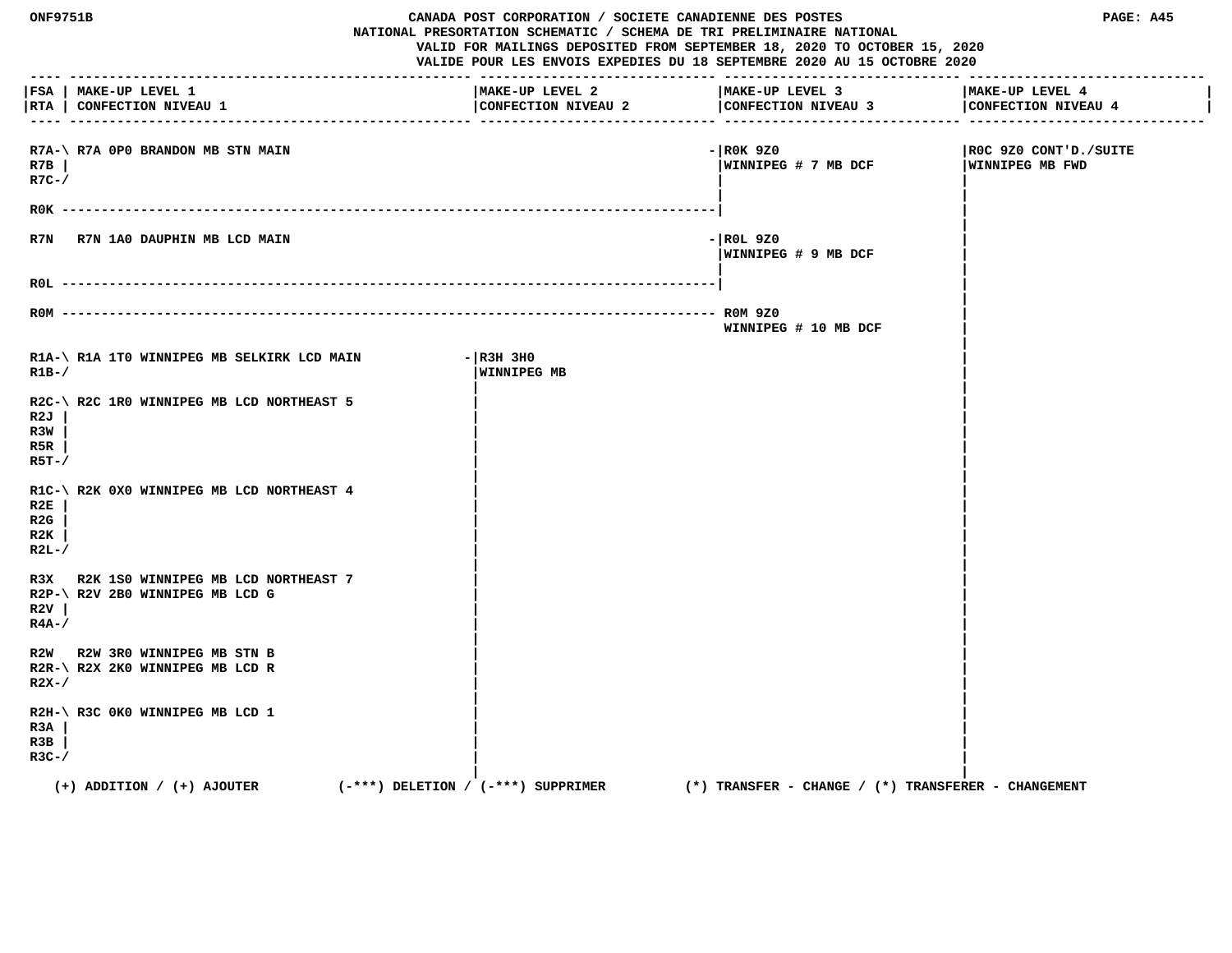| <b>ONF9751B</b>                |                                                                        | CANADA POST CORPORATION / SOCIETE CANADIENNE DES POSTES<br>NATIONAL PRESORTATION SCHEMATIC / SCHEMA DE TRI PRELIMINAIRE NATIONAL<br>VALID FOR MAILINGS DEPOSITED FROM SEPTEMBER 18, 2020 TO OCTOBER 15, 2020<br>VALIDE POUR LES ENVOIS EXPEDIES DU 18 SEPTEMBRE 2020 AU 15 OCTOBRE 2020 |                                                         | PAGE: A45                                       |
|--------------------------------|------------------------------------------------------------------------|-----------------------------------------------------------------------------------------------------------------------------------------------------------------------------------------------------------------------------------------------------------------------------------------|---------------------------------------------------------|-------------------------------------------------|
|                                | FSA   MAKE-UP LEVEL 1<br> RTA   CONFECTION NIVEAU 1                    | MAKE-UP LEVEL 2<br>CONFECTION NIVEAU 2                                                                                                                                                                                                                                                  | MAKE-UP LEVEL 3<br>CONFECTION NIVEAU 3                  | MAKE-UP LEVEL 4<br>CONFECTION NIVEAU 4          |
| R7B<br>$R7C-$ /                | R7A-\ R7A OPO BRANDON MB STN MAIN                                      |                                                                                                                                                                                                                                                                                         | - ROK 9Z0<br> WINNIPEG # 7 MB DCF                       | ROC 9Z0 CONT'D./SUITE<br><b>WINNIPEG MB FWD</b> |
|                                | R7N R7N 1A0 DAUPHIN MB LCD MAIN                                        |                                                                                                                                                                                                                                                                                         | -IROL 9Z0<br>WINNIPEG # 9 MB DCF                        |                                                 |
|                                | $ROM$ -----------                                                      |                                                                                                                                                                                                                                                                                         | WINNIPEG # 10 MB DCF                                    |                                                 |
| $R1B-$                         | R1A-\R1A 1TO WINNIPEG MB SELKIRK LCD MAIN                              | $ R3H$ 3HO<br>WINNIPEG MB                                                                                                                                                                                                                                                               |                                                         |                                                 |
| R2J<br>R3W<br>R5R<br>$R5T - /$ | R2C-\R2C 1R0 WINNIPEG MB LCD NORTHEAST 5                               |                                                                                                                                                                                                                                                                                         |                                                         |                                                 |
| R2E<br>R2G<br>R2K<br>$R2L-$    | R1C-\ R2K 0X0 WINNIPEG MB LCD NORTHEAST 4                              |                                                                                                                                                                                                                                                                                         |                                                         |                                                 |
| R3X<br>R2V<br>$R4A-$ /         | R2K 1S0 WINNIPEG MB LCD NORTHEAST 7<br>R2P-\ R2V 2B0 WINNIPEG MB LCD G |                                                                                                                                                                                                                                                                                         |                                                         |                                                 |
| $R2X-$                         | R2W R2W 3R0 WINNIPEG MB STN B<br>R2R-\ R2X 2K0 WINNIPEG MB LCD R       |                                                                                                                                                                                                                                                                                         |                                                         |                                                 |
| R3A<br>R3B<br>$R3C-$ /         | R2H-\ R3C 0K0 WINNIPEG MB LCD 1                                        |                                                                                                                                                                                                                                                                                         |                                                         |                                                 |
|                                | $(+)$ ADDITION / $(+)$ AJOUTER                                         | (-***) DELETION / (-***) SUPPRIMER                                                                                                                                                                                                                                                      | $(*)$ TRANSFER - CHANGE / $(*)$ TRANSFERER - CHANGEMENT |                                                 |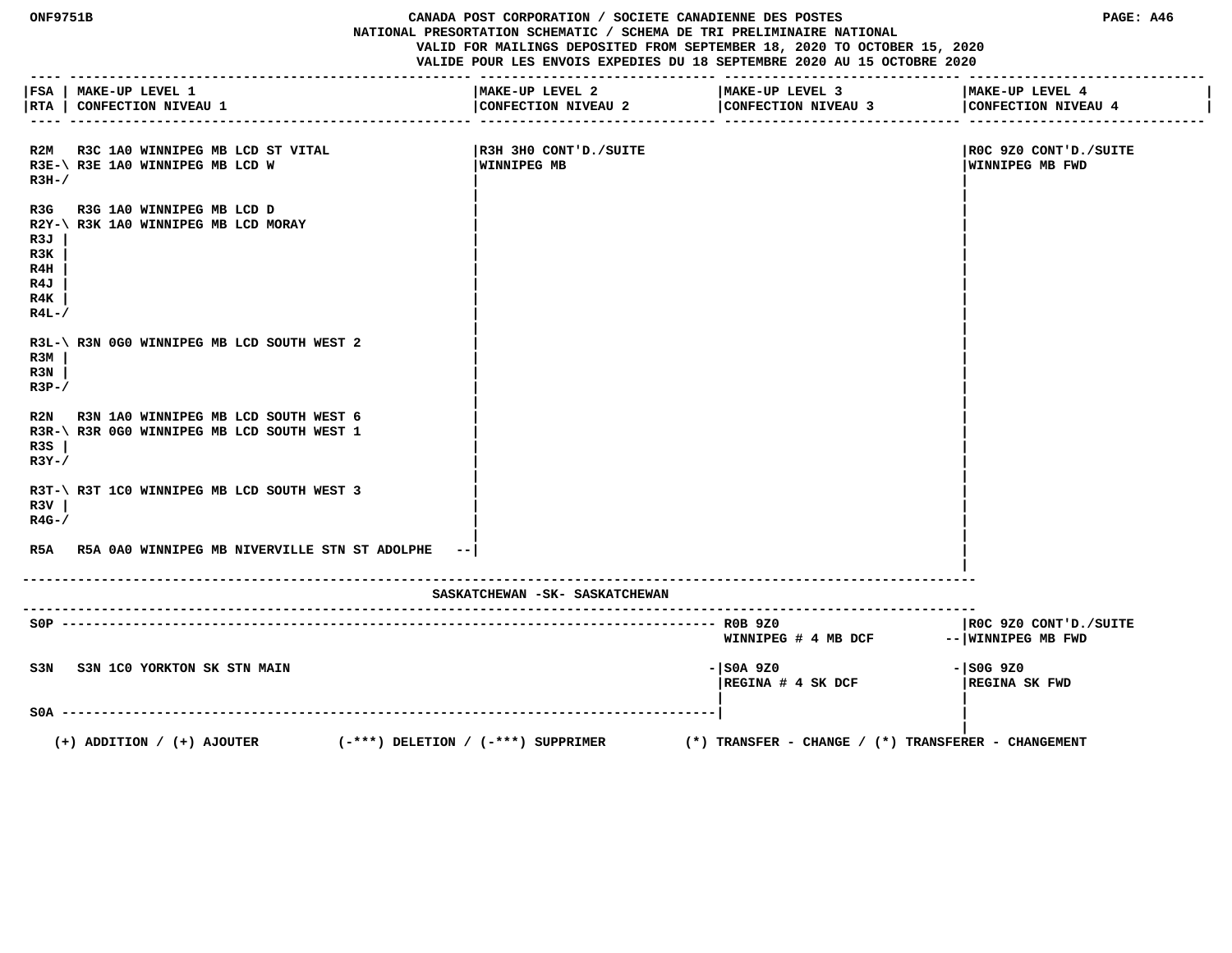**ONF9751B CANADA POST CORPORATION / SOCIETE CANADIENNE DES POSTES PAGE: A46 NATIONAL PRESORTATION SCHEMATIC / SCHEMA DE TRI PRELIMINAIRE NATIONAL VALID FOR MAILINGS DEPOSITED FROM SEPTEMBER 18, 2020 TO OCTOBER 15, 2020 VALIDE POUR LES ENVOIS EXPEDIES DU 18 SEPTEMBRE 2020 AU 15 OCTOBRE 2020 ---- --------------------------------------------------- ------------------------------ ------------------------------ ------------------------------ |FSA | MAKE-UP LEVEL 1 |MAKE-UP LEVEL 2 |MAKE-UP LEVEL 3 |MAKE-UP LEVEL 4 | |RTA | CONFECTION NIVEAU 1 |CONFECTION NIVEAU 2 |CONFECTION NIVEAU 3 |CONFECTION NIVEAU 4 | ---- --------------------------------------------------- ------------------------------ ------------------------------ ------------------------------ R2M R3C 1A0 WINNIPEG MB LCD ST VITAL |R3H 3H0 CONT'D./SUITE |R0C 9Z0 CONT'D./SUITE** R3E-\ R3E 1A0 WINNIPEG MB LCD W **WINNIPEG MB WINNIPEG MB WINNIPEG MB WINNIPEG MB WINNIPEG MB FWD**  $R3H-$ /  **| |** R3G R3G 1A0 WINNIPEG MB LCD D  **R2Y-\ R3K 1A0 WINNIPEG MB LCD MORAY | | R3J | | | R3K | | | R4H | | | R4J | | | R4K | | | R4L-/**  $\sqrt{2}$  **| |** R3L-\ R3N 0G0 WINNIPEG MB LCD SOUTH WEST 2 **R3M** | *CONTROLLER*  **R3N | | | R3P-/**  $\qquad \qquad$  **| |** R2N R3N 1A0 WINNIPEG MB LCD SOUTH WEST 6 R3R-\ R3R 0G0 WINNIPEG MB LCD SOUTH WEST 1  **R3S | | | R3Y-/**  $\qquad$  |  **| |** R3T-\ R3T 1C0 WINNIPEG MB LCD SOUTH WEST 3  **R3V | | | R4G-/ | | | | R5A R5A 0A0 WINNIPEG MB NIVERVILLE STN ST ADOLPHE --| | | ------------------------------------------------------------------------------------------------------------------------- SASKATCHEWAN -SK- SASKATCHEWAN ------------------------------------------------------------------------------------------------------------------------- S0P ----------------------------------------------------------------------------------- R0B 9Z0 |R0C 9Z0 CONT'D./SUITE** WINNIPEG # 4 MB DCF -- WINNIPEG MB FWD  **S3N S3N 1C0 YORKTON SK STN MAIN -|S0A 9Z0 -|S0G 9Z0 |REGINA # 4 SK DCF |REGINA SK FWD | | S0A -----------------------------------------------------------------------------------| | | (+) ADDITION / (+) AJOUTER (-\*\*\*) DELETION / (-\*\*\*) SUPPRIMER (\*) TRANSFER - CHANGE / (\*) TRANSFERER - CHANGEMENT**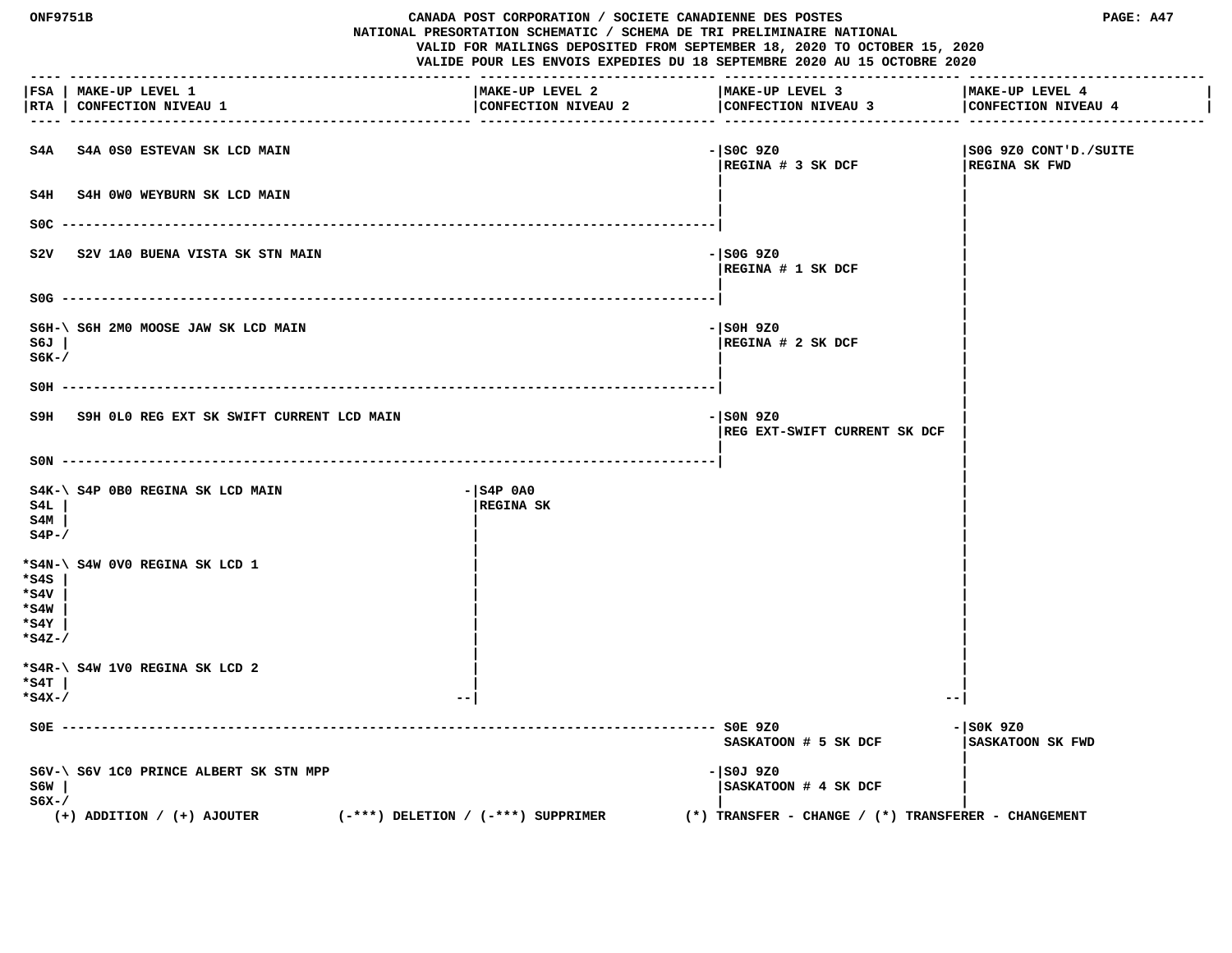| ONF9751B                               |                                                                          |                                        | CANADA POST CORPORATION / SOCIETE CANADIENNE DES POSTES<br>PAGE: A47<br>NATIONAL PRESORTATION SCHEMATIC / SCHEMA DE TRI PRELIMINAIRE NATIONAL<br>VALID FOR MAILINGS DEPOSITED FROM SEPTEMBER 18, 2020 TO OCTOBER 15, 2020<br>VALIDE POUR LES ENVOIS EXPEDIES DU 18 SEPTEMBRE 2020 AU 15 OCTOBRE 2020 |                                        |  |
|----------------------------------------|--------------------------------------------------------------------------|----------------------------------------|------------------------------------------------------------------------------------------------------------------------------------------------------------------------------------------------------------------------------------------------------------------------------------------------------|----------------------------------------|--|
|                                        | FSA   MAKE-UP LEVEL 1<br> RTA   CONFECTION NIVEAU 1                      | MAKE-UP LEVEL 2<br>CONFECTION NIVEAU 2 | MAKE-UP LEVEL 3<br>CONFECTION NIVEAU 3                                                                                                                                                                                                                                                               | MAKE-UP LEVEL 4<br>CONFECTION NIVEAU 4 |  |
|                                        | S4A S4A 0S0 ESTEVAN SK LCD MAIN                                          |                                        | $-$ SOC 9Z0<br> REGINA # 3 SK DCF                                                                                                                                                                                                                                                                    | S0G 9Z0 CONT'D./SUITE<br>REGINA SK FWD |  |
|                                        | S4H S4H 0W0 WEYBURN SK LCD MAIN                                          |                                        |                                                                                                                                                                                                                                                                                                      |                                        |  |
| SOC.                                   |                                                                          |                                        |                                                                                                                                                                                                                                                                                                      |                                        |  |
| s2v                                    | S2V 1A0 BUENA VISTA SK STN MAIN                                          |                                        | $-$ SOG 9Z0<br> REGINA # 1 SK DCF                                                                                                                                                                                                                                                                    |                                        |  |
|                                        | $SOG$ -------                                                            |                                        |                                                                                                                                                                                                                                                                                                      |                                        |  |
| S6J<br>$S6K-$ /                        | S6H-\ S6H 2M0 MOOSE JAW SK LCD MAIN                                      |                                        | - SOH 9Z0<br>$ {\tt REGINA} \# 2{\tt SK DCF} $                                                                                                                                                                                                                                                       |                                        |  |
| $SOH$ ----                             |                                                                          |                                        |                                                                                                                                                                                                                                                                                                      |                                        |  |
| S9H                                    | S9H OLO REG EXT SK SWIFT CURRENT LCD MAIN                                |                                        | $  $ SON 9ZO<br>REG EXT-SWIFT CURRENT SK DCF                                                                                                                                                                                                                                                         |                                        |  |
|                                        | $SON$ ----------------------                                             |                                        |                                                                                                                                                                                                                                                                                                      |                                        |  |
| S4L<br>S4M<br>$S4P-$                   | S4K-\ S4P 0B0 REGINA SK LCD MAIN                                         | $ S4P$ 0A0<br> REGINA SK               |                                                                                                                                                                                                                                                                                                      |                                        |  |
| *s4s<br>*s4v<br>*s4w<br>*s4Y<br>*s4z-/ | *S4N-\ S4W 0V0 REGINA SK LCD 1                                           |                                        |                                                                                                                                                                                                                                                                                                      |                                        |  |
| *s4T<br>*s4x-/                         | *S4R-\ S4W 1V0 REGINA SK LCD 2                                           |                                        |                                                                                                                                                                                                                                                                                                      |                                        |  |
| $SOE -$                                |                                                                          |                                        | ---------- SOE 9ZO<br>SASKATOON # 5 SK DCF                                                                                                                                                                                                                                                           | $  $ SOK 9Z0<br>SASKATOON SK FWD       |  |
| S6W<br>s6x-/                           | S6V-\ S6V 1C0 PRINCE ALBERT SK STN MPP<br>$(+)$ ADDITION / $(+)$ AJOUTER | $(-***)$ DELETION / $(-***)$ SUPPRIMER | - SOJ 9Z0<br> SASKATOON # 4 SK DCF<br>$(*)$ TRANSFER - CHANGE / $(*)$ TRANSFERER - CHANGEMENT                                                                                                                                                                                                        |                                        |  |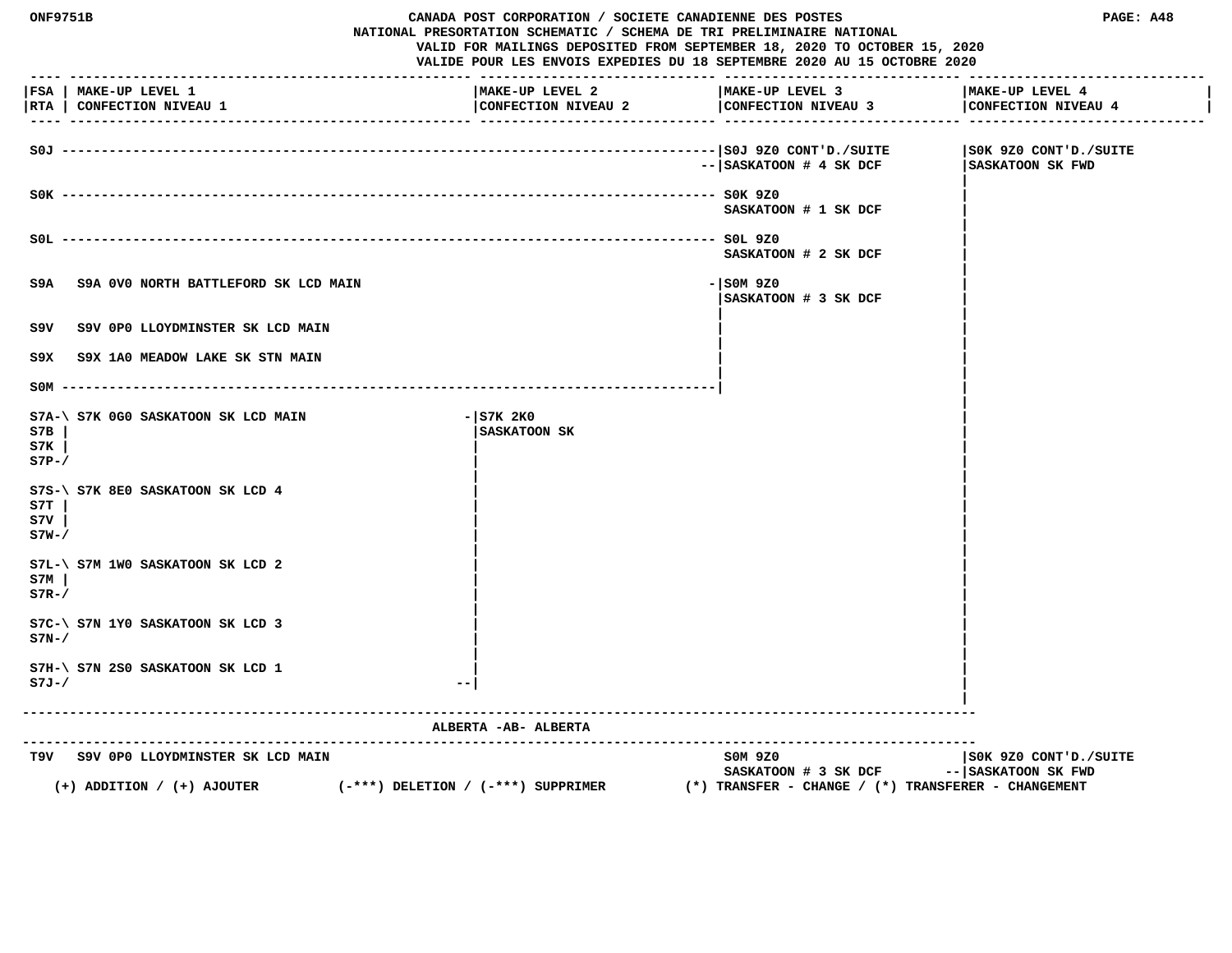| <b>ONF9751B</b>      |                                                     | CANADA POST CORPORATION / SOCIETE CANADIENNE DES POSTES<br>NATIONAL PRESORTATION SCHEMATIC / SCHEMA DE TRI PRELIMINAIRE NATIONAL<br>VALID FOR MAILINGS DEPOSITED FROM SEPTEMBER 18, 2020 TO OCTOBER 15, 2020<br>VALIDE POUR LES ENVOIS EXPEDIES DU 18 SEPTEMBRE 2020 AU 15 OCTOBRE 2020 |                                                         | PAGE: A48                                 |
|----------------------|-----------------------------------------------------|-----------------------------------------------------------------------------------------------------------------------------------------------------------------------------------------------------------------------------------------------------------------------------------------|---------------------------------------------------------|-------------------------------------------|
|                      | FSA   MAKE-UP LEVEL 1<br> RTA   CONFECTION NIVEAU 1 | MAKE-UP LEVEL 2<br>CONFECTION NIVEAU 2                                                                                                                                                                                                                                                  | MAKE-UP LEVEL 3<br>CONFECTION NIVEAU 3                  | MAKE-UP LEVEL 4<br>CONFECTION NIVEAU 4    |
|                      |                                                     |                                                                                                                                                                                                                                                                                         | -- SASKATOON # 4 SK DCF                                 | SOK 9Z0 CONT'D./SUITE<br>SASKATOON SK FWD |
|                      |                                                     |                                                                                                                                                                                                                                                                                         | SASKATOON # 1 SK DCF                                    |                                           |
|                      |                                                     |                                                                                                                                                                                                                                                                                         | SASKATOON # 2 SK DCF                                    |                                           |
| S9A                  | S9A 0V0 NORTH BATTLEFORD SK LCD MAIN                |                                                                                                                                                                                                                                                                                         | $-$ SOM 9Z0<br>SASKATOON # 3 SK DCF                     |                                           |
| S9V                  | S9V OPO LLOYDMINSTER SK LCD MAIN                    |                                                                                                                                                                                                                                                                                         |                                                         |                                           |
| S9X.                 | S9X 1A0 MEADOW LAKE SK STN MAIN                     |                                                                                                                                                                                                                                                                                         |                                                         |                                           |
|                      | $SOM$ --------                                      |                                                                                                                                                                                                                                                                                         |                                                         |                                           |
| S7B<br>S7K<br>$S7P-$ | S7A-\ S7K 0G0 SASKATOON SK LCD MAIN                 | $ STK$ 2KO<br>SASKATOON SK                                                                                                                                                                                                                                                              |                                                         |                                           |
| S7T<br>s7v<br>$S7W-$ | S7S-\ S7K 8E0 SASKATOON SK LCD 4                    |                                                                                                                                                                                                                                                                                         |                                                         |                                           |
| S7M<br>$S7R-$        | $S7L-\$ $S7M$ 1WO SASKATOON SK LCD 2                |                                                                                                                                                                                                                                                                                         |                                                         |                                           |
| $S7N-$               | S7C-\ S7N 1Y0 SASKATOON SK LCD 3                    |                                                                                                                                                                                                                                                                                         |                                                         |                                           |
| $S7J-/$              | S7H-\ S7N 2S0 SASKATOON SK LCD 1                    |                                                                                                                                                                                                                                                                                         |                                                         |                                           |
|                      |                                                     | ALBERTA - AB- ALBERTA                                                                                                                                                                                                                                                                   | ---------------------------------                       |                                           |
|                      | T9V S9V OPO LLOYDMINSTER SK LCD MAIN                | $(-***)$ DELETION / $(-***)$ SUPPRIMER                                                                                                                                                                                                                                                  | SOM 9Z0<br>SASKATOON # 3 SK DCF -- SASKATOON SK FWD     | SOK 9Z0 CONT'D./SUITE                     |
|                      | $(+)$ ADDITION / $(+)$ AJOUTER                      |                                                                                                                                                                                                                                                                                         | $(*)$ TRANSFER - CHANGE / $(*)$ TRANSFERER - CHANGEMENT |                                           |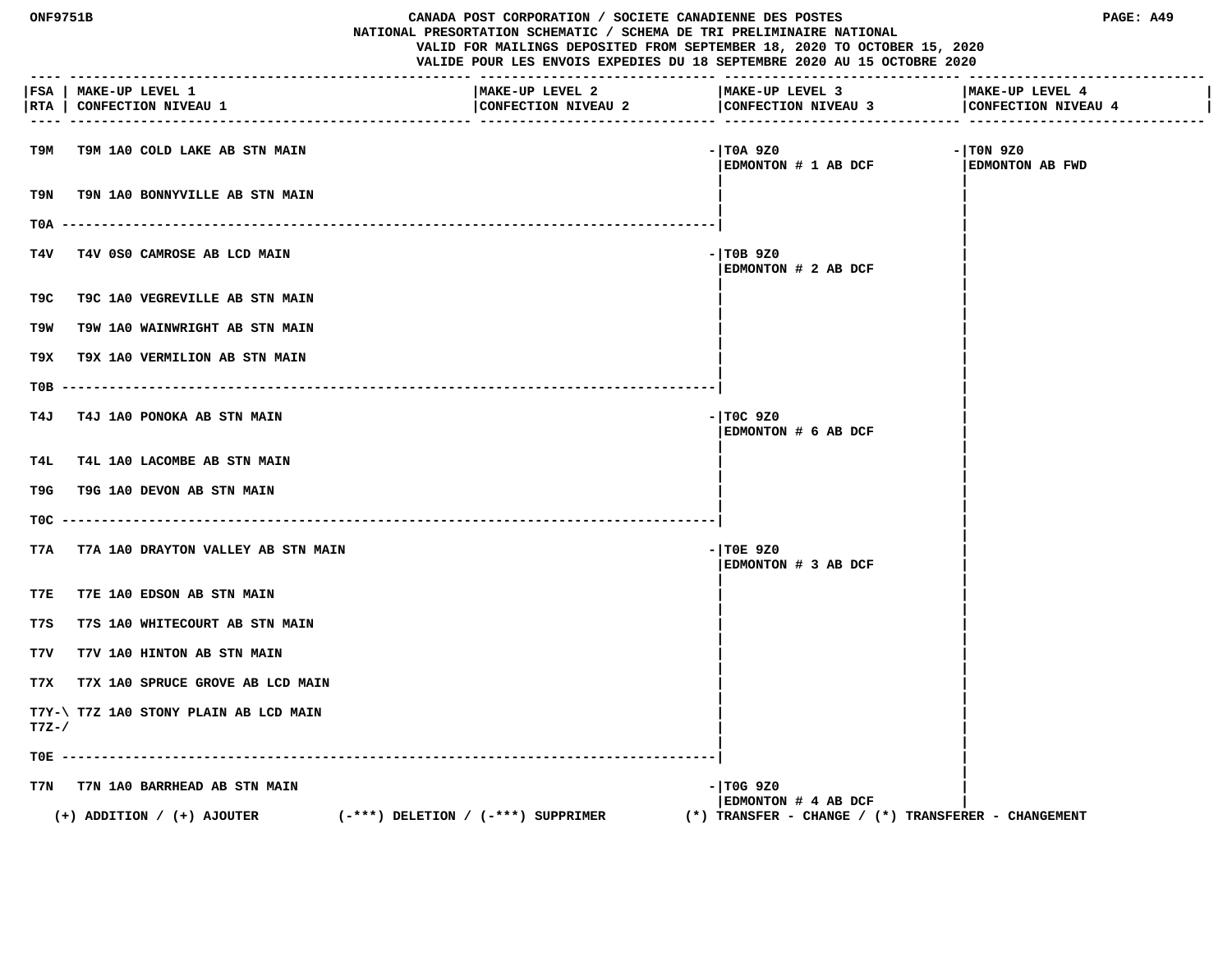| ONF9751B<br>CANADA POST CORPORATION / SOCIETE CANADIENNE DES POSTES<br>NATIONAL PRESORTATION SCHEMATIC / SCHEMA DE TRI PRELIMINAIRE NATIONAL<br>VALID FOR MAILINGS DEPOSITED FROM SEPTEMBER 18, 2020 TO OCTOBER 15, 2020<br>VALIDE POUR LES ENVOIS EXPEDIES DU 18 SEPTEMBRE 2020 AU 15 OCTOBRE 2020 |                                                     |                                        |                                                            | PAGE: A49                             |
|-----------------------------------------------------------------------------------------------------------------------------------------------------------------------------------------------------------------------------------------------------------------------------------------------------|-----------------------------------------------------|----------------------------------------|------------------------------------------------------------|---------------------------------------|
| $---$                                                                                                                                                                                                                                                                                               | FSA   MAKE-UP LEVEL 1<br> RTA   CONFECTION NIVEAU 1 | MAKE-UP LEVEL 2<br>CONFECTION NIVEAU 2 | MAKE-UP LEVEL 3<br>CONFECTION NIVEAU 3 CONFECTION NIVEAU 4 | MAKE-UP LEVEL 4                       |
| т9м                                                                                                                                                                                                                                                                                                 | T9M 1A0 COLD LAKE AB STN MAIN                       |                                        | - TOA 9Z0<br>EDMONTON # 1 AB DCF                           | $-$ TON 9Z0<br><b>EDMONTON AB FWD</b> |
| T9N                                                                                                                                                                                                                                                                                                 | <b>T9N 1A0 BONNYVILLE AB STN MAIN</b>               |                                        |                                                            |                                       |
| TOA -                                                                                                                                                                                                                                                                                               |                                                     |                                        |                                                            |                                       |
| T4V                                                                                                                                                                                                                                                                                                 | T4V 0S0 CAMROSE AB LCD MAIN                         |                                        | - TOB 9Z0<br>EDMONTON # 2 AB DCF                           |                                       |
| T9C.                                                                                                                                                                                                                                                                                                | <b>T9C 1A0 VEGREVILLE AB STN MAIN</b>               |                                        |                                                            |                                       |
| T9W                                                                                                                                                                                                                                                                                                 | <b>T9W 1A0 WAINWRIGHT AB STN MAIN</b>               |                                        |                                                            |                                       |
| т9х                                                                                                                                                                                                                                                                                                 | T9X 1A0 VERMILION AB STN MAIN                       |                                        |                                                            |                                       |
| тов                                                                                                                                                                                                                                                                                                 |                                                     |                                        |                                                            |                                       |
| T4J                                                                                                                                                                                                                                                                                                 | T4J 1A0 PONOKA AB STN MAIN                          |                                        | - TOC 9Z0<br>EDMONTON # 6 AB DCF                           |                                       |
| T4L                                                                                                                                                                                                                                                                                                 | <b>T4L 1A0 LACOMBE AB STN MAIN</b>                  |                                        |                                                            |                                       |
| T9G                                                                                                                                                                                                                                                                                                 | T9G 1A0 DEVON AB STN MAIN                           |                                        |                                                            |                                       |
| TOC .                                                                                                                                                                                                                                                                                               |                                                     |                                        |                                                            |                                       |
| T7A                                                                                                                                                                                                                                                                                                 | T7A 1A0 DRAYTON VALLEY AB STN MAIN                  |                                        | $-$ TOE 9Z0<br>EDMONTON # 3 AB DCF                         |                                       |
| T7E                                                                                                                                                                                                                                                                                                 | T7E 1A0 EDSON AB STN MAIN                           |                                        |                                                            |                                       |
| T7S                                                                                                                                                                                                                                                                                                 | T7S 1A0 WHITECOURT AB STN MAIN                      |                                        |                                                            |                                       |
| T7V                                                                                                                                                                                                                                                                                                 | T7V 1A0 HINTON AB STN MAIN                          |                                        |                                                            |                                       |
| T7X                                                                                                                                                                                                                                                                                                 | T7X 1A0 SPRUCE GROVE AB LCD MAIN                    |                                        |                                                            |                                       |
| $T7Z-$                                                                                                                                                                                                                                                                                              | T7Y-\ T7Z 1A0 STONY PLAIN AB LCD MAIN               |                                        |                                                            |                                       |
| TOE -                                                                                                                                                                                                                                                                                               |                                                     |                                        |                                                            |                                       |
| T7N                                                                                                                                                                                                                                                                                                 | T7N 1A0 BARRHEAD AB STN MAIN                        |                                        | - TOG 9Z0<br>EDMONTON # 4 AB DCF                           |                                       |
|                                                                                                                                                                                                                                                                                                     | $(+)$ ADDITION / $(+)$ AJOUTER                      | $(-***)$ DELETION / $(-***)$ SUPPRIMER | $(*)$ TRANSFER - CHANGE / $(*)$ TRANSFERER - CHANGEMENT    |                                       |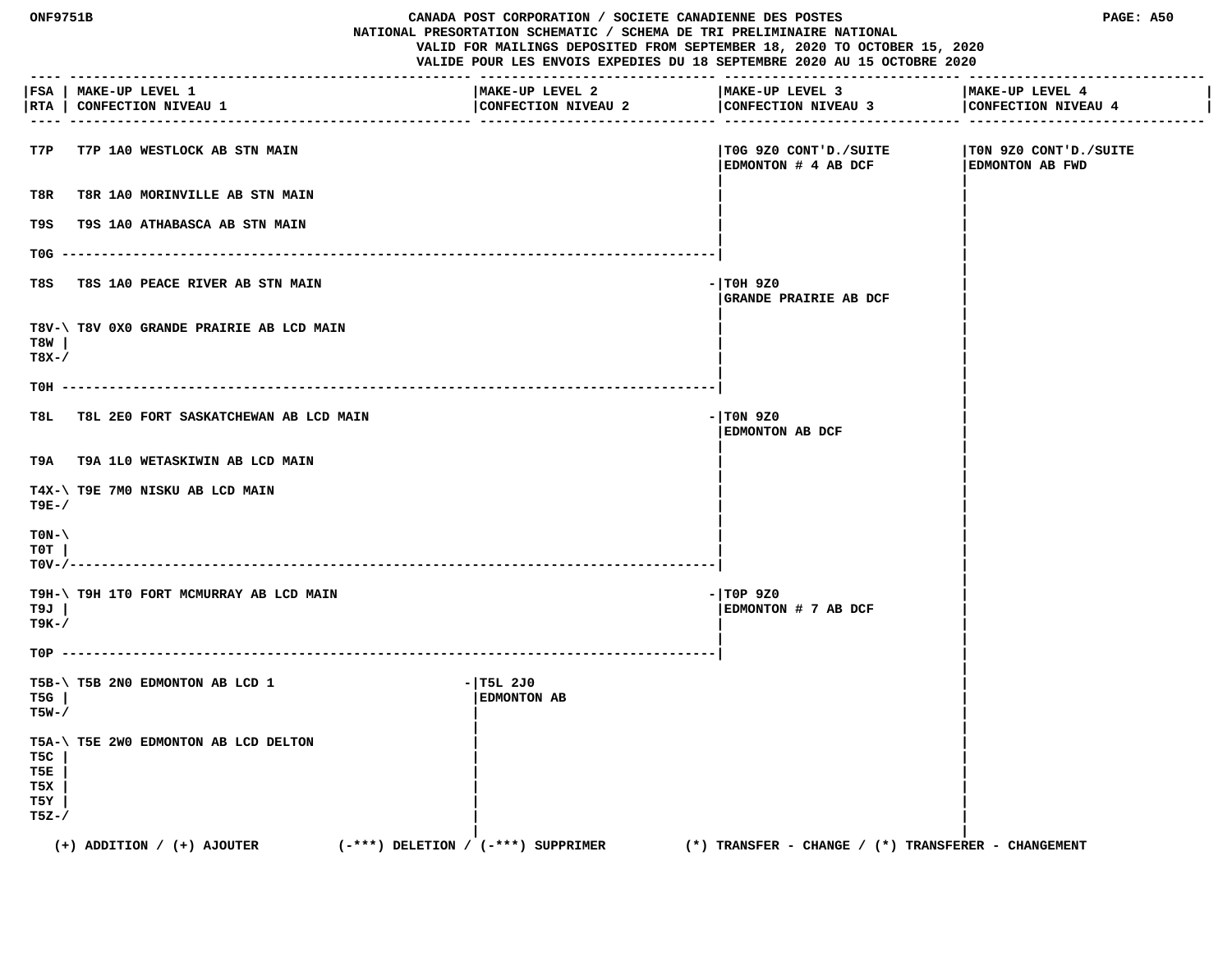| ONF9751B                           |                                                     | CANADA POST CORPORATION / SOCIETE CANADIENNE DES POSTES<br>NATIONAL PRESORTATION SCHEMATIC / SCHEMA DE TRI PRELIMINAIRE NATIONAL<br>VALID FOR MAILINGS DEPOSITED FROM SEPTEMBER 18, 2020 TO OCTOBER 15, 2020<br>VALIDE POUR LES ENVOIS EXPEDIES DU 18 SEPTEMBRE 2020 AU 15 OCTOBRE 2020 |                                                         | PAGE: A50                                       |
|------------------------------------|-----------------------------------------------------|-----------------------------------------------------------------------------------------------------------------------------------------------------------------------------------------------------------------------------------------------------------------------------------------|---------------------------------------------------------|-------------------------------------------------|
|                                    | FSA   MAKE-UP LEVEL 1<br> RTA   CONFECTION NIVEAU 1 | MAKE-UP LEVEL 2<br>CONFECTION NIVEAU 2                                                                                                                                                                                                                                                  | MAKE-UP LEVEL 3<br>CONFECTION NIVEAU 3                  | MAKE-UP LEVEL 4<br>CONFECTION NIVEAU 4          |
| T7P                                | <b>T7P 1A0 WESTLOCK AB STN MAIN</b>                 |                                                                                                                                                                                                                                                                                         | TOG 9Z0 CONT'D./SUITE<br>EDMONTON # 4 AB DCF            | TON 9Z0 CONT'D./SUITE<br><b>EDMONTON AB FWD</b> |
| T8R                                | T8R 1A0 MORINVILLE AB STN MAIN                      |                                                                                                                                                                                                                                                                                         |                                                         |                                                 |
| T9S                                | T9S 1A0 ATHABASCA AB STN MAIN                       |                                                                                                                                                                                                                                                                                         |                                                         |                                                 |
| T0G --                             |                                                     |                                                                                                                                                                                                                                                                                         |                                                         |                                                 |
| T8S                                | T8S 1A0 PEACE RIVER AB STN MAIN                     |                                                                                                                                                                                                                                                                                         | $-1$ TOH 9Z0<br>GRANDE PRAIRIE AB DCF                   |                                                 |
| T8W<br>$T8X-$                      | T8V-\ T8V 0X0 GRANDE PRAIRIE AB LCD MAIN            |                                                                                                                                                                                                                                                                                         |                                                         |                                                 |
| TOH -                              |                                                     |                                                                                                                                                                                                                                                                                         |                                                         |                                                 |
| T8L.                               | T8L 2E0 FORT SASKATCHEWAN AB LCD MAIN               |                                                                                                                                                                                                                                                                                         | $-1$ TON 9Z0<br>EDMONTON AB DCF                         |                                                 |
|                                    | T9A T9A 1L0 WETASKIWIN AB LCD MAIN                  |                                                                                                                                                                                                                                                                                         |                                                         |                                                 |
| T9E-/                              | T4X-\ T9E 7M0 NISKU AB LCD MAIN                     |                                                                                                                                                                                                                                                                                         |                                                         |                                                 |
| $TON-\setminus$<br>T0T<br>$TOV-/-$ |                                                     |                                                                                                                                                                                                                                                                                         |                                                         |                                                 |
| T9J<br>т9к-/                       | T9H-\ T9H 1T0 FORT MCMURRAY AB LCD MAIN             |                                                                                                                                                                                                                                                                                         | $-$ TOP 9Z0<br>EDMONTON # 7 AB DCF                      |                                                 |
|                                    |                                                     |                                                                                                                                                                                                                                                                                         |                                                         |                                                 |
| T5G<br>T5W-/                       | T5B-\ T5B 2N0 EDMONTON AB LCD 1                     | $-1$ T5L 2J0<br>EDMONTON AB                                                                                                                                                                                                                                                             |                                                         |                                                 |
| T5C<br>T5E<br>T5X<br>T5Y<br>$TSZ-$ | T5A-\ T5E 2W0 EDMONTON AB LCD DELTON                |                                                                                                                                                                                                                                                                                         |                                                         |                                                 |
|                                    | $(+)$ ADDITION / $(+)$ AJOUTER                      | $(-***)$ DELETION / $(-***)$ SUPPRIMER                                                                                                                                                                                                                                                  | $(*)$ TRANSFER - CHANGE / $(*)$ TRANSFERER - CHANGEMENT |                                                 |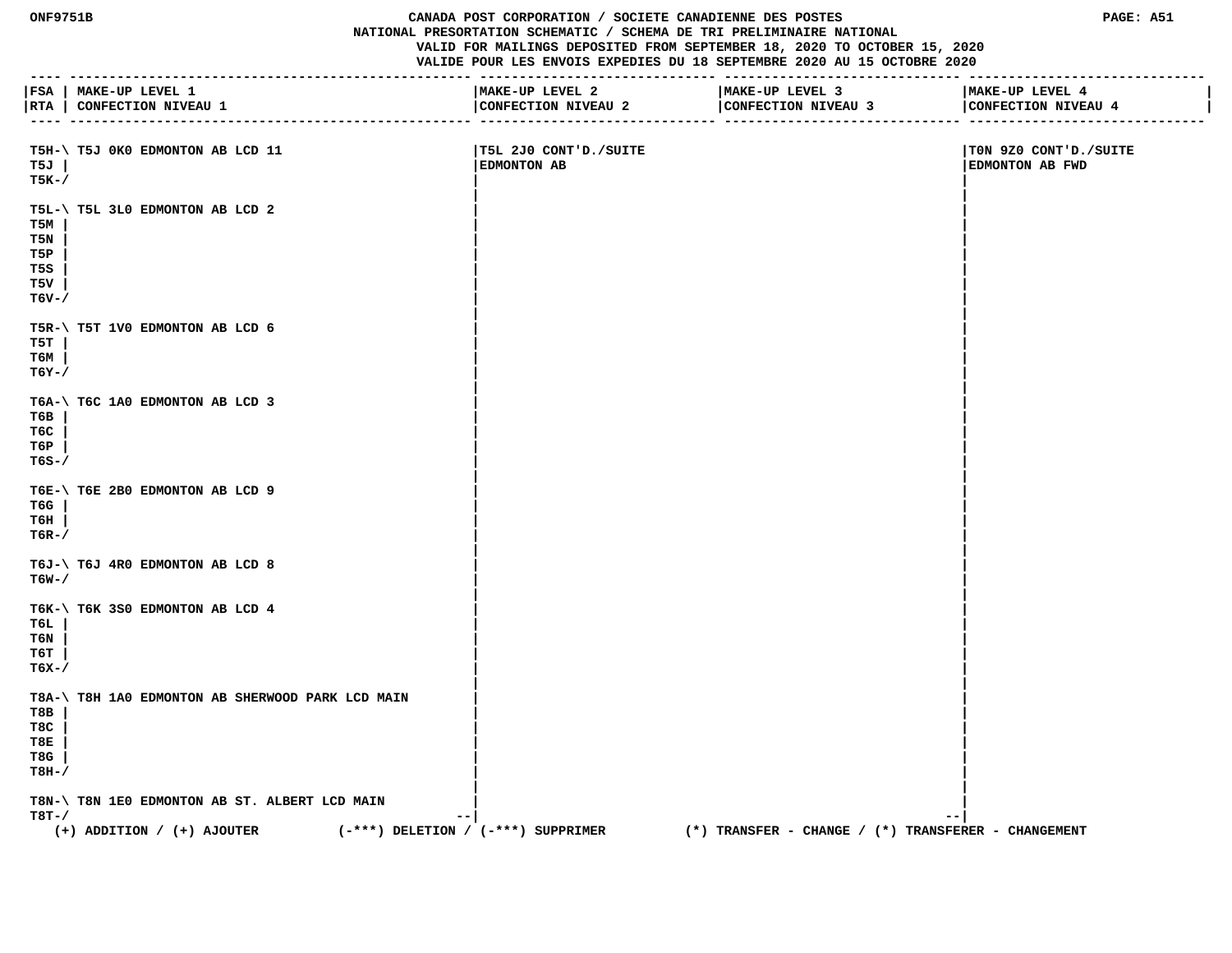**ONF9751B CANADA POST CORPORATION / SOCIETE CANADIENNE DES POSTES PAGE: A51 NATIONAL PRESORTATION SCHEMATIC / SCHEMA DE TRI PRELIMINAIRE NATIONAL VALID FOR MAILINGS DEPOSITED FROM SEPTEMBER 18, 2020 TO OCTOBER 15, 2020 VALIDE POUR LES ENVOIS EXPEDIES DU 18 SEPTEMBRE 2020 AU 15 OCTOBRE 2020 ---- --------------------------------------------------- ------------------------------ ------------------------------ ------------------------------ |FSA | MAKE-UP LEVEL 1 |MAKE-UP LEVEL 2 |MAKE-UP LEVEL 3 |MAKE-UP LEVEL 4 | |RTA | CONFECTION NIVEAU 1 |CONFECTION NIVEAU 2 |CONFECTION NIVEAU 3 |CONFECTION NIVEAU 4 | ---- --------------------------------------------------- ------------------------------ ------------------------------ ------------------------------ T5H-\ T5J 0K0 EDMONTON AB LCD 11 |T5L 2J0 CONT'D./SUITE |T0N 9Z0 CONT'D./SUITE T5J | |EDMONTON AB |EDMONTON AB FWD T5K-/ | | | | T5L-\ T5L 3L0 EDMONTON AB LCD 2 | | T5M | | | T5N | | | T5P | | | T5S | | | T5V | | | T6V-/ | | | | T5R-\ T5T 1V0 EDMONTON AB LCD 6 | | T5T | | | T6M | | | T6Y-/ | | | | T6A-\ T6C 1A0 EDMONTON AB LCD 3 | | T6B | | | T6C | | | T6P | | | T6S-/ | | | | T6E-\ T6E 2B0 EDMONTON AB LCD 9 | | T6G | | | T6H | | | T6R-/ | | | | T6J-\ T6J 4R0 EDMONTON AB LCD 8**<br>**T6W-/ T6W-/ | | | | T6K-\ T6K 3S0 EDMONTON AB LCD 4 | | T6L | | | T6N | | | T6T | | | T6X-/ | | | |** T8A-\ T8H 1A0 EDMONTON AB SHERWOOD PARK LCD MAIN<br>T8B |  **T8B | | | T8C | | | T8E | | | T8G | | | T8H-/ | | | | T8N-\ T8N 1E0 EDMONTON AB ST. ALBERT LCD MAIN | | T8T-/ --| --| (+) ADDITION / (+) AJOUTER (-\*\*\*) DELETION / (-\*\*\*) SUPPRIMER (\*) TRANSFER - CHANGE / (\*) TRANSFERER - CHANGEMENT**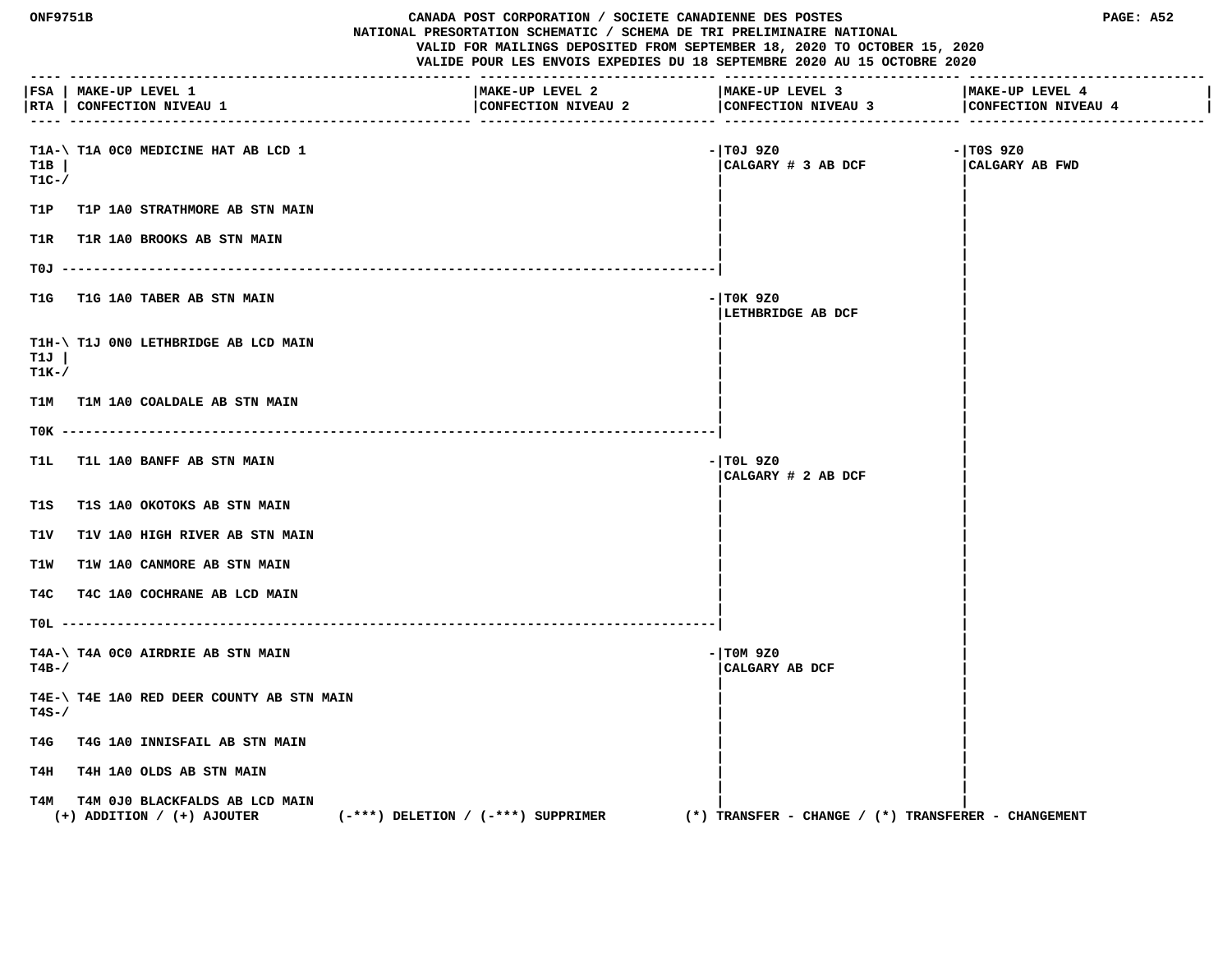|                 | <b>ONF9751B</b><br>CANADA POST CORPORATION / SOCIETE CANADIENNE DES POSTES<br>NATIONAL PRESORTATION SCHEMATIC / SCHEMA DE TRI PRELIMINAIRE NATIONAL<br>VALID FOR MAILINGS DEPOSITED FROM SEPTEMBER 18, 2020 TO OCTOBER 15, 2020<br>VALIDE POUR LES ENVOIS EXPEDIES DU 18 SEPTEMBRE 2020 AU 15 OCTOBRE 2020 |                                        |                                                            | PAGE: A52                      |
|-----------------|------------------------------------------------------------------------------------------------------------------------------------------------------------------------------------------------------------------------------------------------------------------------------------------------------------|----------------------------------------|------------------------------------------------------------|--------------------------------|
|                 | FSA   MAKE-UP LEVEL 1<br> RTA   CONFECTION NIVEAU 1                                                                                                                                                                                                                                                        | MAKE-UP LEVEL 2<br>CONFECTION NIVEAU 2 | MAKE-UP LEVEL 3<br>CONFECTION NIVEAU 3 CONFECTION NIVEAU 4 | MAKE-UP LEVEL 4                |
| T1B<br>$T1C-$ / | T1A-\ T1A 0C0 MEDICINE HAT AB LCD 1                                                                                                                                                                                                                                                                        |                                        | - TOJ 9Z0<br>CALGARY # 3 AB DCF                            | $-1$ TOS 9Z0<br>CALGARY AB FWD |
|                 | T1P T1P 1A0 STRATHMORE AB STN MAIN                                                                                                                                                                                                                                                                         |                                        |                                                            |                                |
|                 | T1R T1R 1A0 BROOKS AB STN MAIN                                                                                                                                                                                                                                                                             |                                        |                                                            |                                |
|                 |                                                                                                                                                                                                                                                                                                            |                                        |                                                            |                                |
| T1G             | <b>T1G 1A0 TABER AB STN MAIN</b>                                                                                                                                                                                                                                                                           |                                        | $-1$ TOK 9Z0<br>LETHBRIDGE AB DCF                          |                                |
| T1J<br>$T1K-$ / | T1H-\ T1J 0N0 LETHBRIDGE AB LCD MAIN                                                                                                                                                                                                                                                                       |                                        |                                                            |                                |
| T1M             | T1M 1A0 COALDALE AB STN MAIN                                                                                                                                                                                                                                                                               |                                        |                                                            |                                |
|                 |                                                                                                                                                                                                                                                                                                            |                                        |                                                            |                                |
| T1L.            | <b>T1L 1A0 BANFF AB STN MAIN</b>                                                                                                                                                                                                                                                                           |                                        | $-$ TOL 9Z0<br>CALGARY # 2 AB DCF                          |                                |
| T1S             | T1S 1A0 OKOTOKS AB STN MAIN                                                                                                                                                                                                                                                                                |                                        |                                                            |                                |
| T1V             | <b>T1V 1A0 HIGH RIVER AB STN MAIN</b>                                                                                                                                                                                                                                                                      |                                        |                                                            |                                |
| T1W             | T1W 1A0 CANMORE AB STN MAIN                                                                                                                                                                                                                                                                                |                                        |                                                            |                                |
| T4C             | T4C 1A0 COCHRANE AB LCD MAIN                                                                                                                                                                                                                                                                               |                                        |                                                            |                                |
|                 |                                                                                                                                                                                                                                                                                                            |                                        |                                                            |                                |
| $T4B-$ /        | T4A-\ T4A 0C0 AIRDRIE AB STN MAIN                                                                                                                                                                                                                                                                          |                                        | $-1$ TOM 9Z0<br>CALGARY AB DCF                             |                                |
| $T4S-$          | T4E-\ T4E 1A0 RED DEER COUNTY AB STN MAIN                                                                                                                                                                                                                                                                  |                                        |                                                            |                                |
| T4G             | T4G 1A0 INNISFAIL AB STN MAIN                                                                                                                                                                                                                                                                              |                                        |                                                            |                                |
| T4H             | T4H 1A0 OLDS AB STN MAIN                                                                                                                                                                                                                                                                                   |                                        |                                                            |                                |
| т4м             | T4M 0J0 BLACKFALDS AB LCD MAIN<br>$(+)$ ADDITION / $(+)$ AJOUTER                                                                                                                                                                                                                                           | $(-***)$ DELETION / $(-***)$ SUPPRIMER | $(*)$ TRANSFER - CHANGE / $(*)$ TRANSFERER - CHANGEMENT    |                                |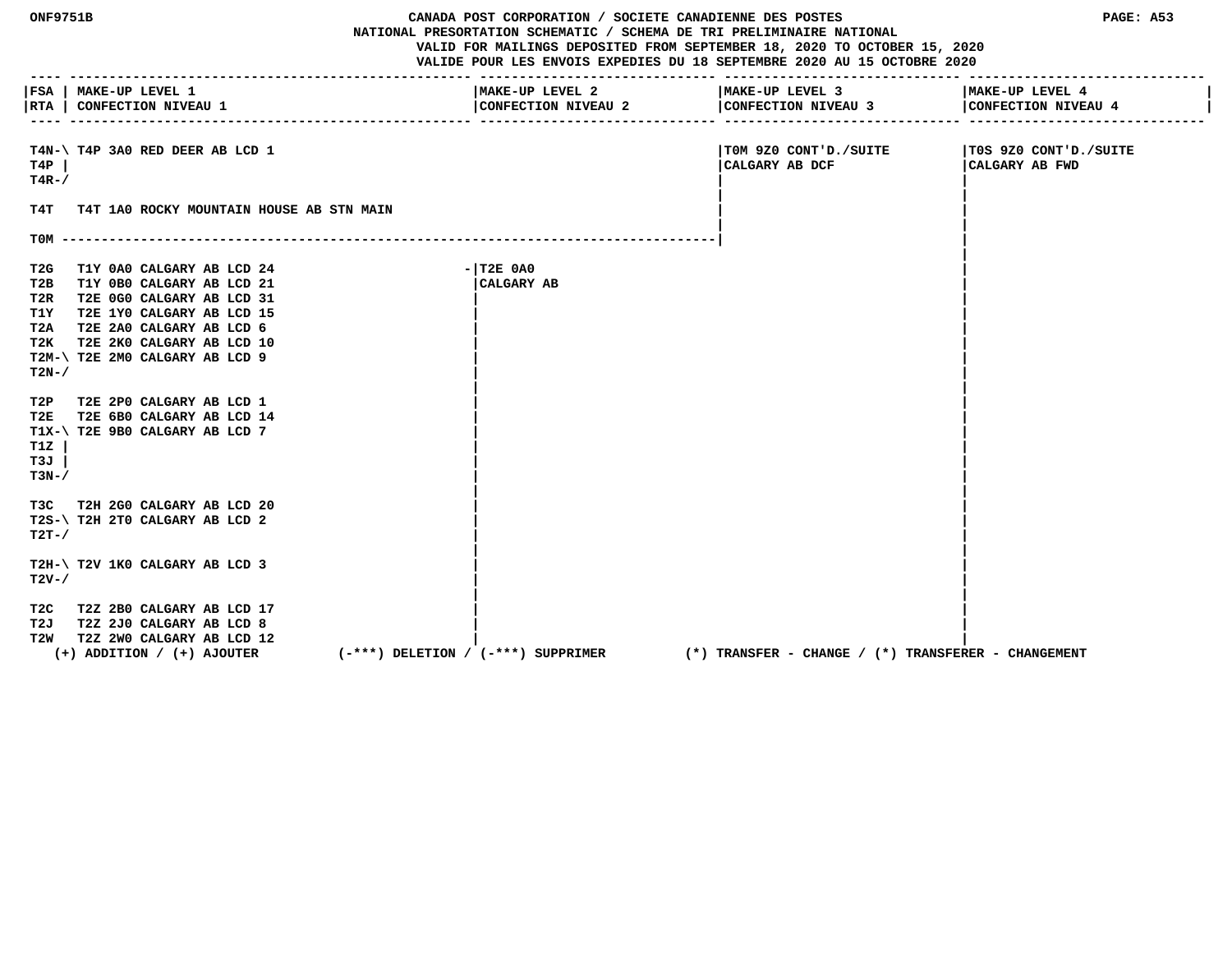| <b>ONF9751B</b>                            |                                                                                                                                                                                                                 | CANADA POST CORPORATION / SOCIETE CANADIENNE DES POSTES<br>NATIONAL PRESORTATION SCHEMATIC / SCHEMA DE TRI PRELIMINAIRE NATIONAL<br>VALID FOR MAILINGS DEPOSITED FROM SEPTEMBER 18, 2020 TO OCTOBER 15, 2020<br>VALIDE POUR LES ENVOIS EXPEDIES DU 18 SEPTEMBRE 2020 AU 15 OCTOBRE 2020 |                                                         | PAGE: A53                               |
|--------------------------------------------|-----------------------------------------------------------------------------------------------------------------------------------------------------------------------------------------------------------------|-----------------------------------------------------------------------------------------------------------------------------------------------------------------------------------------------------------------------------------------------------------------------------------------|---------------------------------------------------------|-----------------------------------------|
|                                            | FSA   MAKE-UP LEVEL 1<br> RTA   CONFECTION NIVEAU 1                                                                                                                                                             | MAKE-UP LEVEL 2<br>CONFECTION NIVEAU 2                                                                                                                                                                                                                                                  | MAKE-UP LEVEL 3<br>CONFECTION NIVEAU 3                  | MAKE-UP LEVEL 4<br>CONFECTION NIVEAU 4  |
| T4P<br>$T4R-$ /                            | T4N-\ T4P 3A0 RED DEER AB LCD 1                                                                                                                                                                                 |                                                                                                                                                                                                                                                                                         | TOM 9Z0 CONT'D./SUITE<br>CALGARY AB DCF                 | T0S 9Z0 CONT'D./SUITE<br>CALGARY AB FWD |
| т4т                                        | T4T 1A0 ROCKY MOUNTAIN HOUSE AB STN MAIN                                                                                                                                                                        |                                                                                                                                                                                                                                                                                         |                                                         |                                         |
| $TOM$ ----                                 |                                                                                                                                                                                                                 |                                                                                                                                                                                                                                                                                         |                                                         |                                         |
| T2G<br>T2B<br>T2R.<br>T1Y<br>T2A<br>$T2N-$ | T1Y 0A0 CALGARY AB LCD 24<br>T1Y 0B0 CALGARY AB LCD 21<br>T2E 0G0 CALGARY AB LCD 31<br>T2E 1Y0 CALGARY AB LCD 15<br>T2E 2A0 CALGARY AB LCD 6<br>T2K T2E 2K0 CALGARY AB LCD 10<br>T2M-\ T2E 2M0 CALGARY AB LCD 9 | $ T2E$ $0A0$<br><b>CALGARY AB</b>                                                                                                                                                                                                                                                       |                                                         |                                         |
| T2P<br>T2E<br>T1Z<br>T3J<br>$T3N-$         | T2E 2P0 CALGARY AB LCD 1<br>T2E 6B0 CALGARY AB LCD 14<br>T1X-\ T2E 9B0 CALGARY AB LCD 7                                                                                                                         |                                                                                                                                                                                                                                                                                         |                                                         |                                         |
| T3C<br>$T2T-$ /                            | T2H 2G0 CALGARY AB LCD 20<br>T2S-\ T2H 2T0 CALGARY AB LCD 2                                                                                                                                                     |                                                                                                                                                                                                                                                                                         |                                                         |                                         |
| $T2V - /$                                  | T2H-\ T2V 1K0 CALGARY AB LCD 3                                                                                                                                                                                  |                                                                                                                                                                                                                                                                                         |                                                         |                                         |
| T2W                                        | T2C T2Z 2B0 CALGARY AB LCD 17<br>T2J T2Z 2J0 CALGARY AB LCD 8<br>T2Z 2W0 CALGARY AB LCD 12<br>$(+)$ ADDITION / $(+)$ AJOUTER                                                                                    | $(-***)$ DELETION / $(-***)$ SUPPRIMER                                                                                                                                                                                                                                                  | $(*)$ TRANSFER - CHANGE / $(*)$ TRANSFERER - CHANGEMENT |                                         |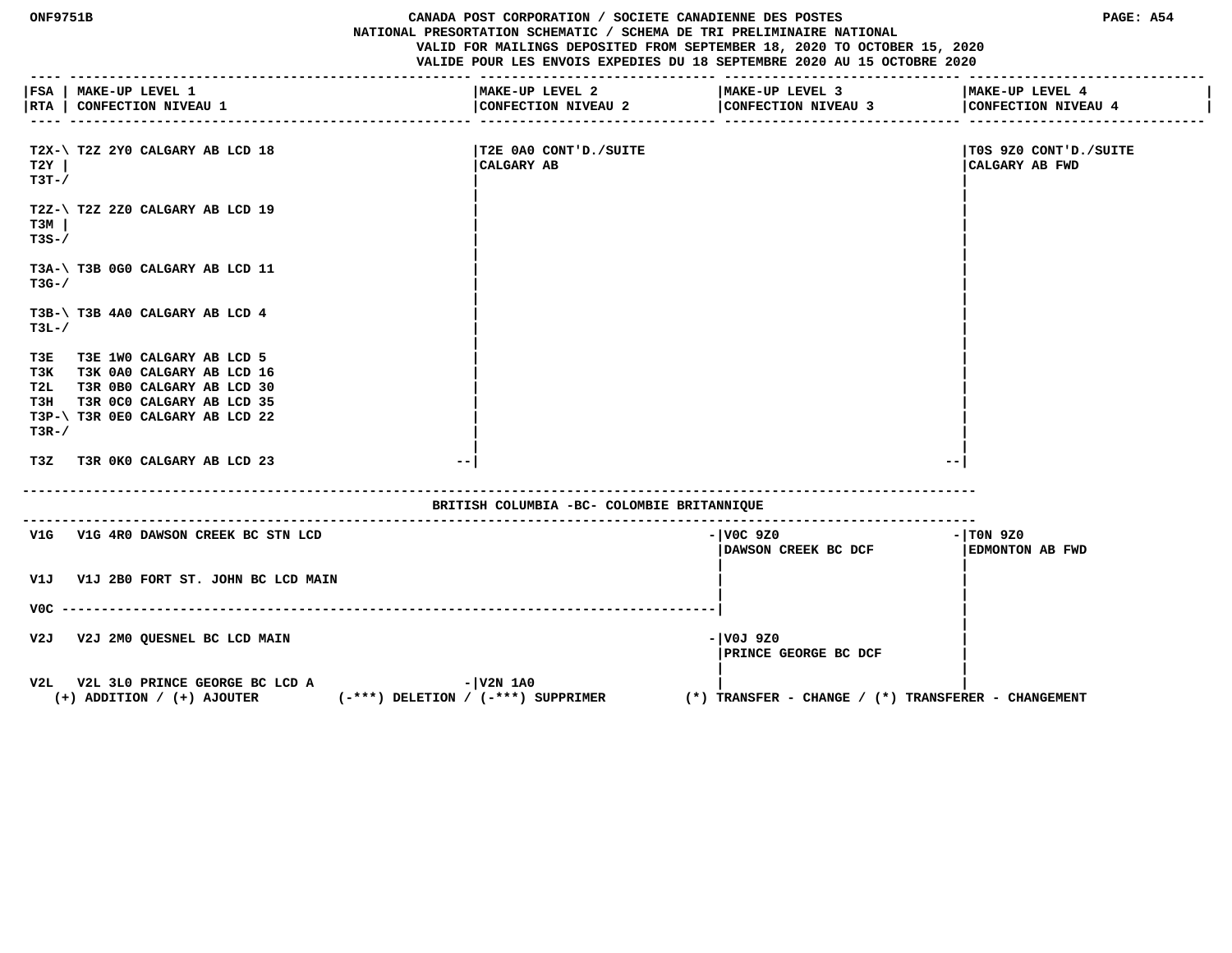**ONF9751B CANADA POST CORPORATION / SOCIETE CANADIENNE DES POSTES PAGE: A54 NATIONAL PRESORTATION SCHEMATIC / SCHEMA DE TRI PRELIMINAIRE NATIONAL VALID FOR MAILINGS DEPOSITED FROM SEPTEMBER 18, 2020 TO OCTOBER 15, 2020 VALIDE POUR LES ENVOIS EXPEDIES DU 18 SEPTEMBRE 2020 AU 15 OCTOBRE 2020 ---- --------------------------------------------------- ------------------------------ ------------------------------ ------------------------------ |FSA | MAKE-UP LEVEL 1 |MAKE-UP LEVEL 2 |MAKE-UP LEVEL 3 |MAKE-UP LEVEL 4 | |RTA | CONFECTION NIVEAU 1 |CONFECTION NIVEAU 2 |CONFECTION NIVEAU 3 |CONFECTION NIVEAU 4 | ---- --------------------------------------------------- ------------------------------ ------------------------------ ------------------------------ T2X-\ T2Z 2Y0 CALGARY AB LCD 18 |T2E 0A0 CONT'D./SUITE |T0S 9Z0 CONT'D./SUITE T2Y | |CALGARY AB |CALGARY AB FWD T3T-/ | | | | T2Z-\ T2Z 2Z0 CALGARY AB LCD 19 | | T3M | | | T3S-/ | | | | T3A-\ T3B 0G0 CALGARY AB LCD 11 | | T3G-/ | | | | T3B-\ T3B 4A0 CALGARY AB LCD 4 | | T3L-/ | | | | T3E T3E 1W0 CALGARY AB LCD 5 | | T3K T3K 0A0 CALGARY AB LCD 16 | | T2L T3R 0B0 CALGARY AB LCD 30 | | T3H T3R 0C0 CALGARY AB LCD 35 | | T3P-\ T3R 0E0 CALGARY AB LCD 22 | |**  $\blacksquare$  T3R-/  $\blacksquare$  **| | T3Z T3R 0K0 CALGARY AB LCD 23 --| --| ------------------------------------------------------------------------------------------------------------------------- BRITISH COLUMBIA -BC- COLOMBIE BRITANNIQUE ------------------------------------------------------------------------------------------------------------------------- V1G** V1G 4R0 DAWSON CREEK BC STN LCD **CONSUMING A CONSUMING A SET AND A CONSUMING A LOC 9Z0 - 1TOM 9Z0 |DAWSON CREEK BC DCF |EDMONTON AB FWD | | V1J V1J 2B0 FORT ST. JOHN BC LCD MAIN | | | | V0C -----------------------------------------------------------------------------------| | | V2J V2J 2M0 QUESNEL BC LCD MAIN -|V0J 9Z0 | |PRINCE GEORGE BC DCF | | |** V2L V2L 3L0 PRINCE GEORGE BC LCD A  $-|V2N|$  1A0  **(+) ADDITION / (+) AJOUTER (-\*\*\*) DELETION / (-\*\*\*) SUPPRIMER (\*) TRANSFER - CHANGE / (\*) TRANSFERER - CHANGEMENT**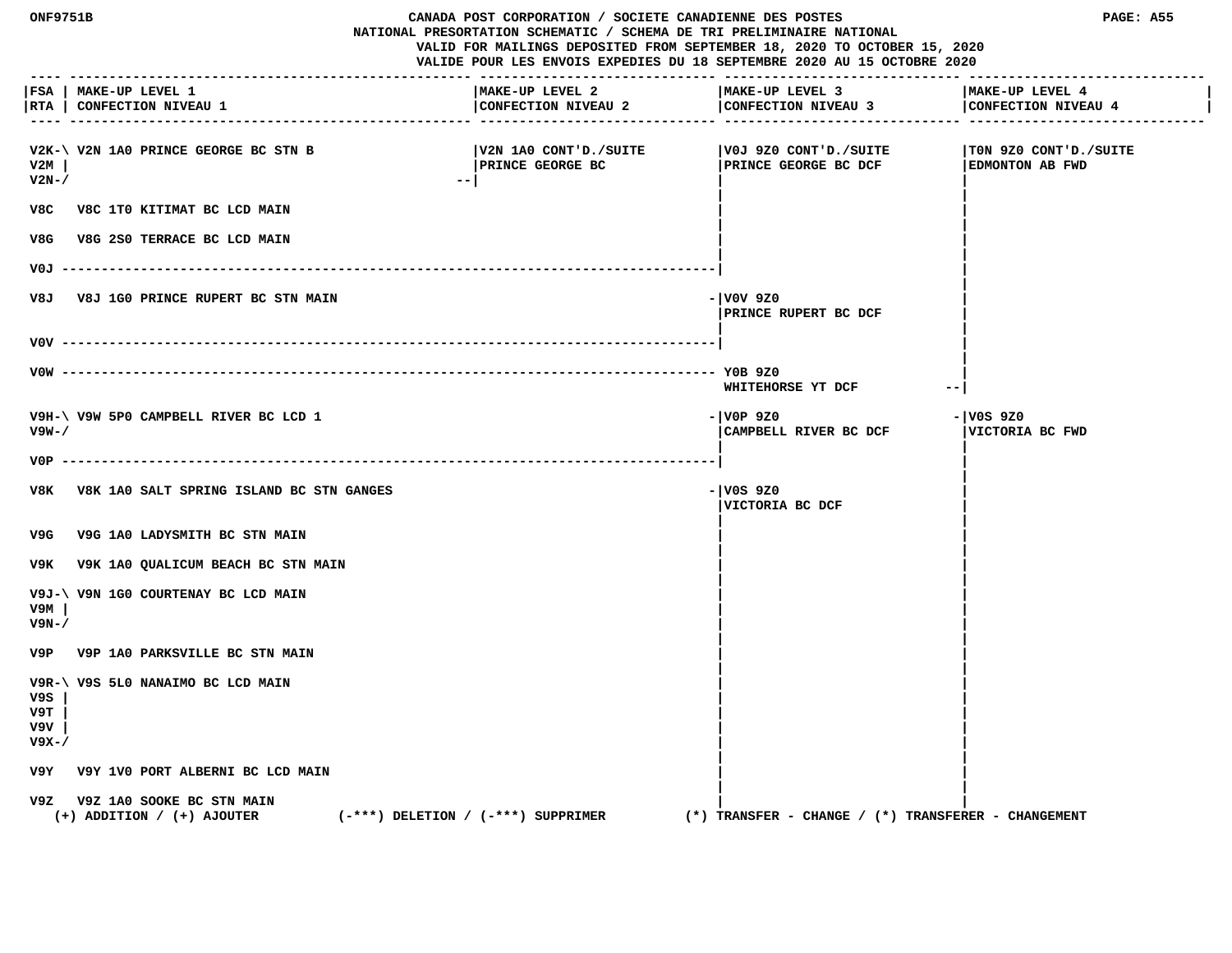| ONF9751B<br>CANADA POST CORPORATION / SOCIETE CANADIENNE DES POSTES<br>NATIONAL PRESORTATION SCHEMATIC / SCHEMA DE TRI PRELIMINAIRE NATIONAL<br>VALID FOR MAILINGS DEPOSITED FROM SEPTEMBER 18, 2020 TO OCTOBER 15, 2020<br>VALIDE POUR LES ENVOIS EXPEDIES DU 18 SEPTEMBRE 2020 AU 15 OCTOBRE 2020 |                                                                 | PAGE: A55                                                |                                               |                                                         |
|-----------------------------------------------------------------------------------------------------------------------------------------------------------------------------------------------------------------------------------------------------------------------------------------------------|-----------------------------------------------------------------|----------------------------------------------------------|-----------------------------------------------|---------------------------------------------------------|
|                                                                                                                                                                                                                                                                                                     | FSA   MAKE-UP LEVEL 1<br> RTA   CONFECTION NIVEAU 1             | MAKE-UP LEVEL 2<br>CONFECTION NIVEAU 2                   | MAKE-UP LEVEL 3<br>CONFECTION NIVEAU 3        | MAKE-UP LEVEL 4<br>CONFECTION NIVEAU 4                  |
| V2M<br>$V2N-$ /                                                                                                                                                                                                                                                                                     | V2K-\ V2N 1A0 PRINCE GEORGE BC STN B                            | V2N 1A0 CONT'D./SUITE<br><b>PRINCE GEORGE BC</b><br>$ -$ | V0J 9Z0 CONT'D./SUITE<br>PRINCE GEORGE BC DCF | TON 9Z0 CONT'D./SUITE<br>EDMONTON AB FWD                |
|                                                                                                                                                                                                                                                                                                     | V8C V8C 1T0 KITIMAT BC LCD MAIN                                 |                                                          |                                               |                                                         |
|                                                                                                                                                                                                                                                                                                     | V8G V8G 2S0 TERRACE BC LCD MAIN                                 |                                                          |                                               |                                                         |
| VOJ -----                                                                                                                                                                                                                                                                                           |                                                                 | -------------------------------------                    |                                               |                                                         |
| V8J                                                                                                                                                                                                                                                                                                 | <b>V8J 1G0 PRINCE RUPERT BC STN MAIN</b>                        |                                                          | - V0V 9Z0<br>PRINCE RUPERT BC DCF             |                                                         |
|                                                                                                                                                                                                                                                                                                     |                                                                 |                                                          |                                               |                                                         |
|                                                                                                                                                                                                                                                                                                     |                                                                 |                                                          | WHITEHORSE YT DCF                             | $\overline{\phantom{m}}$                                |
| V9W-/                                                                                                                                                                                                                                                                                               | V9H-\ V9W 5P0 CAMPBELL RIVER BC LCD 1                           |                                                          | - VOP 9Z0<br>CAMPBELL RIVER BC DCF            | - V0S 9Z0<br>VICTORIA BC FWD                            |
| V0P.                                                                                                                                                                                                                                                                                                | V8K V8K 1A0 SALT SPRING ISLAND BC STN GANGES                    |                                                          | - V0S 9Z0<br>VICTORIA BC DCF                  |                                                         |
| V9G                                                                                                                                                                                                                                                                                                 | V9G 1A0 LADYSMITH BC STN MAIN                                   |                                                          |                                               |                                                         |
|                                                                                                                                                                                                                                                                                                     | V9K V9K 1A0 QUALICUM BEACH BC STN MAIN                          |                                                          |                                               |                                                         |
| v9м<br>V9N-/                                                                                                                                                                                                                                                                                        | V9J-\ V9N 1G0 COURTENAY BC LCD MAIN                             |                                                          |                                               |                                                         |
|                                                                                                                                                                                                                                                                                                     | V9P V9P 1A0 PARKSVILLE BC STN MAIN                              |                                                          |                                               |                                                         |
| V9S<br>V9T<br>V9V<br>$V9X - /$                                                                                                                                                                                                                                                                      | V9R-\ V9S 5L0 NANAIMO BC LCD MAIN                               |                                                          |                                               |                                                         |
| V9Y                                                                                                                                                                                                                                                                                                 | V9Y 1V0 PORT ALBERNI BC LCD MAIN                                |                                                          |                                               |                                                         |
|                                                                                                                                                                                                                                                                                                     | V9Z V9Z 1A0 SOOKE BC STN MAIN<br>$(+)$ ADDITION / $(+)$ AJOUTER | $(-***)$ DELETION / $(-***)$ SUPPRIMER                   |                                               | $(*)$ TRANSFER - CHANGE / $(*)$ TRANSFERER - CHANGEMENT |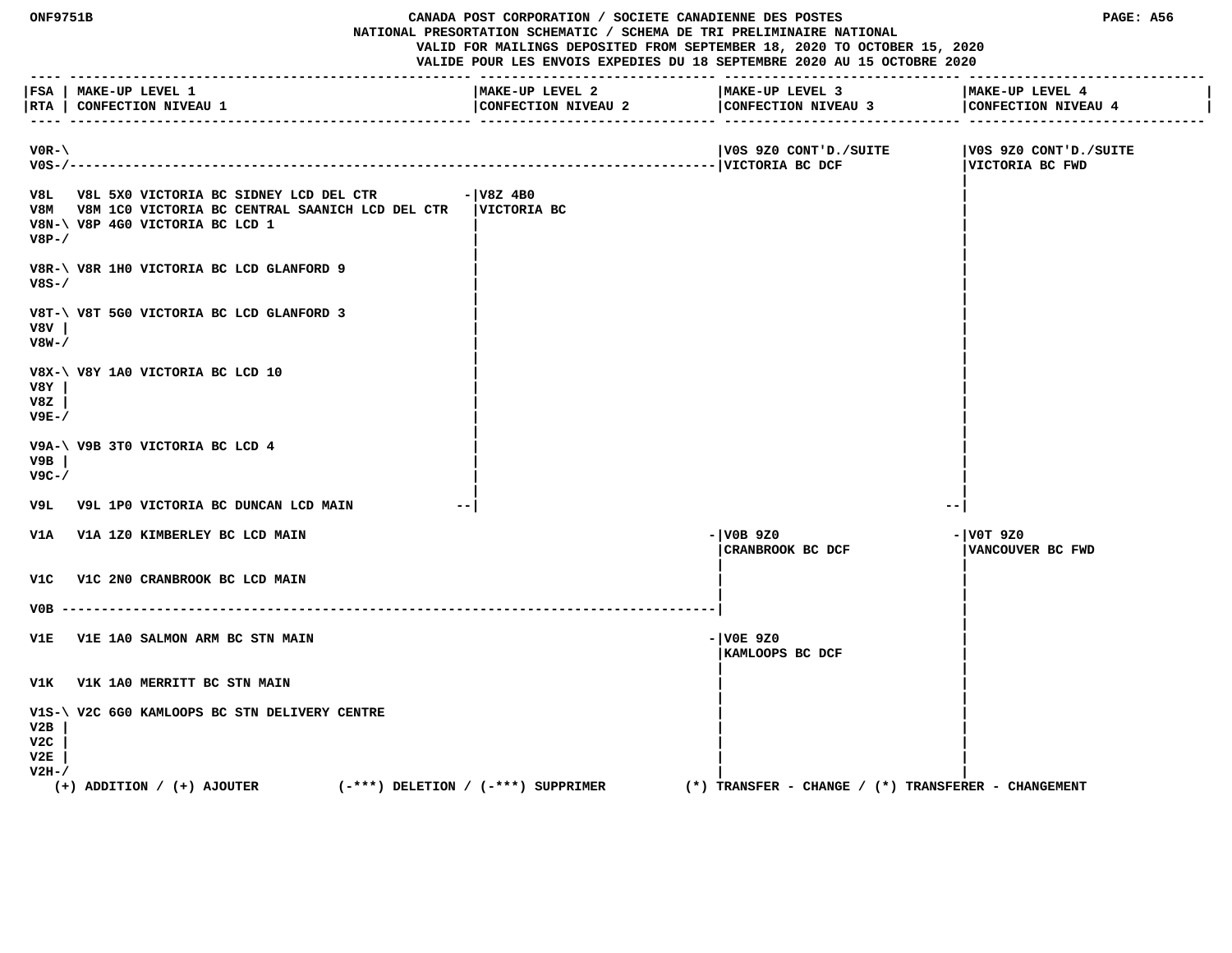| ONF9751B                     |                                                                                                                                                    | CANADA POST CORPORATION / SOCIETE CANADIENNE DES POSTES<br>NATIONAL PRESORTATION SCHEMATIC / SCHEMA DE TRI PRELIMINAIRE NATIONAL | VALID FOR MAILINGS DEPOSITED FROM SEPTEMBER 18, 2020 TO OCTOBER 15, 2020<br>VALIDE POUR LES ENVOIS EXPEDIES DU 18 SEPTEMBRE 2020 AU 15 OCTOBRE 2020 | PAGE: A56                                |
|------------------------------|----------------------------------------------------------------------------------------------------------------------------------------------------|----------------------------------------------------------------------------------------------------------------------------------|-----------------------------------------------------------------------------------------------------------------------------------------------------|------------------------------------------|
|                              | FSA   MAKE-UP LEVEL 1<br> RTA   CONFECTION NIVEAU 1                                                                                                | MAKE-UP LEVEL 2<br>CONFECTION NIVEAU 2                                                                                           | MAKE-UP LEVEL 3<br>CONFECTION NIVEAU 3<br>------------- ---------------                                                                             | MAKE-UP LEVEL 4<br>CONFECTION NIVEAU 4   |
| $VOR - \$                    |                                                                                                                                                    |                                                                                                                                  | V0S 9Z0 CONT'D./SUITE                                                                                                                               | V0S 9Z0 CONT'D./SUITE<br>VICTORIA BC FWD |
| V8P-/                        | V8L V8L 5X0 VICTORIA BC SIDNEY LCD DEL CTR<br>V8M V8M 1C0 VICTORIA BC CENTRAL SAANICH LCD DEL CTR   VICTORIA BC<br>V8N-\ V8P 4G0 VICTORIA BC LCD 1 | $ V8Z$ 4B0                                                                                                                       |                                                                                                                                                     |                                          |
| $V8S-$                       | V8R-\ V8R 1H0 VICTORIA BC LCD GLANFORD 9                                                                                                           |                                                                                                                                  |                                                                                                                                                     |                                          |
| V8V l<br>V8W-/               | V8T-\ V8T 5G0 VICTORIA BC LCD GLANFORD 3                                                                                                           |                                                                                                                                  |                                                                                                                                                     |                                          |
| V8Y<br>V8Z<br>$V9E-$         | V8X-\ V8Y 1A0 VICTORIA BC LCD 10                                                                                                                   |                                                                                                                                  |                                                                                                                                                     |                                          |
| V9B<br>$V9C - /$             | V9A-\ V9B 3T0 VICTORIA BC LCD 4                                                                                                                    |                                                                                                                                  |                                                                                                                                                     |                                          |
|                              | V9L V9L 1P0 VICTORIA BC DUNCAN LCD MAIN                                                                                                            |                                                                                                                                  |                                                                                                                                                     |                                          |
| V1A                          | V1A 1Z0 KIMBERLEY BC LCD MAIN                                                                                                                      |                                                                                                                                  | $ \sqrt{OB}$ 920<br>CRANBROOK BC DCF                                                                                                                | $  V0T$ 9Z0<br>VANCOUVER BC FWD          |
| V1C                          | V1C 2N0 CRANBROOK BC LCD MAIN                                                                                                                      |                                                                                                                                  |                                                                                                                                                     |                                          |
| $VOB$ ------                 |                                                                                                                                                    |                                                                                                                                  |                                                                                                                                                     |                                          |
| V1E                          | V1E 1A0 SALMON ARM BC STN MAIN                                                                                                                     |                                                                                                                                  | - VOE 9Z0<br>KAMLOOPS BC DCF                                                                                                                        |                                          |
| V1K                          | V1K 1A0 MERRITT BC STN MAIN                                                                                                                        |                                                                                                                                  |                                                                                                                                                     |                                          |
| V2B<br>v2C<br>V2E<br>$V2H-7$ | V1S-\ V2C 6G0 KAMLOOPS BC STN DELIVERY CENTRE                                                                                                      |                                                                                                                                  |                                                                                                                                                     |                                          |
|                              | $(-***)$ DELETION / $(-***)$ SUPPRIMER<br>$(+)$ ADDITION / $(+)$ AJOUTER                                                                           |                                                                                                                                  | (*) TRANSFER - CHANGE / (*) TRANSFERER - CHANGEMENT                                                                                                 |                                          |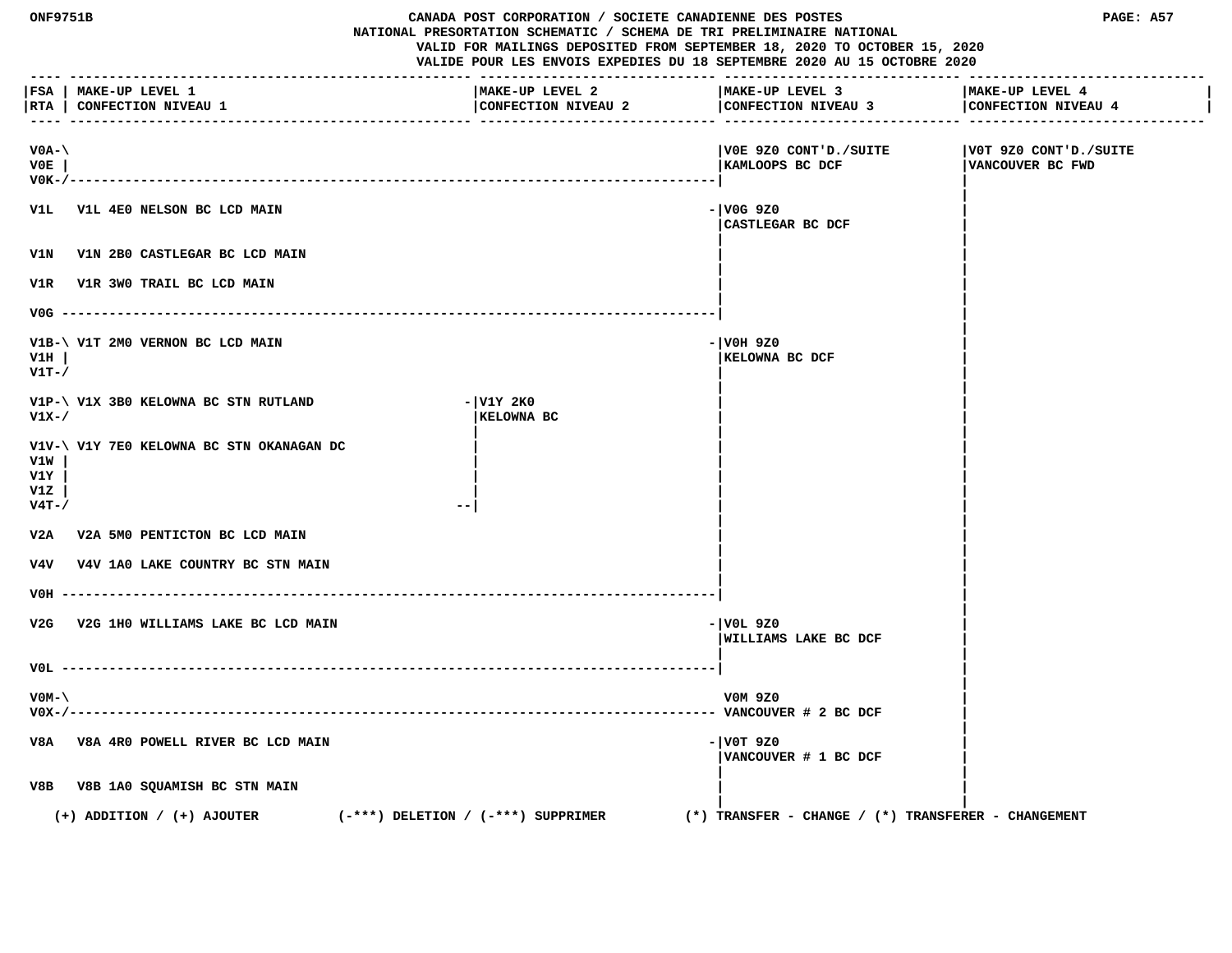| ONF9751B                           |                                                                          | CANADA POST CORPORATION / SOCIETE CANADIENNE DES POSTES<br>NATIONAL PRESORTATION SCHEMATIC / SCHEMA DE TRI PRELIMINAIRE NATIONAL | VALID FOR MAILINGS DEPOSITED FROM SEPTEMBER 18, 2020 TO OCTOBER 15, 2020<br>VALIDE POUR LES ENVOIS EXPEDIES DU 18 SEPTEMBRE 2020 AU 15 OCTOBRE 2020 | PAGE: A57                                 |
|------------------------------------|--------------------------------------------------------------------------|----------------------------------------------------------------------------------------------------------------------------------|-----------------------------------------------------------------------------------------------------------------------------------------------------|-------------------------------------------|
|                                    | FSA   MAKE-UP LEVEL 1<br> RTA   CONFECTION NIVEAU 1                      | MAKE-UP LEVEL 2<br>CONFECTION NIVEAU 2                                                                                           | MAKE-UP LEVEL 3<br>CONFECTION NIVEAU 3                                                                                                              | MAKE-UP LEVEL 4<br>CONFECTION NIVEAU 4    |
| $VOA-\setminus$<br>VOE<br>$V0K-$ / |                                                                          |                                                                                                                                  | VOE 9Z0 CONT'D./SUITE <br> KAMLOOPS BC DCF                                                                                                          | V0T 9Z0 CONT'D./SUITE<br>VANCOUVER BC FWD |
|                                    | V1L V1L 4E0 NELSON BC LCD MAIN                                           |                                                                                                                                  | - V0G 9Z0<br>CASTLEGAR BC DCF                                                                                                                       |                                           |
|                                    | V1N V1N 2B0 CASTLEGAR BC LCD MAIN                                        |                                                                                                                                  |                                                                                                                                                     |                                           |
| V1R                                | V1R 3W0 TRAIL BC LCD MAIN                                                |                                                                                                                                  |                                                                                                                                                     |                                           |
| $VOG$ --                           |                                                                          |                                                                                                                                  |                                                                                                                                                     |                                           |
| V1H<br>$V1T-$ /                    | V1B-\ V1T 2M0 VERNON BC LCD MAIN                                         |                                                                                                                                  | - VOH 9Z0<br>KELOWNA BC DCF                                                                                                                         |                                           |
| V1X-/                              | V1P-\ V1X 3B0 KELOWNA BC STN RUTLAND                                     | - V1Y 2K0<br>KELOWNA BC                                                                                                          |                                                                                                                                                     |                                           |
| V1W<br>V1Y<br>v1z<br>$V4T-$ /      | V1V-\ V1Y 7E0 KELOWNA BC STN OKANAGAN DC                                 |                                                                                                                                  |                                                                                                                                                     |                                           |
|                                    | V2A V2A 5M0 PENTICTON BC LCD MAIN                                        |                                                                                                                                  |                                                                                                                                                     |                                           |
|                                    | V4V V4V 1A0 LAKE COUNTRY BC STN MAIN                                     |                                                                                                                                  |                                                                                                                                                     |                                           |
| VOH                                |                                                                          |                                                                                                                                  |                                                                                                                                                     |                                           |
| V2G                                | V2G 1H0 WILLIAMS LAKE BC LCD MAIN                                        |                                                                                                                                  | - VOL 9Z0<br>WILLIAMS LAKE BC DCF                                                                                                                   |                                           |
| VOL –                              |                                                                          |                                                                                                                                  |                                                                                                                                                     |                                           |
| $VOM - \setminus$                  |                                                                          |                                                                                                                                  | V0M 9Z0                                                                                                                                             |                                           |
|                                    | V8A V8A 4R0 POWELL RIVER BC LCD MAIN                                     |                                                                                                                                  | $- V0T 9Z0$<br>VANCOUVER # 1 BC DCF                                                                                                                 |                                           |
| V8B                                | V8B 1A0 SQUAMISH BC STN MAIN                                             |                                                                                                                                  |                                                                                                                                                     |                                           |
|                                    | $(+)$ ADDITION / $(+)$ AJOUTER<br>$(-***)$ DELETION / $(-***)$ SUPPRIMER |                                                                                                                                  | $(*)$ TRANSFER - CHANGE / $(*)$ TRANSFERER - CHANGEMENT                                                                                             |                                           |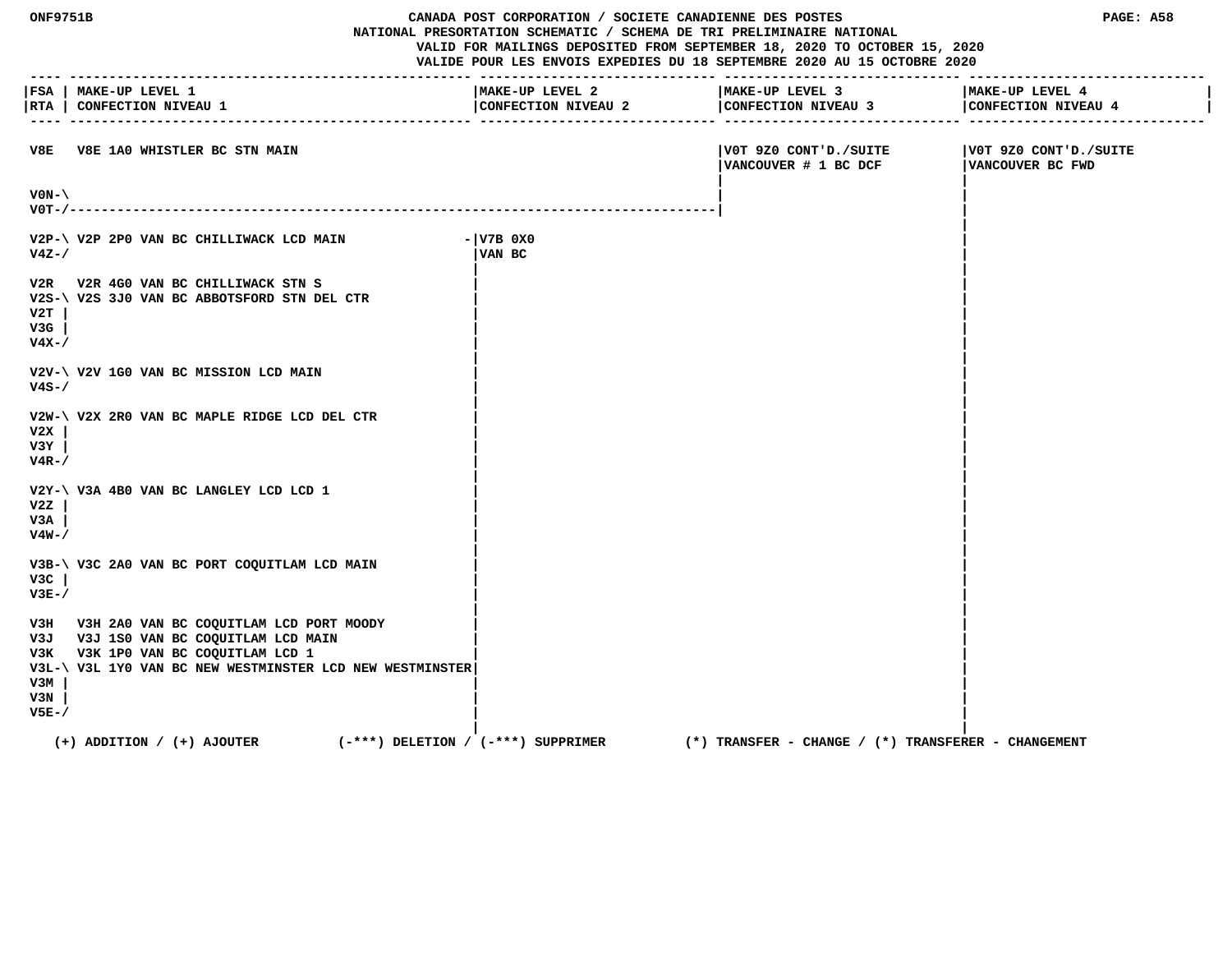| <b>ONF9751B</b>               |                                                                                                                                                                                        | CANADA POST CORPORATION / SOCIETE CANADIENNE DES POSTES<br>NATIONAL PRESORTATION SCHEMATIC / SCHEMA DE TRI PRELIMINAIRE NATIONAL<br>VALID FOR MAILINGS DEPOSITED FROM SEPTEMBER 18, 2020 TO OCTOBER 15, 2020<br>VALIDE POUR LES ENVOIS EXPEDIES DU 18 SEPTEMBRE 2020 AU 15 OCTOBRE 2020 | PAGE: A58                                           |                                           |
|-------------------------------|----------------------------------------------------------------------------------------------------------------------------------------------------------------------------------------|-----------------------------------------------------------------------------------------------------------------------------------------------------------------------------------------------------------------------------------------------------------------------------------------|-----------------------------------------------------|-------------------------------------------|
|                               | FSA   MAKE-UP LEVEL 1<br> RTA   CONFECTION NIVEAU 1                                                                                                                                    | MAKE-UP LEVEL 2<br>CONFECTION NIVEAU 2                                                                                                                                                                                                                                                  | MAKE-UP LEVEL 3<br>CONFECTION NIVEAU 3              | MAKE-UP LEVEL 4<br>CONFECTION NIVEAU 4    |
|                               | V8E V8E 1A0 WHISTLER BC STN MAIN                                                                                                                                                       |                                                                                                                                                                                                                                                                                         | VOT 9Z0 CONT'D./SUITE<br>VANCOUVER # 1 BC DCF       | V0T 9Z0 CONT'D./SUITE<br>VANCOUVER BC FWD |
| $VON-\setminus$<br>$V0T-/--.$ |                                                                                                                                                                                        |                                                                                                                                                                                                                                                                                         |                                                     |                                           |
| $V4Z - /$                     | V2P-\ V2P 2P0 VAN BC CHILLIWACK LCD MAIN                                                                                                                                               | $  V7B$ 0X0<br>VAN BC                                                                                                                                                                                                                                                                   |                                                     |                                           |
| V2T<br>V3G<br>$V4X-$          | V2R V2R 4G0 VAN BC CHILLIWACK STN S<br>V2S-\ V2S 3J0 VAN BC ABBOTSFORD STN DEL CTR                                                                                                     |                                                                                                                                                                                                                                                                                         |                                                     |                                           |
| $V4S-$                        | V2V-\ V2V 1G0 VAN BC MISSION LCD MAIN                                                                                                                                                  |                                                                                                                                                                                                                                                                                         |                                                     |                                           |
| V2X<br>V3Y<br>$V4R-$ /        | V2W-\ V2X 2R0 VAN BC MAPLE RIDGE LCD DEL CTR                                                                                                                                           |                                                                                                                                                                                                                                                                                         |                                                     |                                           |
| v2z<br>V3A<br>$V4W-$ /        | V2Y-\ V3A 4B0 VAN BC LANGLEY LCD LCD 1                                                                                                                                                 |                                                                                                                                                                                                                                                                                         |                                                     |                                           |
| V3C<br>$V3E-$                 | V3B-\ V3C 2A0 VAN BC PORT COQUITLAM LCD MAIN                                                                                                                                           |                                                                                                                                                                                                                                                                                         |                                                     |                                           |
| V3M<br>V3N<br>$V5E-$          | V3H V3H 2A0 VAN BC COQUITLAM LCD PORT MOODY<br>V3J V3J 1S0 VAN BC COQUITLAM LCD MAIN<br>V3K V3K 1P0 VAN BC COQUITLAM LCD 1<br>V3L-\ V3L 1Y0 VAN BC NEW WESTMINSTER LCD NEW WESTMINSTER |                                                                                                                                                                                                                                                                                         |                                                     |                                           |
|                               | $(+)$ ADDITION / $(+)$ AJOUTER<br>(-***) DELETION / (-***) SUPPRIMER                                                                                                                   |                                                                                                                                                                                                                                                                                         | (*) TRANSFER – CHANGE / (*) TRANSFERER – CHANGEMENT |                                           |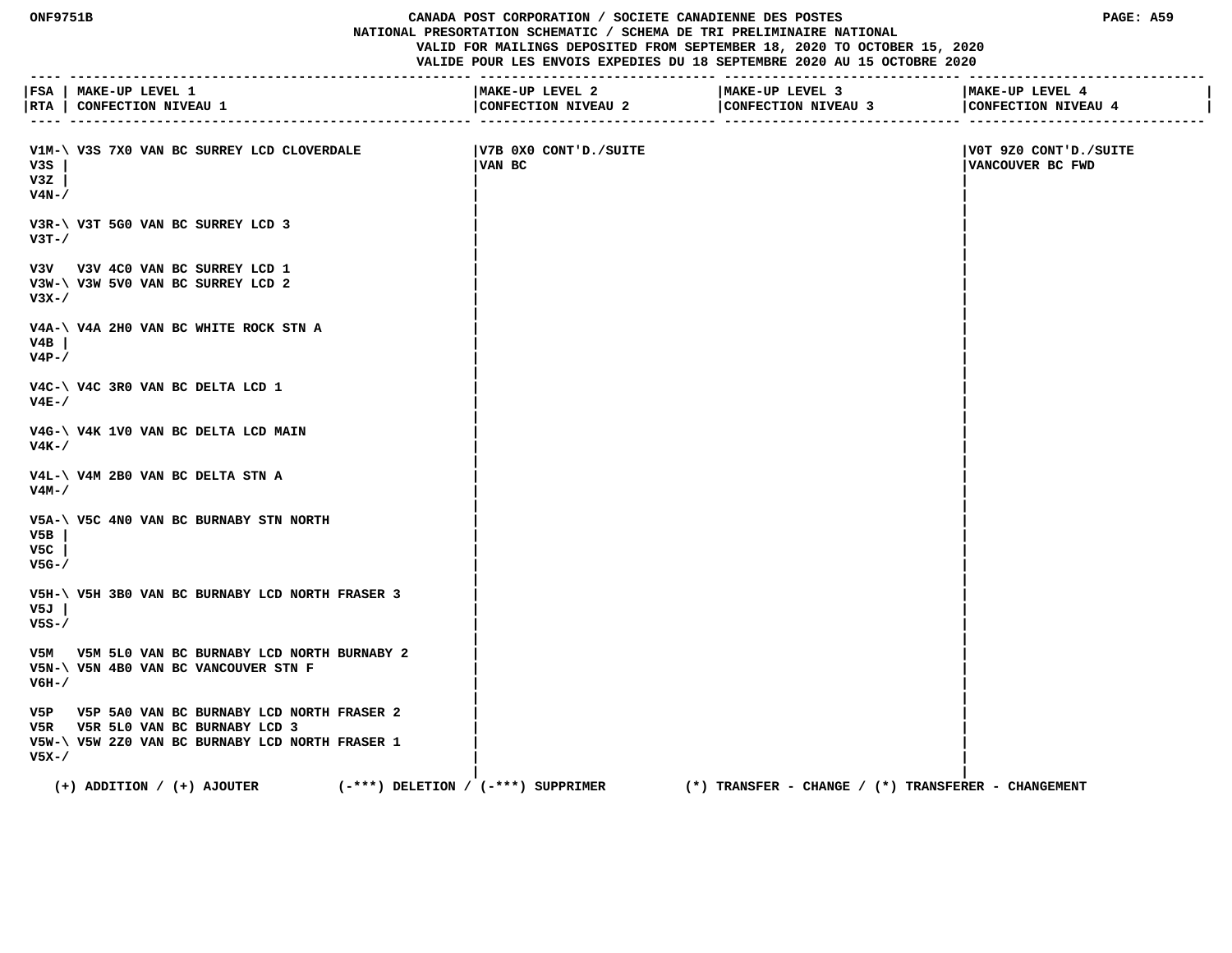#### **ONF9751B CANADA POST CORPORATION / SOCIETE CANADIENNE DES POSTES PAGE: A59 NATIONAL PRESORTATION SCHEMATIC / SCHEMA DE TRI PRELIMINAIRE NATIONAL VALID FOR MAILINGS DEPOSITED FROM SEPTEMBER 18, 2020 TO OCTOBER 15, 2020**

|                        | FSA   MAKE-UP LEVEL 1<br> RTA   CONFECTION NIVEAU 1                                                                                  | MAKE-UP LEVEL 2<br>CONFECTION NIVEAU 2 | MAKE-UP LEVEL 3<br>CONFECTION NIVEAU 3              | MAKE-UP LEVEL 4<br>CONFECTION NIVEAU 4    |
|------------------------|--------------------------------------------------------------------------------------------------------------------------------------|----------------------------------------|-----------------------------------------------------|-------------------------------------------|
| v3s<br>v3z<br>$V4N-$ / | V1M-\ V3S 7X0 VAN BC SURREY LCD CLOVERDALE                                                                                           | V7B 0X0 CONT'D./SUITE<br>VAN BC        |                                                     | V0T 9Z0 CONT'D./SUITE<br>VANCOUVER BC FWD |
| $V3T - /$              | V3R-\ V3T 5G0 VAN BC SURREY LCD 3                                                                                                    |                                        |                                                     |                                           |
| $V3X-$                 | V3V V3V 4C0 VAN BC SURREY LCD 1<br>V3W-\ V3W 5V0 VAN BC SURREY LCD 2                                                                 |                                        |                                                     |                                           |
| V4B<br>$V4P-$ /        | V4A-\ V4A 2H0 VAN BC WHITE ROCK STN A                                                                                                |                                        |                                                     |                                           |
| $V4E-$ /               | V4C-\ V4C 3R0 VAN BC DELTA LCD 1                                                                                                     |                                        |                                                     |                                           |
| V4K-/                  | V4G-\ V4K 1V0 VAN BC DELTA LCD MAIN                                                                                                  |                                        |                                                     |                                           |
| V4M-/                  | V4L-\ V4M 2B0 VAN BC DELTA STN A                                                                                                     |                                        |                                                     |                                           |
| V5B<br>V5C<br>$V5G-$   | V5A-\ V5C 4N0 VAN BC BURNABY STN NORTH                                                                                               |                                        |                                                     |                                           |
| V5J<br>$V5S-$          | V5H-\ V5H 3B0 VAN BC BURNABY LCD NORTH FRASER 3                                                                                      |                                        |                                                     |                                           |
| V6H-/                  | V5M V5M 5L0 VAN BC BURNABY LCD NORTH BURNABY 2<br>V5N-\ V5N 4B0 VAN BC VANCOUVER STN F                                               |                                        |                                                     |                                           |
| $V5X - /$              | V5P V5P 5A0 VAN BC BURNABY LCD NORTH FRASER 2<br>V5R V5R 5L0 VAN BC BURNABY LCD 3<br>V5W-\ V5W 2Z0 VAN BC BURNABY LCD NORTH FRASER 1 |                                        |                                                     |                                           |
|                        | $(+)$ ADDITION / $(+)$ AJOUTER                                                                                                       | $(-***)$ DELETION / $(-***)$ SUPPRIMER | (*) TRANSFER - CHANGE / (*) TRANSFERER - CHANGEMENT |                                           |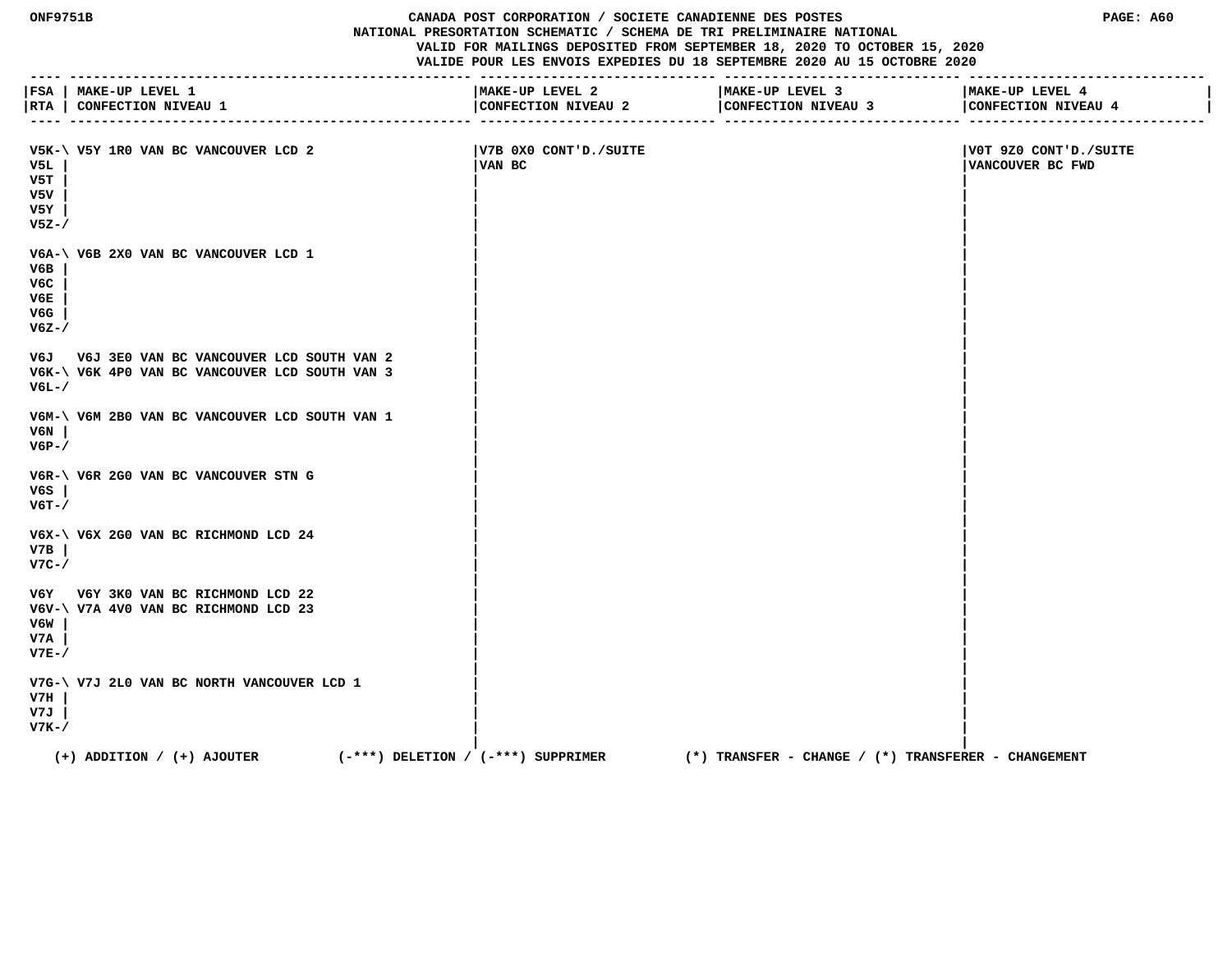## **ONF9751B CANADA POST CORPORATION / SOCIETE CANADIENNE DES POSTES PAGE: A60 NATIONAL PRESORTATION SCHEMATIC / SCHEMA DE TRI PRELIMINAIRE NATIONAL VALID FOR MAILINGS DEPOSITED FROM SEPTEMBER 18, 2020 TO OCTOBER 15, 2020**

| $- - - - -$                           | FSA   MAKE-UP LEVEL 1<br> RTA   CONFECTION NIVEAU 1                                            | MAKE-UP LEVEL 2<br>CONFECTION NIVEAU 2 | MAKE-UP LEVEL 3<br>CONFECTION NIVEAU 3                  | MAKE-UP LEVEL 4<br>CONFECTION NIVEAU 4     |
|---------------------------------------|------------------------------------------------------------------------------------------------|----------------------------------------|---------------------------------------------------------|--------------------------------------------|
| V5L<br>V5T<br>v5v<br>V5Y<br>$V5Z - /$ | V5K-\ V5Y 1R0 VAN BC VANCOUVER LCD 2                                                           | V7B 0X0 CONT'D./SUITE<br>VAN BC        |                                                         | V0T 9Z0 CONT'D./SUITE <br>VANCOUVER BC FWD |
| V6B<br>V6C<br>V6E<br>V6G<br>$V6Z - /$ | V6A-\ V6B 2X0 VAN BC VANCOUVER LCD 1                                                           |                                        |                                                         |                                            |
| V6L-/                                 | V6J V6J 3E0 VAN BC VANCOUVER LCD SOUTH VAN 2<br>V6K-\ V6K 4P0 VAN BC VANCOUVER LCD SOUTH VAN 3 |                                        |                                                         |                                            |
| V6N<br>$V6P-$                         | V6M-\ V6M 2B0 VAN BC VANCOUVER LCD SOUTH VAN 1                                                 |                                        |                                                         |                                            |
| V6S<br>$V6T - /$                      | V6R-\ V6R 2G0 VAN BC VANCOUVER STN G                                                           |                                        |                                                         |                                            |
| V7B<br>$V7C-/-$                       | V6X-\ V6X 2G0 VAN BC RICHMOND LCD 24                                                           |                                        |                                                         |                                            |
| V6W<br>V7A<br>$V7E-$                  | V6Y V6Y 3K0 VAN BC RICHMOND LCD 22<br>V6V-\ V7A 4V0 VAN BC RICHMOND LCD 23                     |                                        |                                                         |                                            |
| V7H<br>V7J<br>$V7K-$                  | V7G-\ V7J 2L0 VAN BC NORTH VANCOUVER LCD 1                                                     |                                        |                                                         |                                            |
|                                       | $(-***)$ DELETION / $(-***)$ SUPPRIMER<br>$(+)$ ADDITION / $(+)$ AJOUTER                       |                                        | $(*)$ TRANSFER - CHANGE / $(*)$ TRANSFERER - CHANGEMENT |                                            |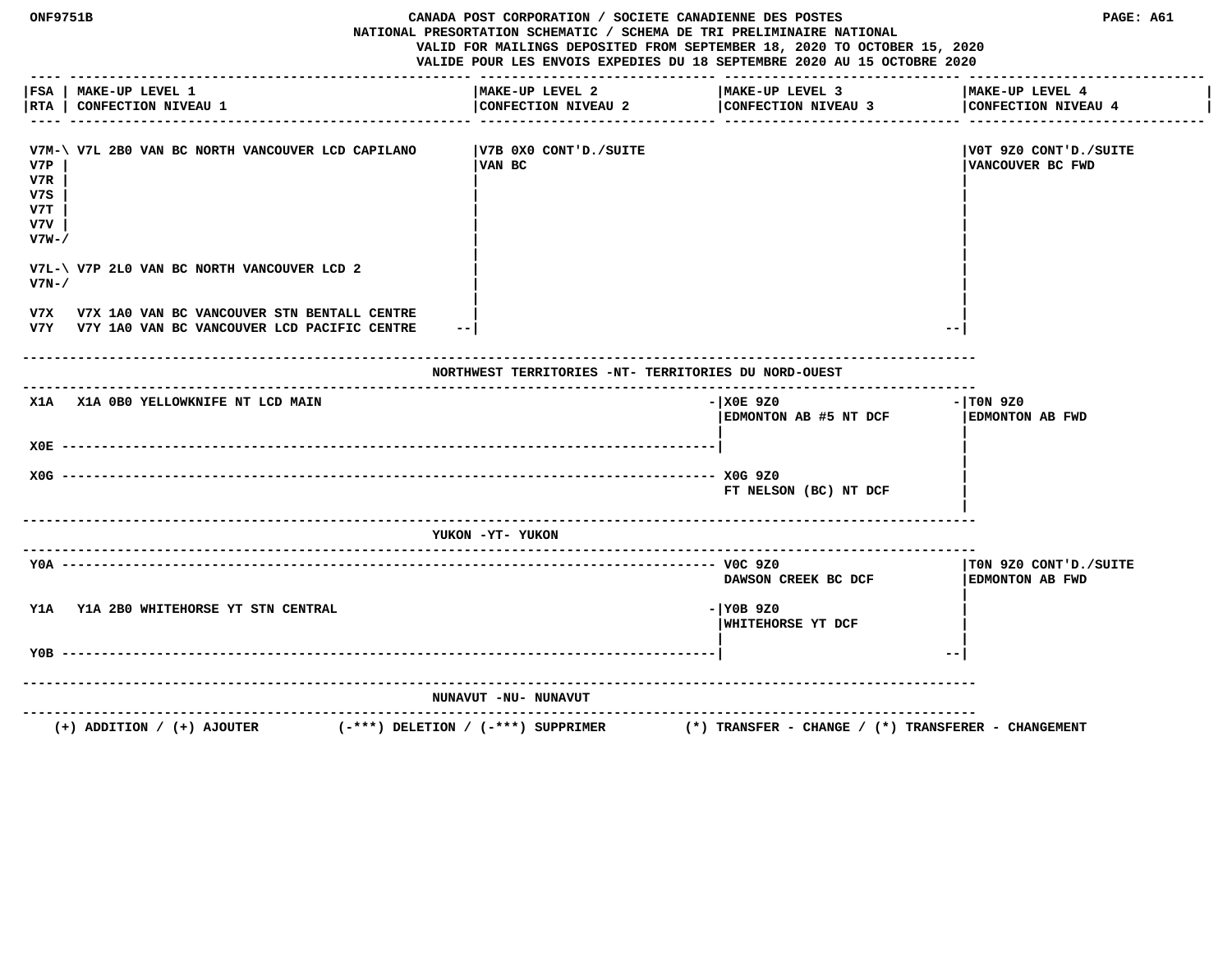| ONF9751B                                 |                                                                                                | CANADA POST CORPORATION / SOCIETE CANADIENNE DES POSTES<br>NATIONAL PRESORTATION SCHEMATIC / SCHEMA DE TRI PRELIMINAIRE NATIONAL<br>VALID FOR MAILINGS DEPOSITED FROM SEPTEMBER 18, 2020 TO OCTOBER 15, 2020<br>VALIDE POUR LES ENVOIS EXPEDIES DU 18 SEPTEMBRE 2020 AU 15 OCTOBRE 2020 |                                                         | PAGE: A61                                        |  |
|------------------------------------------|------------------------------------------------------------------------------------------------|-----------------------------------------------------------------------------------------------------------------------------------------------------------------------------------------------------------------------------------------------------------------------------------------|---------------------------------------------------------|--------------------------------------------------|--|
| RTA                                      | FSA   MAKE-UP LEVEL 1<br><b>CONFECTION NIVEAU 1</b>                                            | MAKE-UP LEVEL 2<br>CONFECTION NIVEAU 2                                                                                                                                                                                                                                                  | MAKE-UP LEVEL 3<br>CONFECTION NIVEAU 3                  | MAKE-UP LEVEL 4<br>CONFECTION NIVEAU 4           |  |
| V7P<br>V7R<br>v7s<br>V7T<br>v7v<br>v7w-/ | V7M-\ V7L 2B0 VAN BC NORTH VANCOUVER LCD CAPILANO                                              | V7B 0X0 CONT'D./SUITE  <br>VAN BC                                                                                                                                                                                                                                                       |                                                         | V0T 9Z0 CONT'D./SUITE <br>VANCOUVER BC FWD       |  |
| $V7N-$                                   | V7L-\ V7P 2L0 VAN BC NORTH VANCOUVER LCD 2                                                     |                                                                                                                                                                                                                                                                                         |                                                         |                                                  |  |
| v7x                                      | V7X 1A0 VAN BC VANCOUVER STN BENTALL CENTRE<br>V7Y V7Y 1A0 VAN BC VANCOUVER LCD PACIFIC CENTRE | $- -$                                                                                                                                                                                                                                                                                   |                                                         |                                                  |  |
|                                          |                                                                                                | NORTHWEST TERRITORIES -NT- TERRITORIES DU NORD-OUEST                                                                                                                                                                                                                                    |                                                         |                                                  |  |
|                                          | X1A X1A OBO YELLOWKNIFE NT LCD MAIN                                                            |                                                                                                                                                                                                                                                                                         | $-100E$ 920<br>EDMONTON AB #5 NT DCF                    | $-1$ TON 9Z0<br>EDMONTON AB FWD                  |  |
|                                          | $X0E$ ---------                                                                                |                                                                                                                                                                                                                                                                                         |                                                         |                                                  |  |
|                                          | $X0G$ ---------------                                                                          |                                                                                                                                                                                                                                                                                         | FT NELSON (BC) NT DCF                                   |                                                  |  |
|                                          |                                                                                                | YUKON -YT- YUKON                                                                                                                                                                                                                                                                        |                                                         |                                                  |  |
|                                          | $Y0A - - - - - - - -$                                                                          |                                                                                                                                                                                                                                                                                         | DAWSON CREEK BC DCF                                     | TON 9Z0 CONT'D./SUITE <br><b>EDMONTON AB FWD</b> |  |
|                                          | Y1A Y1A 2B0 WHITEHORSE YT STN CENTRAL                                                          |                                                                                                                                                                                                                                                                                         | $-1$ YOB 9Z0<br>WHITEHORSE YT DCF                       |                                                  |  |
| Y0B                                      |                                                                                                |                                                                                                                                                                                                                                                                                         |                                                         | $ -$                                             |  |
|                                          |                                                                                                | NUNAVUT -NU- NUNAVUT                                                                                                                                                                                                                                                                    |                                                         |                                                  |  |
|                                          | -------------------------<br>$(+)$ ADDITION / $(+)$ AJOUTER                                    | $(-***)$ DELETION / $(-***)$ SUPPRIMER                                                                                                                                                                                                                                                  | $(*)$ TRANSFER - CHANGE / $(*)$ TRANSFERER - CHANGEMENT |                                                  |  |